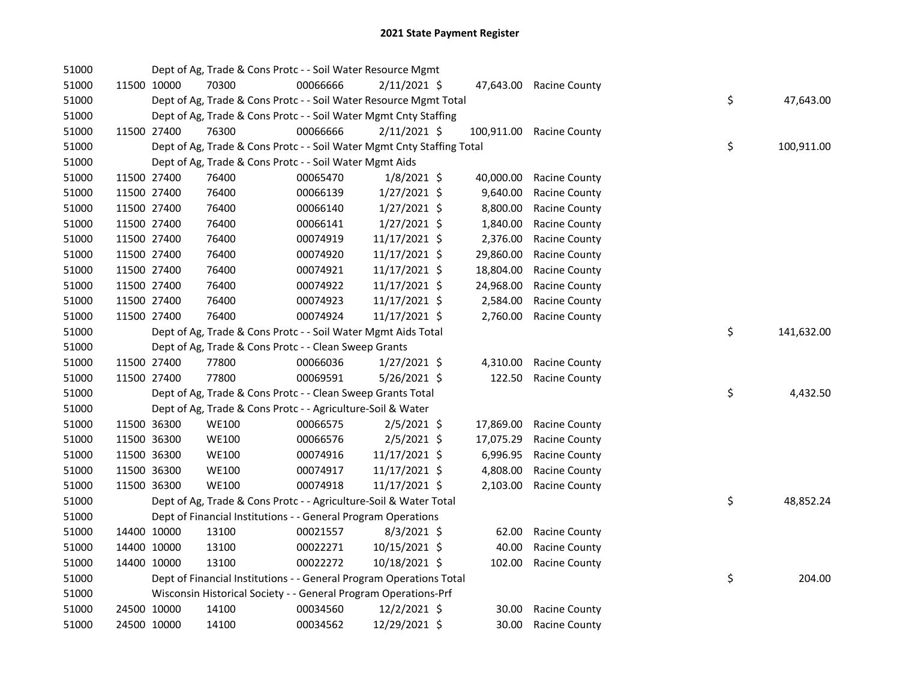| 51000 |             |             | Dept of Ag, Trade & Cons Protc - - Soil Water Resource Mgmt            |          |                |            |                         |    |            |
|-------|-------------|-------------|------------------------------------------------------------------------|----------|----------------|------------|-------------------------|----|------------|
| 51000 |             | 11500 10000 | 70300                                                                  | 00066666 | $2/11/2021$ \$ |            | 47,643.00 Racine County |    |            |
| 51000 |             |             | Dept of Ag, Trade & Cons Protc - - Soil Water Resource Mgmt Total      |          |                |            |                         | \$ | 47,643.00  |
| 51000 |             |             | Dept of Ag, Trade & Cons Protc - - Soil Water Mgmt Cnty Staffing       |          |                |            |                         |    |            |
| 51000 |             | 11500 27400 | 76300                                                                  | 00066666 | $2/11/2021$ \$ | 100,911.00 | <b>Racine County</b>    |    |            |
| 51000 |             |             | Dept of Ag, Trade & Cons Protc - - Soil Water Mgmt Cnty Staffing Total |          |                |            |                         | \$ | 100,911.00 |
| 51000 |             |             | Dept of Ag, Trade & Cons Protc - - Soil Water Mgmt Aids                |          |                |            |                         |    |            |
| 51000 |             | 11500 27400 | 76400                                                                  | 00065470 | $1/8/2021$ \$  | 40,000.00  | <b>Racine County</b>    |    |            |
| 51000 |             | 11500 27400 | 76400                                                                  | 00066139 | $1/27/2021$ \$ | 9,640.00   | Racine County           |    |            |
| 51000 |             | 11500 27400 | 76400                                                                  | 00066140 | $1/27/2021$ \$ | 8,800.00   | <b>Racine County</b>    |    |            |
| 51000 | 11500 27400 |             | 76400                                                                  | 00066141 | $1/27/2021$ \$ | 1,840.00   | <b>Racine County</b>    |    |            |
| 51000 |             | 11500 27400 | 76400                                                                  | 00074919 | 11/17/2021 \$  | 2,376.00   | <b>Racine County</b>    |    |            |
| 51000 |             | 11500 27400 | 76400                                                                  | 00074920 | 11/17/2021 \$  | 29,860.00  | Racine County           |    |            |
| 51000 |             | 11500 27400 | 76400                                                                  | 00074921 | 11/17/2021 \$  | 18,804.00  | <b>Racine County</b>    |    |            |
| 51000 |             | 11500 27400 | 76400                                                                  | 00074922 | 11/17/2021 \$  | 24,968.00  | Racine County           |    |            |
| 51000 |             | 11500 27400 | 76400                                                                  | 00074923 | 11/17/2021 \$  | 2,584.00   | Racine County           |    |            |
| 51000 | 11500 27400 |             | 76400                                                                  | 00074924 | 11/17/2021 \$  | 2,760.00   | <b>Racine County</b>    |    |            |
| 51000 |             |             | Dept of Ag, Trade & Cons Protc - - Soil Water Mgmt Aids Total          |          |                |            |                         | \$ | 141,632.00 |
| 51000 |             |             | Dept of Ag, Trade & Cons Protc - - Clean Sweep Grants                  |          |                |            |                         |    |            |
| 51000 |             | 11500 27400 | 77800                                                                  | 00066036 | $1/27/2021$ \$ | 4,310.00   | <b>Racine County</b>    |    |            |
| 51000 |             | 11500 27400 | 77800                                                                  | 00069591 | 5/26/2021 \$   | 122.50     | <b>Racine County</b>    |    |            |
| 51000 |             |             | Dept of Ag, Trade & Cons Protc - - Clean Sweep Grants Total            |          |                |            |                         | \$ | 4,432.50   |
| 51000 |             |             | Dept of Ag, Trade & Cons Protc - - Agriculture-Soil & Water            |          |                |            |                         |    |            |
| 51000 |             | 11500 36300 | <b>WE100</b>                                                           | 00066575 | $2/5/2021$ \$  | 17,869.00  | Racine County           |    |            |
| 51000 |             | 11500 36300 | WE100                                                                  | 00066576 | $2/5/2021$ \$  | 17,075.29  | Racine County           |    |            |
| 51000 |             | 11500 36300 | WE100                                                                  | 00074916 | 11/17/2021 \$  | 6,996.95   | Racine County           |    |            |
| 51000 | 11500 36300 |             | <b>WE100</b>                                                           | 00074917 | 11/17/2021 \$  | 4,808.00   | Racine County           |    |            |
| 51000 | 11500 36300 |             | <b>WE100</b>                                                           | 00074918 | 11/17/2021 \$  | 2,103.00   | <b>Racine County</b>    |    |            |
| 51000 |             |             | Dept of Ag, Trade & Cons Protc - - Agriculture-Soil & Water Total      |          |                |            |                         | \$ | 48,852.24  |
| 51000 |             |             | Dept of Financial Institutions - - General Program Operations          |          |                |            |                         |    |            |
| 51000 |             | 14400 10000 | 13100                                                                  | 00021557 | $8/3/2021$ \$  | 62.00      | <b>Racine County</b>    |    |            |
| 51000 |             | 14400 10000 | 13100                                                                  | 00022271 | 10/15/2021 \$  | 40.00      | <b>Racine County</b>    |    |            |
| 51000 | 14400 10000 |             | 13100                                                                  | 00022272 | 10/18/2021 \$  | 102.00     | <b>Racine County</b>    |    |            |
| 51000 |             |             | Dept of Financial Institutions - - General Program Operations Total    |          |                |            |                         | \$ | 204.00     |
| 51000 |             |             | Wisconsin Historical Society - - General Program Operations-Prf        |          |                |            |                         |    |            |
| 51000 |             | 24500 10000 | 14100                                                                  | 00034560 | 12/2/2021 \$   | 30.00      | <b>Racine County</b>    |    |            |
| 51000 | 24500 10000 |             | 14100                                                                  | 00034562 | 12/29/2021 \$  | 30.00      | <b>Racine County</b>    |    |            |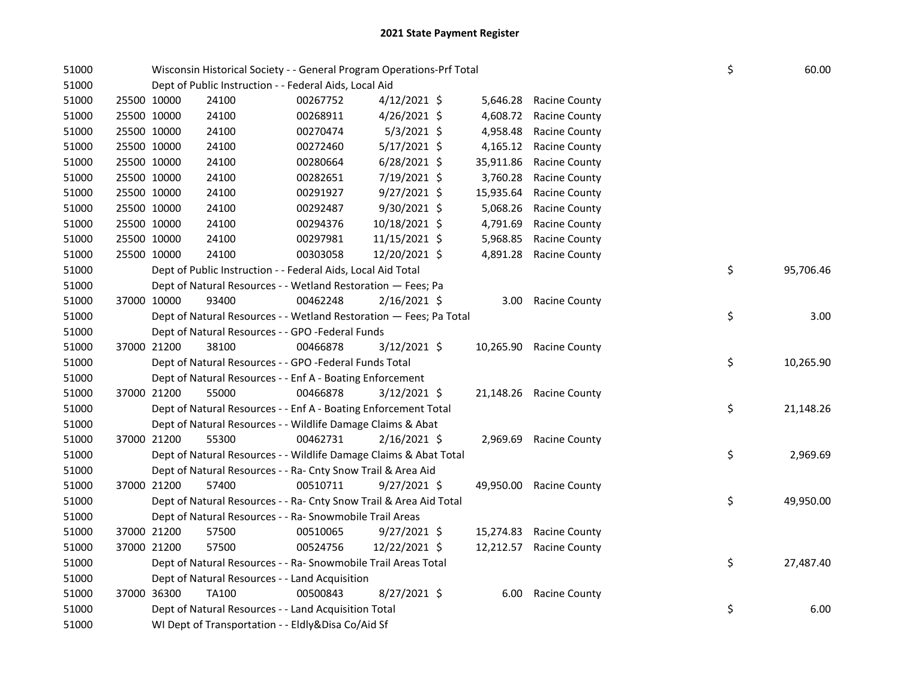| 51000 | Wisconsin Historical Society - - General Program Operations-Prf Total |          |                |           |                         | \$ | 60.00     |
|-------|-----------------------------------------------------------------------|----------|----------------|-----------|-------------------------|----|-----------|
| 51000 | Dept of Public Instruction - - Federal Aids, Local Aid                |          |                |           |                         |    |           |
| 51000 | 25500 10000<br>24100                                                  | 00267752 | $4/12/2021$ \$ | 5,646.28  | <b>Racine County</b>    |    |           |
| 51000 | 25500 10000<br>24100                                                  | 00268911 | $4/26/2021$ \$ | 4,608.72  | <b>Racine County</b>    |    |           |
| 51000 | 25500 10000<br>24100                                                  | 00270474 | $5/3/2021$ \$  | 4,958.48  | <b>Racine County</b>    |    |           |
| 51000 | 25500 10000<br>24100                                                  | 00272460 | $5/17/2021$ \$ | 4,165.12  | <b>Racine County</b>    |    |           |
| 51000 | 25500 10000<br>24100                                                  | 00280664 | $6/28/2021$ \$ | 35,911.86 | <b>Racine County</b>    |    |           |
| 51000 | 25500 10000<br>24100                                                  | 00282651 | 7/19/2021 \$   | 3,760.28  | <b>Racine County</b>    |    |           |
| 51000 | 25500 10000<br>24100                                                  | 00291927 | 9/27/2021 \$   | 15,935.64 | <b>Racine County</b>    |    |           |
| 51000 | 25500 10000<br>24100                                                  | 00292487 | 9/30/2021 \$   | 5,068.26  | <b>Racine County</b>    |    |           |
| 51000 | 25500 10000<br>24100                                                  | 00294376 | 10/18/2021 \$  | 4,791.69  | <b>Racine County</b>    |    |           |
| 51000 | 25500 10000<br>24100                                                  | 00297981 | 11/15/2021 \$  | 5,968.85  | <b>Racine County</b>    |    |           |
| 51000 | 25500 10000<br>24100                                                  | 00303058 | 12/20/2021 \$  | 4,891.28  | <b>Racine County</b>    |    |           |
| 51000 | Dept of Public Instruction - - Federal Aids, Local Aid Total          |          |                |           |                         | \$ | 95,706.46 |
| 51000 | Dept of Natural Resources - - Wetland Restoration - Fees; Pa          |          |                |           |                         |    |           |
| 51000 | 37000 10000<br>93400                                                  | 00462248 | $2/16/2021$ \$ | 3.00      | <b>Racine County</b>    |    |           |
| 51000 | Dept of Natural Resources - - Wetland Restoration - Fees; Pa Total    |          |                |           |                         | \$ | 3.00      |
| 51000 | Dept of Natural Resources - - GPO -Federal Funds                      |          |                |           |                         |    |           |
| 51000 | 37000 21200<br>38100                                                  | 00466878 | 3/12/2021 \$   |           | 10,265.90 Racine County |    |           |
| 51000 | Dept of Natural Resources - - GPO -Federal Funds Total                |          |                |           |                         | \$ | 10,265.90 |
| 51000 | Dept of Natural Resources - - Enf A - Boating Enforcement             |          |                |           |                         |    |           |
| 51000 | 37000 21200<br>55000                                                  | 00466878 | $3/12/2021$ \$ |           | 21,148.26 Racine County |    |           |
| 51000 | Dept of Natural Resources - - Enf A - Boating Enforcement Total       |          |                |           |                         | \$ | 21,148.26 |
| 51000 | Dept of Natural Resources - - Wildlife Damage Claims & Abat           |          |                |           |                         |    |           |
| 51000 | 55300<br>37000 21200                                                  | 00462731 | $2/16/2021$ \$ |           | 2,969.69 Racine County  |    |           |
| 51000 | Dept of Natural Resources - - Wildlife Damage Claims & Abat Total     |          |                |           |                         | \$ | 2,969.69  |
| 51000 | Dept of Natural Resources - - Ra- Cnty Snow Trail & Area Aid          |          |                |           |                         |    |           |
| 51000 | 57400<br>37000 21200                                                  | 00510711 | $9/27/2021$ \$ |           | 49,950.00 Racine County |    |           |
| 51000 | Dept of Natural Resources - - Ra- Cnty Snow Trail & Area Aid Total    |          |                |           |                         | \$ | 49,950.00 |
| 51000 | Dept of Natural Resources - - Ra- Snowmobile Trail Areas              |          |                |           |                         |    |           |
| 51000 | 37000 21200<br>57500                                                  | 00510065 | $9/27/2021$ \$ |           | 15,274.83 Racine County |    |           |
| 51000 | 37000 21200<br>57500                                                  | 00524756 | 12/22/2021 \$  | 12,212.57 | <b>Racine County</b>    |    |           |
| 51000 | Dept of Natural Resources - - Ra- Snowmobile Trail Areas Total        |          |                |           |                         | \$ | 27,487.40 |
| 51000 | Dept of Natural Resources - - Land Acquisition                        |          |                |           |                         |    |           |
| 51000 | 37000 36300<br>TA100                                                  | 00500843 | 8/27/2021 \$   | 6.00      | <b>Racine County</b>    |    |           |
| 51000 | Dept of Natural Resources - - Land Acquisition Total                  |          |                |           |                         | \$ | 6.00      |
| 51000 | WI Dept of Transportation - - Eldly&Disa Co/Aid Sf                    |          |                |           |                         |    |           |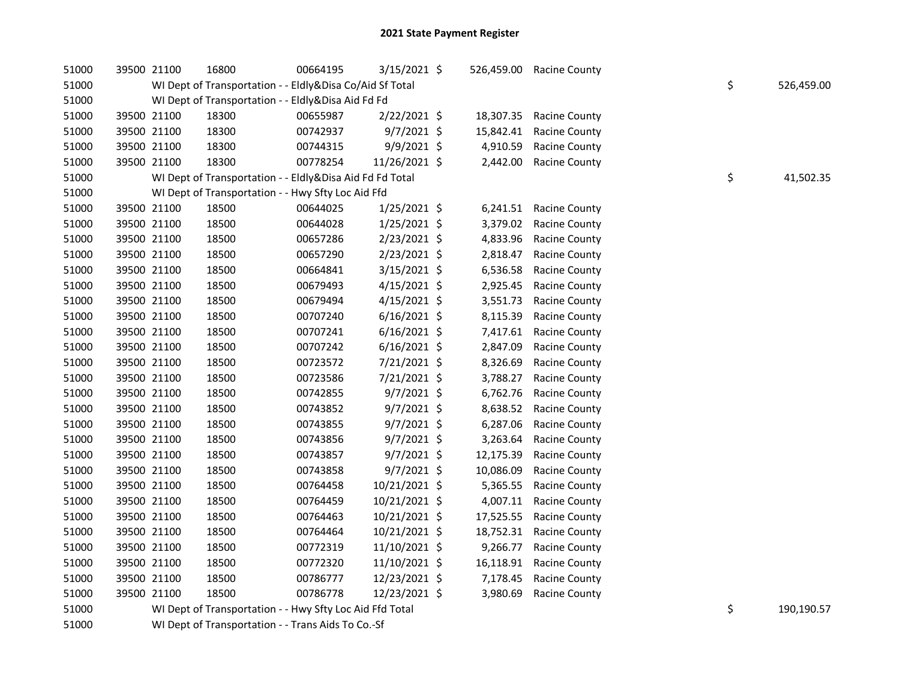| 51000 | 39500 21100 | 16800                                                    | 00664195 | $3/15/2021$ \$ | 526,459.00 | <b>Racine County</b> |    |            |
|-------|-------------|----------------------------------------------------------|----------|----------------|------------|----------------------|----|------------|
| 51000 |             | WI Dept of Transportation - - Eldly&Disa Co/Aid Sf Total |          |                |            |                      | \$ | 526,459.00 |
| 51000 |             | WI Dept of Transportation - - Eldly&Disa Aid Fd Fd       |          |                |            |                      |    |            |
| 51000 | 39500 21100 | 18300                                                    | 00655987 | 2/22/2021 \$   | 18,307.35  | <b>Racine County</b> |    |            |
| 51000 | 39500 21100 | 18300                                                    | 00742937 | $9/7/2021$ \$  | 15,842.41  | <b>Racine County</b> |    |            |
| 51000 | 39500 21100 | 18300                                                    | 00744315 | 9/9/2021 \$    | 4,910.59   | Racine County        |    |            |
| 51000 | 39500 21100 | 18300                                                    | 00778254 | 11/26/2021 \$  | 2,442.00   | Racine County        |    |            |
| 51000 |             | WI Dept of Transportation - - Eldly&Disa Aid Fd Fd Total |          |                |            |                      | \$ | 41,502.35  |
| 51000 |             | WI Dept of Transportation - - Hwy Sfty Loc Aid Ffd       |          |                |            |                      |    |            |
| 51000 | 39500 21100 | 18500                                                    | 00644025 | $1/25/2021$ \$ | 6,241.51   | <b>Racine County</b> |    |            |
| 51000 | 39500 21100 | 18500                                                    | 00644028 | $1/25/2021$ \$ | 3,379.02   | <b>Racine County</b> |    |            |
| 51000 | 39500 21100 | 18500                                                    | 00657286 | $2/23/2021$ \$ | 4,833.96   | <b>Racine County</b> |    |            |
| 51000 | 39500 21100 | 18500                                                    | 00657290 | $2/23/2021$ \$ | 2,818.47   | <b>Racine County</b> |    |            |
| 51000 | 39500 21100 | 18500                                                    | 00664841 | $3/15/2021$ \$ | 6,536.58   | Racine County        |    |            |
| 51000 | 39500 21100 | 18500                                                    | 00679493 | $4/15/2021$ \$ | 2,925.45   | <b>Racine County</b> |    |            |
| 51000 | 39500 21100 | 18500                                                    | 00679494 | $4/15/2021$ \$ | 3,551.73   | <b>Racine County</b> |    |            |
| 51000 | 39500 21100 | 18500                                                    | 00707240 | $6/16/2021$ \$ | 8,115.39   | Racine County        |    |            |
| 51000 | 39500 21100 | 18500                                                    | 00707241 | $6/16/2021$ \$ | 7,417.61   | <b>Racine County</b> |    |            |
| 51000 | 39500 21100 | 18500                                                    | 00707242 | $6/16/2021$ \$ | 2,847.09   | Racine County        |    |            |
| 51000 | 39500 21100 | 18500                                                    | 00723572 | 7/21/2021 \$   | 8,326.69   | Racine County        |    |            |
| 51000 | 39500 21100 | 18500                                                    | 00723586 | 7/21/2021 \$   | 3,788.27   | Racine County        |    |            |
| 51000 | 39500 21100 | 18500                                                    | 00742855 | $9/7/2021$ \$  | 6,762.76   | Racine County        |    |            |
| 51000 | 39500 21100 | 18500                                                    | 00743852 | 9/7/2021 \$    | 8,638.52   | <b>Racine County</b> |    |            |
| 51000 | 39500 21100 | 18500                                                    | 00743855 | $9/7/2021$ \$  | 6,287.06   | Racine County        |    |            |
| 51000 | 39500 21100 | 18500                                                    | 00743856 | $9/7/2021$ \$  | 3,263.64   | <b>Racine County</b> |    |            |
| 51000 | 39500 21100 | 18500                                                    | 00743857 | $9/7/2021$ \$  | 12,175.39  | Racine County        |    |            |
| 51000 | 39500 21100 | 18500                                                    | 00743858 | $9/7/2021$ \$  | 10,086.09  | <b>Racine County</b> |    |            |
| 51000 | 39500 21100 | 18500                                                    | 00764458 | 10/21/2021 \$  | 5,365.55   | Racine County        |    |            |
| 51000 | 39500 21100 | 18500                                                    | 00764459 | 10/21/2021 \$  | 4,007.11   | <b>Racine County</b> |    |            |
| 51000 | 39500 21100 | 18500                                                    | 00764463 | 10/21/2021 \$  | 17,525.55  | <b>Racine County</b> |    |            |
| 51000 | 39500 21100 | 18500                                                    | 00764464 | 10/21/2021 \$  | 18,752.31  | <b>Racine County</b> |    |            |
| 51000 | 39500 21100 | 18500                                                    | 00772319 | 11/10/2021 \$  | 9,266.77   | <b>Racine County</b> |    |            |
| 51000 | 39500 21100 | 18500                                                    | 00772320 | 11/10/2021 \$  | 16,118.91  | Racine County        |    |            |
| 51000 | 39500 21100 | 18500                                                    | 00786777 | 12/23/2021 \$  | 7,178.45   | Racine County        |    |            |
| 51000 | 39500 21100 | 18500                                                    | 00786778 | 12/23/2021 \$  | 3,980.69   | Racine County        |    |            |
| 51000 |             | WI Dept of Transportation - - Hwy Sfty Loc Aid Ffd Total |          |                |            |                      | \$ | 190,190.57 |
|       |             |                                                          |          |                |            |                      |    |            |

51000 WI Dept of Transportation - - Trans Aids To Co.-Sf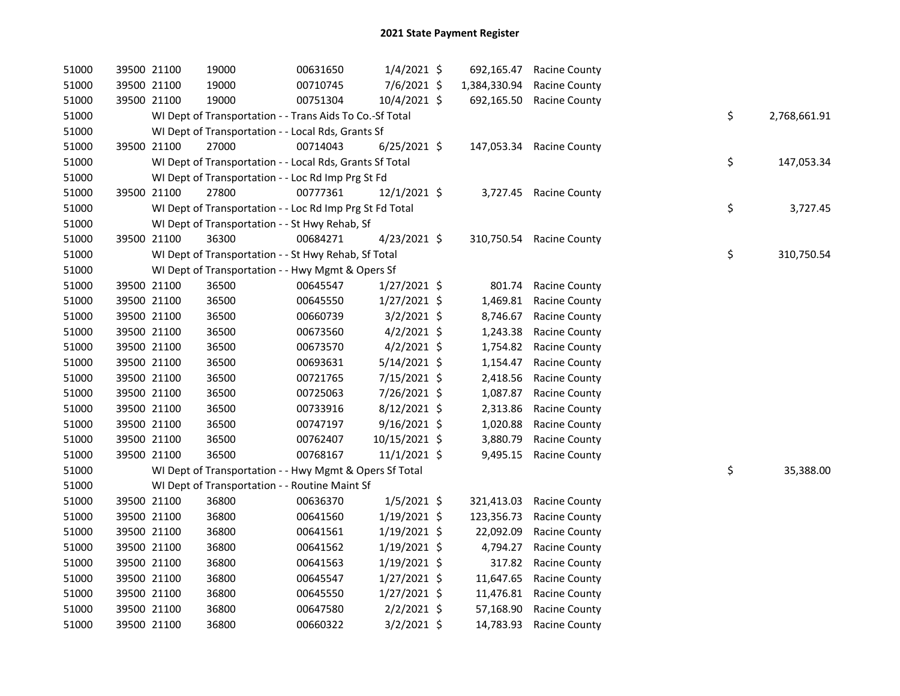| 51000 | 39500 21100 | 19000                                                    | 00631650 | $1/4/2021$ \$  | 692,165.47   | <b>Racine County</b>     |    |              |
|-------|-------------|----------------------------------------------------------|----------|----------------|--------------|--------------------------|----|--------------|
| 51000 | 39500 21100 | 19000                                                    | 00710745 | 7/6/2021 \$    | 1,384,330.94 | <b>Racine County</b>     |    |              |
| 51000 | 39500 21100 | 19000                                                    | 00751304 | 10/4/2021 \$   | 692,165.50   | <b>Racine County</b>     |    |              |
| 51000 |             | WI Dept of Transportation - - Trans Aids To Co.-Sf Total |          |                |              |                          | \$ | 2,768,661.91 |
| 51000 |             | WI Dept of Transportation - - Local Rds, Grants Sf       |          |                |              |                          |    |              |
| 51000 | 39500 21100 | 27000                                                    | 00714043 | $6/25/2021$ \$ |              | 147,053.34 Racine County |    |              |
| 51000 |             | WI Dept of Transportation - - Local Rds, Grants Sf Total |          |                |              |                          | \$ | 147,053.34   |
| 51000 |             | WI Dept of Transportation - - Loc Rd Imp Prg St Fd       |          |                |              |                          |    |              |
| 51000 | 39500 21100 | 27800                                                    | 00777361 | $12/1/2021$ \$ |              | 3,727.45 Racine County   |    |              |
| 51000 |             | WI Dept of Transportation - - Loc Rd Imp Prg St Fd Total |          |                |              |                          | \$ | 3,727.45     |
| 51000 |             | WI Dept of Transportation - - St Hwy Rehab, Sf           |          |                |              |                          |    |              |
| 51000 | 39500 21100 | 36300                                                    | 00684271 | 4/23/2021 \$   |              | 310,750.54 Racine County |    |              |
| 51000 |             | WI Dept of Transportation - - St Hwy Rehab, Sf Total     |          |                |              |                          | \$ | 310,750.54   |
| 51000 |             | WI Dept of Transportation - - Hwy Mgmt & Opers Sf        |          |                |              |                          |    |              |
| 51000 | 39500 21100 | 36500                                                    | 00645547 | $1/27/2021$ \$ | 801.74       | <b>Racine County</b>     |    |              |
| 51000 | 39500 21100 | 36500                                                    | 00645550 | 1/27/2021 \$   | 1,469.81     | <b>Racine County</b>     |    |              |
| 51000 | 39500 21100 | 36500                                                    | 00660739 | $3/2/2021$ \$  | 8,746.67     | <b>Racine County</b>     |    |              |
| 51000 | 39500 21100 | 36500                                                    | 00673560 | $4/2/2021$ \$  | 1,243.38     | Racine County            |    |              |
| 51000 | 39500 21100 | 36500                                                    | 00673570 | $4/2/2021$ \$  | 1,754.82     | <b>Racine County</b>     |    |              |
| 51000 | 39500 21100 | 36500                                                    | 00693631 | 5/14/2021 \$   | 1,154.47     | <b>Racine County</b>     |    |              |
| 51000 | 39500 21100 | 36500                                                    | 00721765 | 7/15/2021 \$   | 2,418.56     | <b>Racine County</b>     |    |              |
| 51000 | 39500 21100 | 36500                                                    | 00725063 | 7/26/2021 \$   | 1,087.87     | Racine County            |    |              |
| 51000 | 39500 21100 | 36500                                                    | 00733916 | 8/12/2021 \$   | 2,313.86     | Racine County            |    |              |
| 51000 | 39500 21100 | 36500                                                    | 00747197 | 9/16/2021 \$   | 1,020.88     | Racine County            |    |              |
| 51000 | 39500 21100 | 36500                                                    | 00762407 | 10/15/2021 \$  | 3,880.79     | <b>Racine County</b>     |    |              |
| 51000 | 39500 21100 | 36500                                                    | 00768167 | $11/1/2021$ \$ |              | 9,495.15 Racine County   |    |              |
| 51000 |             | WI Dept of Transportation - - Hwy Mgmt & Opers Sf Total  |          |                |              |                          | \$ | 35,388.00    |
| 51000 |             | WI Dept of Transportation - - Routine Maint Sf           |          |                |              |                          |    |              |
| 51000 | 39500 21100 | 36800                                                    | 00636370 | $1/5/2021$ \$  | 321,413.03   | <b>Racine County</b>     |    |              |
| 51000 | 39500 21100 | 36800                                                    | 00641560 | $1/19/2021$ \$ | 123,356.73   | <b>Racine County</b>     |    |              |
| 51000 | 39500 21100 | 36800                                                    | 00641561 | $1/19/2021$ \$ | 22,092.09    | <b>Racine County</b>     |    |              |
| 51000 | 39500 21100 | 36800                                                    | 00641562 | $1/19/2021$ \$ | 4,794.27     | <b>Racine County</b>     |    |              |
| 51000 | 39500 21100 | 36800                                                    | 00641563 | $1/19/2021$ \$ | 317.82       | <b>Racine County</b>     |    |              |
| 51000 | 39500 21100 | 36800                                                    | 00645547 | $1/27/2021$ \$ | 11,647.65    | <b>Racine County</b>     |    |              |
| 51000 | 39500 21100 | 36800                                                    | 00645550 | $1/27/2021$ \$ | 11,476.81    | <b>Racine County</b>     |    |              |
| 51000 | 39500 21100 | 36800                                                    | 00647580 | $2/2/2021$ \$  | 57,168.90    | Racine County            |    |              |
| 51000 | 39500 21100 | 36800                                                    | 00660322 | $3/2/2021$ \$  | 14,783.93    | <b>Racine County</b>     |    |              |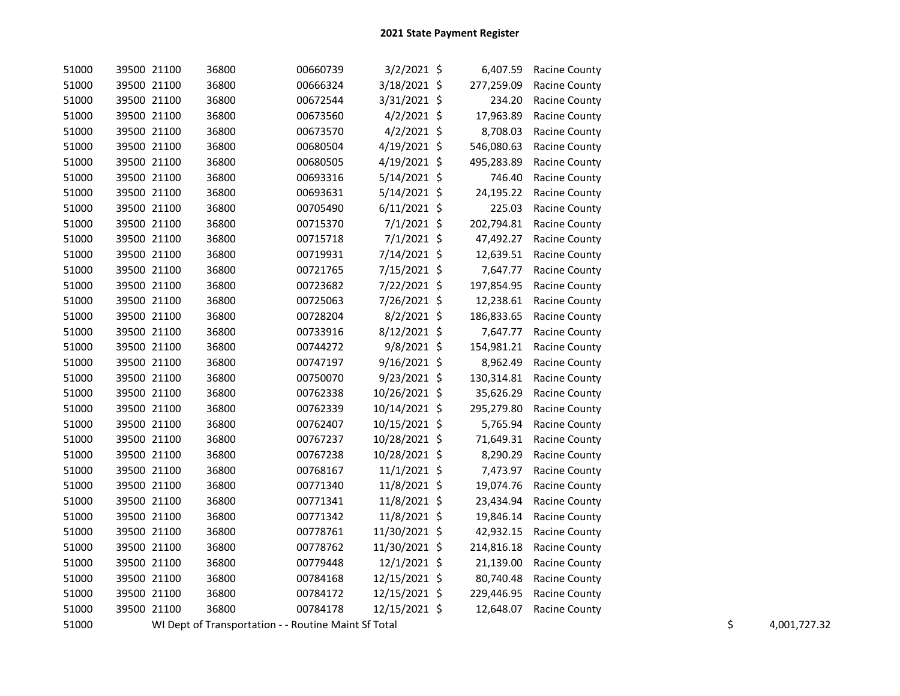| 51000 | 39500 21100 | 36800                                                | 00660739 | $3/2/2021$ \$  | 6,407.59   | <b>Racine County</b> |    |              |
|-------|-------------|------------------------------------------------------|----------|----------------|------------|----------------------|----|--------------|
| 51000 | 39500 21100 | 36800                                                | 00666324 | 3/18/2021 \$   | 277,259.09 | <b>Racine County</b> |    |              |
| 51000 | 39500 21100 | 36800                                                | 00672544 | 3/31/2021 \$   | 234.20     | Racine County        |    |              |
| 51000 | 39500 21100 | 36800                                                | 00673560 | $4/2/2021$ \$  | 17,963.89  | Racine County        |    |              |
| 51000 | 39500 21100 | 36800                                                | 00673570 | $4/2/2021$ \$  | 8,708.03   | Racine County        |    |              |
| 51000 | 39500 21100 | 36800                                                | 00680504 | 4/19/2021 \$   | 546,080.63 | Racine County        |    |              |
| 51000 | 39500 21100 | 36800                                                | 00680505 | $4/19/2021$ \$ | 495,283.89 | <b>Racine County</b> |    |              |
| 51000 | 39500 21100 | 36800                                                | 00693316 | $5/14/2021$ \$ | 746.40     | Racine County        |    |              |
| 51000 | 39500 21100 | 36800                                                | 00693631 | $5/14/2021$ \$ | 24,195.22  | <b>Racine County</b> |    |              |
| 51000 | 39500 21100 | 36800                                                | 00705490 | $6/11/2021$ \$ | 225.03     | Racine County        |    |              |
| 51000 | 39500 21100 | 36800                                                | 00715370 | $7/1/2021$ \$  | 202,794.81 | <b>Racine County</b> |    |              |
| 51000 | 39500 21100 | 36800                                                | 00715718 | $7/1/2021$ \$  | 47,492.27  | <b>Racine County</b> |    |              |
| 51000 | 39500 21100 | 36800                                                | 00719931 | 7/14/2021 \$   | 12,639.51  | <b>Racine County</b> |    |              |
| 51000 | 39500 21100 | 36800                                                | 00721765 | 7/15/2021 \$   | 7,647.77   | Racine County        |    |              |
| 51000 | 39500 21100 | 36800                                                | 00723682 | 7/22/2021 \$   | 197,854.95 | <b>Racine County</b> |    |              |
| 51000 | 39500 21100 | 36800                                                | 00725063 | 7/26/2021 \$   | 12,238.61  | <b>Racine County</b> |    |              |
| 51000 | 39500 21100 | 36800                                                | 00728204 | 8/2/2021 \$    | 186,833.65 | <b>Racine County</b> |    |              |
| 51000 | 39500 21100 | 36800                                                | 00733916 | 8/12/2021 \$   | 7,647.77   | Racine County        |    |              |
| 51000 | 39500 21100 | 36800                                                | 00744272 | $9/8/2021$ \$  | 154,981.21 | <b>Racine County</b> |    |              |
| 51000 | 39500 21100 | 36800                                                | 00747197 | 9/16/2021 \$   | 8,962.49   | <b>Racine County</b> |    |              |
| 51000 | 39500 21100 | 36800                                                | 00750070 | 9/23/2021 \$   | 130,314.81 | <b>Racine County</b> |    |              |
| 51000 | 39500 21100 | 36800                                                | 00762338 | 10/26/2021 \$  | 35,626.29  | <b>Racine County</b> |    |              |
| 51000 | 39500 21100 | 36800                                                | 00762339 | 10/14/2021 \$  | 295,279.80 | <b>Racine County</b> |    |              |
| 51000 | 39500 21100 | 36800                                                | 00762407 | 10/15/2021 \$  | 5,765.94   | <b>Racine County</b> |    |              |
| 51000 | 39500 21100 | 36800                                                | 00767237 | 10/28/2021 \$  | 71,649.31  | <b>Racine County</b> |    |              |
| 51000 | 39500 21100 | 36800                                                | 00767238 | 10/28/2021 \$  | 8,290.29   | <b>Racine County</b> |    |              |
| 51000 | 39500 21100 | 36800                                                | 00768167 | $11/1/2021$ \$ | 7,473.97   | <b>Racine County</b> |    |              |
| 51000 | 39500 21100 | 36800                                                | 00771340 | 11/8/2021 \$   | 19,074.76  | <b>Racine County</b> |    |              |
| 51000 | 39500 21100 | 36800                                                | 00771341 | 11/8/2021 \$   | 23,434.94  | <b>Racine County</b> |    |              |
| 51000 | 39500 21100 | 36800                                                | 00771342 | 11/8/2021 \$   | 19,846.14  | <b>Racine County</b> |    |              |
| 51000 | 39500 21100 | 36800                                                | 00778761 | 11/30/2021 \$  | 42,932.15  | <b>Racine County</b> |    |              |
| 51000 | 39500 21100 | 36800                                                | 00778762 | 11/30/2021 \$  | 214,816.18 | <b>Racine County</b> |    |              |
| 51000 | 39500 21100 | 36800                                                | 00779448 | 12/1/2021 \$   | 21,139.00  | <b>Racine County</b> |    |              |
| 51000 | 39500 21100 | 36800                                                | 00784168 | 12/15/2021 \$  | 80,740.48  | <b>Racine County</b> |    |              |
| 51000 | 39500 21100 | 36800                                                | 00784172 | 12/15/2021 \$  | 229,446.95 | <b>Racine County</b> |    |              |
| 51000 | 39500 21100 | 36800                                                | 00784178 | 12/15/2021 \$  | 12,648.07  | <b>Racine County</b> |    |              |
| 51000 |             | WI Dept of Transportation - - Routine Maint Sf Total |          |                |            |                      | \$ | 4,001,727.32 |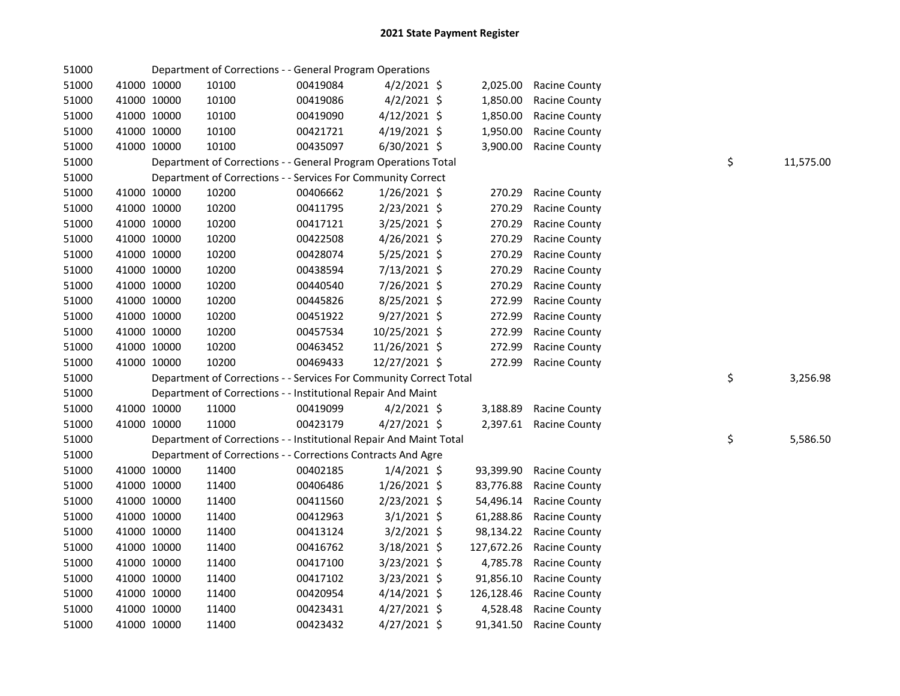| 51000 |             |             | Department of Corrections - - General Program Operations           |          |                |            |                      |    |           |
|-------|-------------|-------------|--------------------------------------------------------------------|----------|----------------|------------|----------------------|----|-----------|
| 51000 |             | 41000 10000 | 10100                                                              | 00419084 | $4/2/2021$ \$  | 2,025.00   | <b>Racine County</b> |    |           |
| 51000 |             | 41000 10000 | 10100                                                              | 00419086 | $4/2/2021$ \$  | 1,850.00   | Racine County        |    |           |
| 51000 |             | 41000 10000 | 10100                                                              | 00419090 | $4/12/2021$ \$ | 1,850.00   | Racine County        |    |           |
| 51000 |             | 41000 10000 | 10100                                                              | 00421721 | 4/19/2021 \$   | 1,950.00   | Racine County        |    |           |
| 51000 | 41000 10000 |             | 10100                                                              | 00435097 | 6/30/2021 \$   | 3,900.00   | <b>Racine County</b> |    |           |
| 51000 |             |             | Department of Corrections - - General Program Operations Total     |          |                |            |                      | \$ | 11,575.00 |
| 51000 |             |             | Department of Corrections - - Services For Community Correct       |          |                |            |                      |    |           |
| 51000 |             | 41000 10000 | 10200                                                              | 00406662 | $1/26/2021$ \$ | 270.29     | Racine County        |    |           |
| 51000 |             | 41000 10000 | 10200                                                              | 00411795 | 2/23/2021 \$   | 270.29     | Racine County        |    |           |
| 51000 |             | 41000 10000 | 10200                                                              | 00417121 | 3/25/2021 \$   | 270.29     | Racine County        |    |           |
| 51000 |             | 41000 10000 | 10200                                                              | 00422508 | 4/26/2021 \$   | 270.29     | <b>Racine County</b> |    |           |
| 51000 |             | 41000 10000 | 10200                                                              | 00428074 | 5/25/2021 \$   | 270.29     | Racine County        |    |           |
| 51000 |             | 41000 10000 | 10200                                                              | 00438594 | 7/13/2021 \$   | 270.29     | Racine County        |    |           |
| 51000 |             | 41000 10000 | 10200                                                              | 00440540 | 7/26/2021 \$   | 270.29     | Racine County        |    |           |
| 51000 |             | 41000 10000 | 10200                                                              | 00445826 | 8/25/2021 \$   | 272.99     | Racine County        |    |           |
| 51000 |             | 41000 10000 | 10200                                                              | 00451922 | 9/27/2021 \$   | 272.99     | Racine County        |    |           |
| 51000 |             | 41000 10000 | 10200                                                              | 00457534 | 10/25/2021 \$  | 272.99     | Racine County        |    |           |
| 51000 |             | 41000 10000 | 10200                                                              | 00463452 | 11/26/2021 \$  | 272.99     | Racine County        |    |           |
| 51000 |             | 41000 10000 | 10200                                                              | 00469433 | 12/27/2021 \$  | 272.99     | Racine County        |    |           |
| 51000 |             |             | Department of Corrections - - Services For Community Correct Total |          |                |            |                      | \$ | 3,256.98  |
| 51000 |             |             | Department of Corrections - - Institutional Repair And Maint       |          |                |            |                      |    |           |
| 51000 |             | 41000 10000 | 11000                                                              | 00419099 | $4/2/2021$ \$  | 3,188.89   | Racine County        |    |           |
| 51000 |             | 41000 10000 | 11000                                                              | 00423179 | 4/27/2021 \$   | 2,397.61   | <b>Racine County</b> |    |           |
| 51000 |             |             | Department of Corrections - - Institutional Repair And Maint Total |          |                |            |                      | \$ | 5,586.50  |
| 51000 |             |             | Department of Corrections - - Corrections Contracts And Agre       |          |                |            |                      |    |           |
| 51000 |             | 41000 10000 | 11400                                                              | 00402185 | $1/4/2021$ \$  | 93,399.90  | Racine County        |    |           |
| 51000 |             | 41000 10000 | 11400                                                              | 00406486 | $1/26/2021$ \$ | 83,776.88  | Racine County        |    |           |
| 51000 |             | 41000 10000 | 11400                                                              | 00411560 | $2/23/2021$ \$ | 54,496.14  | Racine County        |    |           |
| 51000 |             | 41000 10000 | 11400                                                              | 00412963 | $3/1/2021$ \$  | 61,288.86  | <b>Racine County</b> |    |           |
| 51000 |             | 41000 10000 | 11400                                                              | 00413124 | $3/2/2021$ \$  | 98,134.22  | Racine County        |    |           |
| 51000 |             | 41000 10000 | 11400                                                              | 00416762 | 3/18/2021 \$   | 127,672.26 | Racine County        |    |           |
| 51000 | 41000 10000 |             | 11400                                                              | 00417100 | 3/23/2021 \$   | 4,785.78   | Racine County        |    |           |
| 51000 |             | 41000 10000 | 11400                                                              | 00417102 | $3/23/2021$ \$ | 91,856.10  | <b>Racine County</b> |    |           |
| 51000 | 41000 10000 |             | 11400                                                              | 00420954 | $4/14/2021$ \$ | 126,128.46 | Racine County        |    |           |
| 51000 |             | 41000 10000 | 11400                                                              | 00423431 | $4/27/2021$ \$ | 4,528.48   | Racine County        |    |           |
| 51000 |             | 41000 10000 | 11400                                                              | 00423432 | $4/27/2021$ \$ | 91,341.50  | <b>Racine County</b> |    |           |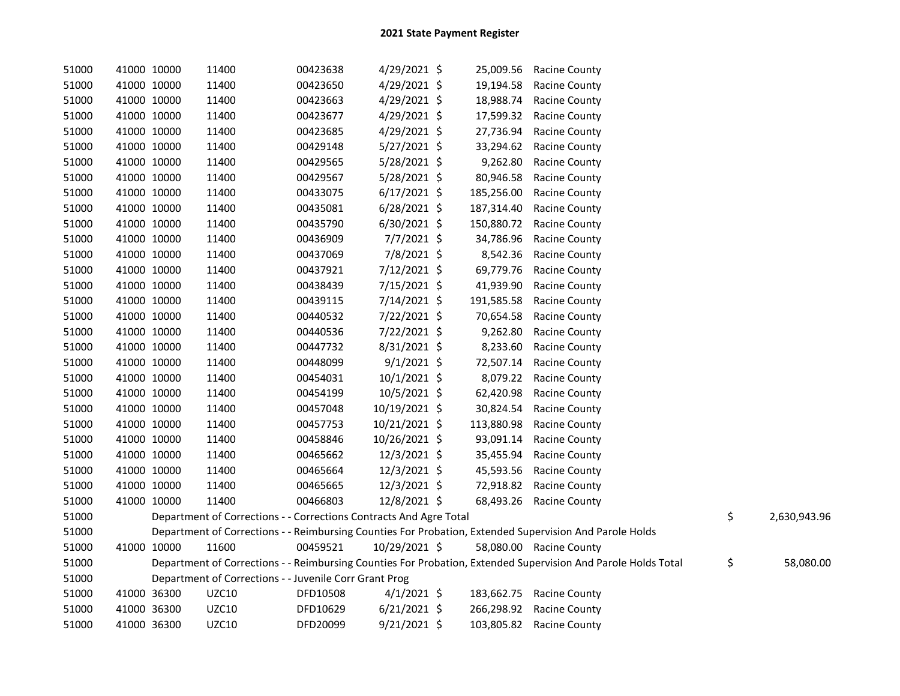| 51000 | 41000 10000 |             | 11400                                                              | 00423638 | 4/29/2021 \$   |            | 25,009.56 Racine County                                                                                       |                    |
|-------|-------------|-------------|--------------------------------------------------------------------|----------|----------------|------------|---------------------------------------------------------------------------------------------------------------|--------------------|
| 51000 | 41000 10000 |             | 11400                                                              | 00423650 | 4/29/2021 \$   | 19,194.58  | <b>Racine County</b>                                                                                          |                    |
| 51000 | 41000 10000 |             | 11400                                                              | 00423663 | $4/29/2021$ \$ | 18,988.74  | Racine County                                                                                                 |                    |
| 51000 | 41000 10000 |             | 11400                                                              | 00423677 | 4/29/2021 \$   | 17,599.32  | Racine County                                                                                                 |                    |
| 51000 | 41000 10000 |             | 11400                                                              | 00423685 | 4/29/2021 \$   | 27,736.94  | <b>Racine County</b>                                                                                          |                    |
| 51000 | 41000 10000 |             | 11400                                                              | 00429148 | $5/27/2021$ \$ | 33,294.62  | <b>Racine County</b>                                                                                          |                    |
| 51000 | 41000 10000 |             | 11400                                                              | 00429565 | $5/28/2021$ \$ | 9,262.80   | <b>Racine County</b>                                                                                          |                    |
| 51000 | 41000 10000 |             | 11400                                                              | 00429567 | $5/28/2021$ \$ | 80,946.58  | Racine County                                                                                                 |                    |
| 51000 | 41000 10000 |             | 11400                                                              | 00433075 | $6/17/2021$ \$ | 185,256.00 | <b>Racine County</b>                                                                                          |                    |
| 51000 | 41000 10000 |             | 11400                                                              | 00435081 | $6/28/2021$ \$ | 187,314.40 | <b>Racine County</b>                                                                                          |                    |
| 51000 | 41000 10000 |             | 11400                                                              | 00435790 | $6/30/2021$ \$ | 150,880.72 | <b>Racine County</b>                                                                                          |                    |
| 51000 | 41000 10000 |             | 11400                                                              | 00436909 | $7/7/2021$ \$  | 34,786.96  | <b>Racine County</b>                                                                                          |                    |
| 51000 | 41000 10000 |             | 11400                                                              | 00437069 | 7/8/2021 \$    | 8,542.36   | Racine County                                                                                                 |                    |
| 51000 |             | 41000 10000 | 11400                                                              | 00437921 | 7/12/2021 \$   | 69,779.76  | <b>Racine County</b>                                                                                          |                    |
| 51000 |             | 41000 10000 | 11400                                                              | 00438439 | 7/15/2021 \$   | 41,939.90  | Racine County                                                                                                 |                    |
| 51000 |             | 41000 10000 | 11400                                                              | 00439115 | 7/14/2021 \$   | 191,585.58 | <b>Racine County</b>                                                                                          |                    |
| 51000 |             | 41000 10000 | 11400                                                              | 00440532 | 7/22/2021 \$   | 70,654.58  | <b>Racine County</b>                                                                                          |                    |
| 51000 | 41000 10000 |             | 11400                                                              | 00440536 | 7/22/2021 \$   | 9,262.80   | Racine County                                                                                                 |                    |
| 51000 | 41000 10000 |             | 11400                                                              | 00447732 | $8/31/2021$ \$ | 8,233.60   | <b>Racine County</b>                                                                                          |                    |
| 51000 |             | 41000 10000 | 11400                                                              | 00448099 | $9/1/2021$ \$  | 72,507.14  | <b>Racine County</b>                                                                                          |                    |
| 51000 |             | 41000 10000 | 11400                                                              | 00454031 | $10/1/2021$ \$ | 8,079.22   | <b>Racine County</b>                                                                                          |                    |
| 51000 | 41000 10000 |             | 11400                                                              | 00454199 | 10/5/2021 \$   | 62,420.98  | Racine County                                                                                                 |                    |
| 51000 | 41000 10000 |             | 11400                                                              | 00457048 | 10/19/2021 \$  | 30,824.54  | Racine County                                                                                                 |                    |
| 51000 |             | 41000 10000 | 11400                                                              | 00457753 | 10/21/2021 \$  | 113,880.98 | <b>Racine County</b>                                                                                          |                    |
| 51000 |             | 41000 10000 | 11400                                                              | 00458846 | 10/26/2021 \$  | 93,091.14  | <b>Racine County</b>                                                                                          |                    |
| 51000 |             | 41000 10000 | 11400                                                              | 00465662 | 12/3/2021 \$   | 35,455.94  | <b>Racine County</b>                                                                                          |                    |
| 51000 | 41000 10000 |             | 11400                                                              | 00465664 | 12/3/2021 \$   | 45,593.56  | <b>Racine County</b>                                                                                          |                    |
| 51000 | 41000 10000 |             | 11400                                                              | 00465665 | 12/3/2021 \$   |            | 72,918.82 Racine County                                                                                       |                    |
| 51000 | 41000 10000 |             | 11400                                                              | 00466803 | 12/8/2021 \$   |            | 68,493.26 Racine County                                                                                       |                    |
| 51000 |             |             | Department of Corrections - - Corrections Contracts And Agre Total |          |                |            |                                                                                                               | \$<br>2,630,943.96 |
| 51000 |             |             |                                                                    |          |                |            | Department of Corrections - - Reimbursing Counties For Probation, Extended Supervision And Parole Holds       |                    |
| 51000 |             | 41000 10000 | 11600                                                              | 00459521 | 10/29/2021 \$  |            | 58,080.00 Racine County                                                                                       |                    |
| 51000 |             |             |                                                                    |          |                |            | Department of Corrections - - Reimbursing Counties For Probation, Extended Supervision And Parole Holds Total | \$<br>58,080.00    |
| 51000 |             |             | Department of Corrections - - Juvenile Corr Grant Prog             |          |                |            |                                                                                                               |                    |
| 51000 |             | 41000 36300 | <b>UZC10</b>                                                       | DFD10508 | $4/1/2021$ \$  |            | 183,662.75 Racine County                                                                                      |                    |
| 51000 |             | 41000 36300 | UZC10                                                              | DFD10629 | $6/21/2021$ \$ |            | 266,298.92 Racine County                                                                                      |                    |
| 51000 | 41000 36300 |             | UZC10                                                              | DFD20099 | $9/21/2021$ \$ |            | 103,805.82 Racine County                                                                                      |                    |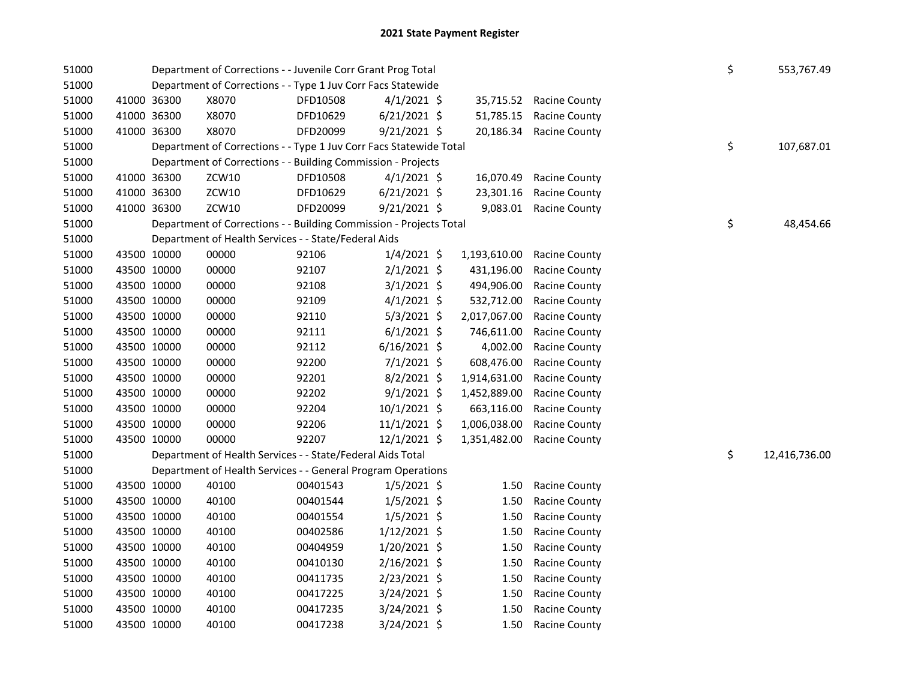|  |                                                                                                                                                                                                                                                                                                                                                                                                                                                 |          |                                                                                                                    |                                                                                                                                                                                                                                                                                                                                                                                                                                                                                                                                                                                                                                                                                                                                                                            |                                                                                                                                          |                                         | \$<br>553,767.49    |
|--|-------------------------------------------------------------------------------------------------------------------------------------------------------------------------------------------------------------------------------------------------------------------------------------------------------------------------------------------------------------------------------------------------------------------------------------------------|----------|--------------------------------------------------------------------------------------------------------------------|----------------------------------------------------------------------------------------------------------------------------------------------------------------------------------------------------------------------------------------------------------------------------------------------------------------------------------------------------------------------------------------------------------------------------------------------------------------------------------------------------------------------------------------------------------------------------------------------------------------------------------------------------------------------------------------------------------------------------------------------------------------------------|------------------------------------------------------------------------------------------------------------------------------------------|-----------------------------------------|---------------------|
|  |                                                                                                                                                                                                                                                                                                                                                                                                                                                 |          |                                                                                                                    |                                                                                                                                                                                                                                                                                                                                                                                                                                                                                                                                                                                                                                                                                                                                                                            |                                                                                                                                          |                                         |                     |
|  | X8070                                                                                                                                                                                                                                                                                                                                                                                                                                           | DFD10508 |                                                                                                                    | 35,715.52                                                                                                                                                                                                                                                                                                                                                                                                                                                                                                                                                                                                                                                                                                                                                                  | <b>Racine County</b>                                                                                                                     |                                         |                     |
|  | X8070                                                                                                                                                                                                                                                                                                                                                                                                                                           | DFD10629 |                                                                                                                    | 51,785.15                                                                                                                                                                                                                                                                                                                                                                                                                                                                                                                                                                                                                                                                                                                                                                  | <b>Racine County</b>                                                                                                                     |                                         |                     |
|  | X8070                                                                                                                                                                                                                                                                                                                                                                                                                                           | DFD20099 |                                                                                                                    | 20,186.34                                                                                                                                                                                                                                                                                                                                                                                                                                                                                                                                                                                                                                                                                                                                                                  |                                                                                                                                          |                                         |                     |
|  |                                                                                                                                                                                                                                                                                                                                                                                                                                                 |          |                                                                                                                    |                                                                                                                                                                                                                                                                                                                                                                                                                                                                                                                                                                                                                                                                                                                                                                            |                                                                                                                                          |                                         | \$<br>107,687.01    |
|  |                                                                                                                                                                                                                                                                                                                                                                                                                                                 |          |                                                                                                                    |                                                                                                                                                                                                                                                                                                                                                                                                                                                                                                                                                                                                                                                                                                                                                                            |                                                                                                                                          |                                         |                     |
|  | ZCW10                                                                                                                                                                                                                                                                                                                                                                                                                                           | DFD10508 |                                                                                                                    | 16,070.49                                                                                                                                                                                                                                                                                                                                                                                                                                                                                                                                                                                                                                                                                                                                                                  | <b>Racine County</b>                                                                                                                     |                                         |                     |
|  | ZCW10                                                                                                                                                                                                                                                                                                                                                                                                                                           | DFD10629 |                                                                                                                    | 23,301.16                                                                                                                                                                                                                                                                                                                                                                                                                                                                                                                                                                                                                                                                                                                                                                  | <b>Racine County</b>                                                                                                                     |                                         |                     |
|  | ZCW10                                                                                                                                                                                                                                                                                                                                                                                                                                           | DFD20099 |                                                                                                                    |                                                                                                                                                                                                                                                                                                                                                                                                                                                                                                                                                                                                                                                                                                                                                                            |                                                                                                                                          |                                         |                     |
|  |                                                                                                                                                                                                                                                                                                                                                                                                                                                 |          |                                                                                                                    |                                                                                                                                                                                                                                                                                                                                                                                                                                                                                                                                                                                                                                                                                                                                                                            |                                                                                                                                          |                                         | \$<br>48,454.66     |
|  |                                                                                                                                                                                                                                                                                                                                                                                                                                                 |          |                                                                                                                    |                                                                                                                                                                                                                                                                                                                                                                                                                                                                                                                                                                                                                                                                                                                                                                            |                                                                                                                                          |                                         |                     |
|  | 00000                                                                                                                                                                                                                                                                                                                                                                                                                                           | 92106    |                                                                                                                    | 1,193,610.00                                                                                                                                                                                                                                                                                                                                                                                                                                                                                                                                                                                                                                                                                                                                                               | <b>Racine County</b>                                                                                                                     |                                         |                     |
|  | 00000                                                                                                                                                                                                                                                                                                                                                                                                                                           | 92107    |                                                                                                                    | 431,196.00                                                                                                                                                                                                                                                                                                                                                                                                                                                                                                                                                                                                                                                                                                                                                                 | <b>Racine County</b>                                                                                                                     |                                         |                     |
|  | 00000                                                                                                                                                                                                                                                                                                                                                                                                                                           | 92108    |                                                                                                                    | 494,906.00                                                                                                                                                                                                                                                                                                                                                                                                                                                                                                                                                                                                                                                                                                                                                                 | <b>Racine County</b>                                                                                                                     |                                         |                     |
|  | 00000                                                                                                                                                                                                                                                                                                                                                                                                                                           | 92109    |                                                                                                                    | 532,712.00                                                                                                                                                                                                                                                                                                                                                                                                                                                                                                                                                                                                                                                                                                                                                                 | Racine County                                                                                                                            |                                         |                     |
|  | 00000                                                                                                                                                                                                                                                                                                                                                                                                                                           | 92110    |                                                                                                                    | 2,017,067.00                                                                                                                                                                                                                                                                                                                                                                                                                                                                                                                                                                                                                                                                                                                                                               | Racine County                                                                                                                            |                                         |                     |
|  | 00000                                                                                                                                                                                                                                                                                                                                                                                                                                           | 92111    |                                                                                                                    | 746,611.00                                                                                                                                                                                                                                                                                                                                                                                                                                                                                                                                                                                                                                                                                                                                                                 | Racine County                                                                                                                            |                                         |                     |
|  | 00000                                                                                                                                                                                                                                                                                                                                                                                                                                           | 92112    |                                                                                                                    | 4,002.00                                                                                                                                                                                                                                                                                                                                                                                                                                                                                                                                                                                                                                                                                                                                                                   | Racine County                                                                                                                            |                                         |                     |
|  | 00000                                                                                                                                                                                                                                                                                                                                                                                                                                           | 92200    |                                                                                                                    | 608,476.00                                                                                                                                                                                                                                                                                                                                                                                                                                                                                                                                                                                                                                                                                                                                                                 | <b>Racine County</b>                                                                                                                     |                                         |                     |
|  | 00000                                                                                                                                                                                                                                                                                                                                                                                                                                           | 92201    |                                                                                                                    | 1,914,631.00                                                                                                                                                                                                                                                                                                                                                                                                                                                                                                                                                                                                                                                                                                                                                               | Racine County                                                                                                                            |                                         |                     |
|  | 00000                                                                                                                                                                                                                                                                                                                                                                                                                                           | 92202    |                                                                                                                    | 1,452,889.00                                                                                                                                                                                                                                                                                                                                                                                                                                                                                                                                                                                                                                                                                                                                                               | Racine County                                                                                                                            |                                         |                     |
|  | 00000                                                                                                                                                                                                                                                                                                                                                                                                                                           | 92204    |                                                                                                                    | 663,116.00                                                                                                                                                                                                                                                                                                                                                                                                                                                                                                                                                                                                                                                                                                                                                                 | Racine County                                                                                                                            |                                         |                     |
|  | 00000                                                                                                                                                                                                                                                                                                                                                                                                                                           | 92206    |                                                                                                                    | 1,006,038.00                                                                                                                                                                                                                                                                                                                                                                                                                                                                                                                                                                                                                                                                                                                                                               | Racine County                                                                                                                            |                                         |                     |
|  | 00000                                                                                                                                                                                                                                                                                                                                                                                                                                           | 92207    |                                                                                                                    | 1,351,482.00                                                                                                                                                                                                                                                                                                                                                                                                                                                                                                                                                                                                                                                                                                                                                               | <b>Racine County</b>                                                                                                                     |                                         |                     |
|  |                                                                                                                                                                                                                                                                                                                                                                                                                                                 |          |                                                                                                                    |                                                                                                                                                                                                                                                                                                                                                                                                                                                                                                                                                                                                                                                                                                                                                                            |                                                                                                                                          |                                         | \$<br>12,416,736.00 |
|  |                                                                                                                                                                                                                                                                                                                                                                                                                                                 |          |                                                                                                                    |                                                                                                                                                                                                                                                                                                                                                                                                                                                                                                                                                                                                                                                                                                                                                                            |                                                                                                                                          |                                         |                     |
|  | 40100                                                                                                                                                                                                                                                                                                                                                                                                                                           | 00401543 |                                                                                                                    | 1.50                                                                                                                                                                                                                                                                                                                                                                                                                                                                                                                                                                                                                                                                                                                                                                       | <b>Racine County</b>                                                                                                                     |                                         |                     |
|  | 40100                                                                                                                                                                                                                                                                                                                                                                                                                                           | 00401544 |                                                                                                                    | 1.50                                                                                                                                                                                                                                                                                                                                                                                                                                                                                                                                                                                                                                                                                                                                                                       | Racine County                                                                                                                            |                                         |                     |
|  | 40100                                                                                                                                                                                                                                                                                                                                                                                                                                           | 00401554 |                                                                                                                    | 1.50                                                                                                                                                                                                                                                                                                                                                                                                                                                                                                                                                                                                                                                                                                                                                                       | Racine County                                                                                                                            |                                         |                     |
|  | 40100                                                                                                                                                                                                                                                                                                                                                                                                                                           | 00402586 |                                                                                                                    | 1.50                                                                                                                                                                                                                                                                                                                                                                                                                                                                                                                                                                                                                                                                                                                                                                       | Racine County                                                                                                                            |                                         |                     |
|  | 40100                                                                                                                                                                                                                                                                                                                                                                                                                                           | 00404959 |                                                                                                                    | 1.50                                                                                                                                                                                                                                                                                                                                                                                                                                                                                                                                                                                                                                                                                                                                                                       | Racine County                                                                                                                            |                                         |                     |
|  | 40100                                                                                                                                                                                                                                                                                                                                                                                                                                           | 00410130 |                                                                                                                    | 1.50                                                                                                                                                                                                                                                                                                                                                                                                                                                                                                                                                                                                                                                                                                                                                                       | Racine County                                                                                                                            |                                         |                     |
|  | 40100                                                                                                                                                                                                                                                                                                                                                                                                                                           | 00411735 |                                                                                                                    | 1.50                                                                                                                                                                                                                                                                                                                                                                                                                                                                                                                                                                                                                                                                                                                                                                       | Racine County                                                                                                                            |                                         |                     |
|  | 40100                                                                                                                                                                                                                                                                                                                                                                                                                                           | 00417225 |                                                                                                                    | 1.50                                                                                                                                                                                                                                                                                                                                                                                                                                                                                                                                                                                                                                                                                                                                                                       | Racine County                                                                                                                            |                                         |                     |
|  | 40100                                                                                                                                                                                                                                                                                                                                                                                                                                           | 00417235 |                                                                                                                    | 1.50                                                                                                                                                                                                                                                                                                                                                                                                                                                                                                                                                                                                                                                                                                                                                                       | Racine County                                                                                                                            |                                         |                     |
|  | 40100                                                                                                                                                                                                                                                                                                                                                                                                                                           | 00417238 |                                                                                                                    | 1.50                                                                                                                                                                                                                                                                                                                                                                                                                                                                                                                                                                                                                                                                                                                                                                       | <b>Racine County</b>                                                                                                                     |                                         |                     |
|  | 41000 36300<br>41000 36300<br>41000 36300<br>41000 36300<br>41000 36300<br>41000 36300<br>43500 10000<br>43500 10000<br>43500 10000<br>43500 10000<br>43500 10000<br>43500 10000<br>43500 10000<br>43500 10000<br>43500 10000<br>43500 10000<br>43500 10000<br>43500 10000<br>43500 10000<br>43500 10000<br>43500 10000<br>43500 10000<br>43500 10000<br>43500 10000<br>43500 10000<br>43500 10000<br>43500 10000<br>43500 10000<br>43500 10000 |          | Department of Health Services - - State/Federal Aids<br>Department of Health Services - - State/Federal Aids Total | Department of Corrections - - Juvenile Corr Grant Prog Total<br>Department of Corrections - - Type 1 Juv Corr Facs Statewide<br>$4/1/2021$ \$<br>$6/21/2021$ \$<br>$9/21/2021$ \$<br>Department of Corrections - - Building Commission - Projects<br>$4/1/2021$ \$<br>$6/21/2021$ \$<br>$9/21/2021$ \$<br>$1/4/2021$ \$<br>$2/1/2021$ \$<br>$3/1/2021$ \$<br>$4/1/2021$ \$<br>$5/3/2021$ \$<br>$6/1/2021$ \$<br>$6/16/2021$ \$<br>$7/1/2021$ \$<br>$8/2/2021$ \$<br>$9/1/2021$ \$<br>$10/1/2021$ \$<br>$11/1/2021$ \$<br>12/1/2021 \$<br>Department of Health Services - - General Program Operations<br>$1/5/2021$ \$<br>1/5/2021 \$<br>1/5/2021 \$<br>$1/12/2021$ \$<br>$1/20/2021$ \$<br>$2/16/2021$ \$<br>2/23/2021 \$<br>3/24/2021 \$<br>3/24/2021 \$<br>3/24/2021 \$ | Department of Corrections - - Type 1 Juv Corr Facs Statewide Total<br>Department of Corrections - - Building Commission - Projects Total | Racine County<br>9,083.01 Racine County |                     |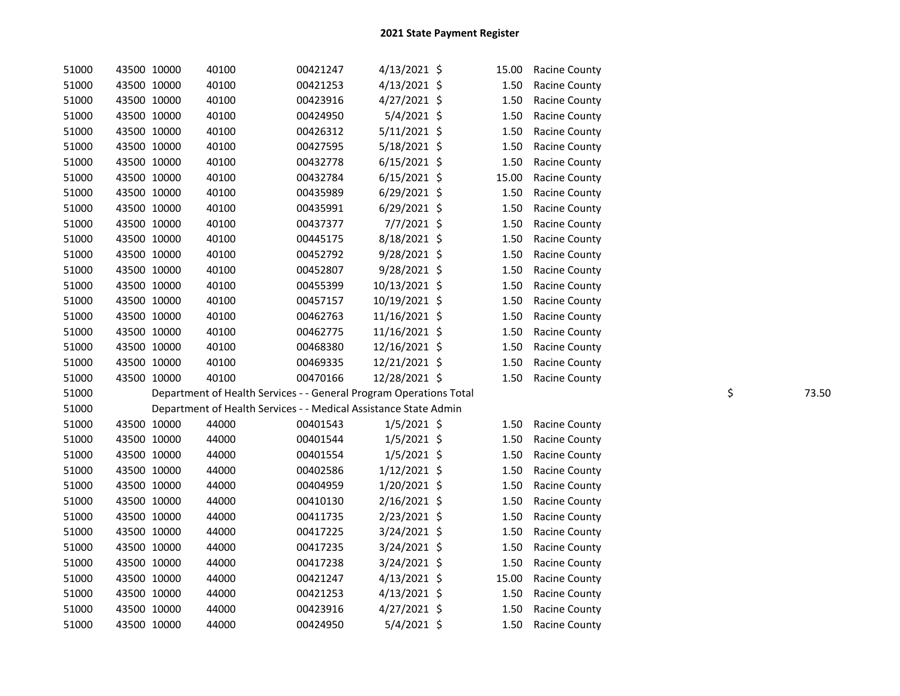| 51000 | 43500 10000 | 40100                                                              | 00421247 | $4/13/2021$ \$ | 15.00 | <b>Racine County</b> |             |
|-------|-------------|--------------------------------------------------------------------|----------|----------------|-------|----------------------|-------------|
| 51000 | 43500 10000 | 40100                                                              | 00421253 | 4/13/2021 \$   | 1.50  | <b>Racine County</b> |             |
| 51000 | 43500 10000 | 40100                                                              | 00423916 | $4/27/2021$ \$ | 1.50  | Racine County        |             |
| 51000 | 43500 10000 | 40100                                                              | 00424950 | $5/4/2021$ \$  | 1.50  | <b>Racine County</b> |             |
| 51000 | 43500 10000 | 40100                                                              | 00426312 | $5/11/2021$ \$ | 1.50  | <b>Racine County</b> |             |
| 51000 | 43500 10000 | 40100                                                              | 00427595 | 5/18/2021 \$   | 1.50  | <b>Racine County</b> |             |
| 51000 | 43500 10000 | 40100                                                              | 00432778 | $6/15/2021$ \$ | 1.50  | Racine County        |             |
| 51000 | 43500 10000 | 40100                                                              | 00432784 | $6/15/2021$ \$ | 15.00 | Racine County        |             |
| 51000 | 43500 10000 | 40100                                                              | 00435989 | $6/29/2021$ \$ | 1.50  | Racine County        |             |
| 51000 | 43500 10000 | 40100                                                              | 00435991 | $6/29/2021$ \$ | 1.50  | Racine County        |             |
| 51000 | 43500 10000 | 40100                                                              | 00437377 | $7/7/2021$ \$  | 1.50  | Racine County        |             |
| 51000 | 43500 10000 | 40100                                                              | 00445175 | 8/18/2021 \$   | 1.50  | <b>Racine County</b> |             |
| 51000 | 43500 10000 | 40100                                                              | 00452792 | 9/28/2021 \$   | 1.50  | Racine County        |             |
| 51000 | 43500 10000 | 40100                                                              | 00452807 | 9/28/2021 \$   | 1.50  | Racine County        |             |
| 51000 | 43500 10000 | 40100                                                              | 00455399 | 10/13/2021 \$  | 1.50  | Racine County        |             |
| 51000 | 43500 10000 | 40100                                                              | 00457157 | 10/19/2021 \$  | 1.50  | Racine County        |             |
| 51000 | 43500 10000 | 40100                                                              | 00462763 | 11/16/2021 \$  | 1.50  | Racine County        |             |
| 51000 | 43500 10000 | 40100                                                              | 00462775 | 11/16/2021 \$  | 1.50  | Racine County        |             |
| 51000 | 43500 10000 | 40100                                                              | 00468380 | 12/16/2021 \$  | 1.50  | Racine County        |             |
| 51000 | 43500 10000 | 40100                                                              | 00469335 | 12/21/2021 \$  | 1.50  | Racine County        |             |
| 51000 | 43500 10000 | 40100                                                              | 00470166 | 12/28/2021 \$  | 1.50  | <b>Racine County</b> |             |
| 51000 |             | Department of Health Services - - General Program Operations Total |          |                |       |                      | \$<br>73.50 |
| 51000 |             | Department of Health Services - - Medical Assistance State Admin   |          |                |       |                      |             |
| 51000 | 43500 10000 | 44000                                                              | 00401543 | $1/5/2021$ \$  | 1.50  | <b>Racine County</b> |             |
| 51000 | 43500 10000 | 44000                                                              | 00401544 | $1/5/2021$ \$  | 1.50  | Racine County        |             |
| 51000 | 43500 10000 | 44000                                                              | 00401554 | $1/5/2021$ \$  | 1.50  | Racine County        |             |
| 51000 | 43500 10000 | 44000                                                              | 00402586 | $1/12/2021$ \$ | 1.50  | Racine County        |             |
| 51000 | 43500 10000 | 44000                                                              | 00404959 | $1/20/2021$ \$ | 1.50  | Racine County        |             |
| 51000 | 43500 10000 | 44000                                                              | 00410130 | 2/16/2021 \$   | 1.50  | Racine County        |             |
| 51000 | 43500 10000 | 44000                                                              | 00411735 | $2/23/2021$ \$ | 1.50  | Racine County        |             |
| 51000 | 43500 10000 | 44000                                                              | 00417225 | 3/24/2021 \$   | 1.50  | Racine County        |             |
| 51000 | 43500 10000 | 44000                                                              | 00417235 | $3/24/2021$ \$ | 1.50  | Racine County        |             |
| 51000 | 43500 10000 | 44000                                                              | 00417238 | 3/24/2021 \$   | 1.50  | Racine County        |             |
| 51000 | 43500 10000 | 44000                                                              | 00421247 | $4/13/2021$ \$ | 15.00 | Racine County        |             |
| 51000 | 43500 10000 | 44000                                                              | 00421253 | $4/13/2021$ \$ | 1.50  | Racine County        |             |
| 51000 | 43500 10000 | 44000                                                              | 00423916 | $4/27/2021$ \$ | 1.50  | Racine County        |             |
| 51000 | 43500 10000 | 44000                                                              | 00424950 | 5/4/2021 \$    | 1.50  | <b>Racine County</b> |             |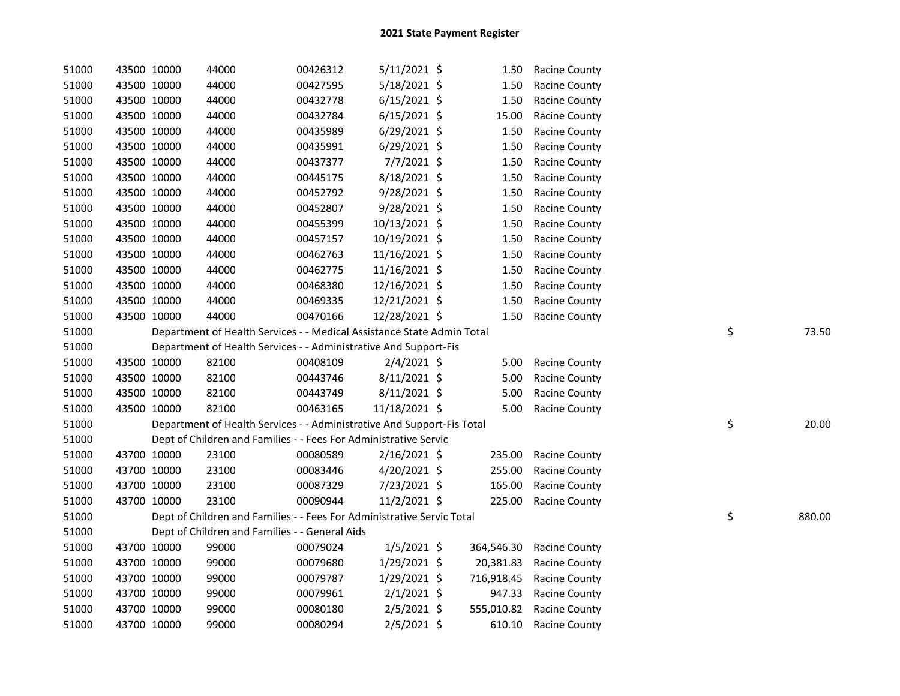| 51000 | 43500 10000 |             | 44000                                                                  | 00426312 | $5/11/2021$ \$ | 1.50       | <b>Racine County</b> |    |        |
|-------|-------------|-------------|------------------------------------------------------------------------|----------|----------------|------------|----------------------|----|--------|
| 51000 | 43500 10000 |             | 44000                                                                  | 00427595 | 5/18/2021 \$   | 1.50       | Racine County        |    |        |
| 51000 | 43500 10000 |             | 44000                                                                  | 00432778 | $6/15/2021$ \$ | 1.50       | <b>Racine County</b> |    |        |
| 51000 | 43500 10000 |             | 44000                                                                  | 00432784 | $6/15/2021$ \$ | 15.00      | <b>Racine County</b> |    |        |
| 51000 | 43500 10000 |             | 44000                                                                  | 00435989 | 6/29/2021 \$   | 1.50       | <b>Racine County</b> |    |        |
| 51000 | 43500 10000 |             | 44000                                                                  | 00435991 | $6/29/2021$ \$ | 1.50       | <b>Racine County</b> |    |        |
| 51000 | 43500 10000 |             | 44000                                                                  | 00437377 | 7/7/2021 \$    | 1.50       | <b>Racine County</b> |    |        |
| 51000 | 43500 10000 |             | 44000                                                                  | 00445175 | 8/18/2021 \$   | 1.50       | <b>Racine County</b> |    |        |
| 51000 | 43500 10000 |             | 44000                                                                  | 00452792 | $9/28/2021$ \$ | 1.50       | <b>Racine County</b> |    |        |
| 51000 | 43500 10000 |             | 44000                                                                  | 00452807 | $9/28/2021$ \$ | 1.50       | <b>Racine County</b> |    |        |
| 51000 | 43500 10000 |             | 44000                                                                  | 00455399 | 10/13/2021 \$  | 1.50       | <b>Racine County</b> |    |        |
| 51000 | 43500 10000 |             | 44000                                                                  | 00457157 | 10/19/2021 \$  | 1.50       | <b>Racine County</b> |    |        |
| 51000 | 43500 10000 |             | 44000                                                                  | 00462763 | 11/16/2021 \$  | 1.50       | Racine County        |    |        |
| 51000 | 43500 10000 |             | 44000                                                                  | 00462775 | 11/16/2021 \$  | 1.50       | <b>Racine County</b> |    |        |
| 51000 |             | 43500 10000 | 44000                                                                  | 00468380 | 12/16/2021 \$  | 1.50       | Racine County        |    |        |
| 51000 | 43500 10000 |             | 44000                                                                  | 00469335 | 12/21/2021 \$  | 1.50       | Racine County        |    |        |
| 51000 | 43500 10000 |             | 44000                                                                  | 00470166 | 12/28/2021 \$  | 1.50       | Racine County        |    |        |
| 51000 |             |             | Department of Health Services - - Medical Assistance State Admin Total |          |                |            |                      | \$ | 73.50  |
| 51000 |             |             | Department of Health Services - - Administrative And Support-Fis       |          |                |            |                      |    |        |
| 51000 |             | 43500 10000 | 82100                                                                  | 00408109 | $2/4/2021$ \$  | 5.00       | Racine County        |    |        |
| 51000 |             | 43500 10000 | 82100                                                                  | 00443746 | $8/11/2021$ \$ | 5.00       | Racine County        |    |        |
| 51000 |             | 43500 10000 | 82100                                                                  | 00443749 | 8/11/2021 \$   | 5.00       | Racine County        |    |        |
| 51000 | 43500 10000 |             | 82100                                                                  | 00463165 | 11/18/2021 \$  | 5.00       | Racine County        |    |        |
| 51000 |             |             | Department of Health Services - - Administrative And Support-Fis Total |          |                |            |                      |    | 20.00  |
| 51000 |             |             |                                                                        |          |                |            |                      | \$ |        |
| 51000 |             |             | Dept of Children and Families - - Fees For Administrative Servic       |          |                |            |                      |    |        |
|       |             | 43700 10000 | 23100                                                                  | 00080589 | $2/16/2021$ \$ | 235.00     | <b>Racine County</b> |    |        |
| 51000 |             | 43700 10000 | 23100                                                                  | 00083446 | 4/20/2021 \$   | 255.00     | <b>Racine County</b> |    |        |
| 51000 |             | 43700 10000 | 23100                                                                  | 00087329 | 7/23/2021 \$   | 165.00     | <b>Racine County</b> |    |        |
| 51000 | 43700 10000 |             | 23100                                                                  | 00090944 | 11/2/2021 \$   | 225.00     | <b>Racine County</b> |    |        |
| 51000 |             |             | Dept of Children and Families - - Fees For Administrative Servic Total |          |                |            |                      | \$ | 880.00 |
| 51000 |             |             | Dept of Children and Families - - General Aids                         |          |                |            |                      |    |        |
| 51000 |             | 43700 10000 | 99000                                                                  | 00079024 | $1/5/2021$ \$  | 364,546.30 | <b>Racine County</b> |    |        |
| 51000 |             | 43700 10000 | 99000                                                                  | 00079680 | $1/29/2021$ \$ | 20,381.83  | Racine County        |    |        |
| 51000 |             | 43700 10000 | 99000                                                                  | 00079787 | $1/29/2021$ \$ | 716,918.45 | <b>Racine County</b> |    |        |
| 51000 | 43700 10000 |             | 99000                                                                  | 00079961 | $2/1/2021$ \$  | 947.33     | Racine County        |    |        |
| 51000 | 43700 10000 |             | 99000                                                                  | 00080180 | $2/5/2021$ \$  | 555,010.82 | <b>Racine County</b> |    |        |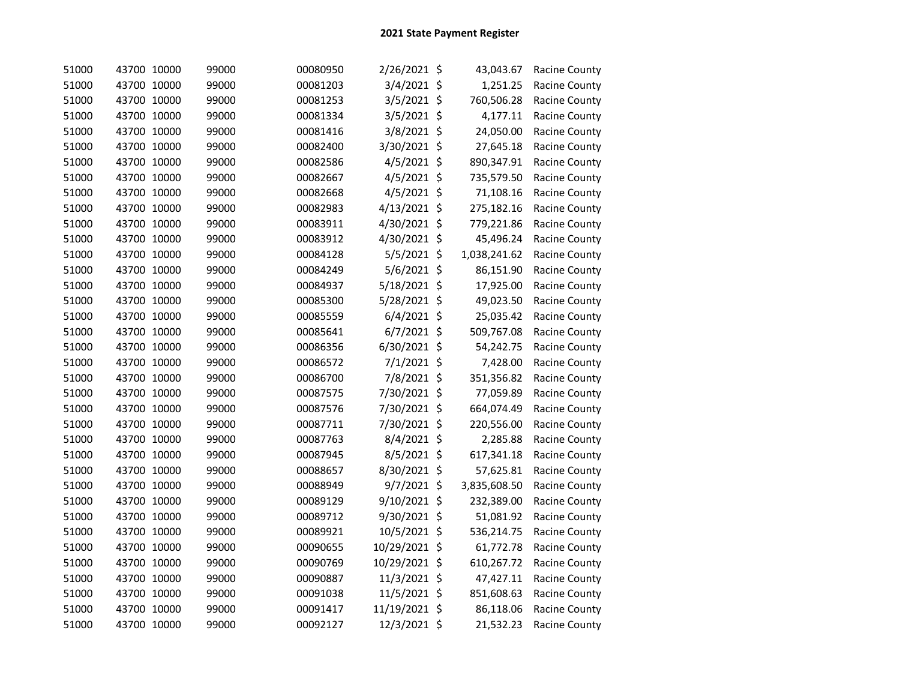| 51000 | 43700 10000 | 99000 | 00080950 | 2/26/2021 \$   | 43,043.67    | Racine County        |
|-------|-------------|-------|----------|----------------|--------------|----------------------|
| 51000 | 43700 10000 | 99000 | 00081203 | 3/4/2021 \$    | 1,251.25     | Racine County        |
| 51000 | 43700 10000 | 99000 | 00081253 | 3/5/2021 \$    | 760,506.28   | Racine County        |
| 51000 | 43700 10000 | 99000 | 00081334 | 3/5/2021 \$    | 4,177.11     | Racine County        |
| 51000 | 43700 10000 | 99000 | 00081416 | 3/8/2021 \$    | 24,050.00    | Racine County        |
| 51000 | 43700 10000 | 99000 | 00082400 | 3/30/2021 \$   | 27,645.18    | Racine County        |
| 51000 | 43700 10000 | 99000 | 00082586 | 4/5/2021 \$    | 890,347.91   | Racine County        |
| 51000 | 43700 10000 | 99000 | 00082667 | $4/5/2021$ \$  | 735,579.50   | Racine County        |
| 51000 | 43700 10000 | 99000 | 00082668 | 4/5/2021 \$    | 71,108.16    | Racine County        |
| 51000 | 43700 10000 | 99000 | 00082983 | $4/13/2021$ \$ | 275,182.16   | Racine County        |
| 51000 | 43700 10000 | 99000 | 00083911 | 4/30/2021 \$   | 779,221.86   | Racine County        |
| 51000 | 43700 10000 | 99000 | 00083912 | 4/30/2021 \$   | 45,496.24    | Racine County        |
| 51000 | 43700 10000 | 99000 | 00084128 | $5/5/2021$ \$  | 1,038,241.62 | Racine County        |
| 51000 | 43700 10000 | 99000 | 00084249 | 5/6/2021 \$    | 86,151.90    | Racine County        |
| 51000 | 43700 10000 | 99000 | 00084937 | 5/18/2021 \$   | 17,925.00    | Racine County        |
| 51000 | 43700 10000 | 99000 | 00085300 | 5/28/2021 \$   | 49,023.50    | Racine County        |
| 51000 | 43700 10000 | 99000 | 00085559 | $6/4/2021$ \$  | 25,035.42    | Racine County        |
| 51000 | 43700 10000 | 99000 | 00085641 | $6/7/2021$ \$  | 509,767.08   | <b>Racine County</b> |
| 51000 | 43700 10000 | 99000 | 00086356 | 6/30/2021 \$   | 54,242.75    | Racine County        |
| 51000 | 43700 10000 | 99000 | 00086572 | 7/1/2021 \$    | 7,428.00     | Racine County        |
| 51000 | 43700 10000 | 99000 | 00086700 | 7/8/2021 \$    | 351,356.82   | Racine County        |
| 51000 | 43700 10000 | 99000 | 00087575 | 7/30/2021 \$   | 77,059.89    | Racine County        |
| 51000 | 43700 10000 | 99000 | 00087576 | 7/30/2021 \$   | 664,074.49   | Racine County        |
| 51000 | 43700 10000 | 99000 | 00087711 | 7/30/2021 \$   | 220,556.00   | Racine County        |
| 51000 | 43700 10000 | 99000 | 00087763 | 8/4/2021 \$    | 2,285.88     | Racine County        |
| 51000 | 43700 10000 | 99000 | 00087945 | 8/5/2021 \$    | 617,341.18   | Racine County        |
| 51000 | 43700 10000 | 99000 | 00088657 | 8/30/2021 \$   | 57,625.81    | Racine County        |
| 51000 | 43700 10000 | 99000 | 00088949 | 9/7/2021 \$    | 3,835,608.50 | Racine County        |
| 51000 | 43700 10000 | 99000 | 00089129 | 9/10/2021 \$   | 232,389.00   | Racine County        |
| 51000 | 43700 10000 | 99000 | 00089712 | 9/30/2021 \$   | 51,081.92    | Racine County        |
| 51000 | 43700 10000 | 99000 | 00089921 | 10/5/2021 \$   | 536,214.75   | Racine County        |
| 51000 | 43700 10000 | 99000 | 00090655 | 10/29/2021 \$  | 61,772.78    | Racine County        |
| 51000 | 43700 10000 | 99000 | 00090769 | 10/29/2021 \$  | 610,267.72   | Racine County        |
| 51000 | 43700 10000 | 99000 | 00090887 | 11/3/2021 \$   | 47,427.11    | Racine County        |
| 51000 | 43700 10000 | 99000 | 00091038 | 11/5/2021 \$   | 851,608.63   | Racine County        |
| 51000 | 43700 10000 | 99000 | 00091417 | 11/19/2021 \$  | 86,118.06    | Racine County        |
| 51000 | 43700 10000 | 99000 | 00092127 | 12/3/2021 \$   | 21,532.23    | Racine County        |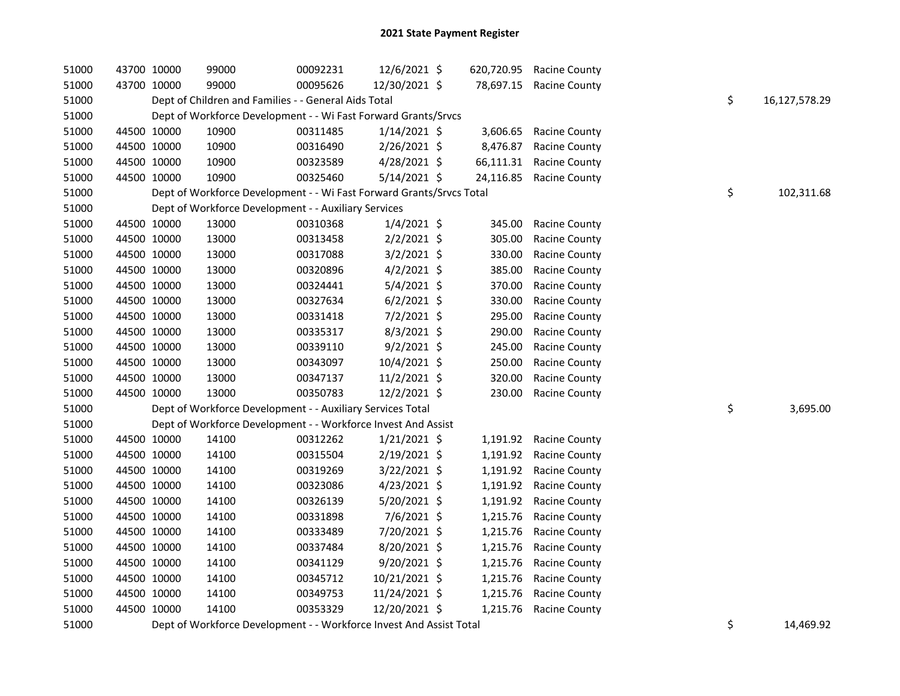| 51000 | 43700 10000 | 99000                                                                | 00092231 | 12/6/2021 \$   | 620,720.95 | <b>Racine County</b> |    |               |
|-------|-------------|----------------------------------------------------------------------|----------|----------------|------------|----------------------|----|---------------|
| 51000 | 43700 10000 | 99000                                                                | 00095626 | 12/30/2021 \$  | 78,697.15  | <b>Racine County</b> |    |               |
| 51000 |             | Dept of Children and Families - - General Aids Total                 |          |                |            |                      | \$ | 16,127,578.29 |
| 51000 |             | Dept of Workforce Development - - Wi Fast Forward Grants/Srvcs       |          |                |            |                      |    |               |
| 51000 | 44500 10000 | 10900                                                                | 00311485 | $1/14/2021$ \$ | 3,606.65   | Racine County        |    |               |
| 51000 | 44500 10000 | 10900                                                                | 00316490 | 2/26/2021 \$   | 8,476.87   | Racine County        |    |               |
| 51000 | 44500 10000 | 10900                                                                | 00323589 | 4/28/2021 \$   | 66,111.31  | Racine County        |    |               |
| 51000 | 44500 10000 | 10900                                                                | 00325460 | 5/14/2021 \$   | 24,116.85  | <b>Racine County</b> |    |               |
| 51000 |             | Dept of Workforce Development - - Wi Fast Forward Grants/Srvcs Total |          |                |            |                      | \$ | 102,311.68    |
| 51000 |             | Dept of Workforce Development - - Auxiliary Services                 |          |                |            |                      |    |               |
| 51000 | 44500 10000 | 13000                                                                | 00310368 | $1/4/2021$ \$  | 345.00     | Racine County        |    |               |
| 51000 | 44500 10000 | 13000                                                                | 00313458 | $2/2/2021$ \$  | 305.00     | Racine County        |    |               |
| 51000 | 44500 10000 | 13000                                                                | 00317088 | $3/2/2021$ \$  | 330.00     | <b>Racine County</b> |    |               |
| 51000 | 44500 10000 | 13000                                                                | 00320896 | $4/2/2021$ \$  | 385.00     | Racine County        |    |               |
| 51000 | 44500 10000 | 13000                                                                | 00324441 | $5/4/2021$ \$  | 370.00     | Racine County        |    |               |
| 51000 | 44500 10000 | 13000                                                                | 00327634 | $6/2/2021$ \$  | 330.00     | Racine County        |    |               |
| 51000 | 44500 10000 | 13000                                                                | 00331418 | $7/2/2021$ \$  | 295.00     | Racine County        |    |               |
| 51000 | 44500 10000 | 13000                                                                | 00335317 | 8/3/2021 \$    | 290.00     | Racine County        |    |               |
| 51000 | 44500 10000 | 13000                                                                | 00339110 | $9/2/2021$ \$  | 245.00     | <b>Racine County</b> |    |               |
| 51000 | 44500 10000 | 13000                                                                | 00343097 | 10/4/2021 \$   | 250.00     | Racine County        |    |               |
| 51000 | 44500 10000 | 13000                                                                | 00347137 | 11/2/2021 \$   | 320.00     | Racine County        |    |               |
| 51000 | 44500 10000 | 13000                                                                | 00350783 | 12/2/2021 \$   | 230.00     | <b>Racine County</b> |    |               |
| 51000 |             | Dept of Workforce Development - - Auxiliary Services Total           |          |                |            |                      | \$ | 3,695.00      |
| 51000 |             | Dept of Workforce Development - - Workforce Invest And Assist        |          |                |            |                      |    |               |
| 51000 | 44500 10000 | 14100                                                                | 00312262 | $1/21/2021$ \$ | 1,191.92   | Racine County        |    |               |
| 51000 | 44500 10000 | 14100                                                                | 00315504 | 2/19/2021 \$   | 1,191.92   | <b>Racine County</b> |    |               |
| 51000 | 44500 10000 | 14100                                                                | 00319269 | 3/22/2021 \$   | 1,191.92   | <b>Racine County</b> |    |               |
| 51000 | 44500 10000 | 14100                                                                | 00323086 | 4/23/2021 \$   | 1,191.92   | Racine County        |    |               |
| 51000 | 44500 10000 | 14100                                                                | 00326139 | 5/20/2021 \$   | 1,191.92   | Racine County        |    |               |
| 51000 | 44500 10000 | 14100                                                                | 00331898 | 7/6/2021 \$    | 1,215.76   | Racine County        |    |               |
| 51000 | 44500 10000 | 14100                                                                | 00333489 | 7/20/2021 \$   | 1,215.76   | <b>Racine County</b> |    |               |
| 51000 | 44500 10000 | 14100                                                                | 00337484 | 8/20/2021 \$   | 1,215.76   | <b>Racine County</b> |    |               |
| 51000 | 44500 10000 | 14100                                                                | 00341129 | 9/20/2021 \$   | 1,215.76   | Racine County        |    |               |
| 51000 | 44500 10000 | 14100                                                                | 00345712 | 10/21/2021 \$  | 1,215.76   | <b>Racine County</b> |    |               |
| 51000 | 44500 10000 | 14100                                                                | 00349753 | 11/24/2021 \$  | 1,215.76   | Racine County        |    |               |
| 51000 | 44500 10000 | 14100                                                                | 00353329 | 12/20/2021 \$  | 1,215.76   | <b>Racine County</b> |    |               |
|       |             |                                                                      |          |                |            |                      |    |               |

51000 Dept of Workforce Development - - Workforce Invest And Assist Total 5 1000 September 2014,469.92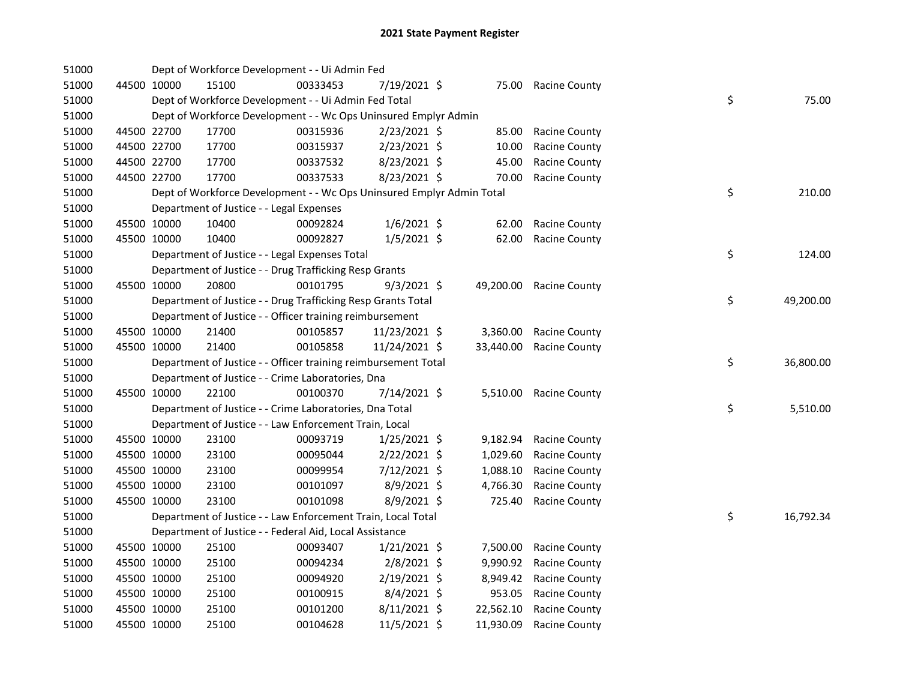| 51000 |             |             | Dept of Workforce Development - - Ui Admin Fed                        |          |                |           |                        |    |           |
|-------|-------------|-------------|-----------------------------------------------------------------------|----------|----------------|-----------|------------------------|----|-----------|
| 51000 |             | 44500 10000 | 15100                                                                 | 00333453 | 7/19/2021 \$   | 75.00     | Racine County          |    |           |
| 51000 |             |             | Dept of Workforce Development - - Ui Admin Fed Total                  |          |                |           |                        | \$ | 75.00     |
| 51000 |             |             | Dept of Workforce Development - - Wc Ops Uninsured Emplyr Admin       |          |                |           |                        |    |           |
| 51000 |             | 44500 22700 | 17700                                                                 | 00315936 | 2/23/2021 \$   | 85.00     | Racine County          |    |           |
| 51000 |             | 44500 22700 | 17700                                                                 | 00315937 | 2/23/2021 \$   | 10.00     | Racine County          |    |           |
| 51000 |             | 44500 22700 | 17700                                                                 | 00337532 | 8/23/2021 \$   | 45.00     | Racine County          |    |           |
| 51000 |             | 44500 22700 | 17700                                                                 | 00337533 | 8/23/2021 \$   | 70.00     | <b>Racine County</b>   |    |           |
| 51000 |             |             | Dept of Workforce Development - - Wc Ops Uninsured Emplyr Admin Total |          |                |           |                        | \$ | 210.00    |
| 51000 |             |             | Department of Justice - - Legal Expenses                              |          |                |           |                        |    |           |
| 51000 |             | 45500 10000 | 10400                                                                 | 00092824 | $1/6/2021$ \$  | 62.00     | <b>Racine County</b>   |    |           |
| 51000 |             | 45500 10000 | 10400                                                                 | 00092827 | $1/5/2021$ \$  | 62.00     | <b>Racine County</b>   |    |           |
| 51000 |             |             | Department of Justice - - Legal Expenses Total                        |          |                |           |                        | \$ | 124.00    |
| 51000 |             |             | Department of Justice - - Drug Trafficking Resp Grants                |          |                |           |                        |    |           |
| 51000 |             | 45500 10000 | 20800                                                                 | 00101795 | $9/3/2021$ \$  | 49,200.00 | Racine County          |    |           |
| 51000 |             |             | Department of Justice - - Drug Trafficking Resp Grants Total          |          |                |           |                        | \$ | 49,200.00 |
| 51000 |             |             | Department of Justice - - Officer training reimbursement              |          |                |           |                        |    |           |
| 51000 |             | 45500 10000 | 21400                                                                 | 00105857 | 11/23/2021 \$  | 3,360.00  | Racine County          |    |           |
| 51000 |             | 45500 10000 | 21400                                                                 | 00105858 | 11/24/2021 \$  | 33,440.00 | Racine County          |    |           |
| 51000 |             |             | Department of Justice - - Officer training reimbursement Total        |          |                |           |                        | \$ | 36,800.00 |
| 51000 |             |             | Department of Justice - - Crime Laboratories, Dna                     |          |                |           |                        |    |           |
| 51000 |             | 45500 10000 | 22100                                                                 | 00100370 | 7/14/2021 \$   |           | 5,510.00 Racine County |    |           |
| 51000 |             |             | Department of Justice - - Crime Laboratories, Dna Total               |          |                |           |                        | \$ | 5,510.00  |
| 51000 |             |             | Department of Justice - - Law Enforcement Train, Local                |          |                |           |                        |    |           |
| 51000 |             | 45500 10000 | 23100                                                                 | 00093719 | $1/25/2021$ \$ | 9,182.94  | <b>Racine County</b>   |    |           |
| 51000 |             | 45500 10000 | 23100                                                                 | 00095044 | $2/22/2021$ \$ | 1,029.60  | Racine County          |    |           |
| 51000 |             | 45500 10000 | 23100                                                                 | 00099954 | 7/12/2021 \$   | 1,088.10  | Racine County          |    |           |
| 51000 |             | 45500 10000 | 23100                                                                 | 00101097 | 8/9/2021 \$    | 4,766.30  | Racine County          |    |           |
| 51000 |             | 45500 10000 | 23100                                                                 | 00101098 | $8/9/2021$ \$  | 725.40    | Racine County          |    |           |
| 51000 |             |             | Department of Justice - - Law Enforcement Train, Local Total          |          |                |           |                        | \$ | 16,792.34 |
| 51000 |             |             | Department of Justice - - Federal Aid, Local Assistance               |          |                |           |                        |    |           |
| 51000 |             | 45500 10000 | 25100                                                                 | 00093407 | $1/21/2021$ \$ | 7,500.00  | Racine County          |    |           |
| 51000 |             | 45500 10000 | 25100                                                                 | 00094234 | 2/8/2021 \$    | 9,990.92  | Racine County          |    |           |
| 51000 |             | 45500 10000 | 25100                                                                 | 00094920 | 2/19/2021 \$   | 8,949.42  | Racine County          |    |           |
| 51000 |             | 45500 10000 | 25100                                                                 | 00100915 | 8/4/2021 \$    | 953.05    | <b>Racine County</b>   |    |           |
| 51000 | 45500 10000 |             | 25100                                                                 | 00101200 | $8/11/2021$ \$ | 22,562.10 | <b>Racine County</b>   |    |           |
| 51000 | 45500 10000 |             | 25100                                                                 | 00104628 | 11/5/2021 \$   | 11,930.09 | <b>Racine County</b>   |    |           |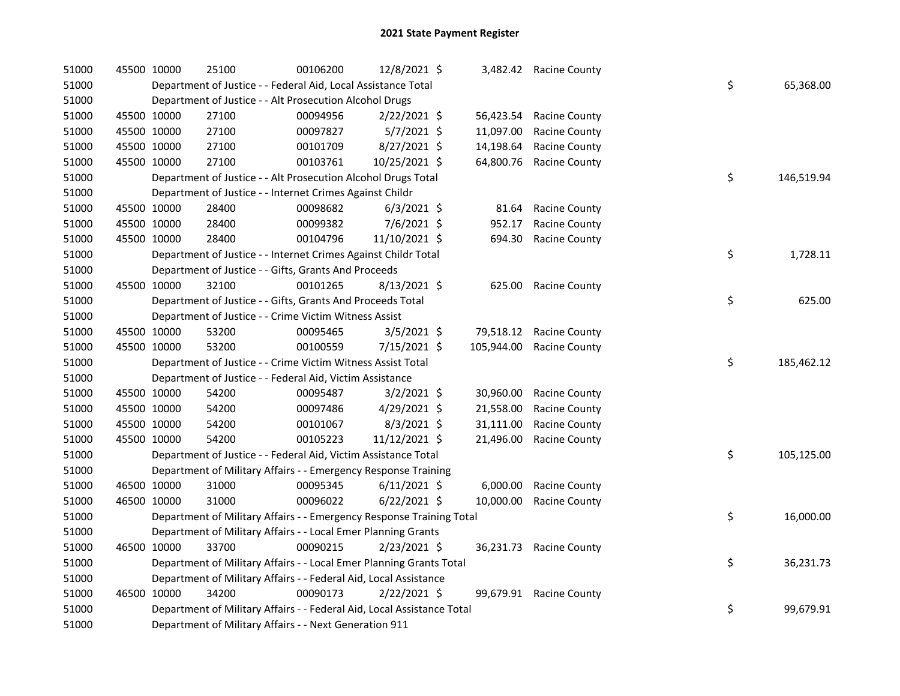| 51000 | 45500 10000 |             | 25100                                                                  | 00106200 | 12/8/2021 \$   |            | 3,482.42 Racine County  |    |            |
|-------|-------------|-------------|------------------------------------------------------------------------|----------|----------------|------------|-------------------------|----|------------|
| 51000 |             |             | Department of Justice - - Federal Aid, Local Assistance Total          |          |                |            |                         | \$ | 65,368.00  |
| 51000 |             |             | Department of Justice - - Alt Prosecution Alcohol Drugs                |          |                |            |                         |    |            |
| 51000 | 45500 10000 |             | 27100                                                                  | 00094956 | $2/22/2021$ \$ | 56,423.54  | Racine County           |    |            |
| 51000 | 45500 10000 |             | 27100                                                                  | 00097827 | $5/7/2021$ \$  | 11,097.00  | Racine County           |    |            |
| 51000 | 45500 10000 |             | 27100                                                                  | 00101709 | 8/27/2021 \$   | 14,198.64  | Racine County           |    |            |
| 51000 | 45500 10000 |             | 27100                                                                  | 00103761 | 10/25/2021 \$  | 64,800.76  | Racine County           |    |            |
| 51000 |             |             | Department of Justice - - Alt Prosecution Alcohol Drugs Total          |          |                |            |                         | \$ | 146,519.94 |
| 51000 |             |             | Department of Justice - - Internet Crimes Against Childr               |          |                |            |                         |    |            |
| 51000 | 45500 10000 |             | 28400                                                                  | 00098682 | $6/3/2021$ \$  | 81.64      | Racine County           |    |            |
| 51000 | 45500 10000 |             | 28400                                                                  | 00099382 | 7/6/2021 \$    | 952.17     | Racine County           |    |            |
| 51000 | 45500 10000 |             | 28400                                                                  | 00104796 | 11/10/2021 \$  | 694.30     | Racine County           |    |            |
| 51000 |             |             | Department of Justice - - Internet Crimes Against Childr Total         |          |                |            |                         | \$ | 1,728.11   |
| 51000 |             |             | Department of Justice - - Gifts, Grants And Proceeds                   |          |                |            |                         |    |            |
| 51000 | 45500 10000 |             | 32100                                                                  | 00101265 | $8/13/2021$ \$ | 625.00     | Racine County           |    |            |
| 51000 |             |             | Department of Justice - - Gifts, Grants And Proceeds Total             |          |                |            |                         | \$ | 625.00     |
| 51000 |             |             | Department of Justice - - Crime Victim Witness Assist                  |          |                |            |                         |    |            |
| 51000 | 45500 10000 |             | 53200                                                                  | 00095465 | $3/5/2021$ \$  | 79,518.12  | Racine County           |    |            |
| 51000 | 45500 10000 |             | 53200                                                                  | 00100559 | 7/15/2021 \$   | 105,944.00 | <b>Racine County</b>    |    |            |
| 51000 |             |             | Department of Justice - - Crime Victim Witness Assist Total            |          |                |            |                         | \$ | 185,462.12 |
| 51000 |             |             | Department of Justice - - Federal Aid, Victim Assistance               |          |                |            |                         |    |            |
| 51000 | 45500 10000 |             | 54200                                                                  | 00095487 | $3/2/2021$ \$  | 30,960.00  | Racine County           |    |            |
| 51000 | 45500 10000 |             | 54200                                                                  | 00097486 | 4/29/2021 \$   | 21,558.00  | Racine County           |    |            |
| 51000 | 45500 10000 |             | 54200                                                                  | 00101067 | 8/3/2021 \$    | 31,111.00  | Racine County           |    |            |
| 51000 | 45500 10000 |             | 54200                                                                  | 00105223 | 11/12/2021 \$  | 21,496.00  | Racine County           |    |            |
| 51000 |             |             | Department of Justice - - Federal Aid, Victim Assistance Total         |          |                |            |                         | \$ | 105,125.00 |
| 51000 |             |             | Department of Military Affairs - - Emergency Response Training         |          |                |            |                         |    |            |
| 51000 | 46500 10000 |             | 31000                                                                  | 00095345 | $6/11/2021$ \$ | 6,000.00   | <b>Racine County</b>    |    |            |
| 51000 |             | 46500 10000 | 31000                                                                  | 00096022 | $6/22/2021$ \$ | 10,000.00  | Racine County           |    |            |
| 51000 |             |             | Department of Military Affairs - - Emergency Response Training Total   |          |                |            |                         | \$ | 16,000.00  |
| 51000 |             |             | Department of Military Affairs - - Local Emer Planning Grants          |          |                |            |                         |    |            |
| 51000 | 46500 10000 |             | 33700                                                                  | 00090215 | $2/23/2021$ \$ | 36,231.73  | <b>Racine County</b>    |    |            |
| 51000 |             |             | Department of Military Affairs - - Local Emer Planning Grants Total    |          |                |            |                         | \$ | 36,231.73  |
| 51000 |             |             | Department of Military Affairs - - Federal Aid, Local Assistance       |          |                |            |                         |    |            |
| 51000 | 46500 10000 |             | 34200                                                                  | 00090173 | $2/22/2021$ \$ |            | 99,679.91 Racine County |    |            |
| 51000 |             |             | Department of Military Affairs - - Federal Aid, Local Assistance Total |          |                |            |                         | \$ | 99,679.91  |
| 51000 |             |             | Department of Military Affairs - - Next Generation 911                 |          |                |            |                         |    |            |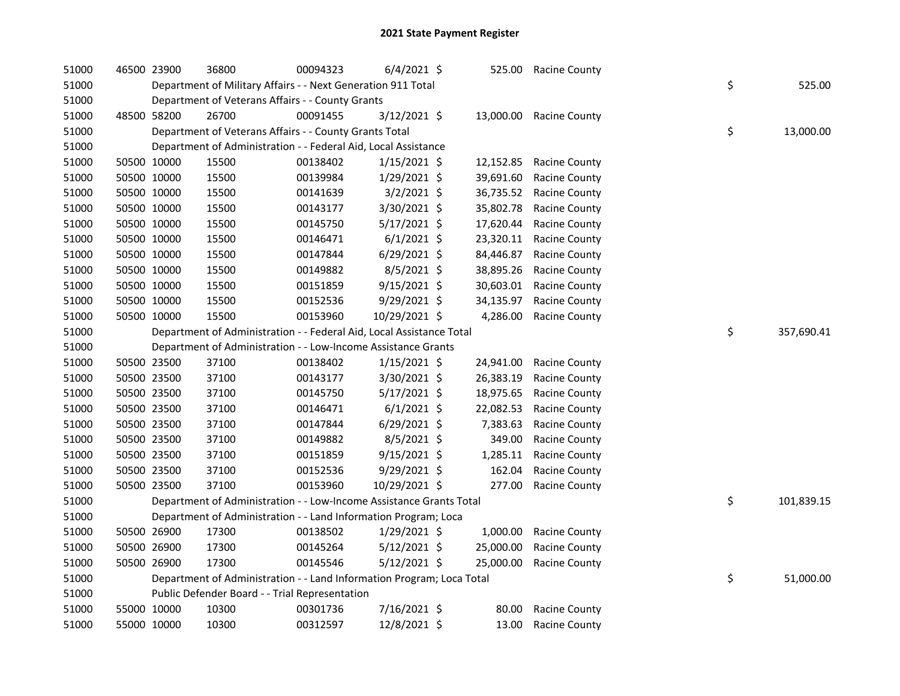| 51000 | 46500 23900 |             | 36800                                                                 | 00094323 | $6/4/2021$ \$  | 525.00    | Racine County        |    |            |
|-------|-------------|-------------|-----------------------------------------------------------------------|----------|----------------|-----------|----------------------|----|------------|
| 51000 |             |             | Department of Military Affairs - - Next Generation 911 Total          |          |                |           |                      | \$ | 525.00     |
| 51000 |             |             | Department of Veterans Affairs - - County Grants                      |          |                |           |                      |    |            |
| 51000 |             | 48500 58200 | 26700                                                                 | 00091455 | 3/12/2021 \$   | 13,000.00 | <b>Racine County</b> |    |            |
| 51000 |             |             | Department of Veterans Affairs - - County Grants Total                |          |                |           |                      | \$ | 13,000.00  |
| 51000 |             |             | Department of Administration - - Federal Aid, Local Assistance        |          |                |           |                      |    |            |
| 51000 |             | 50500 10000 | 15500                                                                 | 00138402 | $1/15/2021$ \$ | 12,152.85 | <b>Racine County</b> |    |            |
| 51000 |             | 50500 10000 | 15500                                                                 | 00139984 | $1/29/2021$ \$ | 39,691.60 | Racine County        |    |            |
| 51000 |             | 50500 10000 | 15500                                                                 | 00141639 | $3/2/2021$ \$  | 36,735.52 | Racine County        |    |            |
| 51000 |             | 50500 10000 | 15500                                                                 | 00143177 | 3/30/2021 \$   | 35,802.78 | Racine County        |    |            |
| 51000 |             | 50500 10000 | 15500                                                                 | 00145750 | $5/17/2021$ \$ | 17,620.44 | Racine County        |    |            |
| 51000 |             | 50500 10000 | 15500                                                                 | 00146471 | $6/1/2021$ \$  | 23,320.11 | Racine County        |    |            |
| 51000 |             | 50500 10000 | 15500                                                                 | 00147844 | $6/29/2021$ \$ | 84,446.87 | Racine County        |    |            |
| 51000 |             | 50500 10000 | 15500                                                                 | 00149882 | $8/5/2021$ \$  | 38,895.26 | Racine County        |    |            |
| 51000 |             | 50500 10000 | 15500                                                                 | 00151859 | $9/15/2021$ \$ | 30,603.01 | Racine County        |    |            |
| 51000 |             | 50500 10000 | 15500                                                                 | 00152536 | 9/29/2021 \$   | 34,135.97 | Racine County        |    |            |
| 51000 |             | 50500 10000 | 15500                                                                 | 00153960 | 10/29/2021 \$  | 4,286.00  | <b>Racine County</b> |    |            |
| 51000 |             |             | Department of Administration - - Federal Aid, Local Assistance Total  |          |                |           |                      | \$ | 357,690.41 |
| 51000 |             |             | Department of Administration - - Low-Income Assistance Grants         |          |                |           |                      |    |            |
| 51000 |             | 50500 23500 | 37100                                                                 | 00138402 | $1/15/2021$ \$ | 24,941.00 | Racine County        |    |            |
| 51000 |             | 50500 23500 | 37100                                                                 | 00143177 | 3/30/2021 \$   | 26,383.19 | Racine County        |    |            |
| 51000 |             | 50500 23500 | 37100                                                                 | 00145750 | $5/17/2021$ \$ | 18,975.65 | <b>Racine County</b> |    |            |
| 51000 |             | 50500 23500 | 37100                                                                 | 00146471 | $6/1/2021$ \$  | 22,082.53 | <b>Racine County</b> |    |            |
| 51000 |             | 50500 23500 | 37100                                                                 | 00147844 | 6/29/2021 \$   | 7,383.63  | <b>Racine County</b> |    |            |
| 51000 |             | 50500 23500 | 37100                                                                 | 00149882 | 8/5/2021 \$    | 349.00    | Racine County        |    |            |
| 51000 |             | 50500 23500 | 37100                                                                 | 00151859 | 9/15/2021 \$   | 1,285.11  | <b>Racine County</b> |    |            |
| 51000 |             | 50500 23500 | 37100                                                                 | 00152536 | 9/29/2021 \$   | 162.04    | Racine County        |    |            |
| 51000 |             | 50500 23500 | 37100                                                                 | 00153960 | 10/29/2021 \$  | 277.00    | <b>Racine County</b> |    |            |
| 51000 |             |             | Department of Administration - - Low-Income Assistance Grants Total   |          |                |           |                      | \$ | 101,839.15 |
| 51000 |             |             | Department of Administration - - Land Information Program; Loca       |          |                |           |                      |    |            |
| 51000 |             | 50500 26900 | 17300                                                                 | 00138502 | $1/29/2021$ \$ | 1,000.00  | <b>Racine County</b> |    |            |
| 51000 |             | 50500 26900 | 17300                                                                 | 00145264 | $5/12/2021$ \$ | 25,000.00 | Racine County        |    |            |
| 51000 |             | 50500 26900 | 17300                                                                 | 00145546 | $5/12/2021$ \$ | 25,000.00 | <b>Racine County</b> |    |            |
| 51000 |             |             | Department of Administration - - Land Information Program; Loca Total |          |                |           |                      | \$ | 51,000.00  |
| 51000 |             |             | Public Defender Board - - Trial Representation                        |          |                |           |                      |    |            |
| 51000 |             | 55000 10000 | 10300                                                                 | 00301736 | 7/16/2021 \$   | 80.00     | <b>Racine County</b> |    |            |
| 51000 |             | 55000 10000 | 10300                                                                 | 00312597 | 12/8/2021 \$   | 13.00     | <b>Racine County</b> |    |            |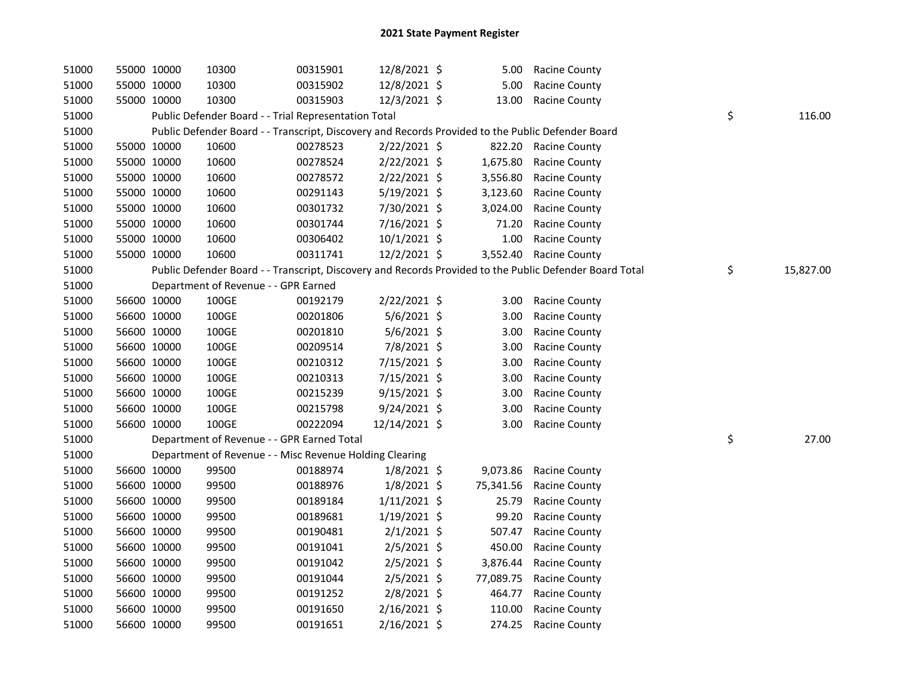| 51000 | 55000 10000 | 10300                                                   | 00315901 | 12/8/2021 \$   | 5.00      | <b>Racine County</b>                                                                                    |                 |
|-------|-------------|---------------------------------------------------------|----------|----------------|-----------|---------------------------------------------------------------------------------------------------------|-----------------|
| 51000 | 55000 10000 | 10300                                                   | 00315902 | 12/8/2021 \$   | 5.00      | <b>Racine County</b>                                                                                    |                 |
| 51000 | 55000 10000 | 10300                                                   | 00315903 | 12/3/2021 \$   | 13.00     | <b>Racine County</b>                                                                                    |                 |
| 51000 |             | Public Defender Board - - Trial Representation Total    |          |                |           |                                                                                                         | \$<br>116.00    |
| 51000 |             |                                                         |          |                |           | Public Defender Board - - Transcript, Discovery and Records Provided to the Public Defender Board       |                 |
| 51000 | 55000 10000 | 10600                                                   | 00278523 | $2/22/2021$ \$ |           | 822.20 Racine County                                                                                    |                 |
| 51000 | 55000 10000 | 10600                                                   | 00278524 | $2/22/2021$ \$ | 1,675.80  | <b>Racine County</b>                                                                                    |                 |
| 51000 | 55000 10000 | 10600                                                   | 00278572 | $2/22/2021$ \$ | 3,556.80  | Racine County                                                                                           |                 |
| 51000 | 55000 10000 | 10600                                                   | 00291143 | 5/19/2021 \$   | 3,123.60  | Racine County                                                                                           |                 |
| 51000 | 55000 10000 | 10600                                                   | 00301732 | 7/30/2021 \$   | 3,024.00  | Racine County                                                                                           |                 |
| 51000 | 55000 10000 | 10600                                                   | 00301744 | 7/16/2021 \$   | 71.20     | Racine County                                                                                           |                 |
| 51000 | 55000 10000 | 10600                                                   | 00306402 | $10/1/2021$ \$ | 1.00      | <b>Racine County</b>                                                                                    |                 |
| 51000 | 55000 10000 | 10600                                                   | 00311741 | 12/2/2021 \$   |           | 3,552.40 Racine County                                                                                  |                 |
| 51000 |             |                                                         |          |                |           | Public Defender Board - - Transcript, Discovery and Records Provided to the Public Defender Board Total | \$<br>15,827.00 |
| 51000 |             | Department of Revenue - - GPR Earned                    |          |                |           |                                                                                                         |                 |
| 51000 | 56600 10000 | 100GE                                                   | 00192179 | 2/22/2021 \$   | 3.00      | <b>Racine County</b>                                                                                    |                 |
| 51000 | 56600 10000 | 100GE                                                   | 00201806 | $5/6/2021$ \$  | 3.00      | <b>Racine County</b>                                                                                    |                 |
| 51000 | 56600 10000 | 100GE                                                   | 00201810 | $5/6/2021$ \$  | 3.00      | Racine County                                                                                           |                 |
| 51000 | 56600 10000 | 100GE                                                   | 00209514 | 7/8/2021 \$    | 3.00      | Racine County                                                                                           |                 |
| 51000 | 56600 10000 | 100GE                                                   | 00210312 | 7/15/2021 \$   | 3.00      | <b>Racine County</b>                                                                                    |                 |
| 51000 | 56600 10000 | 100GE                                                   | 00210313 | 7/15/2021 \$   | 3.00      | <b>Racine County</b>                                                                                    |                 |
| 51000 | 56600 10000 | 100GE                                                   | 00215239 | $9/15/2021$ \$ | 3.00      | Racine County                                                                                           |                 |
| 51000 | 56600 10000 | 100GE                                                   | 00215798 | 9/24/2021 \$   | 3.00      | Racine County                                                                                           |                 |
| 51000 | 56600 10000 | 100GE                                                   | 00222094 | 12/14/2021 \$  | 3.00      | <b>Racine County</b>                                                                                    |                 |
| 51000 |             | Department of Revenue - - GPR Earned Total              |          |                |           |                                                                                                         | \$<br>27.00     |
| 51000 |             | Department of Revenue - - Misc Revenue Holding Clearing |          |                |           |                                                                                                         |                 |
| 51000 | 56600 10000 | 99500                                                   | 00188974 | $1/8/2021$ \$  |           | 9,073.86 Racine County                                                                                  |                 |
| 51000 | 56600 10000 | 99500                                                   | 00188976 | $1/8/2021$ \$  | 75,341.56 | Racine County                                                                                           |                 |
| 51000 | 56600 10000 | 99500                                                   | 00189184 | $1/11/2021$ \$ | 25.79     | Racine County                                                                                           |                 |
| 51000 | 56600 10000 | 99500                                                   | 00189681 | $1/19/2021$ \$ | 99.20     | <b>Racine County</b>                                                                                    |                 |
| 51000 | 56600 10000 | 99500                                                   | 00190481 | $2/1/2021$ \$  | 507.47    | <b>Racine County</b>                                                                                    |                 |
| 51000 | 56600 10000 | 99500                                                   | 00191041 | $2/5/2021$ \$  | 450.00    | <b>Racine County</b>                                                                                    |                 |
| 51000 | 56600 10000 | 99500                                                   | 00191042 | $2/5/2021$ \$  | 3,876.44  | <b>Racine County</b>                                                                                    |                 |
| 51000 | 56600 10000 | 99500                                                   | 00191044 | $2/5/2021$ \$  | 77,089.75 | <b>Racine County</b>                                                                                    |                 |
| 51000 | 56600 10000 | 99500                                                   | 00191252 | $2/8/2021$ \$  | 464.77    | <b>Racine County</b>                                                                                    |                 |
| 51000 | 56600 10000 | 99500                                                   | 00191650 | 2/16/2021 \$   | 110.00    | <b>Racine County</b>                                                                                    |                 |
| 51000 | 56600 10000 | 99500                                                   | 00191651 | 2/16/2021 \$   | 274.25    | <b>Racine County</b>                                                                                    |                 |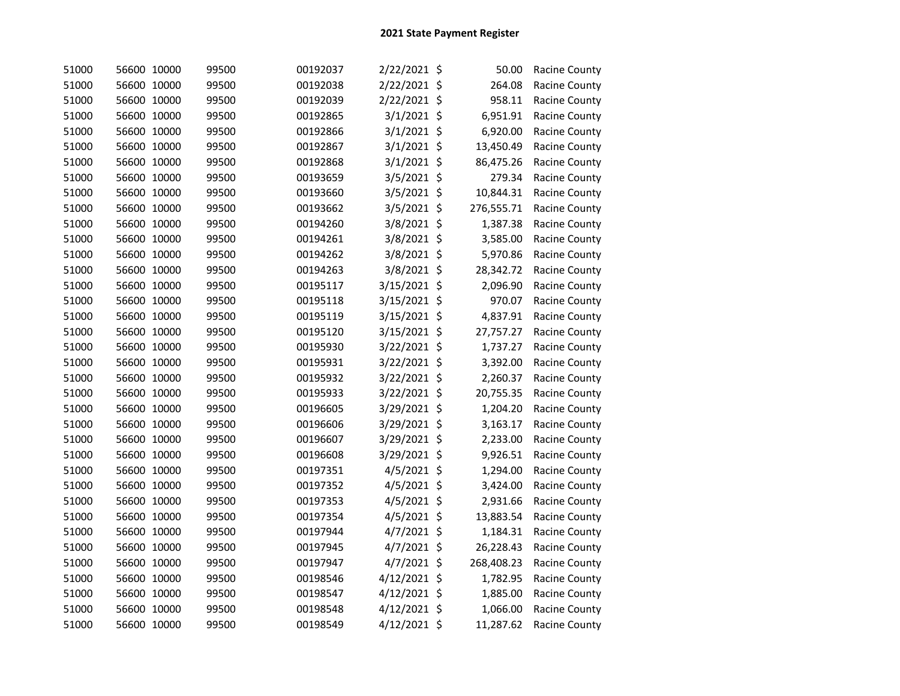| 51000 | 56600 10000 | 99500 | 00192037 | 2/22/2021 \$ | 50.00      | Racine County |
|-------|-------------|-------|----------|--------------|------------|---------------|
| 51000 | 56600 10000 | 99500 | 00192038 | 2/22/2021 \$ | 264.08     | Racine County |
| 51000 | 56600 10000 | 99500 | 00192039 | 2/22/2021 \$ | 958.11     | Racine County |
| 51000 | 56600 10000 | 99500 | 00192865 | 3/1/2021 \$  | 6,951.91   | Racine County |
| 51000 | 56600 10000 | 99500 | 00192866 | 3/1/2021 \$  | 6,920.00   | Racine County |
| 51000 | 56600 10000 | 99500 | 00192867 | 3/1/2021 \$  | 13,450.49  | Racine County |
| 51000 | 56600 10000 | 99500 | 00192868 | 3/1/2021 \$  | 86,475.26  | Racine County |
| 51000 | 56600 10000 | 99500 | 00193659 | 3/5/2021 \$  | 279.34     | Racine County |
| 51000 | 56600 10000 | 99500 | 00193660 | 3/5/2021 \$  | 10,844.31  | Racine County |
| 51000 | 56600 10000 | 99500 | 00193662 | 3/5/2021 \$  | 276,555.71 | Racine County |
| 51000 | 56600 10000 | 99500 | 00194260 | 3/8/2021 \$  | 1,387.38   | Racine County |
| 51000 | 56600 10000 | 99500 | 00194261 | 3/8/2021 \$  | 3,585.00   | Racine County |
| 51000 | 56600 10000 | 99500 | 00194262 | 3/8/2021 \$  | 5,970.86   | Racine County |
| 51000 | 56600 10000 | 99500 | 00194263 | 3/8/2021 \$  | 28,342.72  | Racine County |
| 51000 | 56600 10000 | 99500 | 00195117 | 3/15/2021 \$ | 2,096.90   | Racine County |
| 51000 | 56600 10000 | 99500 | 00195118 | 3/15/2021 \$ | 970.07     | Racine County |
| 51000 | 56600 10000 | 99500 | 00195119 | 3/15/2021 \$ | 4,837.91   | Racine County |
| 51000 | 56600 10000 | 99500 | 00195120 | 3/15/2021 \$ | 27,757.27  | Racine County |
| 51000 | 56600 10000 | 99500 | 00195930 | 3/22/2021 \$ | 1,737.27   | Racine County |
| 51000 | 56600 10000 | 99500 | 00195931 | 3/22/2021 \$ | 3,392.00   | Racine County |
| 51000 | 56600 10000 | 99500 | 00195932 | 3/22/2021 \$ | 2,260.37   | Racine County |
| 51000 | 56600 10000 | 99500 | 00195933 | 3/22/2021 \$ | 20,755.35  | Racine County |
| 51000 | 56600 10000 | 99500 | 00196605 | 3/29/2021 \$ | 1,204.20   | Racine County |
| 51000 | 56600 10000 | 99500 | 00196606 | 3/29/2021 \$ | 3,163.17   | Racine County |
| 51000 | 56600 10000 | 99500 | 00196607 | 3/29/2021 \$ | 2,233.00   | Racine County |
| 51000 | 56600 10000 | 99500 | 00196608 | 3/29/2021 \$ | 9,926.51   | Racine County |
| 51000 | 56600 10000 | 99500 | 00197351 | 4/5/2021 \$  | 1,294.00   | Racine County |
| 51000 | 56600 10000 | 99500 | 00197352 | 4/5/2021 \$  | 3,424.00   | Racine County |
| 51000 | 56600 10000 | 99500 | 00197353 | 4/5/2021 \$  | 2,931.66   | Racine County |
| 51000 | 56600 10000 | 99500 | 00197354 | 4/5/2021 \$  | 13,883.54  | Racine County |
| 51000 | 56600 10000 | 99500 | 00197944 | 4/7/2021 \$  | 1,184.31   | Racine County |
| 51000 | 56600 10000 | 99500 | 00197945 | 4/7/2021 \$  | 26,228.43  | Racine County |
| 51000 | 56600 10000 | 99500 | 00197947 | 4/7/2021 \$  | 268,408.23 | Racine County |
| 51000 | 56600 10000 | 99500 | 00198546 | 4/12/2021 \$ | 1,782.95   | Racine County |
| 51000 | 56600 10000 | 99500 | 00198547 | 4/12/2021 \$ | 1,885.00   | Racine County |
| 51000 | 56600 10000 | 99500 | 00198548 | 4/12/2021 \$ | 1,066.00   | Racine County |
| 51000 | 56600 10000 | 99500 | 00198549 | 4/12/2021 \$ | 11,287.62  | Racine County |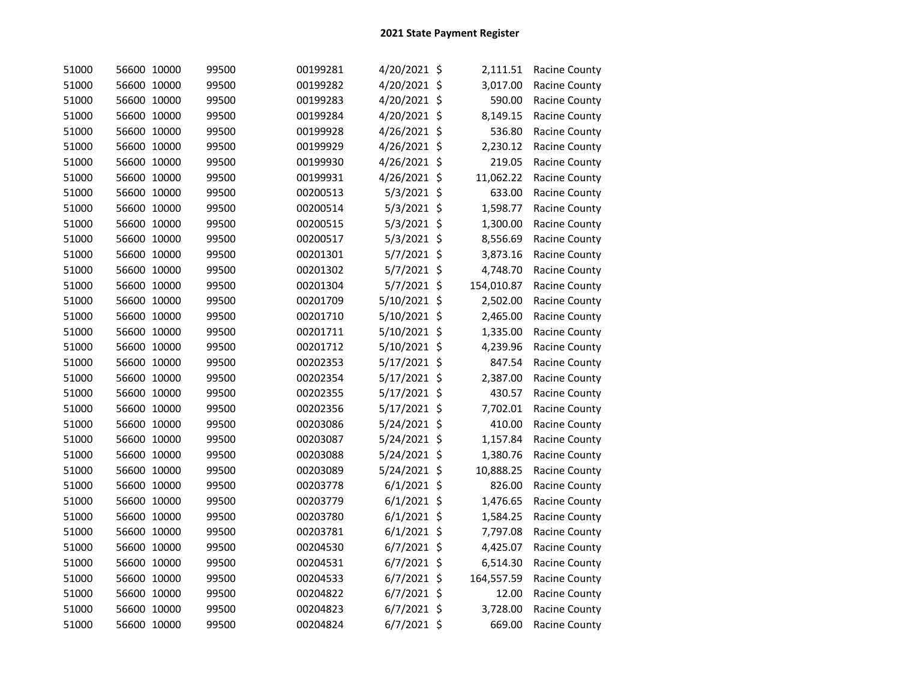| 51000 | 56600 10000 | 99500 | 00199281 | 4/20/2021 \$  | 2,111.51   | <b>Racine County</b> |
|-------|-------------|-------|----------|---------------|------------|----------------------|
| 51000 | 56600 10000 | 99500 | 00199282 | 4/20/2021 \$  | 3,017.00   | Racine County        |
| 51000 | 56600 10000 | 99500 | 00199283 | 4/20/2021 \$  | 590.00     | Racine County        |
| 51000 | 56600 10000 | 99500 | 00199284 | 4/20/2021 \$  | 8,149.15   | Racine County        |
| 51000 | 56600 10000 | 99500 | 00199928 | 4/26/2021 \$  | 536.80     | Racine County        |
| 51000 | 56600 10000 | 99500 | 00199929 | 4/26/2021 \$  | 2,230.12   | Racine County        |
| 51000 | 56600 10000 | 99500 | 00199930 | 4/26/2021 \$  | 219.05     | Racine County        |
| 51000 | 56600 10000 | 99500 | 00199931 | 4/26/2021 \$  | 11,062.22  | Racine County        |
| 51000 | 56600 10000 | 99500 | 00200513 | 5/3/2021 \$   | 633.00     | Racine County        |
| 51000 | 56600 10000 | 99500 | 00200514 | $5/3/2021$ \$ | 1,598.77   | Racine County        |
| 51000 | 56600 10000 | 99500 | 00200515 | 5/3/2021 \$   | 1,300.00   | Racine County        |
| 51000 | 56600 10000 | 99500 | 00200517 | 5/3/2021 \$   | 8,556.69   | Racine County        |
| 51000 | 56600 10000 | 99500 | 00201301 | 5/7/2021 \$   | 3,873.16   | Racine County        |
| 51000 | 56600 10000 | 99500 | 00201302 | 5/7/2021 \$   | 4,748.70   | Racine County        |
| 51000 | 56600 10000 | 99500 | 00201304 | 5/7/2021 \$   | 154,010.87 | <b>Racine County</b> |
| 51000 | 56600 10000 | 99500 | 00201709 | 5/10/2021 \$  | 2,502.00   | Racine County        |
| 51000 | 56600 10000 | 99500 | 00201710 | 5/10/2021 \$  | 2,465.00   | Racine County        |
| 51000 | 56600 10000 | 99500 | 00201711 | 5/10/2021 \$  | 1,335.00   | Racine County        |
| 51000 | 56600 10000 | 99500 | 00201712 | 5/10/2021 \$  | 4,239.96   | <b>Racine County</b> |
| 51000 | 56600 10000 | 99500 | 00202353 | 5/17/2021 \$  | 847.54     | Racine County        |
| 51000 | 56600 10000 | 99500 | 00202354 | 5/17/2021 \$  | 2,387.00   | Racine County        |
| 51000 | 56600 10000 | 99500 | 00202355 | 5/17/2021 \$  | 430.57     | Racine County        |
| 51000 | 56600 10000 | 99500 | 00202356 | 5/17/2021 \$  | 7,702.01   | Racine County        |
| 51000 | 56600 10000 | 99500 | 00203086 | 5/24/2021 \$  | 410.00     | Racine County        |
| 51000 | 56600 10000 | 99500 | 00203087 | 5/24/2021 \$  | 1,157.84   | Racine County        |
| 51000 | 56600 10000 | 99500 | 00203088 | 5/24/2021 \$  | 1,380.76   | Racine County        |
| 51000 | 56600 10000 | 99500 | 00203089 | 5/24/2021 \$  | 10,888.25  | <b>Racine County</b> |
| 51000 | 56600 10000 | 99500 | 00203778 | $6/1/2021$ \$ | 826.00     | Racine County        |
| 51000 | 56600 10000 | 99500 | 00203779 | $6/1/2021$ \$ | 1,476.65   | Racine County        |
| 51000 | 56600 10000 | 99500 | 00203780 | $6/1/2021$ \$ | 1,584.25   | Racine County        |
| 51000 | 56600 10000 | 99500 | 00203781 | $6/1/2021$ \$ | 7,797.08   | Racine County        |
| 51000 | 56600 10000 | 99500 | 00204530 | $6/7/2021$ \$ | 4,425.07   | Racine County        |
| 51000 | 56600 10000 | 99500 | 00204531 | $6/7/2021$ \$ | 6,514.30   | Racine County        |
| 51000 | 56600 10000 | 99500 | 00204533 | $6/7/2021$ \$ | 164,557.59 | <b>Racine County</b> |
| 51000 | 56600 10000 | 99500 | 00204822 | $6/7/2021$ \$ | 12.00      | Racine County        |
| 51000 | 56600 10000 | 99500 | 00204823 | $6/7/2021$ \$ | 3,728.00   | Racine County        |
| 51000 | 56600 10000 | 99500 | 00204824 | $6/7/2021$ \$ | 669.00     | Racine County        |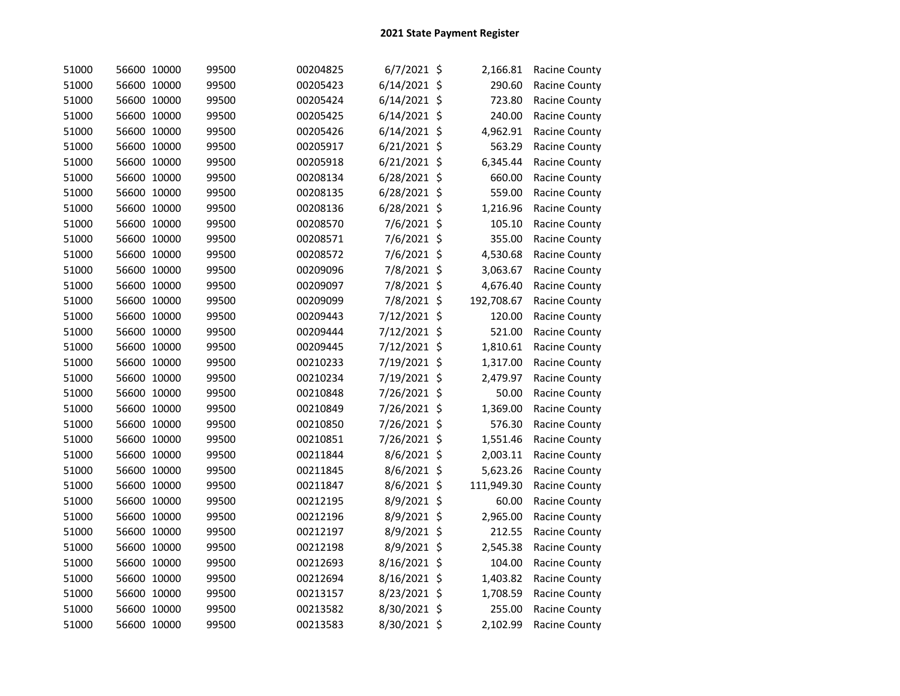| 51000 | 56600 10000 | 99500 | 00204825 | $6/7/2021$ \$  | 2,166.81   | Racine County        |
|-------|-------------|-------|----------|----------------|------------|----------------------|
| 51000 | 56600 10000 | 99500 | 00205423 | $6/14/2021$ \$ | 290.60     | Racine County        |
| 51000 | 56600 10000 | 99500 | 00205424 | $6/14/2021$ \$ | 723.80     | Racine County        |
| 51000 | 56600 10000 | 99500 | 00205425 | 6/14/2021 \$   | 240.00     | Racine County        |
| 51000 | 56600 10000 | 99500 | 00205426 | 6/14/2021 \$   | 4,962.91   | Racine County        |
| 51000 | 56600 10000 | 99500 | 00205917 | 6/21/2021 \$   | 563.29     | Racine County        |
| 51000 | 56600 10000 | 99500 | 00205918 | 6/21/2021 \$   | 6,345.44   | Racine County        |
| 51000 | 56600 10000 | 99500 | 00208134 | 6/28/2021 \$   | 660.00     | Racine County        |
| 51000 | 56600 10000 | 99500 | 00208135 | 6/28/2021 \$   | 559.00     | Racine County        |
| 51000 | 56600 10000 | 99500 | 00208136 | 6/28/2021 \$   | 1,216.96   | Racine County        |
| 51000 | 56600 10000 | 99500 | 00208570 | 7/6/2021 \$    | 105.10     | Racine County        |
| 51000 | 56600 10000 | 99500 | 00208571 | 7/6/2021 \$    | 355.00     | Racine County        |
| 51000 | 56600 10000 | 99500 | 00208572 | 7/6/2021 \$    | 4,530.68   | Racine County        |
| 51000 | 56600 10000 | 99500 | 00209096 | 7/8/2021 \$    | 3,063.67   | Racine County        |
| 51000 | 56600 10000 | 99500 | 00209097 | 7/8/2021 \$    | 4,676.40   | Racine County        |
| 51000 | 56600 10000 | 99500 | 00209099 | 7/8/2021 \$    | 192,708.67 | <b>Racine County</b> |
| 51000 | 56600 10000 | 99500 | 00209443 | 7/12/2021 \$   | 120.00     | Racine County        |
| 51000 | 56600 10000 | 99500 | 00209444 | 7/12/2021 \$   | 521.00     | Racine County        |
| 51000 | 56600 10000 | 99500 | 00209445 | 7/12/2021 \$   | 1,810.61   | Racine County        |
| 51000 | 56600 10000 | 99500 | 00210233 | 7/19/2021 \$   | 1,317.00   | Racine County        |
| 51000 | 56600 10000 | 99500 | 00210234 | 7/19/2021 \$   | 2,479.97   | Racine County        |
| 51000 | 56600 10000 | 99500 | 00210848 | 7/26/2021 \$   | 50.00      | Racine County        |
| 51000 | 56600 10000 | 99500 | 00210849 | 7/26/2021 \$   | 1,369.00   | Racine County        |
| 51000 | 56600 10000 | 99500 | 00210850 | 7/26/2021 \$   | 576.30     | Racine County        |
| 51000 | 56600 10000 | 99500 | 00210851 | 7/26/2021 \$   | 1,551.46   | Racine County        |
| 51000 | 56600 10000 | 99500 | 00211844 | 8/6/2021 \$    | 2,003.11   | Racine County        |
| 51000 | 56600 10000 | 99500 | 00211845 | 8/6/2021 \$    | 5,623.26   | Racine County        |
| 51000 | 56600 10000 | 99500 | 00211847 | 8/6/2021 \$    | 111,949.30 | Racine County        |
| 51000 | 56600 10000 | 99500 | 00212195 | 8/9/2021 \$    | 60.00      | Racine County        |
| 51000 | 56600 10000 | 99500 | 00212196 | 8/9/2021 \$    | 2,965.00   | Racine County        |
| 51000 | 56600 10000 | 99500 | 00212197 | 8/9/2021 \$    | 212.55     | Racine County        |
| 51000 | 56600 10000 | 99500 | 00212198 | 8/9/2021 \$    | 2,545.38   | Racine County        |
| 51000 | 56600 10000 | 99500 | 00212693 | 8/16/2021 \$   | 104.00     | Racine County        |
| 51000 | 56600 10000 | 99500 | 00212694 | 8/16/2021 \$   | 1,403.82   | Racine County        |
| 51000 | 56600 10000 | 99500 | 00213157 | 8/23/2021 \$   | 1,708.59   | Racine County        |
| 51000 | 56600 10000 | 99500 | 00213582 | 8/30/2021 \$   | 255.00     | Racine County        |
| 51000 | 56600 10000 | 99500 | 00213583 | 8/30/2021 \$   | 2,102.99   | Racine County        |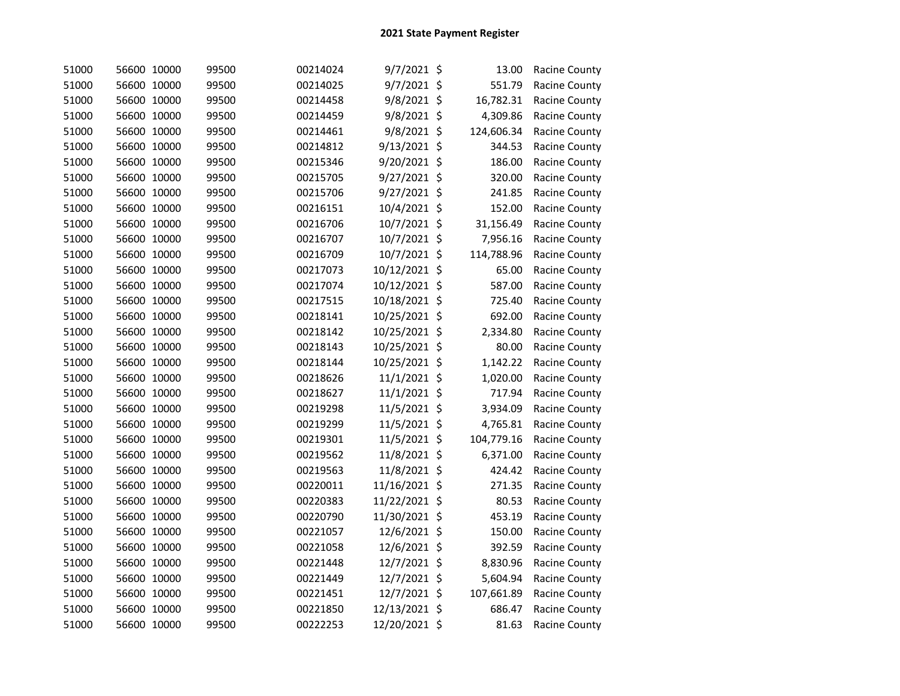| 51000 | 56600 10000 | 99500 | 00214024 | 9/7/2021 \$   | 13.00      | <b>Racine County</b> |
|-------|-------------|-------|----------|---------------|------------|----------------------|
| 51000 | 56600 10000 | 99500 | 00214025 | 9/7/2021 \$   | 551.79     | Racine County        |
| 51000 | 56600 10000 | 99500 | 00214458 | 9/8/2021 \$   | 16,782.31  | Racine County        |
| 51000 | 56600 10000 | 99500 | 00214459 | 9/8/2021 \$   | 4,309.86   | Racine County        |
| 51000 | 56600 10000 | 99500 | 00214461 | 9/8/2021 \$   | 124,606.34 | Racine County        |
| 51000 | 56600 10000 | 99500 | 00214812 | 9/13/2021 \$  | 344.53     | Racine County        |
| 51000 | 56600 10000 | 99500 | 00215346 | 9/20/2021 \$  | 186.00     | Racine County        |
| 51000 | 56600 10000 | 99500 | 00215705 | 9/27/2021 \$  | 320.00     | Racine County        |
| 51000 | 56600 10000 | 99500 | 00215706 | 9/27/2021 \$  | 241.85     | Racine County        |
| 51000 | 56600 10000 | 99500 | 00216151 | 10/4/2021 \$  | 152.00     | Racine County        |
| 51000 | 56600 10000 | 99500 | 00216706 | 10/7/2021 \$  | 31,156.49  | Racine County        |
| 51000 | 56600 10000 | 99500 | 00216707 | 10/7/2021 \$  | 7,956.16   | Racine County        |
| 51000 | 56600 10000 | 99500 | 00216709 | 10/7/2021 \$  | 114,788.96 | Racine County        |
| 51000 | 56600 10000 | 99500 | 00217073 | 10/12/2021 \$ | 65.00      | Racine County        |
| 51000 | 56600 10000 | 99500 | 00217074 | 10/12/2021 \$ | 587.00     | Racine County        |
| 51000 | 56600 10000 | 99500 | 00217515 | 10/18/2021 \$ | 725.40     | Racine County        |
| 51000 | 56600 10000 | 99500 | 00218141 | 10/25/2021 \$ | 692.00     | Racine County        |
| 51000 | 56600 10000 | 99500 | 00218142 | 10/25/2021 \$ | 2,334.80   | Racine County        |
| 51000 | 56600 10000 | 99500 | 00218143 | 10/25/2021 \$ | 80.00      | Racine County        |
| 51000 | 56600 10000 | 99500 | 00218144 | 10/25/2021 \$ | 1,142.22   | Racine County        |
| 51000 | 56600 10000 | 99500 | 00218626 | 11/1/2021 \$  | 1,020.00   | Racine County        |
| 51000 | 56600 10000 | 99500 | 00218627 | 11/1/2021 \$  | 717.94     | Racine County        |
| 51000 | 56600 10000 | 99500 | 00219298 | 11/5/2021 \$  | 3,934.09   | Racine County        |
| 51000 | 56600 10000 | 99500 | 00219299 | 11/5/2021 \$  | 4,765.81   | Racine County        |
| 51000 | 56600 10000 | 99500 | 00219301 | 11/5/2021 \$  | 104,779.16 | Racine County        |
| 51000 | 56600 10000 | 99500 | 00219562 | 11/8/2021 \$  | 6,371.00   | Racine County        |
| 51000 | 56600 10000 | 99500 | 00219563 | 11/8/2021 \$  | 424.42     | Racine County        |
| 51000 | 56600 10000 | 99500 | 00220011 | 11/16/2021 \$ | 271.35     | Racine County        |
| 51000 | 56600 10000 | 99500 | 00220383 | 11/22/2021 \$ | 80.53      | Racine County        |
| 51000 | 56600 10000 | 99500 | 00220790 | 11/30/2021 \$ | 453.19     | Racine County        |
| 51000 | 56600 10000 | 99500 | 00221057 | 12/6/2021 \$  | 150.00     | Racine County        |
| 51000 | 56600 10000 | 99500 | 00221058 | 12/6/2021 \$  | 392.59     | Racine County        |
| 51000 | 56600 10000 | 99500 | 00221448 | 12/7/2021 \$  | 8,830.96   | Racine County        |
| 51000 | 56600 10000 | 99500 | 00221449 | 12/7/2021 \$  | 5,604.94   | Racine County        |
| 51000 | 56600 10000 | 99500 | 00221451 | 12/7/2021 \$  | 107,661.89 | Racine County        |
| 51000 | 56600 10000 | 99500 | 00221850 | 12/13/2021 \$ | 686.47     | Racine County        |
| 51000 | 56600 10000 | 99500 | 00222253 | 12/20/2021 \$ | 81.63      | Racine County        |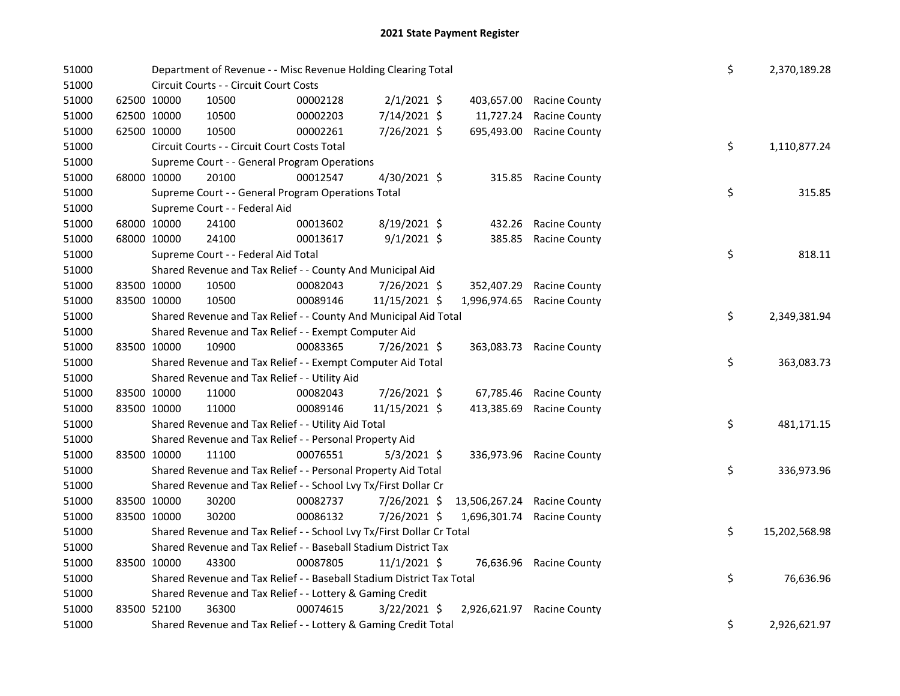## 2021 State Payment Register

| 51000 |             |             | Department of Revenue - - Misc Revenue Holding Clearing Total         |          |                |               |                      | \$ | 2,370,189.28  |
|-------|-------------|-------------|-----------------------------------------------------------------------|----------|----------------|---------------|----------------------|----|---------------|
| 51000 |             |             | Circuit Courts - - Circuit Court Costs                                |          |                |               |                      |    |               |
| 51000 |             | 62500 10000 | 10500                                                                 | 00002128 | $2/1/2021$ \$  | 403,657.00    | <b>Racine County</b> |    |               |
| 51000 |             | 62500 10000 | 10500                                                                 | 00002203 | 7/14/2021 \$   | 11,727.24     | <b>Racine County</b> |    |               |
| 51000 |             | 62500 10000 | 10500                                                                 | 00002261 | 7/26/2021 \$   | 695,493.00    | <b>Racine County</b> |    |               |
| 51000 |             |             | Circuit Courts - - Circuit Court Costs Total                          |          |                |               |                      | \$ | 1,110,877.24  |
| 51000 |             |             | Supreme Court - - General Program Operations                          |          |                |               |                      |    |               |
| 51000 | 68000 10000 |             | 20100                                                                 | 00012547 | 4/30/2021 \$   | 315.85        | <b>Racine County</b> |    |               |
| 51000 |             |             | Supreme Court - - General Program Operations Total                    |          |                |               |                      | \$ | 315.85        |
| 51000 |             |             | Supreme Court - - Federal Aid                                         |          |                |               |                      |    |               |
| 51000 | 68000 10000 |             | 24100                                                                 | 00013602 | 8/19/2021 \$   | 432.26        | <b>Racine County</b> |    |               |
| 51000 | 68000 10000 |             | 24100                                                                 | 00013617 | $9/1/2021$ \$  | 385.85        | Racine County        |    |               |
| 51000 |             |             | Supreme Court - - Federal Aid Total                                   |          |                |               |                      | \$ | 818.11        |
| 51000 |             |             | Shared Revenue and Tax Relief - - County And Municipal Aid            |          |                |               |                      |    |               |
| 51000 |             | 83500 10000 | 10500                                                                 | 00082043 | 7/26/2021 \$   | 352,407.29    | <b>Racine County</b> |    |               |
| 51000 |             | 83500 10000 | 10500                                                                 | 00089146 | 11/15/2021 \$  | 1,996,974.65  | <b>Racine County</b> |    |               |
| 51000 |             |             | Shared Revenue and Tax Relief - - County And Municipal Aid Total      |          |                |               |                      | \$ | 2,349,381.94  |
| 51000 |             |             | Shared Revenue and Tax Relief - - Exempt Computer Aid                 |          |                |               |                      |    |               |
| 51000 |             | 83500 10000 | 10900                                                                 | 00083365 | 7/26/2021 \$   | 363,083.73    | <b>Racine County</b> |    |               |
| 51000 |             |             | Shared Revenue and Tax Relief - - Exempt Computer Aid Total           |          |                |               |                      | \$ | 363,083.73    |
| 51000 |             |             | Shared Revenue and Tax Relief - - Utility Aid                         |          |                |               |                      |    |               |
| 51000 |             | 83500 10000 | 11000                                                                 | 00082043 | 7/26/2021 \$   | 67,785.46     | <b>Racine County</b> |    |               |
| 51000 | 83500 10000 |             | 11000                                                                 | 00089146 | 11/15/2021 \$  | 413,385.69    | <b>Racine County</b> |    |               |
| 51000 |             |             | Shared Revenue and Tax Relief - - Utility Aid Total                   |          |                |               |                      | \$ | 481,171.15    |
| 51000 |             |             | Shared Revenue and Tax Relief - - Personal Property Aid               |          |                |               |                      |    |               |
| 51000 | 83500 10000 |             | 11100                                                                 | 00076551 | $5/3/2021$ \$  | 336,973.96    | Racine County        |    |               |
| 51000 |             |             | Shared Revenue and Tax Relief - - Personal Property Aid Total         |          |                |               |                      | \$ | 336,973.96    |
| 51000 |             |             | Shared Revenue and Tax Relief - - School Lvy Tx/First Dollar Cr       |          |                |               |                      |    |               |
| 51000 |             | 83500 10000 | 30200                                                                 | 00082737 | 7/26/2021 \$   | 13,506,267.24 | <b>Racine County</b> |    |               |
| 51000 |             | 83500 10000 | 30200                                                                 | 00086132 | 7/26/2021 \$   | 1,696,301.74  | <b>Racine County</b> |    |               |
| 51000 |             |             | Shared Revenue and Tax Relief - - School Lvy Tx/First Dollar Cr Total |          |                |               |                      | \$ | 15,202,568.98 |
| 51000 |             |             | Shared Revenue and Tax Relief - - Baseball Stadium District Tax       |          |                |               |                      |    |               |
| 51000 | 83500 10000 |             | 43300                                                                 | 00087805 | $11/1/2021$ \$ | 76,636.96     | <b>Racine County</b> |    |               |
| 51000 |             |             | Shared Revenue and Tax Relief - - Baseball Stadium District Tax Total |          |                |               |                      | \$ | 76,636.96     |
| 51000 |             |             | Shared Revenue and Tax Relief - - Lottery & Gaming Credit             |          |                |               |                      |    |               |
| 51000 |             | 83500 52100 | 36300                                                                 | 00074615 | $3/22/2021$ \$ | 2,926,621.97  | <b>Racine County</b> |    |               |
| 51000 |             |             | Shared Revenue and Tax Relief - - Lottery & Gaming Credit Total       |          |                |               |                      | \$ | 2,926,621.97  |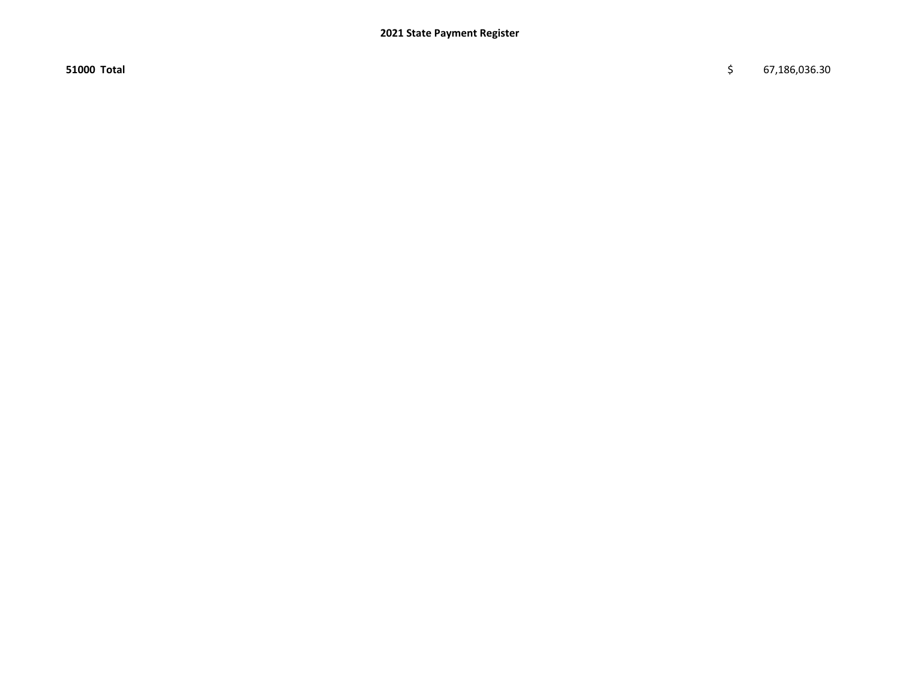$51000$  Total  $\frac{1}{5}$  67,186,036.30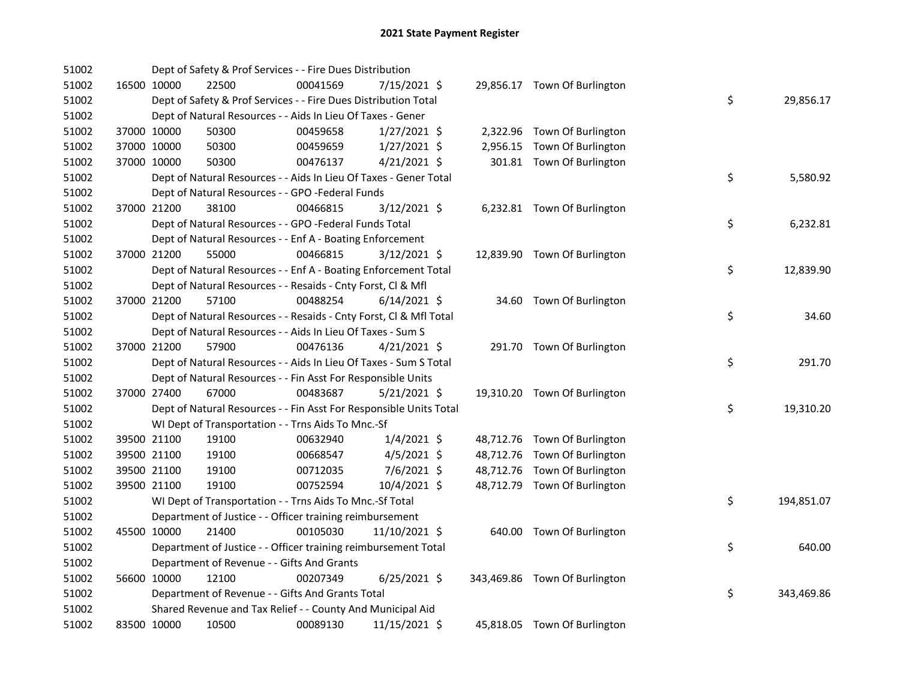| 51002 |             | Dept of Safety & Prof Services - - Fire Dues Distribution          |          |                |  |                               |    |            |
|-------|-------------|--------------------------------------------------------------------|----------|----------------|--|-------------------------------|----|------------|
| 51002 | 16500 10000 | 22500                                                              | 00041569 | 7/15/2021 \$   |  | 29,856.17 Town Of Burlington  |    |            |
| 51002 |             | Dept of Safety & Prof Services - - Fire Dues Distribution Total    |          |                |  |                               | \$ | 29,856.17  |
| 51002 |             | Dept of Natural Resources - - Aids In Lieu Of Taxes - Gener        |          |                |  |                               |    |            |
| 51002 | 37000 10000 | 50300                                                              | 00459658 | $1/27/2021$ \$ |  | 2,322.96 Town Of Burlington   |    |            |
| 51002 | 37000 10000 | 50300                                                              | 00459659 | $1/27/2021$ \$ |  | 2,956.15 Town Of Burlington   |    |            |
| 51002 | 37000 10000 | 50300                                                              | 00476137 | $4/21/2021$ \$ |  | 301.81 Town Of Burlington     |    |            |
| 51002 |             | Dept of Natural Resources - - Aids In Lieu Of Taxes - Gener Total  |          |                |  |                               | \$ | 5,580.92   |
| 51002 |             | Dept of Natural Resources - - GPO -Federal Funds                   |          |                |  |                               |    |            |
| 51002 | 37000 21200 | 38100                                                              | 00466815 | 3/12/2021 \$   |  | 6,232.81 Town Of Burlington   |    |            |
| 51002 |             | Dept of Natural Resources - - GPO -Federal Funds Total             |          |                |  |                               | \$ | 6,232.81   |
| 51002 |             | Dept of Natural Resources - - Enf A - Boating Enforcement          |          |                |  |                               |    |            |
| 51002 | 37000 21200 | 55000                                                              | 00466815 | 3/12/2021 \$   |  | 12,839.90 Town Of Burlington  |    |            |
| 51002 |             | Dept of Natural Resources - - Enf A - Boating Enforcement Total    |          |                |  |                               | \$ | 12,839.90  |
| 51002 |             | Dept of Natural Resources - - Resaids - Cnty Forst, Cl & Mfl       |          |                |  |                               |    |            |
| 51002 | 37000 21200 | 57100                                                              | 00488254 | $6/14/2021$ \$ |  | 34.60 Town Of Burlington      |    |            |
| 51002 |             | Dept of Natural Resources - - Resaids - Cnty Forst, Cl & Mfl Total |          |                |  |                               | \$ | 34.60      |
| 51002 |             | Dept of Natural Resources - - Aids In Lieu Of Taxes - Sum S        |          |                |  |                               |    |            |
| 51002 | 37000 21200 | 57900                                                              | 00476136 | $4/21/2021$ \$ |  | 291.70 Town Of Burlington     |    |            |
| 51002 |             | Dept of Natural Resources - - Aids In Lieu Of Taxes - Sum S Total  |          |                |  |                               | \$ | 291.70     |
| 51002 |             | Dept of Natural Resources - - Fin Asst For Responsible Units       |          |                |  |                               |    |            |
| 51002 | 37000 27400 | 67000                                                              | 00483687 | $5/21/2021$ \$ |  | 19,310.20 Town Of Burlington  |    |            |
| 51002 |             | Dept of Natural Resources - - Fin Asst For Responsible Units Total |          |                |  |                               | \$ | 19,310.20  |
| 51002 |             | WI Dept of Transportation - - Trns Aids To Mnc.-Sf                 |          |                |  |                               |    |            |
| 51002 | 39500 21100 | 19100                                                              | 00632940 | $1/4/2021$ \$  |  | 48,712.76 Town Of Burlington  |    |            |
| 51002 | 39500 21100 | 19100                                                              | 00668547 | $4/5/2021$ \$  |  | 48,712.76 Town Of Burlington  |    |            |
| 51002 | 39500 21100 | 19100                                                              | 00712035 | 7/6/2021 \$    |  | 48,712.76 Town Of Burlington  |    |            |
| 51002 | 39500 21100 | 19100                                                              | 00752594 | 10/4/2021 \$   |  | 48,712.79 Town Of Burlington  |    |            |
| 51002 |             | WI Dept of Transportation - - Trns Aids To Mnc.-Sf Total           |          |                |  |                               | \$ | 194,851.07 |
| 51002 |             | Department of Justice - - Officer training reimbursement           |          |                |  |                               |    |            |
| 51002 | 45500 10000 | 21400                                                              | 00105030 | 11/10/2021 \$  |  | 640.00 Town Of Burlington     |    |            |
| 51002 |             | Department of Justice - - Officer training reimbursement Total     |          |                |  |                               | \$ | 640.00     |
| 51002 |             | Department of Revenue - - Gifts And Grants                         |          |                |  |                               |    |            |
| 51002 | 56600 10000 | 12100                                                              | 00207349 | $6/25/2021$ \$ |  | 343,469.86 Town Of Burlington |    |            |
| 51002 |             | Department of Revenue - - Gifts And Grants Total                   |          |                |  |                               | \$ | 343,469.86 |
| 51002 |             | Shared Revenue and Tax Relief - - County And Municipal Aid         |          |                |  |                               |    |            |
| 51002 | 83500 10000 | 10500                                                              | 00089130 | 11/15/2021 \$  |  | 45,818.05 Town Of Burlington  |    |            |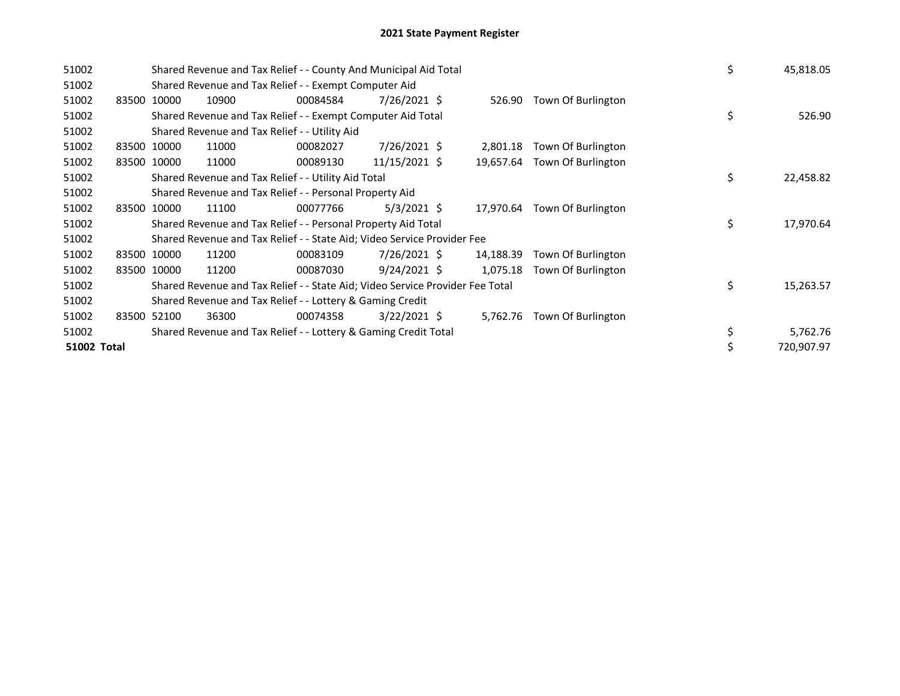| 51002       |             |       | Shared Revenue and Tax Relief - - County And Municipal Aid Total              | \$       | 45,818.05      |           |                    |    |            |
|-------------|-------------|-------|-------------------------------------------------------------------------------|----------|----------------|-----------|--------------------|----|------------|
| 51002       |             |       | Shared Revenue and Tax Relief - - Exempt Computer Aid                         |          |                |           |                    |    |            |
| 51002       | 83500       | 10000 | 10900                                                                         | 00084584 | 7/26/2021 \$   | 526.90    | Town Of Burlington |    |            |
| 51002       |             |       | Shared Revenue and Tax Relief - - Exempt Computer Aid Total                   |          |                |           |                    | \$ | 526.90     |
| 51002       |             |       | Shared Revenue and Tax Relief - - Utility Aid                                 |          |                |           |                    |    |            |
| 51002       | 83500 10000 |       | 11000                                                                         | 00082027 | 7/26/2021 \$   | 2,801.18  | Town Of Burlington |    |            |
| 51002       | 83500 10000 |       | 11000                                                                         | 00089130 | 11/15/2021 \$  | 19,657.64 | Town Of Burlington |    |            |
| 51002       |             |       | Shared Revenue and Tax Relief - - Utility Aid Total                           |          |                |           |                    | \$ | 22,458.82  |
| 51002       |             |       | Shared Revenue and Tax Relief - - Personal Property Aid                       |          |                |           |                    |    |            |
| 51002       | 83500 10000 |       | 11100                                                                         | 00077766 | $5/3/2021$ \$  | 17,970.64 | Town Of Burlington |    |            |
| 51002       |             |       | Shared Revenue and Tax Relief - - Personal Property Aid Total                 |          |                |           |                    | \$ | 17,970.64  |
| 51002       |             |       | Shared Revenue and Tax Relief - - State Aid; Video Service Provider Fee       |          |                |           |                    |    |            |
| 51002       | 83500 10000 |       | 11200                                                                         | 00083109 | $7/26/2021$ \$ | 14,188.39 | Town Of Burlington |    |            |
| 51002       | 83500 10000 |       | 11200                                                                         | 00087030 | $9/24/2021$ \$ | 1,075.18  | Town Of Burlington |    |            |
| 51002       |             |       | Shared Revenue and Tax Relief - - State Aid; Video Service Provider Fee Total |          |                |           |                    | \$ | 15,263.57  |
| 51002       |             |       | Shared Revenue and Tax Relief - - Lottery & Gaming Credit                     |          |                |           |                    |    |            |
| 51002       | 83500 52100 |       | 36300                                                                         | 00074358 | $3/22/2021$ \$ | 5,762.76  | Town Of Burlington |    |            |
| 51002       |             |       | Shared Revenue and Tax Relief - - Lottery & Gaming Credit Total               |          |                |           |                    | \$ | 5,762.76   |
| 51002 Total |             |       |                                                                               |          |                |           |                    |    | 720,907.97 |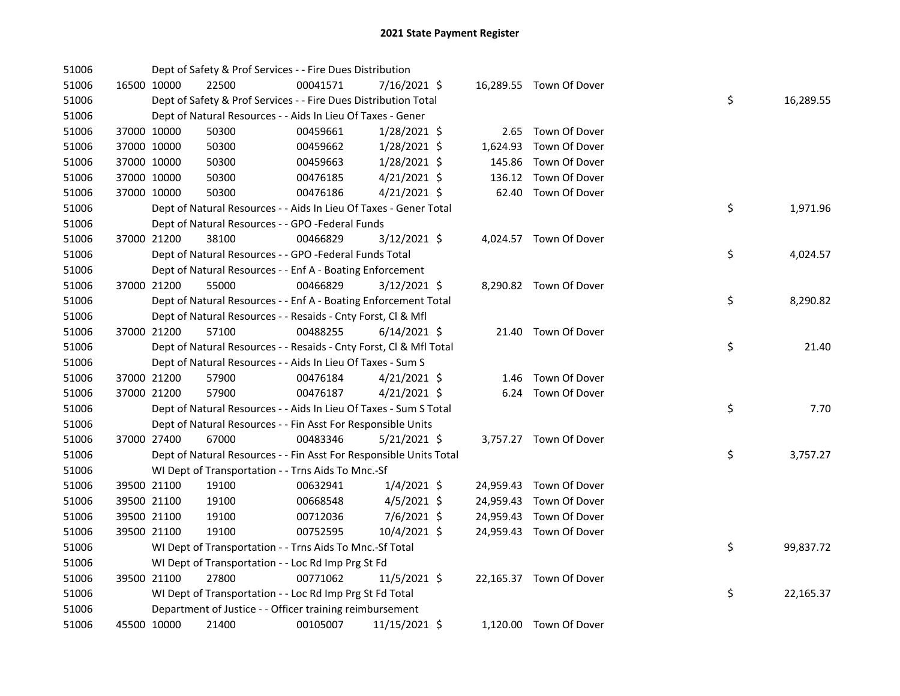| 51006 |             | Dept of Safety & Prof Services - - Fire Dues Distribution          |          |                |          |                         |    |           |
|-------|-------------|--------------------------------------------------------------------|----------|----------------|----------|-------------------------|----|-----------|
| 51006 | 16500 10000 | 22500                                                              | 00041571 | 7/16/2021 \$   |          | 16,289.55 Town Of Dover |    |           |
| 51006 |             | Dept of Safety & Prof Services - - Fire Dues Distribution Total    |          |                |          |                         | \$ | 16,289.55 |
| 51006 |             | Dept of Natural Resources - - Aids In Lieu Of Taxes - Gener        |          |                |          |                         |    |           |
| 51006 | 37000 10000 | 50300                                                              | 00459661 | 1/28/2021 \$   |          | 2.65 Town Of Dover      |    |           |
| 51006 | 37000 10000 | 50300                                                              | 00459662 | 1/28/2021 \$   | 1,624.93 | Town Of Dover           |    |           |
| 51006 | 37000 10000 | 50300                                                              | 00459663 | 1/28/2021 \$   | 145.86   | Town Of Dover           |    |           |
| 51006 | 37000 10000 | 50300                                                              | 00476185 | $4/21/2021$ \$ | 136.12   | Town Of Dover           |    |           |
| 51006 | 37000 10000 | 50300                                                              | 00476186 | $4/21/2021$ \$ |          | 62.40 Town Of Dover     |    |           |
| 51006 |             | Dept of Natural Resources - - Aids In Lieu Of Taxes - Gener Total  |          |                |          |                         | \$ | 1,971.96  |
| 51006 |             | Dept of Natural Resources - - GPO -Federal Funds                   |          |                |          |                         |    |           |
| 51006 | 37000 21200 | 38100                                                              | 00466829 | 3/12/2021 \$   |          | 4,024.57 Town Of Dover  |    |           |
| 51006 |             | Dept of Natural Resources - - GPO -Federal Funds Total             |          |                |          |                         | \$ | 4,024.57  |
| 51006 |             | Dept of Natural Resources - - Enf A - Boating Enforcement          |          |                |          |                         |    |           |
| 51006 | 37000 21200 | 55000                                                              | 00466829 | $3/12/2021$ \$ |          | 8,290.82 Town Of Dover  |    |           |
| 51006 |             | Dept of Natural Resources - - Enf A - Boating Enforcement Total    |          |                |          |                         | \$ | 8,290.82  |
| 51006 |             | Dept of Natural Resources - - Resaids - Cnty Forst, Cl & Mfl       |          |                |          |                         |    |           |
| 51006 | 37000 21200 | 57100                                                              | 00488255 | $6/14/2021$ \$ |          | 21.40 Town Of Dover     |    |           |
| 51006 |             | Dept of Natural Resources - - Resaids - Cnty Forst, Cl & Mfl Total |          |                |          |                         | \$ | 21.40     |
| 51006 |             | Dept of Natural Resources - - Aids In Lieu Of Taxes - Sum S        |          |                |          |                         |    |           |
| 51006 | 37000 21200 | 57900                                                              | 00476184 | $4/21/2021$ \$ |          | 1.46 Town Of Dover      |    |           |
| 51006 | 37000 21200 | 57900                                                              | 00476187 | $4/21/2021$ \$ |          | 6.24 Town Of Dover      |    |           |
| 51006 |             | Dept of Natural Resources - - Aids In Lieu Of Taxes - Sum S Total  |          |                |          |                         | \$ | 7.70      |
| 51006 |             | Dept of Natural Resources - - Fin Asst For Responsible Units       |          |                |          |                         |    |           |
| 51006 | 37000 27400 | 67000                                                              | 00483346 | $5/21/2021$ \$ |          | 3,757.27 Town Of Dover  |    |           |
| 51006 |             | Dept of Natural Resources - - Fin Asst For Responsible Units Total |          |                |          |                         | \$ | 3,757.27  |
| 51006 |             | WI Dept of Transportation - - Trns Aids To Mnc.-Sf                 |          |                |          |                         |    |           |
| 51006 | 39500 21100 | 19100                                                              | 00632941 | $1/4/2021$ \$  |          | 24,959.43 Town Of Dover |    |           |
| 51006 | 39500 21100 | 19100                                                              | 00668548 | $4/5/2021$ \$  |          | 24,959.43 Town Of Dover |    |           |
| 51006 | 39500 21100 | 19100                                                              | 00712036 | 7/6/2021 \$    |          | 24,959.43 Town Of Dover |    |           |
| 51006 | 39500 21100 | 19100                                                              | 00752595 | 10/4/2021 \$   |          | 24,959.43 Town Of Dover |    |           |
| 51006 |             | WI Dept of Transportation - - Trns Aids To Mnc.-Sf Total           |          |                |          |                         | \$ | 99,837.72 |
| 51006 |             | WI Dept of Transportation - - Loc Rd Imp Prg St Fd                 |          |                |          |                         |    |           |
| 51006 | 39500 21100 | 27800                                                              | 00771062 | 11/5/2021 \$   |          | 22,165.37 Town Of Dover |    |           |
| 51006 |             | WI Dept of Transportation - - Loc Rd Imp Prg St Fd Total           |          |                |          |                         | \$ | 22,165.37 |
| 51006 |             | Department of Justice - - Officer training reimbursement           |          |                |          |                         |    |           |
| 51006 | 45500 10000 | 21400                                                              | 00105007 | 11/15/2021 \$  |          | 1,120.00 Town Of Dover  |    |           |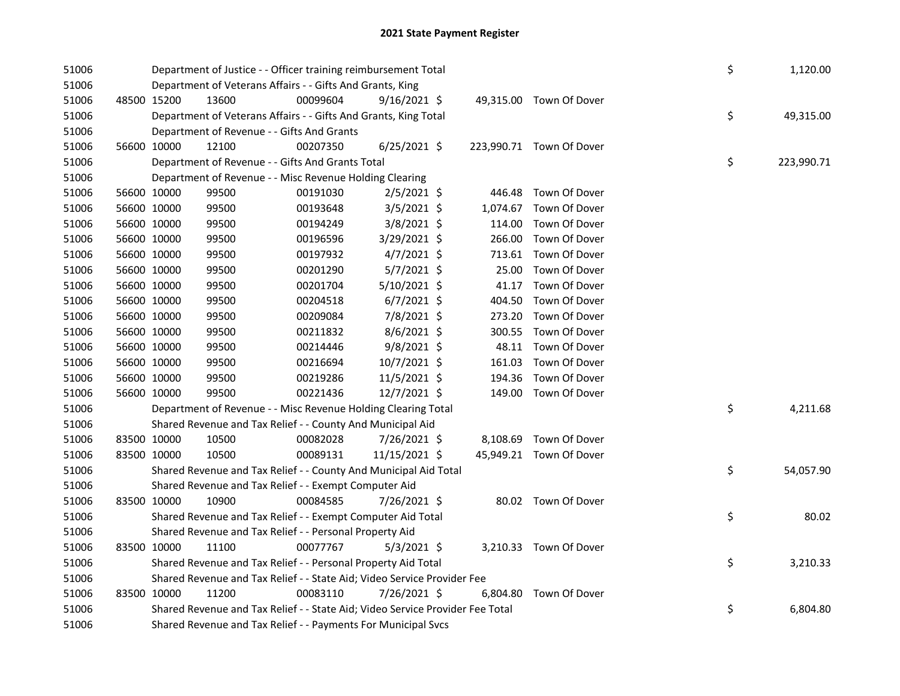| 51006 |             |                                                               | Department of Justice - - Officer training reimbursement Total                |          |                |  |          |                          |  |    | 1,120.00   |
|-------|-------------|---------------------------------------------------------------|-------------------------------------------------------------------------------|----------|----------------|--|----------|--------------------------|--|----|------------|
| 51006 |             |                                                               | Department of Veterans Affairs - - Gifts And Grants, King                     |          |                |  |          |                          |  |    |            |
| 51006 | 48500 15200 |                                                               | 13600                                                                         | 00099604 | $9/16/2021$ \$ |  |          | 49,315.00 Town Of Dover  |  |    |            |
| 51006 |             |                                                               | Department of Veterans Affairs - - Gifts And Grants, King Total               |          |                |  |          |                          |  | \$ | 49,315.00  |
| 51006 |             |                                                               | Department of Revenue - - Gifts And Grants                                    |          |                |  |          |                          |  |    |            |
| 51006 | 56600 10000 |                                                               | 12100                                                                         | 00207350 | $6/25/2021$ \$ |  |          | 223,990.71 Town Of Dover |  |    |            |
| 51006 |             |                                                               | Department of Revenue - - Gifts And Grants Total                              |          |                |  |          |                          |  | \$ | 223,990.71 |
| 51006 |             |                                                               | Department of Revenue - - Misc Revenue Holding Clearing                       |          |                |  |          |                          |  |    |            |
| 51006 | 56600 10000 |                                                               | 99500                                                                         | 00191030 | $2/5/2021$ \$  |  |          | 446.48 Town Of Dover     |  |    |            |
| 51006 | 56600 10000 |                                                               | 99500                                                                         | 00193648 | 3/5/2021 \$    |  | 1,074.67 | Town Of Dover            |  |    |            |
| 51006 | 56600 10000 |                                                               | 99500                                                                         | 00194249 | 3/8/2021 \$    |  |          | 114.00 Town Of Dover     |  |    |            |
| 51006 | 56600 10000 |                                                               | 99500                                                                         | 00196596 | 3/29/2021 \$   |  |          | 266.00 Town Of Dover     |  |    |            |
| 51006 | 56600 10000 |                                                               | 99500                                                                         | 00197932 | $4/7/2021$ \$  |  |          | 713.61 Town Of Dover     |  |    |            |
| 51006 | 56600 10000 |                                                               | 99500                                                                         | 00201290 | $5/7/2021$ \$  |  | 25.00    | Town Of Dover            |  |    |            |
| 51006 | 56600 10000 |                                                               | 99500                                                                         | 00201704 | $5/10/2021$ \$ |  | 41.17    | Town Of Dover            |  |    |            |
| 51006 | 56600 10000 |                                                               | 99500                                                                         | 00204518 | $6/7/2021$ \$  |  | 404.50   | Town Of Dover            |  |    |            |
| 51006 | 56600 10000 |                                                               | 99500                                                                         | 00209084 | 7/8/2021 \$    |  | 273.20   | Town Of Dover            |  |    |            |
| 51006 | 56600 10000 |                                                               | 99500                                                                         | 00211832 | $8/6/2021$ \$  |  | 300.55   | Town Of Dover            |  |    |            |
| 51006 | 56600 10000 |                                                               | 99500                                                                         | 00214446 | 9/8/2021 \$    |  | 48.11    | Town Of Dover            |  |    |            |
| 51006 | 56600 10000 |                                                               | 99500                                                                         | 00216694 | 10/7/2021 \$   |  | 161.03   | Town Of Dover            |  |    |            |
| 51006 | 56600 10000 |                                                               | 99500                                                                         | 00219286 | 11/5/2021 \$   |  | 194.36   | Town Of Dover            |  |    |            |
| 51006 | 56600 10000 |                                                               | 99500                                                                         | 00221436 | 12/7/2021 \$   |  |          | 149.00 Town Of Dover     |  |    |            |
| 51006 |             |                                                               | Department of Revenue - - Misc Revenue Holding Clearing Total                 |          |                |  |          |                          |  | \$ | 4,211.68   |
| 51006 |             |                                                               | Shared Revenue and Tax Relief - - County And Municipal Aid                    |          |                |  |          |                          |  |    |            |
| 51006 | 83500 10000 |                                                               | 10500                                                                         | 00082028 | 7/26/2021 \$   |  |          | 8,108.69 Town Of Dover   |  |    |            |
| 51006 | 83500 10000 |                                                               | 10500                                                                         | 00089131 | 11/15/2021 \$  |  |          | 45,949.21 Town Of Dover  |  |    |            |
| 51006 |             |                                                               | Shared Revenue and Tax Relief - - County And Municipal Aid Total              |          |                |  |          |                          |  | \$ | 54,057.90  |
| 51006 |             |                                                               | Shared Revenue and Tax Relief - - Exempt Computer Aid                         |          |                |  |          |                          |  |    |            |
| 51006 | 83500 10000 |                                                               | 10900                                                                         | 00084585 | 7/26/2021 \$   |  |          | 80.02 Town Of Dover      |  |    |            |
| 51006 |             |                                                               | Shared Revenue and Tax Relief - - Exempt Computer Aid Total                   |          |                |  |          |                          |  | \$ | 80.02      |
| 51006 |             |                                                               | Shared Revenue and Tax Relief - - Personal Property Aid                       |          |                |  |          |                          |  |    |            |
| 51006 | 83500 10000 |                                                               | 11100                                                                         | 00077767 | 5/3/2021 \$    |  |          | 3,210.33 Town Of Dover   |  |    |            |
| 51006 |             |                                                               | Shared Revenue and Tax Relief - - Personal Property Aid Total                 |          |                |  |          |                          |  | \$ | 3,210.33   |
| 51006 |             |                                                               | Shared Revenue and Tax Relief - - State Aid; Video Service Provider Fee       |          |                |  |          |                          |  |    |            |
| 51006 | 83500 10000 |                                                               | 11200                                                                         | 00083110 | 7/26/2021 \$   |  |          | 6,804.80 Town Of Dover   |  |    |            |
| 51006 |             |                                                               | Shared Revenue and Tax Relief - - State Aid; Video Service Provider Fee Total |          |                |  |          |                          |  | \$ | 6,804.80   |
| 51006 |             | Shared Revenue and Tax Relief - - Payments For Municipal Svcs |                                                                               |          |                |  |          |                          |  |    |            |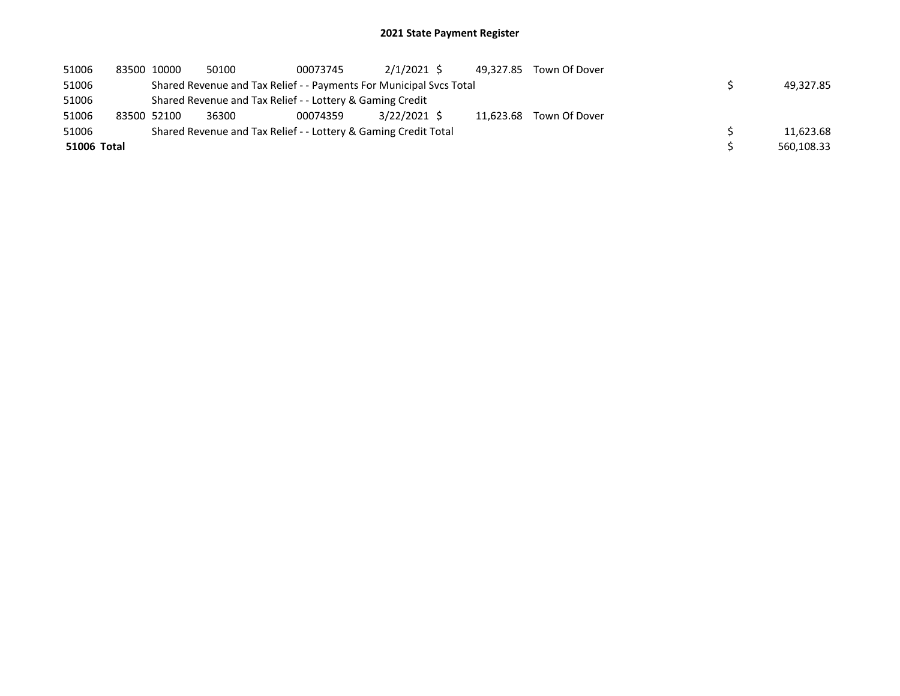## 2021 State Payment Register

| 51006 | 83500 10000 |                                                                 | 50100 | 00073745                                                            | $2/1/2021$ \$  |  | 49.327.85 | Town Of Dover |  |            |  |
|-------|-------------|-----------------------------------------------------------------|-------|---------------------------------------------------------------------|----------------|--|-----------|---------------|--|------------|--|
| 51006 |             |                                                                 |       | Shared Revenue and Tax Relief - - Payments For Municipal Svcs Total |                |  |           |               |  | 49.327.85  |  |
| 51006 |             | Shared Revenue and Tax Relief - - Lottery & Gaming Credit       |       |                                                                     |                |  |           |               |  |            |  |
| 51006 | 83500 52100 |                                                                 | 36300 | 00074359                                                            | $3/22/2021$ \$ |  | 11.623.68 | Town Of Dover |  |            |  |
| 51006 |             | Shared Revenue and Tax Relief - - Lottery & Gaming Credit Total |       |                                                                     |                |  |           |               |  |            |  |
|       | 51006 Total |                                                                 |       |                                                                     |                |  |           |               |  | 560,108.33 |  |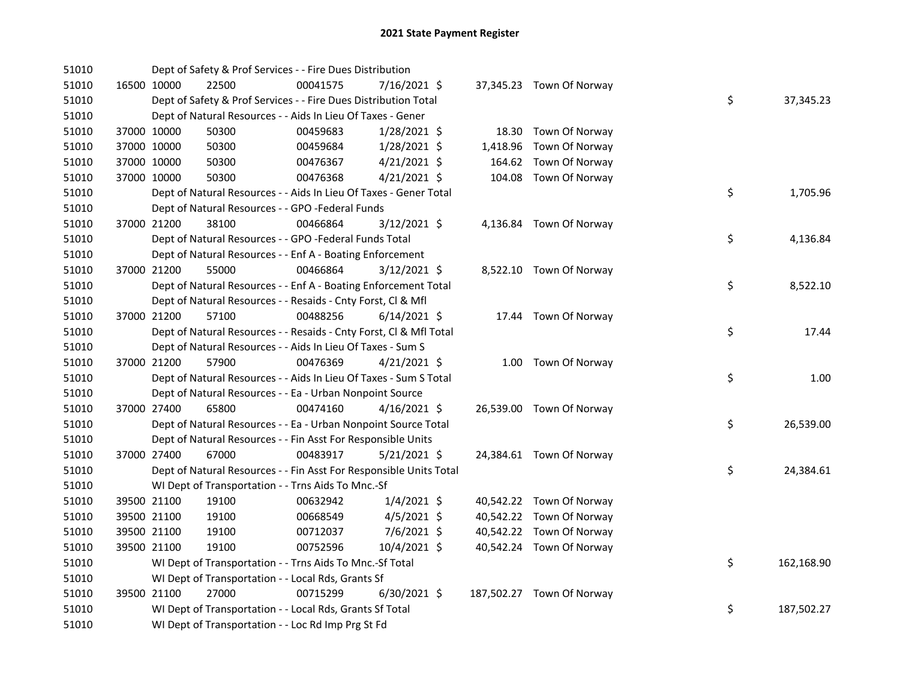| 51010 | Dept of Safety & Prof Services - - Fire Dues Distribution          |          |                |                           |                  |
|-------|--------------------------------------------------------------------|----------|----------------|---------------------------|------------------|
| 51010 | 16500 10000<br>22500                                               | 00041575 | 7/16/2021 \$   | 37,345.23 Town Of Norway  |                  |
| 51010 | Dept of Safety & Prof Services - - Fire Dues Distribution Total    |          |                |                           | \$<br>37,345.23  |
| 51010 | Dept of Natural Resources - - Aids In Lieu Of Taxes - Gener        |          |                |                           |                  |
| 51010 | 37000 10000<br>50300                                               | 00459683 | 1/28/2021 \$   | 18.30 Town Of Norway      |                  |
| 51010 | 37000 10000<br>50300                                               | 00459684 | 1/28/2021 \$   | 1,418.96 Town Of Norway   |                  |
| 51010 | 37000 10000<br>50300                                               | 00476367 | $4/21/2021$ \$ | 164.62 Town Of Norway     |                  |
| 51010 | 37000 10000<br>50300                                               | 00476368 | $4/21/2021$ \$ | 104.08 Town Of Norway     |                  |
| 51010 | Dept of Natural Resources - - Aids In Lieu Of Taxes - Gener Total  |          |                |                           | \$<br>1,705.96   |
| 51010 | Dept of Natural Resources - - GPO -Federal Funds                   |          |                |                           |                  |
| 51010 | 38100<br>37000 21200                                               | 00466864 | $3/12/2021$ \$ | 4,136.84 Town Of Norway   |                  |
| 51010 | Dept of Natural Resources - - GPO -Federal Funds Total             |          |                |                           | \$<br>4,136.84   |
| 51010 | Dept of Natural Resources - - Enf A - Boating Enforcement          |          |                |                           |                  |
| 51010 | 37000 21200<br>55000                                               | 00466864 | $3/12/2021$ \$ | 8,522.10 Town Of Norway   |                  |
| 51010 | Dept of Natural Resources - - Enf A - Boating Enforcement Total    |          |                |                           | \$<br>8,522.10   |
| 51010 | Dept of Natural Resources - - Resaids - Cnty Forst, Cl & Mfl       |          |                |                           |                  |
| 51010 | 57100<br>37000 21200                                               | 00488256 | 6/14/2021 \$   | 17.44 Town Of Norway      |                  |
| 51010 | Dept of Natural Resources - - Resaids - Cnty Forst, CI & Mfl Total |          |                |                           | \$<br>17.44      |
| 51010 | Dept of Natural Resources - - Aids In Lieu Of Taxes - Sum S        |          |                |                           |                  |
| 51010 | 57900<br>37000 21200                                               | 00476369 | $4/21/2021$ \$ | 1.00 Town Of Norway       |                  |
| 51010 | Dept of Natural Resources - - Aids In Lieu Of Taxes - Sum S Total  |          |                |                           | \$<br>1.00       |
| 51010 | Dept of Natural Resources - - Ea - Urban Nonpoint Source           |          |                |                           |                  |
| 51010 | 65800<br>37000 27400                                               | 00474160 | $4/16/2021$ \$ | 26,539.00 Town Of Norway  |                  |
| 51010 | Dept of Natural Resources - - Ea - Urban Nonpoint Source Total     |          |                |                           | \$<br>26,539.00  |
| 51010 | Dept of Natural Resources - - Fin Asst For Responsible Units       |          |                |                           |                  |
| 51010 | 37000 27400<br>67000                                               | 00483917 | $5/21/2021$ \$ | 24,384.61 Town Of Norway  |                  |
| 51010 | Dept of Natural Resources - - Fin Asst For Responsible Units Total |          |                |                           | \$<br>24,384.61  |
| 51010 | WI Dept of Transportation - - Trns Aids To Mnc.-Sf                 |          |                |                           |                  |
| 51010 | 39500 21100<br>19100                                               | 00632942 | $1/4/2021$ \$  | 40,542.22 Town Of Norway  |                  |
| 51010 | 39500 21100<br>19100                                               | 00668549 | $4/5/2021$ \$  | 40,542.22 Town Of Norway  |                  |
| 51010 | 39500 21100<br>19100                                               | 00712037 | 7/6/2021 \$    | 40,542.22 Town Of Norway  |                  |
| 51010 | 39500 21100<br>19100                                               | 00752596 | 10/4/2021 \$   | 40,542.24 Town Of Norway  |                  |
| 51010 | WI Dept of Transportation - - Trns Aids To Mnc.-Sf Total           |          |                |                           | \$<br>162,168.90 |
| 51010 | WI Dept of Transportation - - Local Rds, Grants Sf                 |          |                |                           |                  |
| 51010 | 27000<br>39500 21100                                               | 00715299 | $6/30/2021$ \$ | 187,502.27 Town Of Norway |                  |
| 51010 | WI Dept of Transportation - - Local Rds, Grants Sf Total           |          |                |                           | \$<br>187,502.27 |
| 51010 | WI Dept of Transportation - - Loc Rd Imp Prg St Fd                 |          |                |                           |                  |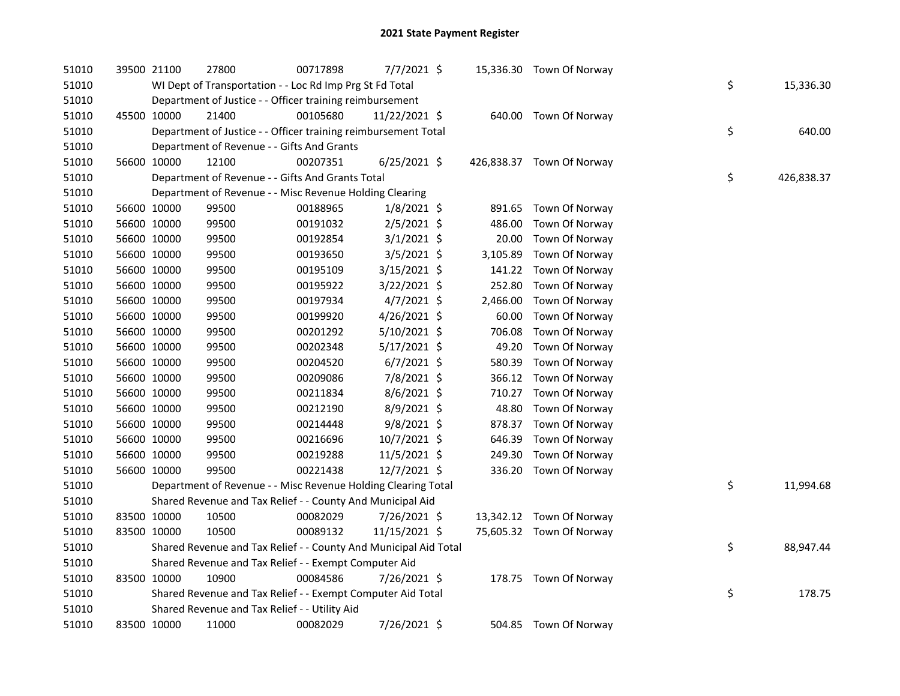| 51010 | 39500 21100 | 27800                                                            | 00717898 | 7/7/2021 \$    |          | 15,336.30 Town Of Norway  |    |            |
|-------|-------------|------------------------------------------------------------------|----------|----------------|----------|---------------------------|----|------------|
| 51010 |             | WI Dept of Transportation - - Loc Rd Imp Prg St Fd Total         |          |                |          |                           | \$ | 15,336.30  |
| 51010 |             | Department of Justice - - Officer training reimbursement         |          |                |          |                           |    |            |
| 51010 | 45500 10000 | 21400                                                            | 00105680 | 11/22/2021 \$  |          | 640.00 Town Of Norway     |    |            |
| 51010 |             | Department of Justice - - Officer training reimbursement Total   |          |                |          |                           | \$ | 640.00     |
| 51010 |             | Department of Revenue - - Gifts And Grants                       |          |                |          |                           |    |            |
| 51010 | 56600 10000 | 12100                                                            | 00207351 | $6/25/2021$ \$ |          | 426,838.37 Town Of Norway |    |            |
| 51010 |             | Department of Revenue - - Gifts And Grants Total                 |          |                |          |                           | \$ | 426,838.37 |
| 51010 |             | Department of Revenue - - Misc Revenue Holding Clearing          |          |                |          |                           |    |            |
| 51010 | 56600 10000 | 99500                                                            | 00188965 | $1/8/2021$ \$  |          | 891.65 Town Of Norway     |    |            |
| 51010 | 56600 10000 | 99500                                                            | 00191032 | 2/5/2021 \$    | 486.00   | Town Of Norway            |    |            |
| 51010 | 56600 10000 | 99500                                                            | 00192854 | $3/1/2021$ \$  | 20.00    | Town Of Norway            |    |            |
| 51010 | 56600 10000 | 99500                                                            | 00193650 | $3/5/2021$ \$  | 3,105.89 | Town Of Norway            |    |            |
| 51010 | 56600 10000 | 99500                                                            | 00195109 | 3/15/2021 \$   |          | 141.22 Town Of Norway     |    |            |
| 51010 | 56600 10000 | 99500                                                            | 00195922 | 3/22/2021 \$   | 252.80   | Town Of Norway            |    |            |
| 51010 | 56600 10000 | 99500                                                            | 00197934 | 4/7/2021 \$    | 2,466.00 | Town Of Norway            |    |            |
| 51010 | 56600 10000 | 99500                                                            | 00199920 | $4/26/2021$ \$ | 60.00    | Town Of Norway            |    |            |
| 51010 | 56600 10000 | 99500                                                            | 00201292 | 5/10/2021 \$   | 706.08   | Town Of Norway            |    |            |
| 51010 | 56600 10000 | 99500                                                            | 00202348 | 5/17/2021 \$   | 49.20    | Town Of Norway            |    |            |
| 51010 | 56600 10000 | 99500                                                            | 00204520 | $6/7/2021$ \$  | 580.39   | Town Of Norway            |    |            |
| 51010 | 56600 10000 | 99500                                                            | 00209086 | 7/8/2021 \$    | 366.12   | Town Of Norway            |    |            |
| 51010 | 56600 10000 | 99500                                                            | 00211834 | 8/6/2021 \$    | 710.27   | Town Of Norway            |    |            |
| 51010 | 56600 10000 | 99500                                                            | 00212190 | 8/9/2021 \$    | 48.80    | Town Of Norway            |    |            |
| 51010 | 56600 10000 | 99500                                                            | 00214448 | 9/8/2021 \$    | 878.37   | Town Of Norway            |    |            |
| 51010 | 56600 10000 | 99500                                                            | 00216696 | 10/7/2021 \$   | 646.39   | Town Of Norway            |    |            |
| 51010 | 56600 10000 | 99500                                                            | 00219288 | 11/5/2021 \$   | 249.30   | Town Of Norway            |    |            |
| 51010 | 56600 10000 | 99500                                                            | 00221438 | 12/7/2021 \$   |          | 336.20 Town Of Norway     |    |            |
| 51010 |             | Department of Revenue - - Misc Revenue Holding Clearing Total    |          |                |          |                           | \$ | 11,994.68  |
| 51010 |             | Shared Revenue and Tax Relief - - County And Municipal Aid       |          |                |          |                           |    |            |
| 51010 | 83500 10000 | 10500                                                            | 00082029 | 7/26/2021 \$   |          | 13,342.12 Town Of Norway  |    |            |
| 51010 | 83500 10000 | 10500                                                            | 00089132 | 11/15/2021 \$  |          | 75,605.32 Town Of Norway  |    |            |
| 51010 |             | Shared Revenue and Tax Relief - - County And Municipal Aid Total |          |                |          |                           | \$ | 88,947.44  |
| 51010 |             | Shared Revenue and Tax Relief - - Exempt Computer Aid            |          |                |          |                           |    |            |
| 51010 | 83500 10000 | 10900                                                            | 00084586 | 7/26/2021 \$   |          | 178.75 Town Of Norway     |    |            |
| 51010 |             | Shared Revenue and Tax Relief - - Exempt Computer Aid Total      |          |                |          |                           | \$ | 178.75     |
| 51010 |             | Shared Revenue and Tax Relief - - Utility Aid                    |          |                |          |                           |    |            |
| 51010 | 83500 10000 | 11000                                                            | 00082029 | 7/26/2021 \$   |          | 504.85 Town Of Norway     |    |            |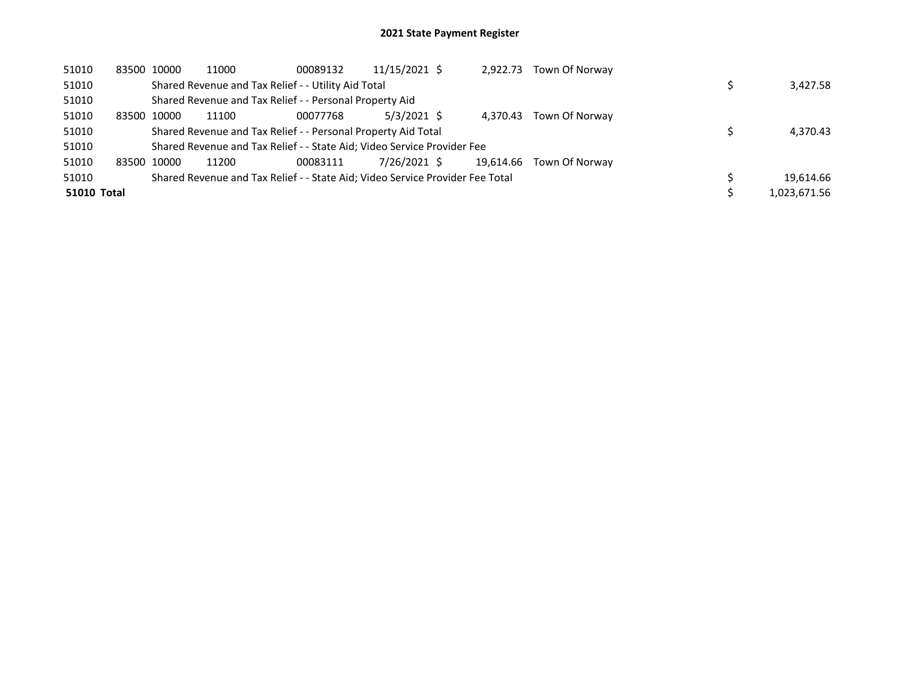| 51010       | 83500 10000 | 11000 | 00089132                                                                      | 11/15/2021 \$ | 2,922.73  | Town Of Norway |              |
|-------------|-------------|-------|-------------------------------------------------------------------------------|---------------|-----------|----------------|--------------|
| 51010       |             |       | Shared Revenue and Tax Relief - - Utility Aid Total                           |               |           |                | 3,427.58     |
| 51010       |             |       | Shared Revenue and Tax Relief - - Personal Property Aid                       |               |           |                |              |
| 51010       | 83500 10000 | 11100 | 00077768                                                                      | 5/3/2021 \$   | 4.370.43  | Town Of Norway |              |
| 51010       |             |       | Shared Revenue and Tax Relief - - Personal Property Aid Total                 |               |           |                | 4,370.43     |
| 51010       |             |       | Shared Revenue and Tax Relief - - State Aid; Video Service Provider Fee       |               |           |                |              |
| 51010       | 83500 10000 | 11200 | 00083111                                                                      | 7/26/2021 \$  | 19.614.66 | Town Of Norway |              |
| 51010       |             |       | Shared Revenue and Tax Relief - - State Aid; Video Service Provider Fee Total |               |           |                | 19.614.66    |
| 51010 Total |             |       |                                                                               |               |           |                | 1,023,671.56 |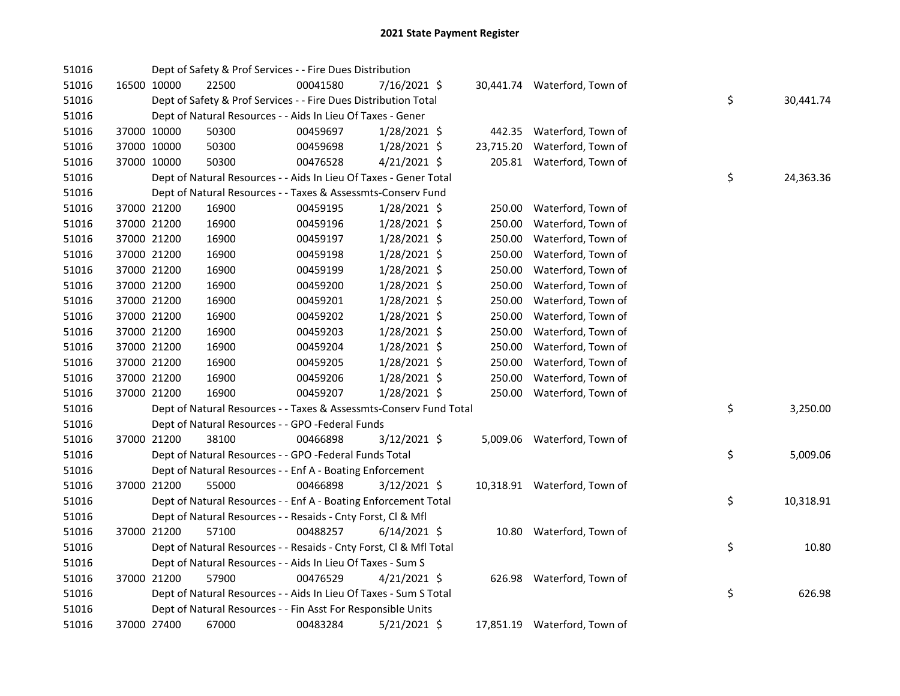| 51016 |             | Dept of Safety & Prof Services - - Fire Dues Distribution          |          |                |           |                              |    |           |
|-------|-------------|--------------------------------------------------------------------|----------|----------------|-----------|------------------------------|----|-----------|
| 51016 | 16500 10000 | 22500                                                              | 00041580 | $7/16/2021$ \$ |           | 30,441.74 Waterford, Town of |    |           |
| 51016 |             | Dept of Safety & Prof Services - - Fire Dues Distribution Total    |          |                |           |                              | \$ | 30,441.74 |
| 51016 |             | Dept of Natural Resources - - Aids In Lieu Of Taxes - Gener        |          |                |           |                              |    |           |
| 51016 | 37000 10000 | 50300                                                              | 00459697 | 1/28/2021 \$   |           | 442.35 Waterford, Town of    |    |           |
| 51016 | 37000 10000 | 50300                                                              | 00459698 | 1/28/2021 \$   | 23,715.20 | Waterford, Town of           |    |           |
| 51016 | 37000 10000 | 50300                                                              | 00476528 | $4/21/2021$ \$ |           | 205.81 Waterford, Town of    |    |           |
| 51016 |             | Dept of Natural Resources - - Aids In Lieu Of Taxes - Gener Total  |          |                |           |                              | \$ | 24,363.36 |
| 51016 |             | Dept of Natural Resources - - Taxes & Assessmts-Conserv Fund       |          |                |           |                              |    |           |
| 51016 | 37000 21200 | 16900                                                              | 00459195 | 1/28/2021 \$   |           | 250.00 Waterford, Town of    |    |           |
| 51016 | 37000 21200 | 16900                                                              | 00459196 | 1/28/2021 \$   | 250.00    | Waterford, Town of           |    |           |
| 51016 | 37000 21200 | 16900                                                              | 00459197 | $1/28/2021$ \$ | 250.00    | Waterford, Town of           |    |           |
| 51016 | 37000 21200 | 16900                                                              | 00459198 | 1/28/2021 \$   | 250.00    | Waterford, Town of           |    |           |
| 51016 | 37000 21200 | 16900                                                              | 00459199 | $1/28/2021$ \$ | 250.00    | Waterford, Town of           |    |           |
| 51016 | 37000 21200 | 16900                                                              | 00459200 | 1/28/2021 \$   | 250.00    | Waterford, Town of           |    |           |
| 51016 | 37000 21200 | 16900                                                              | 00459201 | 1/28/2021 \$   | 250.00    | Waterford, Town of           |    |           |
| 51016 | 37000 21200 | 16900                                                              | 00459202 | $1/28/2021$ \$ | 250.00    | Waterford, Town of           |    |           |
| 51016 | 37000 21200 | 16900                                                              | 00459203 | $1/28/2021$ \$ | 250.00    | Waterford, Town of           |    |           |
| 51016 | 37000 21200 | 16900                                                              | 00459204 | 1/28/2021 \$   | 250.00    | Waterford, Town of           |    |           |
| 51016 | 37000 21200 | 16900                                                              | 00459205 | $1/28/2021$ \$ | 250.00    | Waterford, Town of           |    |           |
| 51016 | 37000 21200 | 16900                                                              | 00459206 | 1/28/2021 \$   | 250.00    | Waterford, Town of           |    |           |
| 51016 | 37000 21200 | 16900                                                              | 00459207 | 1/28/2021 \$   |           | 250.00 Waterford, Town of    |    |           |
| 51016 |             | Dept of Natural Resources - - Taxes & Assessmts-Conserv Fund Total |          |                |           |                              | \$ | 3,250.00  |
| 51016 |             | Dept of Natural Resources - - GPO -Federal Funds                   |          |                |           |                              |    |           |
| 51016 | 37000 21200 | 38100                                                              | 00466898 | $3/12/2021$ \$ |           | 5,009.06 Waterford, Town of  |    |           |
| 51016 |             | Dept of Natural Resources - - GPO -Federal Funds Total             |          |                |           |                              | \$ | 5,009.06  |
| 51016 |             | Dept of Natural Resources - - Enf A - Boating Enforcement          |          |                |           |                              |    |           |
| 51016 | 37000 21200 | 55000                                                              | 00466898 | $3/12/2021$ \$ |           | 10,318.91 Waterford, Town of |    |           |
| 51016 |             | Dept of Natural Resources - - Enf A - Boating Enforcement Total    |          |                |           |                              | \$ | 10,318.91 |
| 51016 |             | Dept of Natural Resources - - Resaids - Cnty Forst, CI & Mfl       |          |                |           |                              |    |           |
| 51016 | 37000 21200 | 57100                                                              | 00488257 | $6/14/2021$ \$ |           | 10.80 Waterford, Town of     |    |           |
| 51016 |             | Dept of Natural Resources - - Resaids - Cnty Forst, Cl & Mfl Total |          |                |           |                              | \$ | 10.80     |
| 51016 |             | Dept of Natural Resources - - Aids In Lieu Of Taxes - Sum S        |          |                |           |                              |    |           |
| 51016 | 37000 21200 | 57900                                                              | 00476529 | $4/21/2021$ \$ |           | 626.98 Waterford, Town of    |    |           |
| 51016 |             | Dept of Natural Resources - - Aids In Lieu Of Taxes - Sum S Total  |          |                |           |                              | \$ | 626.98    |
| 51016 |             | Dept of Natural Resources - - Fin Asst For Responsible Units       |          |                |           |                              |    |           |
| 51016 | 37000 27400 | 67000                                                              | 00483284 | $5/21/2021$ \$ |           | 17,851.19 Waterford, Town of |    |           |
|       |             |                                                                    |          |                |           |                              |    |           |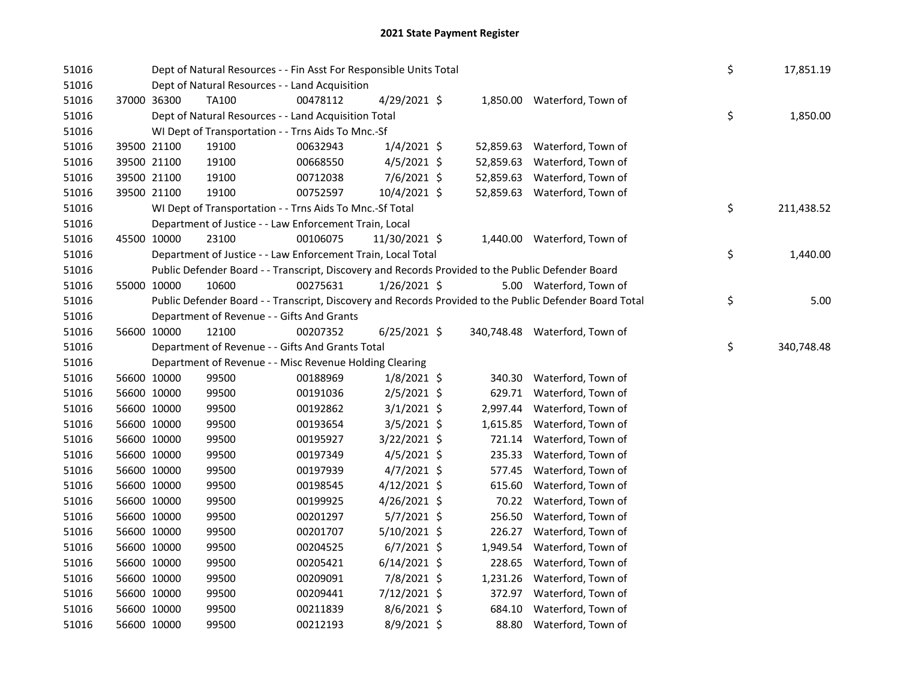| 51016 |             | Dept of Natural Resources - - Fin Asst For Responsible Units Total |          |                |           |                                                                                                         | \$<br>17,851.19  |
|-------|-------------|--------------------------------------------------------------------|----------|----------------|-----------|---------------------------------------------------------------------------------------------------------|------------------|
| 51016 |             | Dept of Natural Resources - - Land Acquisition                     |          |                |           |                                                                                                         |                  |
| 51016 | 37000 36300 | TA100                                                              | 00478112 | $4/29/2021$ \$ |           | 1,850.00 Waterford, Town of                                                                             |                  |
| 51016 |             | Dept of Natural Resources - - Land Acquisition Total               |          |                |           |                                                                                                         | \$<br>1,850.00   |
| 51016 |             | WI Dept of Transportation - - Trns Aids To Mnc.-Sf                 |          |                |           |                                                                                                         |                  |
| 51016 | 39500 21100 | 19100                                                              | 00632943 | $1/4/2021$ \$  |           | 52,859.63 Waterford, Town of                                                                            |                  |
| 51016 | 39500 21100 | 19100                                                              | 00668550 | $4/5/2021$ \$  | 52,859.63 | Waterford, Town of                                                                                      |                  |
| 51016 | 39500 21100 | 19100                                                              | 00712038 | $7/6/2021$ \$  |           | 52,859.63 Waterford, Town of                                                                            |                  |
| 51016 | 39500 21100 | 19100                                                              | 00752597 | 10/4/2021 \$   |           | 52,859.63 Waterford, Town of                                                                            |                  |
| 51016 |             | WI Dept of Transportation - - Trns Aids To Mnc.-Sf Total           |          |                |           |                                                                                                         | \$<br>211,438.52 |
| 51016 |             | Department of Justice - - Law Enforcement Train, Local             |          |                |           |                                                                                                         |                  |
| 51016 | 45500 10000 | 23100                                                              | 00106075 | 11/30/2021 \$  |           | 1,440.00 Waterford, Town of                                                                             |                  |
| 51016 |             | Department of Justice - - Law Enforcement Train, Local Total       |          |                |           |                                                                                                         | \$<br>1,440.00   |
| 51016 |             |                                                                    |          |                |           | Public Defender Board - - Transcript, Discovery and Records Provided to the Public Defender Board       |                  |
| 51016 | 55000 10000 | 10600                                                              | 00275631 | $1/26/2021$ \$ |           | 5.00 Waterford, Town of                                                                                 |                  |
| 51016 |             |                                                                    |          |                |           | Public Defender Board - - Transcript, Discovery and Records Provided to the Public Defender Board Total | \$<br>5.00       |
| 51016 |             | Department of Revenue - - Gifts And Grants                         |          |                |           |                                                                                                         |                  |
| 51016 | 56600 10000 | 12100                                                              | 00207352 | $6/25/2021$ \$ |           | 340,748.48 Waterford, Town of                                                                           |                  |
| 51016 |             | Department of Revenue - - Gifts And Grants Total                   |          |                |           |                                                                                                         | \$<br>340,748.48 |
| 51016 |             | Department of Revenue - - Misc Revenue Holding Clearing            |          |                |           |                                                                                                         |                  |
| 51016 | 56600 10000 | 99500                                                              | 00188969 | $1/8/2021$ \$  |           | 340.30 Waterford, Town of                                                                               |                  |
| 51016 | 56600 10000 | 99500                                                              | 00191036 | $2/5/2021$ \$  |           | 629.71 Waterford, Town of                                                                               |                  |
| 51016 | 56600 10000 | 99500                                                              | 00192862 | $3/1/2021$ \$  |           | 2,997.44 Waterford, Town of                                                                             |                  |
| 51016 | 56600 10000 | 99500                                                              | 00193654 | 3/5/2021 \$    |           | 1,615.85 Waterford, Town of                                                                             |                  |
| 51016 | 56600 10000 | 99500                                                              | 00195927 | 3/22/2021 \$   |           | 721.14 Waterford, Town of                                                                               |                  |
| 51016 | 56600 10000 | 99500                                                              | 00197349 | $4/5/2021$ \$  |           | 235.33 Waterford, Town of                                                                               |                  |
| 51016 | 56600 10000 | 99500                                                              | 00197939 | $4/7/2021$ \$  |           | 577.45 Waterford, Town of                                                                               |                  |
| 51016 | 56600 10000 | 99500                                                              | 00198545 | $4/12/2021$ \$ | 615.60    | Waterford, Town of                                                                                      |                  |
| 51016 | 56600 10000 | 99500                                                              | 00199925 | 4/26/2021 \$   | 70.22     | Waterford, Town of                                                                                      |                  |
| 51016 | 56600 10000 | 99500                                                              | 00201297 | 5/7/2021 \$    | 256.50    | Waterford, Town of                                                                                      |                  |
| 51016 | 56600 10000 | 99500                                                              | 00201707 | 5/10/2021 \$   |           | 226.27 Waterford, Town of                                                                               |                  |
| 51016 | 56600 10000 | 99500                                                              | 00204525 | $6/7/2021$ \$  |           | 1,949.54 Waterford, Town of                                                                             |                  |
| 51016 | 56600 10000 | 99500                                                              | 00205421 | $6/14/2021$ \$ | 228.65    | Waterford, Town of                                                                                      |                  |
| 51016 | 56600 10000 | 99500                                                              | 00209091 | 7/8/2021 \$    | 1,231.26  | Waterford, Town of                                                                                      |                  |
| 51016 | 56600 10000 | 99500                                                              | 00209441 | 7/12/2021 \$   |           | 372.97 Waterford, Town of                                                                               |                  |
| 51016 | 56600 10000 | 99500                                                              | 00211839 | 8/6/2021 \$    | 684.10    | Waterford, Town of                                                                                      |                  |
| 51016 | 56600 10000 | 99500                                                              | 00212193 | 8/9/2021 \$    | 88.80     | Waterford, Town of                                                                                      |                  |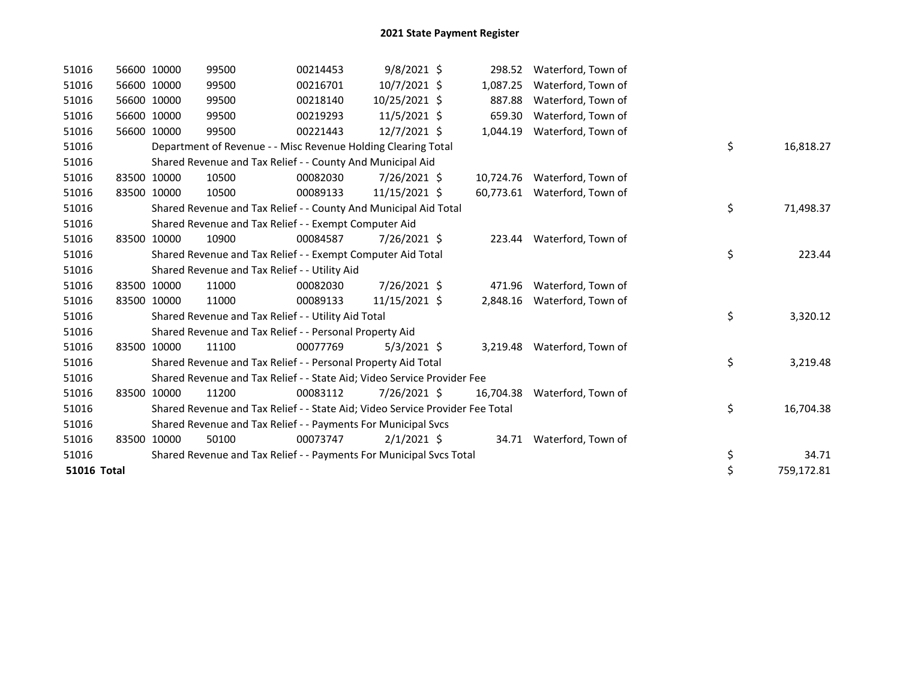| 51016              |       | 56600 10000 | 99500                                                                         | 00214453 | $9/8/2021$ \$  | 298.52    | Waterford, Town of           |    |            |
|--------------------|-------|-------------|-------------------------------------------------------------------------------|----------|----------------|-----------|------------------------------|----|------------|
| 51016              |       | 56600 10000 | 99500                                                                         | 00216701 | $10/7/2021$ \$ | 1,087.25  | Waterford, Town of           |    |            |
| 51016              |       | 56600 10000 | 99500                                                                         | 00218140 | 10/25/2021 \$  | 887.88    | Waterford, Town of           |    |            |
| 51016              |       | 56600 10000 | 99500                                                                         | 00219293 | $11/5/2021$ \$ | 659.30    | Waterford, Town of           |    |            |
| 51016              | 56600 | 10000       | 99500                                                                         | 00221443 | 12/7/2021 \$   | 1,044.19  | Waterford, Town of           |    |            |
| 51016              |       |             | Department of Revenue - - Misc Revenue Holding Clearing Total                 |          |                |           |                              | \$ | 16,818.27  |
| 51016              |       |             | Shared Revenue and Tax Relief - - County And Municipal Aid                    |          |                |           |                              |    |            |
| 51016              |       | 83500 10000 | 10500                                                                         | 00082030 | 7/26/2021 \$   |           | 10,724.76 Waterford, Town of |    |            |
| 51016              |       | 83500 10000 | 10500                                                                         | 00089133 | 11/15/2021 \$  |           | 60,773.61 Waterford, Town of |    |            |
| 51016              |       |             | Shared Revenue and Tax Relief - - County And Municipal Aid Total              |          |                |           |                              | \$ | 71,498.37  |
| 51016              |       |             | Shared Revenue and Tax Relief - - Exempt Computer Aid                         |          |                |           |                              |    |            |
| 51016              |       | 83500 10000 | 10900                                                                         | 00084587 | 7/26/2021 \$   |           | 223.44 Waterford, Town of    |    |            |
| 51016              |       |             | Shared Revenue and Tax Relief - - Exempt Computer Aid Total                   |          |                |           |                              | \$ | 223.44     |
| 51016              |       |             | Shared Revenue and Tax Relief - - Utility Aid                                 |          |                |           |                              |    |            |
| 51016              |       | 83500 10000 | 11000                                                                         | 00082030 | 7/26/2021 \$   | 471.96    | Waterford, Town of           |    |            |
| 51016              |       | 83500 10000 | 11000                                                                         | 00089133 | 11/15/2021 \$  |           | 2,848.16 Waterford, Town of  |    |            |
| 51016              |       |             | Shared Revenue and Tax Relief - - Utility Aid Total                           |          |                |           |                              | \$ | 3,320.12   |
| 51016              |       |             | Shared Revenue and Tax Relief - - Personal Property Aid                       |          |                |           |                              |    |            |
| 51016              |       | 83500 10000 | 11100                                                                         | 00077769 | $5/3/2021$ \$  |           | 3,219.48 Waterford, Town of  |    |            |
| 51016              |       |             | Shared Revenue and Tax Relief - - Personal Property Aid Total                 |          |                |           |                              | \$ | 3,219.48   |
| 51016              |       |             | Shared Revenue and Tax Relief - - State Aid; Video Service Provider Fee       |          |                |           |                              |    |            |
| 51016              |       | 83500 10000 | 11200                                                                         | 00083112 | 7/26/2021 \$   | 16,704.38 | Waterford, Town of           |    |            |
| 51016              |       |             | Shared Revenue and Tax Relief - - State Aid; Video Service Provider Fee Total |          |                |           |                              | \$ | 16,704.38  |
| 51016              |       |             | Shared Revenue and Tax Relief - - Payments For Municipal Svcs                 |          |                |           |                              |    |            |
| 51016              |       | 83500 10000 | 50100                                                                         | 00073747 | $2/1/2021$ \$  |           | 34.71 Waterford, Town of     |    |            |
| 51016              |       |             | Shared Revenue and Tax Relief - - Payments For Municipal Svcs Total           |          |                |           |                              | \$ | 34.71      |
| <b>51016 Total</b> |       |             |                                                                               |          |                |           |                              | \$ | 759,172.81 |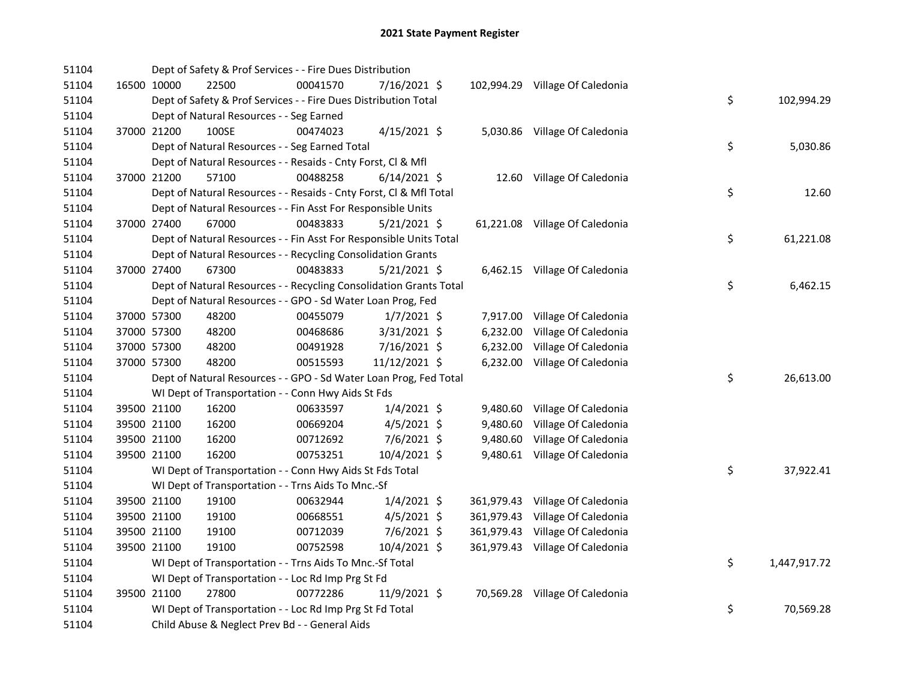| 51104 |             | Dept of Safety & Prof Services - - Fire Dues Distribution          |          |                |          |                                 |    |              |
|-------|-------------|--------------------------------------------------------------------|----------|----------------|----------|---------------------------------|----|--------------|
| 51104 | 16500 10000 | 22500                                                              | 00041570 | 7/16/2021 \$   |          | 102,994.29 Village Of Caledonia |    |              |
| 51104 |             | Dept of Safety & Prof Services - - Fire Dues Distribution Total    |          |                |          |                                 | \$ | 102,994.29   |
| 51104 |             | Dept of Natural Resources - - Seg Earned                           |          |                |          |                                 |    |              |
| 51104 | 37000 21200 | 100SE                                                              | 00474023 | $4/15/2021$ \$ |          | 5,030.86 Village Of Caledonia   |    |              |
| 51104 |             | Dept of Natural Resources - - Seg Earned Total                     |          |                |          |                                 | \$ | 5,030.86     |
| 51104 |             | Dept of Natural Resources - - Resaids - Cnty Forst, Cl & Mfl       |          |                |          |                                 |    |              |
| 51104 | 37000 21200 | 57100                                                              | 00488258 | $6/14/2021$ \$ |          | 12.60 Village Of Caledonia      |    |              |
| 51104 |             | Dept of Natural Resources - - Resaids - Cnty Forst, Cl & Mfl Total |          |                |          |                                 | \$ | 12.60        |
| 51104 |             | Dept of Natural Resources - - Fin Asst For Responsible Units       |          |                |          |                                 |    |              |
| 51104 | 37000 27400 | 67000                                                              | 00483833 | $5/21/2021$ \$ |          | 61,221.08 Village Of Caledonia  |    |              |
| 51104 |             | Dept of Natural Resources - - Fin Asst For Responsible Units Total |          |                |          |                                 | \$ | 61,221.08    |
| 51104 |             | Dept of Natural Resources - - Recycling Consolidation Grants       |          |                |          |                                 |    |              |
| 51104 | 37000 27400 | 67300                                                              | 00483833 | 5/21/2021 \$   |          | 6,462.15 Village Of Caledonia   |    |              |
| 51104 |             | Dept of Natural Resources - - Recycling Consolidation Grants Total |          |                |          |                                 | \$ | 6,462.15     |
| 51104 |             | Dept of Natural Resources - - GPO - Sd Water Loan Prog, Fed        |          |                |          |                                 |    |              |
| 51104 | 37000 57300 | 48200                                                              | 00455079 | $1/7/2021$ \$  |          | 7,917.00 Village Of Caledonia   |    |              |
| 51104 | 37000 57300 | 48200                                                              | 00468686 | $3/31/2021$ \$ | 6,232.00 | Village Of Caledonia            |    |              |
| 51104 | 37000 57300 | 48200                                                              | 00491928 | 7/16/2021 \$   | 6,232.00 | Village Of Caledonia            |    |              |
| 51104 | 37000 57300 | 48200                                                              | 00515593 | 11/12/2021 \$  |          | 6,232.00 Village Of Caledonia   |    |              |
| 51104 |             | Dept of Natural Resources - - GPO - Sd Water Loan Prog, Fed Total  |          |                |          |                                 | \$ | 26,613.00    |
| 51104 |             | WI Dept of Transportation - - Conn Hwy Aids St Fds                 |          |                |          |                                 |    |              |
| 51104 | 39500 21100 | 16200                                                              | 00633597 | $1/4/2021$ \$  | 9,480.60 | Village Of Caledonia            |    |              |
| 51104 | 39500 21100 | 16200                                                              | 00669204 | 4/5/2021 \$    | 9,480.60 | Village Of Caledonia            |    |              |
| 51104 | 39500 21100 | 16200                                                              | 00712692 | 7/6/2021 \$    | 9,480.60 | Village Of Caledonia            |    |              |
| 51104 | 39500 21100 | 16200                                                              | 00753251 | 10/4/2021 \$   |          | 9,480.61 Village Of Caledonia   |    |              |
| 51104 |             | WI Dept of Transportation - - Conn Hwy Aids St Fds Total           |          |                |          |                                 | \$ | 37,922.41    |
| 51104 |             | WI Dept of Transportation - - Trns Aids To Mnc.-Sf                 |          |                |          |                                 |    |              |
| 51104 | 39500 21100 | 19100                                                              | 00632944 | $1/4/2021$ \$  |          | 361,979.43 Village Of Caledonia |    |              |
| 51104 | 39500 21100 | 19100                                                              | 00668551 | $4/5/2021$ \$  |          | 361,979.43 Village Of Caledonia |    |              |
| 51104 | 39500 21100 | 19100                                                              | 00712039 | 7/6/2021 \$    |          | 361,979.43 Village Of Caledonia |    |              |
| 51104 | 39500 21100 | 19100                                                              | 00752598 | 10/4/2021 \$   |          | 361,979.43 Village Of Caledonia |    |              |
| 51104 |             | WI Dept of Transportation - - Trns Aids To Mnc.-Sf Total           |          |                |          |                                 | \$ | 1,447,917.72 |
| 51104 |             | WI Dept of Transportation - - Loc Rd Imp Prg St Fd                 |          |                |          |                                 |    |              |
| 51104 | 39500 21100 | 27800                                                              | 00772286 | 11/9/2021 \$   |          | 70,569.28 Village Of Caledonia  |    |              |
| 51104 |             | WI Dept of Transportation - - Loc Rd Imp Prg St Fd Total           |          |                |          |                                 | \$ | 70,569.28    |
| 51104 |             | Child Abuse & Neglect Prev Bd - - General Aids                     |          |                |          |                                 |    |              |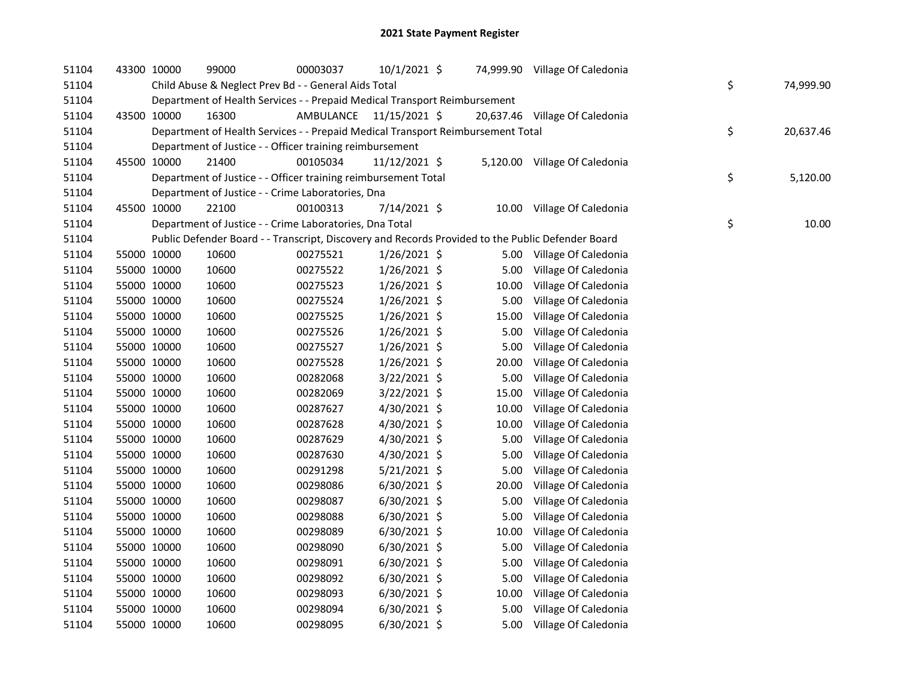| 51104 | 43300 10000 |             | 99000                                                                                             | 00003037                | 10/1/2021 \$   |       | 74,999.90 Village Of Caledonia |    |           |
|-------|-------------|-------------|---------------------------------------------------------------------------------------------------|-------------------------|----------------|-------|--------------------------------|----|-----------|
| 51104 |             |             | Child Abuse & Neglect Prev Bd - - General Aids Total                                              |                         |                |       |                                | \$ | 74,999.90 |
| 51104 |             |             | Department of Health Services - - Prepaid Medical Transport Reimbursement                         |                         |                |       |                                |    |           |
| 51104 | 43500 10000 |             | 16300                                                                                             | AMBULANCE 11/15/2021 \$ |                |       | 20,637.46 Village Of Caledonia |    |           |
| 51104 |             |             | Department of Health Services - - Prepaid Medical Transport Reimbursement Total                   |                         |                |       |                                | \$ | 20,637.46 |
| 51104 |             |             | Department of Justice - - Officer training reimbursement                                          |                         |                |       |                                |    |           |
| 51104 | 45500 10000 |             | 21400                                                                                             | 00105034                | 11/12/2021 \$  |       | 5,120.00 Village Of Caledonia  |    |           |
| 51104 |             |             | Department of Justice - - Officer training reimbursement Total                                    |                         |                |       |                                | \$ | 5,120.00  |
| 51104 |             |             | Department of Justice - - Crime Laboratories, Dna                                                 |                         |                |       |                                |    |           |
| 51104 | 45500 10000 |             | 22100                                                                                             | 00100313                | 7/14/2021 \$   |       | 10.00 Village Of Caledonia     |    |           |
| 51104 |             |             | Department of Justice - - Crime Laboratories, Dna Total                                           |                         |                |       |                                | \$ | 10.00     |
| 51104 |             |             | Public Defender Board - - Transcript, Discovery and Records Provided to the Public Defender Board |                         |                |       |                                |    |           |
| 51104 | 55000 10000 |             | 10600                                                                                             | 00275521                | $1/26/2021$ \$ |       | 5.00 Village Of Caledonia      |    |           |
| 51104 | 55000 10000 |             | 10600                                                                                             | 00275522                | $1/26/2021$ \$ | 5.00  | Village Of Caledonia           |    |           |
| 51104 |             | 55000 10000 | 10600                                                                                             | 00275523                | $1/26/2021$ \$ | 10.00 | Village Of Caledonia           |    |           |
| 51104 |             | 55000 10000 | 10600                                                                                             | 00275524                | $1/26/2021$ \$ | 5.00  | Village Of Caledonia           |    |           |
| 51104 |             | 55000 10000 | 10600                                                                                             | 00275525                | $1/26/2021$ \$ | 15.00 | Village Of Caledonia           |    |           |
| 51104 |             | 55000 10000 | 10600                                                                                             | 00275526                | 1/26/2021 \$   | 5.00  | Village Of Caledonia           |    |           |
| 51104 |             | 55000 10000 | 10600                                                                                             | 00275527                | 1/26/2021 \$   | 5.00  | Village Of Caledonia           |    |           |
| 51104 |             | 55000 10000 | 10600                                                                                             | 00275528                | 1/26/2021 \$   | 20.00 | Village Of Caledonia           |    |           |
| 51104 |             | 55000 10000 | 10600                                                                                             | 00282068                | 3/22/2021 \$   | 5.00  | Village Of Caledonia           |    |           |
| 51104 |             | 55000 10000 | 10600                                                                                             | 00282069                | 3/22/2021 \$   | 15.00 | Village Of Caledonia           |    |           |
| 51104 |             | 55000 10000 | 10600                                                                                             | 00287627                | 4/30/2021 \$   | 10.00 | Village Of Caledonia           |    |           |
| 51104 |             | 55000 10000 | 10600                                                                                             | 00287628                | 4/30/2021 \$   | 10.00 | Village Of Caledonia           |    |           |
| 51104 |             | 55000 10000 | 10600                                                                                             | 00287629                | 4/30/2021 \$   | 5.00  | Village Of Caledonia           |    |           |
| 51104 |             | 55000 10000 | 10600                                                                                             | 00287630                | 4/30/2021 \$   | 5.00  | Village Of Caledonia           |    |           |
| 51104 |             | 55000 10000 | 10600                                                                                             | 00291298                | 5/21/2021 \$   | 5.00  | Village Of Caledonia           |    |           |
| 51104 |             | 55000 10000 | 10600                                                                                             | 00298086                | 6/30/2021 \$   | 20.00 | Village Of Caledonia           |    |           |
| 51104 | 55000 10000 |             | 10600                                                                                             | 00298087                | 6/30/2021 \$   | 5.00  | Village Of Caledonia           |    |           |
| 51104 |             | 55000 10000 | 10600                                                                                             | 00298088                | 6/30/2021 \$   | 5.00  | Village Of Caledonia           |    |           |
| 51104 |             | 55000 10000 | 10600                                                                                             | 00298089                | $6/30/2021$ \$ | 10.00 | Village Of Caledonia           |    |           |
| 51104 |             | 55000 10000 | 10600                                                                                             | 00298090                | $6/30/2021$ \$ | 5.00  | Village Of Caledonia           |    |           |
| 51104 |             | 55000 10000 | 10600                                                                                             | 00298091                | 6/30/2021 \$   | 5.00  | Village Of Caledonia           |    |           |
| 51104 | 55000 10000 |             | 10600                                                                                             | 00298092                | $6/30/2021$ \$ | 5.00  | Village Of Caledonia           |    |           |
| 51104 | 55000 10000 |             | 10600                                                                                             | 00298093                | $6/30/2021$ \$ | 10.00 | Village Of Caledonia           |    |           |
| 51104 | 55000 10000 |             | 10600                                                                                             | 00298094                | $6/30/2021$ \$ | 5.00  | Village Of Caledonia           |    |           |
| 51104 |             | 55000 10000 | 10600                                                                                             | 00298095                | 6/30/2021 \$   | 5.00  | Village Of Caledonia           |    |           |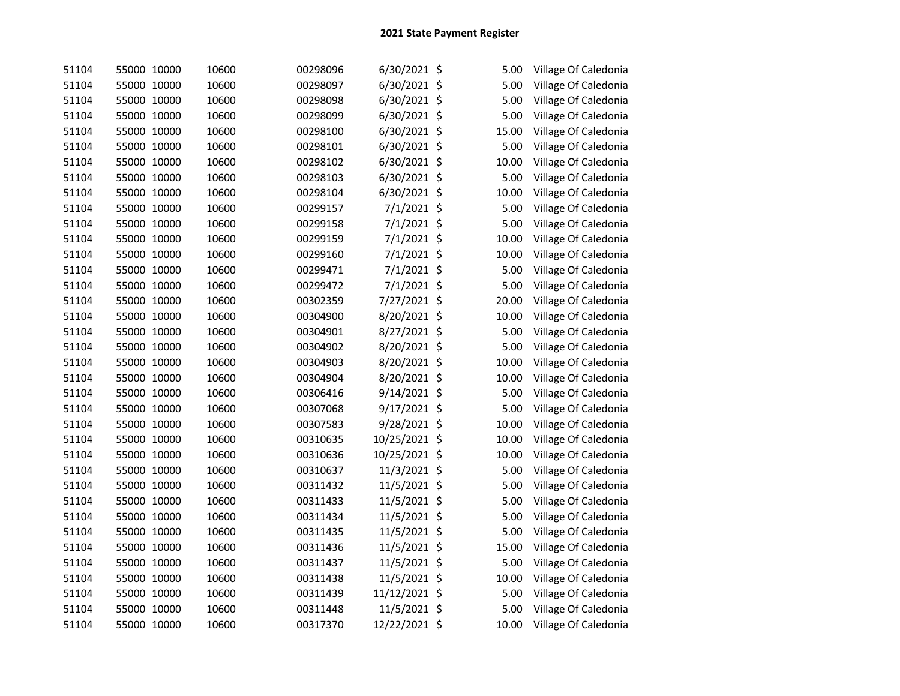| 51104 | 55000 10000 | 10600 | 00298096 | 6/30/2021 \$  |         | 5.00  | Village Of Caledonia |
|-------|-------------|-------|----------|---------------|---------|-------|----------------------|
| 51104 | 55000 10000 | 10600 | 00298097 | 6/30/2021 \$  |         | 5.00  | Village Of Caledonia |
| 51104 | 55000 10000 | 10600 | 00298098 | 6/30/2021 \$  |         | 5.00  | Village Of Caledonia |
| 51104 | 55000 10000 | 10600 | 00298099 | 6/30/2021     | $\zeta$ | 5.00  | Village Of Caledonia |
| 51104 | 55000 10000 | 10600 | 00298100 | 6/30/2021     | \$      | 15.00 | Village Of Caledonia |
| 51104 | 55000 10000 | 10600 | 00298101 | 6/30/2021     | \$      | 5.00  | Village Of Caledonia |
| 51104 | 55000 10000 | 10600 | 00298102 | 6/30/2021     | \$      | 10.00 | Village Of Caledonia |
| 51104 | 55000 10000 | 10600 | 00298103 | 6/30/2021     | \$      | 5.00  | Village Of Caledonia |
| 51104 | 55000 10000 | 10600 | 00298104 | 6/30/2021     | \$      | 10.00 | Village Of Caledonia |
| 51104 | 55000 10000 | 10600 | 00299157 | 7/1/2021      | \$      | 5.00  | Village Of Caledonia |
| 51104 | 55000 10000 | 10600 | 00299158 | 7/1/2021 \$   |         | 5.00  | Village Of Caledonia |
| 51104 | 55000 10000 | 10600 | 00299159 | 7/1/2021 \$   |         | 10.00 | Village Of Caledonia |
| 51104 | 55000 10000 | 10600 | 00299160 | 7/1/2021 \$   |         | 10.00 | Village Of Caledonia |
| 51104 | 55000 10000 | 10600 | 00299471 | 7/1/2021 \$   |         | 5.00  | Village Of Caledonia |
| 51104 | 55000 10000 | 10600 | 00299472 | 7/1/2021 \$   |         | 5.00  | Village Of Caledonia |
| 51104 | 55000 10000 | 10600 | 00302359 | 7/27/2021 \$  |         | 20.00 | Village Of Caledonia |
| 51104 | 55000 10000 | 10600 | 00304900 | 8/20/2021 \$  |         | 10.00 | Village Of Caledonia |
| 51104 | 55000 10000 | 10600 | 00304901 | 8/27/2021 \$  |         | 5.00  | Village Of Caledonia |
| 51104 | 55000 10000 | 10600 | 00304902 | 8/20/2021 \$  |         | 5.00  | Village Of Caledonia |
| 51104 | 55000 10000 | 10600 | 00304903 | 8/20/2021 \$  |         | 10.00 | Village Of Caledonia |
| 51104 | 55000 10000 | 10600 | 00304904 | 8/20/2021 \$  |         | 10.00 | Village Of Caledonia |
| 51104 | 55000 10000 | 10600 | 00306416 | 9/14/2021 \$  |         | 5.00  | Village Of Caledonia |
| 51104 | 55000 10000 | 10600 | 00307068 | 9/17/2021 \$  |         | 5.00  | Village Of Caledonia |
| 51104 | 55000 10000 | 10600 | 00307583 | 9/28/2021 \$  |         | 10.00 | Village Of Caledonia |
| 51104 | 55000 10000 | 10600 | 00310635 | 10/25/2021 \$ |         | 10.00 | Village Of Caledonia |
| 51104 | 55000 10000 | 10600 | 00310636 | 10/25/2021 \$ |         | 10.00 | Village Of Caledonia |
| 51104 | 55000 10000 | 10600 | 00310637 | 11/3/2021 \$  |         | 5.00  | Village Of Caledonia |
| 51104 | 55000 10000 | 10600 | 00311432 | 11/5/2021 \$  |         | 5.00  | Village Of Caledonia |
| 51104 | 55000 10000 | 10600 | 00311433 | 11/5/2021 \$  |         | 5.00  | Village Of Caledonia |
| 51104 | 55000 10000 | 10600 | 00311434 | 11/5/2021 \$  |         | 5.00  | Village Of Caledonia |
| 51104 | 55000 10000 | 10600 | 00311435 | 11/5/2021 \$  |         | 5.00  | Village Of Caledonia |
| 51104 | 55000 10000 | 10600 | 00311436 | 11/5/2021 \$  |         | 15.00 | Village Of Caledonia |
| 51104 | 55000 10000 | 10600 | 00311437 | 11/5/2021 \$  |         | 5.00  | Village Of Caledonia |
| 51104 | 55000 10000 | 10600 | 00311438 | 11/5/2021 \$  |         | 10.00 | Village Of Caledonia |
| 51104 | 55000 10000 | 10600 | 00311439 | 11/12/2021 \$ |         | 5.00  | Village Of Caledonia |
| 51104 | 55000 10000 | 10600 | 00311448 | 11/5/2021 \$  |         | 5.00  | Village Of Caledonia |
| 51104 | 55000 10000 | 10600 | 00317370 | 12/22/2021 \$ |         | 10.00 | Village Of Caledonia |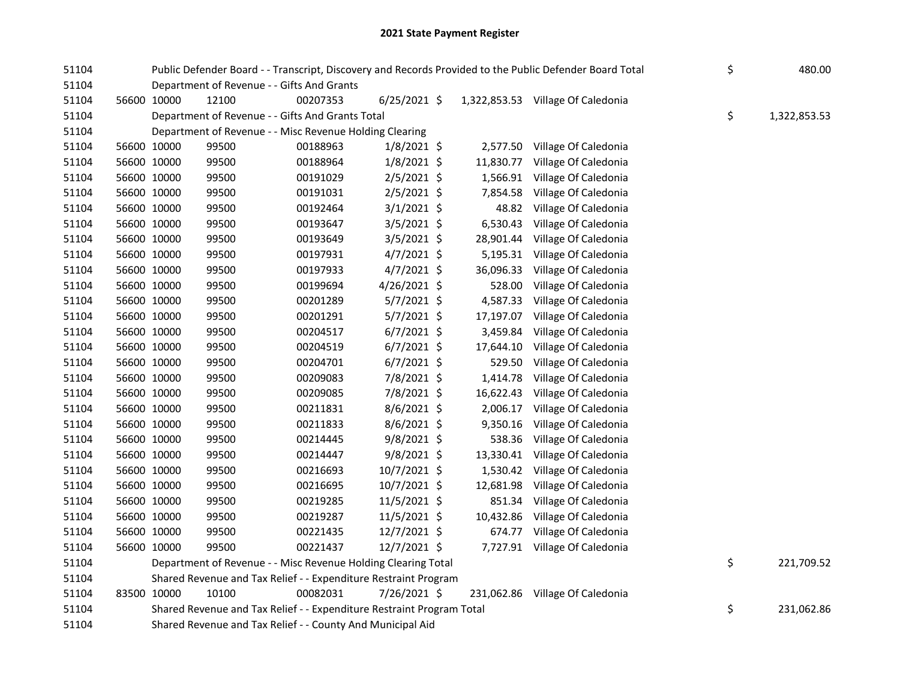## 2021 State Payment Register

| 51104 |             |             |                                                                       |          | Public Defender Board - - Transcript, Discovery and Records Provided to the Public Defender Board Total | \$        | 480.00                            |    |              |
|-------|-------------|-------------|-----------------------------------------------------------------------|----------|---------------------------------------------------------------------------------------------------------|-----------|-----------------------------------|----|--------------|
| 51104 |             |             | Department of Revenue - - Gifts And Grants                            |          |                                                                                                         |           |                                   |    |              |
| 51104 | 56600 10000 |             | 12100                                                                 | 00207353 | $6/25/2021$ \$                                                                                          |           | 1,322,853.53 Village Of Caledonia |    |              |
| 51104 |             |             | Department of Revenue - - Gifts And Grants Total                      |          |                                                                                                         |           |                                   | \$ | 1,322,853.53 |
| 51104 |             |             | Department of Revenue - - Misc Revenue Holding Clearing               |          |                                                                                                         |           |                                   |    |              |
| 51104 |             | 56600 10000 | 99500                                                                 | 00188963 | $1/8/2021$ \$                                                                                           | 2,577.50  | Village Of Caledonia              |    |              |
| 51104 | 56600 10000 |             | 99500                                                                 | 00188964 | 1/8/2021 \$                                                                                             | 11,830.77 | Village Of Caledonia              |    |              |
| 51104 | 56600 10000 |             | 99500                                                                 | 00191029 | $2/5/2021$ \$                                                                                           | 1,566.91  | Village Of Caledonia              |    |              |
| 51104 | 56600 10000 |             | 99500                                                                 | 00191031 | $2/5/2021$ \$                                                                                           | 7,854.58  | Village Of Caledonia              |    |              |
| 51104 | 56600 10000 |             | 99500                                                                 | 00192464 | $3/1/2021$ \$                                                                                           | 48.82     | Village Of Caledonia              |    |              |
| 51104 | 56600 10000 |             | 99500                                                                 | 00193647 | $3/5/2021$ \$                                                                                           | 6,530.43  | Village Of Caledonia              |    |              |
| 51104 | 56600 10000 |             | 99500                                                                 | 00193649 | $3/5/2021$ \$                                                                                           | 28,901.44 | Village Of Caledonia              |    |              |
| 51104 | 56600 10000 |             | 99500                                                                 | 00197931 | $4/7/2021$ \$                                                                                           | 5,195.31  | Village Of Caledonia              |    |              |
| 51104 | 56600 10000 |             | 99500                                                                 | 00197933 | $4/7/2021$ \$                                                                                           | 36,096.33 | Village Of Caledonia              |    |              |
| 51104 | 56600 10000 |             | 99500                                                                 | 00199694 | 4/26/2021 \$                                                                                            | 528.00    | Village Of Caledonia              |    |              |
| 51104 | 56600 10000 |             | 99500                                                                 | 00201289 | 5/7/2021 \$                                                                                             | 4,587.33  | Village Of Caledonia              |    |              |
| 51104 | 56600 10000 |             | 99500                                                                 | 00201291 | 5/7/2021 \$                                                                                             | 17,197.07 | Village Of Caledonia              |    |              |
| 51104 | 56600 10000 |             | 99500                                                                 | 00204517 | $6/7/2021$ \$                                                                                           | 3,459.84  | Village Of Caledonia              |    |              |
| 51104 | 56600 10000 |             | 99500                                                                 | 00204519 | $6/7/2021$ \$                                                                                           | 17,644.10 | Village Of Caledonia              |    |              |
| 51104 | 56600 10000 |             | 99500                                                                 | 00204701 | $6/7/2021$ \$                                                                                           | 529.50    | Village Of Caledonia              |    |              |
| 51104 | 56600 10000 |             | 99500                                                                 | 00209083 | 7/8/2021 \$                                                                                             | 1,414.78  | Village Of Caledonia              |    |              |
| 51104 | 56600 10000 |             | 99500                                                                 | 00209085 | 7/8/2021 \$                                                                                             | 16,622.43 | Village Of Caledonia              |    |              |
| 51104 | 56600 10000 |             | 99500                                                                 | 00211831 | 8/6/2021 \$                                                                                             | 2,006.17  | Village Of Caledonia              |    |              |
| 51104 | 56600 10000 |             | 99500                                                                 | 00211833 | 8/6/2021 \$                                                                                             | 9,350.16  | Village Of Caledonia              |    |              |
| 51104 | 56600 10000 |             | 99500                                                                 | 00214445 | $9/8/2021$ \$                                                                                           | 538.36    | Village Of Caledonia              |    |              |
| 51104 | 56600 10000 |             | 99500                                                                 | 00214447 | $9/8/2021$ \$                                                                                           | 13,330.41 | Village Of Caledonia              |    |              |
| 51104 | 56600 10000 |             | 99500                                                                 | 00216693 | 10/7/2021 \$                                                                                            | 1,530.42  | Village Of Caledonia              |    |              |
| 51104 | 56600 10000 |             | 99500                                                                 | 00216695 | 10/7/2021 \$                                                                                            | 12,681.98 | Village Of Caledonia              |    |              |
| 51104 | 56600 10000 |             | 99500                                                                 | 00219285 | 11/5/2021 \$                                                                                            | 851.34    | Village Of Caledonia              |    |              |
| 51104 | 56600 10000 |             | 99500                                                                 | 00219287 | 11/5/2021 \$                                                                                            | 10,432.86 | Village Of Caledonia              |    |              |
| 51104 | 56600 10000 |             | 99500                                                                 | 00221435 | 12/7/2021 \$                                                                                            | 674.77    | Village Of Caledonia              |    |              |
| 51104 | 56600 10000 |             | 99500                                                                 | 00221437 | 12/7/2021 \$                                                                                            |           | 7,727.91 Village Of Caledonia     |    |              |
| 51104 |             |             | Department of Revenue - - Misc Revenue Holding Clearing Total         |          |                                                                                                         |           |                                   | \$ | 221,709.52   |
| 51104 |             |             | Shared Revenue and Tax Relief - - Expenditure Restraint Program       |          |                                                                                                         |           |                                   |    |              |
| 51104 | 83500 10000 |             | 10100                                                                 | 00082031 | 7/26/2021 \$                                                                                            |           | 231,062.86 Village Of Caledonia   |    |              |
| 51104 |             |             | Shared Revenue and Tax Relief - - Expenditure Restraint Program Total |          |                                                                                                         |           |                                   | \$ | 231,062.86   |
| 51104 |             |             | Shared Revenue and Tax Relief - - County And Municipal Aid            |          |                                                                                                         |           |                                   |    |              |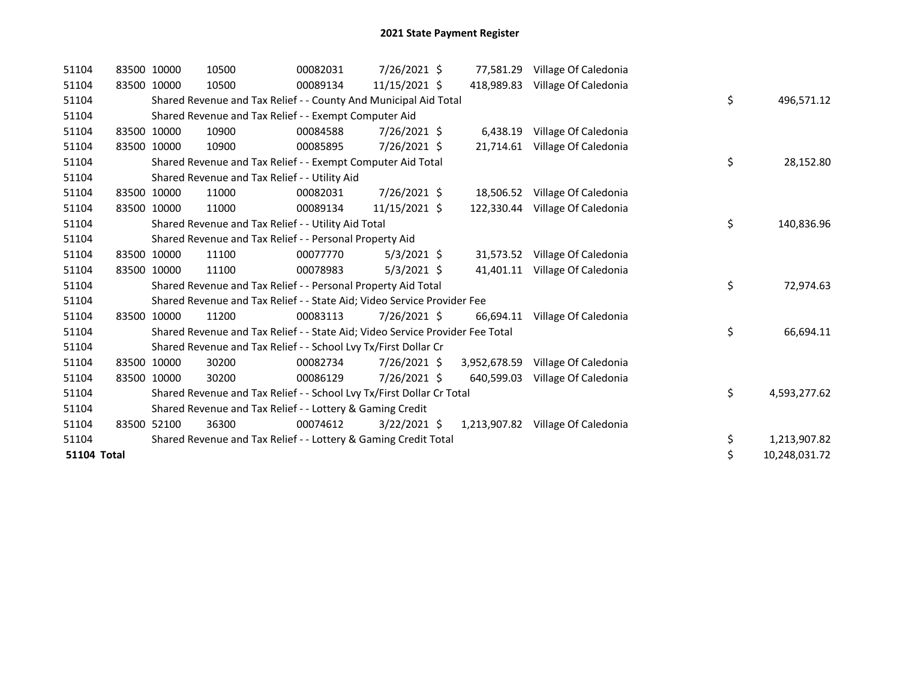| 51104              | 83500 10000 | 10500                                                                         | 00082031 | 7/26/2021 \$   | 77,581.29    | Village Of Caledonia              |    |               |
|--------------------|-------------|-------------------------------------------------------------------------------|----------|----------------|--------------|-----------------------------------|----|---------------|
| 51104              | 83500 10000 | 10500                                                                         | 00089134 | 11/15/2021 \$  | 418.989.83   | Village Of Caledonia              |    |               |
| 51104              |             | Shared Revenue and Tax Relief - - County And Municipal Aid Total              |          |                |              |                                   | \$ | 496,571.12    |
| 51104              |             | Shared Revenue and Tax Relief - - Exempt Computer Aid                         |          |                |              |                                   |    |               |
| 51104              | 83500 10000 | 10900                                                                         | 00084588 | 7/26/2021 \$   | 6,438.19     | Village Of Caledonia              |    |               |
| 51104              | 83500 10000 | 10900                                                                         | 00085895 | 7/26/2021 \$   | 21,714.61    | Village Of Caledonia              |    |               |
| 51104              |             | Shared Revenue and Tax Relief - - Exempt Computer Aid Total                   |          |                |              |                                   | \$ | 28,152.80     |
| 51104              |             | Shared Revenue and Tax Relief - - Utility Aid                                 |          |                |              |                                   |    |               |
| 51104              | 83500 10000 | 11000                                                                         | 00082031 | 7/26/2021 \$   | 18,506.52    | Village Of Caledonia              |    |               |
| 51104              | 83500 10000 | 11000                                                                         | 00089134 | 11/15/2021 \$  |              | 122,330.44 Village Of Caledonia   |    |               |
| 51104              |             | Shared Revenue and Tax Relief - - Utility Aid Total                           |          |                |              |                                   | \$ | 140,836.96    |
| 51104              |             | Shared Revenue and Tax Relief - - Personal Property Aid                       |          |                |              |                                   |    |               |
| 51104              | 83500 10000 | 11100                                                                         | 00077770 | $5/3/2021$ \$  | 31,573.52    | Village Of Caledonia              |    |               |
| 51104              | 83500 10000 | 11100                                                                         | 00078983 | $5/3/2021$ \$  | 41,401.11    | Village Of Caledonia              |    |               |
| 51104              |             | Shared Revenue and Tax Relief - - Personal Property Aid Total                 |          |                |              |                                   | \$ | 72,974.63     |
| 51104              |             | Shared Revenue and Tax Relief - - State Aid; Video Service Provider Fee       |          |                |              |                                   |    |               |
| 51104              | 83500 10000 | 11200                                                                         | 00083113 | 7/26/2021 \$   | 66,694.11    | Village Of Caledonia              |    |               |
| 51104              |             | Shared Revenue and Tax Relief - - State Aid; Video Service Provider Fee Total |          |                |              |                                   | \$ | 66,694.11     |
| 51104              |             | Shared Revenue and Tax Relief - - School Lvy Tx/First Dollar Cr               |          |                |              |                                   |    |               |
| 51104              | 83500 10000 | 30200                                                                         | 00082734 | 7/26/2021 \$   | 3,952,678.59 | Village Of Caledonia              |    |               |
| 51104              | 83500 10000 | 30200                                                                         | 00086129 | 7/26/2021 \$   | 640,599.03   | Village Of Caledonia              |    |               |
| 51104              |             | Shared Revenue and Tax Relief - - School Lvy Tx/First Dollar Cr Total         |          |                |              |                                   | \$ | 4,593,277.62  |
| 51104              |             | Shared Revenue and Tax Relief - - Lottery & Gaming Credit                     |          |                |              |                                   |    |               |
| 51104              | 83500 52100 | 36300                                                                         | 00074612 | $3/22/2021$ \$ |              | 1,213,907.82 Village Of Caledonia |    |               |
| 51104              |             | Shared Revenue and Tax Relief - - Lottery & Gaming Credit Total               |          |                |              |                                   | \$ | 1,213,907.82  |
| <b>51104 Total</b> |             |                                                                               |          |                |              |                                   | \$ | 10,248,031.72 |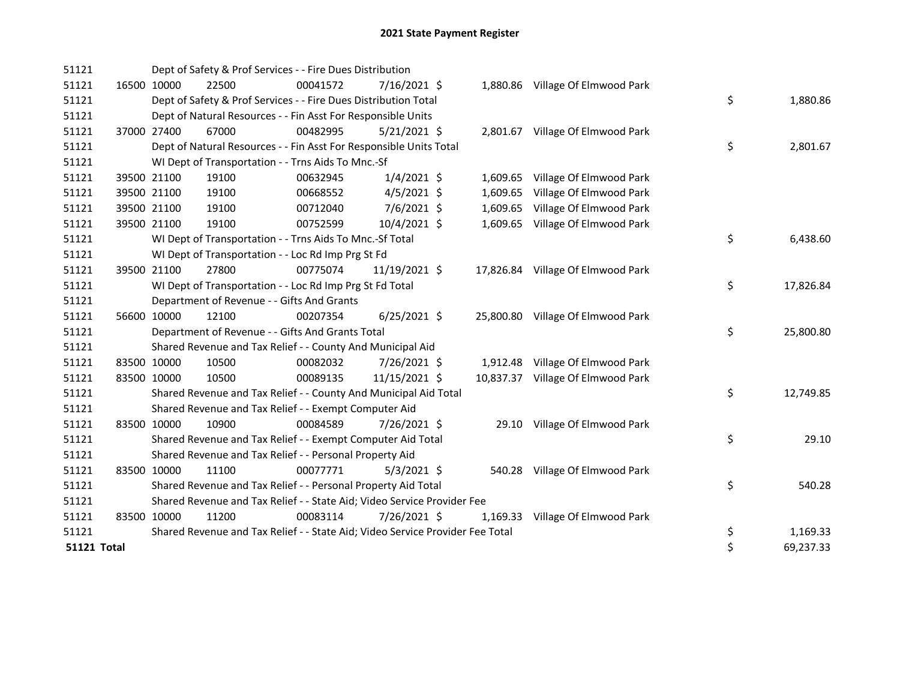| 51121       |             | Dept of Safety & Prof Services - - Fire Dues Distribution                     |          |                |  |                                   |    |           |
|-------------|-------------|-------------------------------------------------------------------------------|----------|----------------|--|-----------------------------------|----|-----------|
| 51121       | 16500 10000 | 22500                                                                         | 00041572 | $7/16/2021$ \$ |  | 1,880.86 Village Of Elmwood Park  |    |           |
| 51121       |             | Dept of Safety & Prof Services - - Fire Dues Distribution Total               |          |                |  |                                   | \$ | 1,880.86  |
| 51121       |             | Dept of Natural Resources - - Fin Asst For Responsible Units                  |          |                |  |                                   |    |           |
| 51121       | 37000 27400 | 67000                                                                         | 00482995 | $5/21/2021$ \$ |  | 2,801.67 Village Of Elmwood Park  |    |           |
| 51121       |             | Dept of Natural Resources - - Fin Asst For Responsible Units Total            |          |                |  |                                   | \$ | 2,801.67  |
| 51121       |             | WI Dept of Transportation - - Trns Aids To Mnc.-Sf                            |          |                |  |                                   |    |           |
| 51121       | 39500 21100 | 19100                                                                         | 00632945 | $1/4/2021$ \$  |  | 1,609.65 Village Of Elmwood Park  |    |           |
| 51121       | 39500 21100 | 19100                                                                         | 00668552 | $4/5/2021$ \$  |  | 1,609.65 Village Of Elmwood Park  |    |           |
| 51121       | 39500 21100 | 19100                                                                         | 00712040 | 7/6/2021 \$    |  | 1,609.65 Village Of Elmwood Park  |    |           |
| 51121       | 39500 21100 | 19100                                                                         | 00752599 | 10/4/2021 \$   |  | 1,609.65 Village Of Elmwood Park  |    |           |
| 51121       |             | WI Dept of Transportation - - Trns Aids To Mnc.-Sf Total                      |          |                |  |                                   | \$ | 6,438.60  |
| 51121       |             | WI Dept of Transportation - - Loc Rd Imp Prg St Fd                            |          |                |  |                                   |    |           |
| 51121       | 39500 21100 | 27800                                                                         | 00775074 | 11/19/2021 \$  |  | 17,826.84 Village Of Elmwood Park |    |           |
| 51121       |             | WI Dept of Transportation - - Loc Rd Imp Prg St Fd Total                      |          |                |  |                                   | \$ | 17,826.84 |
| 51121       |             | Department of Revenue - - Gifts And Grants                                    |          |                |  |                                   |    |           |
| 51121       | 56600 10000 | 12100                                                                         | 00207354 | $6/25/2021$ \$ |  | 25,800.80 Village Of Elmwood Park |    |           |
| 51121       |             | Department of Revenue - - Gifts And Grants Total                              |          |                |  |                                   | \$ | 25,800.80 |
| 51121       |             | Shared Revenue and Tax Relief - - County And Municipal Aid                    |          |                |  |                                   |    |           |
| 51121       | 83500 10000 | 10500                                                                         | 00082032 | 7/26/2021 \$   |  | 1,912.48 Village Of Elmwood Park  |    |           |
| 51121       | 83500 10000 | 10500                                                                         | 00089135 | 11/15/2021 \$  |  | 10,837.37 Village Of Elmwood Park |    |           |
| 51121       |             | Shared Revenue and Tax Relief - - County And Municipal Aid Total              |          |                |  |                                   | \$ | 12,749.85 |
| 51121       |             | Shared Revenue and Tax Relief - - Exempt Computer Aid                         |          |                |  |                                   |    |           |
| 51121       | 83500 10000 | 10900                                                                         | 00084589 | 7/26/2021 \$   |  | 29.10 Village Of Elmwood Park     |    |           |
| 51121       |             | Shared Revenue and Tax Relief - - Exempt Computer Aid Total                   |          |                |  |                                   | \$ | 29.10     |
| 51121       |             | Shared Revenue and Tax Relief - - Personal Property Aid                       |          |                |  |                                   |    |           |
| 51121       | 83500 10000 | 11100                                                                         | 00077771 | $5/3/2021$ \$  |  | 540.28 Village Of Elmwood Park    |    |           |
| 51121       |             | Shared Revenue and Tax Relief - - Personal Property Aid Total                 |          |                |  |                                   | \$ | 540.28    |
| 51121       |             | Shared Revenue and Tax Relief - - State Aid; Video Service Provider Fee       |          |                |  |                                   |    |           |
| 51121       | 83500 10000 | 11200                                                                         | 00083114 | 7/26/2021 \$   |  | 1,169.33 Village Of Elmwood Park  |    |           |
| 51121       |             | Shared Revenue and Tax Relief - - State Aid; Video Service Provider Fee Total |          |                |  |                                   | \$ | 1,169.33  |
| 51121 Total |             |                                                                               |          |                |  |                                   | \$ | 69,237.33 |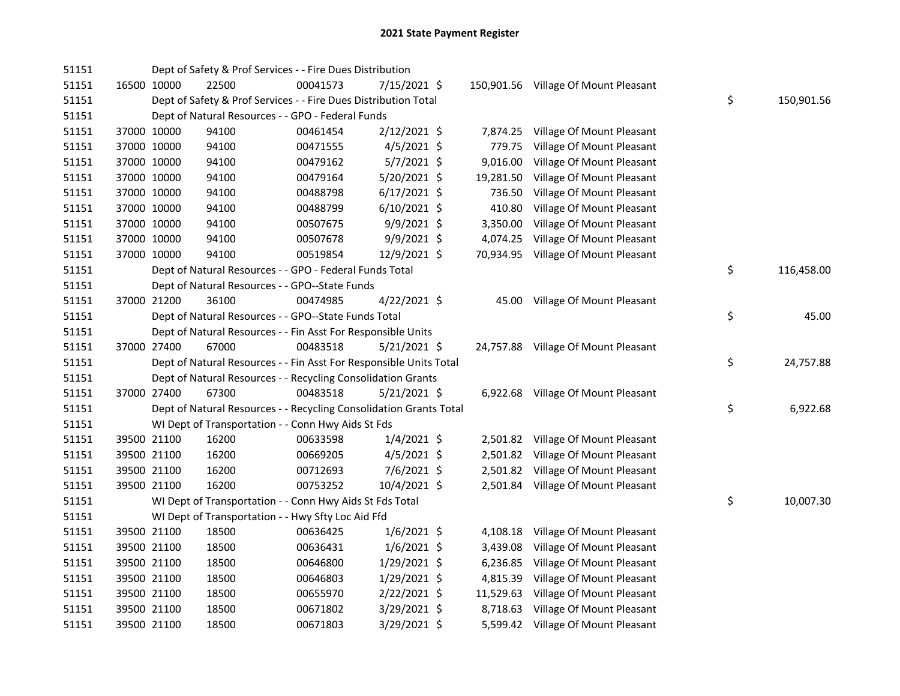| 51151 |             | Dept of Safety & Prof Services - - Fire Dues Distribution          |          |                |           |                                      |                  |
|-------|-------------|--------------------------------------------------------------------|----------|----------------|-----------|--------------------------------------|------------------|
| 51151 | 16500 10000 | 22500                                                              | 00041573 | 7/15/2021 \$   |           | 150,901.56 Village Of Mount Pleasant |                  |
| 51151 |             | Dept of Safety & Prof Services - - Fire Dues Distribution Total    |          |                |           |                                      | \$<br>150,901.56 |
| 51151 |             | Dept of Natural Resources - - GPO - Federal Funds                  |          |                |           |                                      |                  |
| 51151 | 37000 10000 | 94100                                                              | 00461454 | 2/12/2021 \$   | 7,874.25  | Village Of Mount Pleasant            |                  |
| 51151 | 37000 10000 | 94100                                                              | 00471555 | $4/5/2021$ \$  | 779.75    | Village Of Mount Pleasant            |                  |
| 51151 | 37000 10000 | 94100                                                              | 00479162 | $5/7/2021$ \$  | 9,016.00  | Village Of Mount Pleasant            |                  |
| 51151 | 37000 10000 | 94100                                                              | 00479164 | 5/20/2021 \$   | 19,281.50 | Village Of Mount Pleasant            |                  |
| 51151 | 37000 10000 | 94100                                                              | 00488798 | $6/17/2021$ \$ | 736.50    | Village Of Mount Pleasant            |                  |
| 51151 | 37000 10000 | 94100                                                              | 00488799 | $6/10/2021$ \$ | 410.80    | Village Of Mount Pleasant            |                  |
| 51151 | 37000 10000 | 94100                                                              | 00507675 | 9/9/2021 \$    | 3,350.00  | Village Of Mount Pleasant            |                  |
| 51151 | 37000 10000 | 94100                                                              | 00507678 | 9/9/2021 \$    |           | 4,074.25 Village Of Mount Pleasant   |                  |
| 51151 | 37000 10000 | 94100                                                              | 00519854 | 12/9/2021 \$   |           | 70,934.95 Village Of Mount Pleasant  |                  |
| 51151 |             | Dept of Natural Resources - - GPO - Federal Funds Total            |          |                |           |                                      | \$<br>116,458.00 |
| 51151 |             | Dept of Natural Resources - - GPO--State Funds                     |          |                |           |                                      |                  |
| 51151 | 37000 21200 | 36100                                                              | 00474985 | 4/22/2021 \$   |           | 45.00 Village Of Mount Pleasant      |                  |
| 51151 |             | Dept of Natural Resources - - GPO--State Funds Total               |          |                |           |                                      | \$<br>45.00      |
| 51151 |             | Dept of Natural Resources - - Fin Asst For Responsible Units       |          |                |           |                                      |                  |
| 51151 | 37000 27400 | 67000                                                              | 00483518 | $5/21/2021$ \$ |           | 24,757.88 Village Of Mount Pleasant  |                  |
| 51151 |             | Dept of Natural Resources - - Fin Asst For Responsible Units Total |          |                |           |                                      | \$<br>24,757.88  |
| 51151 |             | Dept of Natural Resources - - Recycling Consolidation Grants       |          |                |           |                                      |                  |
| 51151 | 37000 27400 | 67300                                                              | 00483518 | $5/21/2021$ \$ |           | 6,922.68 Village Of Mount Pleasant   |                  |
| 51151 |             | Dept of Natural Resources - - Recycling Consolidation Grants Total |          |                |           |                                      | \$<br>6,922.68   |
| 51151 |             | WI Dept of Transportation - - Conn Hwy Aids St Fds                 |          |                |           |                                      |                  |
| 51151 | 39500 21100 | 16200                                                              | 00633598 | $1/4/2021$ \$  |           | 2,501.82 Village Of Mount Pleasant   |                  |
| 51151 | 39500 21100 | 16200                                                              | 00669205 | $4/5/2021$ \$  |           | 2,501.82 Village Of Mount Pleasant   |                  |
| 51151 | 39500 21100 | 16200                                                              | 00712693 | $7/6/2021$ \$  |           | 2,501.82 Village Of Mount Pleasant   |                  |
| 51151 | 39500 21100 | 16200                                                              | 00753252 | $10/4/2021$ \$ |           | 2,501.84 Village Of Mount Pleasant   |                  |
| 51151 |             | WI Dept of Transportation - - Conn Hwy Aids St Fds Total           |          |                |           |                                      | \$<br>10,007.30  |
| 51151 |             | WI Dept of Transportation - - Hwy Sfty Loc Aid Ffd                 |          |                |           |                                      |                  |
| 51151 | 39500 21100 | 18500                                                              | 00636425 | $1/6/2021$ \$  |           | 4,108.18 Village Of Mount Pleasant   |                  |
| 51151 | 39500 21100 | 18500                                                              | 00636431 | $1/6/2021$ \$  |           | 3,439.08 Village Of Mount Pleasant   |                  |
| 51151 | 39500 21100 | 18500                                                              | 00646800 | $1/29/2021$ \$ |           | 6,236.85 Village Of Mount Pleasant   |                  |
| 51151 | 39500 21100 | 18500                                                              | 00646803 | 1/29/2021 \$   |           | 4,815.39 Village Of Mount Pleasant   |                  |
| 51151 | 39500 21100 | 18500                                                              | 00655970 | 2/22/2021 \$   |           | 11,529.63 Village Of Mount Pleasant  |                  |
| 51151 | 39500 21100 | 18500                                                              | 00671802 | $3/29/2021$ \$ |           | 8,718.63 Village Of Mount Pleasant   |                  |
| 51151 | 39500 21100 | 18500                                                              | 00671803 | 3/29/2021 \$   |           | 5,599.42 Village Of Mount Pleasant   |                  |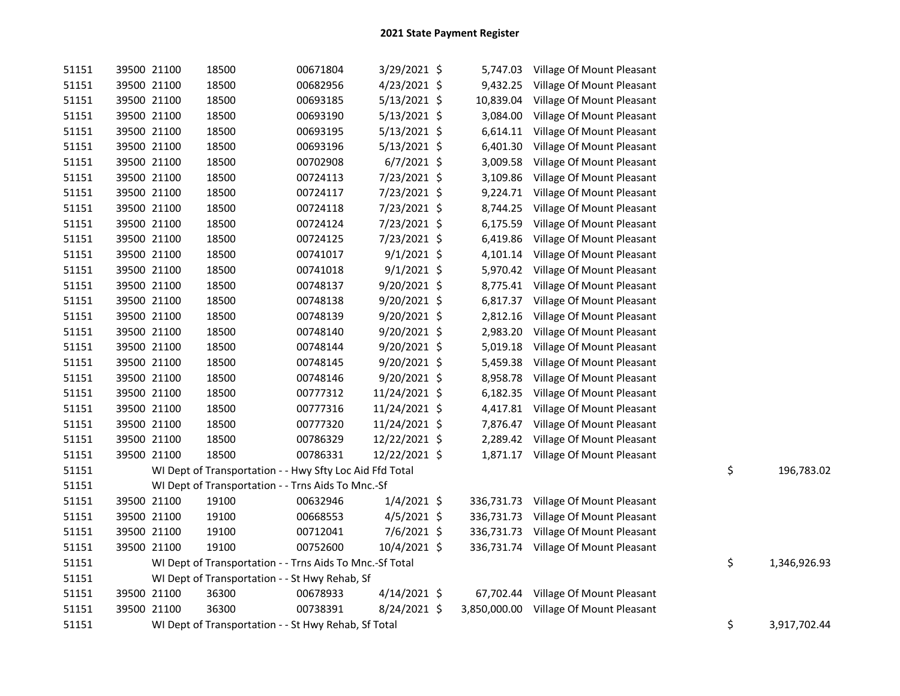| 51151 | 39500 21100 | 18500                                                    | 00671804 | 3/29/2021 \$   |          | 5,747.03 Village Of Mount Pleasant     |                    |
|-------|-------------|----------------------------------------------------------|----------|----------------|----------|----------------------------------------|--------------------|
| 51151 | 39500 21100 | 18500                                                    | 00682956 | 4/23/2021 \$   |          | 9,432.25 Village Of Mount Pleasant     |                    |
| 51151 | 39500 21100 | 18500                                                    | 00693185 | $5/13/2021$ \$ |          | 10,839.04 Village Of Mount Pleasant    |                    |
| 51151 | 39500 21100 | 18500                                                    | 00693190 | $5/13/2021$ \$ |          | 3,084.00 Village Of Mount Pleasant     |                    |
| 51151 | 39500 21100 | 18500                                                    | 00693195 | $5/13/2021$ \$ |          | 6,614.11 Village Of Mount Pleasant     |                    |
| 51151 | 39500 21100 | 18500                                                    | 00693196 | $5/13/2021$ \$ | 6,401.30 | Village Of Mount Pleasant              |                    |
| 51151 | 39500 21100 | 18500                                                    | 00702908 | $6/7/2021$ \$  | 3,009.58 | Village Of Mount Pleasant              |                    |
| 51151 | 39500 21100 | 18500                                                    | 00724113 | 7/23/2021 \$   | 3,109.86 | Village Of Mount Pleasant              |                    |
| 51151 | 39500 21100 | 18500                                                    | 00724117 | 7/23/2021 \$   | 9,224.71 | Village Of Mount Pleasant              |                    |
| 51151 | 39500 21100 | 18500                                                    | 00724118 | 7/23/2021 \$   |          | 8,744.25 Village Of Mount Pleasant     |                    |
| 51151 | 39500 21100 | 18500                                                    | 00724124 | 7/23/2021 \$   | 6,175.59 | Village Of Mount Pleasant              |                    |
| 51151 | 39500 21100 | 18500                                                    | 00724125 | 7/23/2021 \$   | 6,419.86 | Village Of Mount Pleasant              |                    |
| 51151 | 39500 21100 | 18500                                                    | 00741017 | $9/1/2021$ \$  | 4,101.14 | Village Of Mount Pleasant              |                    |
| 51151 | 39500 21100 | 18500                                                    | 00741018 | $9/1/2021$ \$  | 5,970.42 | Village Of Mount Pleasant              |                    |
| 51151 | 39500 21100 | 18500                                                    | 00748137 | 9/20/2021 \$   |          | 8,775.41 Village Of Mount Pleasant     |                    |
| 51151 | 39500 21100 | 18500                                                    | 00748138 | 9/20/2021 \$   | 6,817.37 | Village Of Mount Pleasant              |                    |
| 51151 | 39500 21100 | 18500                                                    | 00748139 | 9/20/2021 \$   | 2,812.16 | Village Of Mount Pleasant              |                    |
| 51151 | 39500 21100 | 18500                                                    | 00748140 | 9/20/2021 \$   | 2,983.20 | Village Of Mount Pleasant              |                    |
| 51151 | 39500 21100 | 18500                                                    | 00748144 | $9/20/2021$ \$ |          | 5,019.18 Village Of Mount Pleasant     |                    |
| 51151 | 39500 21100 | 18500                                                    | 00748145 | 9/20/2021 \$   | 5,459.38 | Village Of Mount Pleasant              |                    |
| 51151 | 39500 21100 | 18500                                                    | 00748146 | 9/20/2021 \$   |          | 8,958.78 Village Of Mount Pleasant     |                    |
| 51151 | 39500 21100 | 18500                                                    | 00777312 | 11/24/2021 \$  |          | 6,182.35 Village Of Mount Pleasant     |                    |
| 51151 | 39500 21100 | 18500                                                    | 00777316 | 11/24/2021 \$  |          | 4,417.81 Village Of Mount Pleasant     |                    |
| 51151 | 39500 21100 | 18500                                                    | 00777320 | 11/24/2021 \$  |          | 7,876.47 Village Of Mount Pleasant     |                    |
| 51151 | 39500 21100 | 18500                                                    | 00786329 | 12/22/2021 \$  |          | 2,289.42 Village Of Mount Pleasant     |                    |
| 51151 | 39500 21100 | 18500                                                    | 00786331 | 12/22/2021 \$  |          | 1,871.17 Village Of Mount Pleasant     |                    |
| 51151 |             | WI Dept of Transportation - - Hwy Sfty Loc Aid Ffd Total |          |                |          |                                        | \$<br>196,783.02   |
| 51151 |             | WI Dept of Transportation - - Trns Aids To Mnc.-Sf       |          |                |          |                                        |                    |
| 51151 | 39500 21100 | 19100                                                    | 00632946 | $1/4/2021$ \$  |          | 336,731.73 Village Of Mount Pleasant   |                    |
| 51151 | 39500 21100 | 19100                                                    | 00668553 | $4/5/2021$ \$  |          | 336,731.73 Village Of Mount Pleasant   |                    |
| 51151 | 39500 21100 | 19100                                                    | 00712041 | 7/6/2021 \$    |          | 336,731.73 Village Of Mount Pleasant   |                    |
| 51151 | 39500 21100 | 19100                                                    | 00752600 | 10/4/2021 \$   |          | 336,731.74 Village Of Mount Pleasant   |                    |
| 51151 |             | WI Dept of Transportation - - Trns Aids To Mnc.-Sf Total |          |                |          |                                        | \$<br>1,346,926.93 |
| 51151 |             | WI Dept of Transportation - - St Hwy Rehab, Sf           |          |                |          |                                        |                    |
| 51151 | 39500 21100 | 36300                                                    | 00678933 | $4/14/2021$ \$ |          | 67,702.44 Village Of Mount Pleasant    |                    |
| 51151 | 39500 21100 | 36300                                                    | 00738391 | 8/24/2021 \$   |          | 3,850,000.00 Village Of Mount Pleasant |                    |
| 51151 |             | WI Dept of Transportation - - St Hwy Rehab, Sf Total     |          |                |          |                                        | \$<br>3,917,702.44 |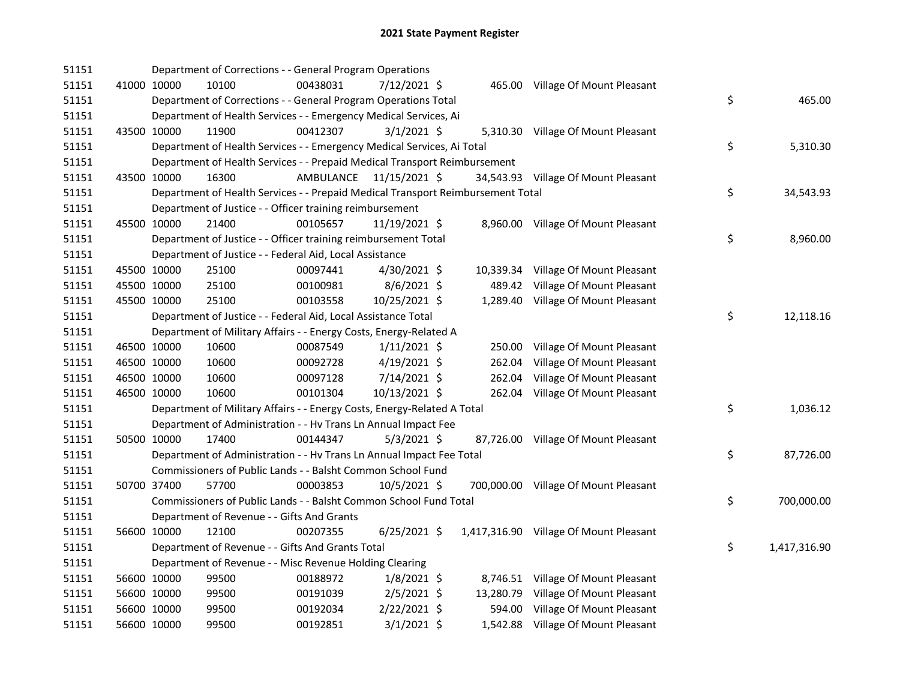| 51151 |             | Department of Corrections - - General Program Operations                        |           |                |        |                                        |                    |
|-------|-------------|---------------------------------------------------------------------------------|-----------|----------------|--------|----------------------------------------|--------------------|
| 51151 | 41000 10000 | 10100                                                                           | 00438031  | 7/12/2021 \$   |        | 465.00 Village Of Mount Pleasant       |                    |
| 51151 |             | Department of Corrections - - General Program Operations Total                  |           |                |        |                                        | \$<br>465.00       |
| 51151 |             | Department of Health Services - - Emergency Medical Services, Ai                |           |                |        |                                        |                    |
| 51151 | 43500 10000 | 11900                                                                           | 00412307  | $3/1/2021$ \$  |        | 5,310.30 Village Of Mount Pleasant     |                    |
| 51151 |             | Department of Health Services - - Emergency Medical Services, Ai Total          |           |                |        |                                        | \$<br>5,310.30     |
| 51151 |             | Department of Health Services - - Prepaid Medical Transport Reimbursement       |           |                |        |                                        |                    |
| 51151 | 43500 10000 | 16300                                                                           | AMBULANCE | 11/15/2021 \$  |        | 34,543.93 Village Of Mount Pleasant    |                    |
| 51151 |             | Department of Health Services - - Prepaid Medical Transport Reimbursement Total |           |                |        |                                        | \$<br>34,543.93    |
| 51151 |             | Department of Justice - - Officer training reimbursement                        |           |                |        |                                        |                    |
| 51151 | 45500 10000 | 21400                                                                           | 00105657  | 11/19/2021 \$  |        | 8,960.00 Village Of Mount Pleasant     |                    |
| 51151 |             | Department of Justice - - Officer training reimbursement Total                  |           |                |        |                                        | \$<br>8,960.00     |
| 51151 |             | Department of Justice - - Federal Aid, Local Assistance                         |           |                |        |                                        |                    |
| 51151 | 45500 10000 | 25100                                                                           | 00097441  | 4/30/2021 \$   |        | 10,339.34 Village Of Mount Pleasant    |                    |
| 51151 | 45500 10000 | 25100                                                                           | 00100981  | $8/6/2021$ \$  | 489.42 | Village Of Mount Pleasant              |                    |
| 51151 | 45500 10000 | 25100                                                                           | 00103558  | 10/25/2021 \$  |        | 1,289.40 Village Of Mount Pleasant     |                    |
| 51151 |             | Department of Justice - - Federal Aid, Local Assistance Total                   |           |                |        |                                        | \$<br>12,118.16    |
| 51151 |             | Department of Military Affairs - - Energy Costs, Energy-Related A               |           |                |        |                                        |                    |
| 51151 | 46500 10000 | 10600                                                                           | 00087549  | $1/11/2021$ \$ | 250.00 | Village Of Mount Pleasant              |                    |
| 51151 | 46500 10000 | 10600                                                                           | 00092728  | 4/19/2021 \$   | 262.04 | Village Of Mount Pleasant              |                    |
| 51151 | 46500 10000 | 10600                                                                           | 00097128  | 7/14/2021 \$   | 262.04 | Village Of Mount Pleasant              |                    |
| 51151 | 46500 10000 | 10600                                                                           | 00101304  | 10/13/2021 \$  |        | 262.04 Village Of Mount Pleasant       |                    |
| 51151 |             | Department of Military Affairs - - Energy Costs, Energy-Related A Total         |           |                |        |                                        | \$<br>1,036.12     |
| 51151 |             | Department of Administration - - Hv Trans Ln Annual Impact Fee                  |           |                |        |                                        |                    |
| 51151 | 50500 10000 | 17400                                                                           | 00144347  | $5/3/2021$ \$  |        | 87,726.00 Village Of Mount Pleasant    |                    |
| 51151 |             | Department of Administration - - Hv Trans Ln Annual Impact Fee Total            |           |                |        |                                        | \$<br>87,726.00    |
| 51151 |             | Commissioners of Public Lands - - Balsht Common School Fund                     |           |                |        |                                        |                    |
| 51151 | 50700 37400 | 57700                                                                           | 00003853  | 10/5/2021 \$   |        | 700,000.00 Village Of Mount Pleasant   |                    |
| 51151 |             | Commissioners of Public Lands - - Balsht Common School Fund Total               |           |                |        |                                        | \$<br>700,000.00   |
| 51151 |             | Department of Revenue - - Gifts And Grants                                      |           |                |        |                                        |                    |
| 51151 | 56600 10000 | 12100                                                                           | 00207355  | $6/25/2021$ \$ |        | 1,417,316.90 Village Of Mount Pleasant |                    |
| 51151 |             | Department of Revenue - - Gifts And Grants Total                                |           |                |        |                                        | \$<br>1,417,316.90 |
| 51151 |             | Department of Revenue - - Misc Revenue Holding Clearing                         |           |                |        |                                        |                    |
| 51151 | 56600 10000 | 99500                                                                           | 00188972  | $1/8/2021$ \$  |        | 8,746.51 Village Of Mount Pleasant     |                    |
| 51151 | 56600 10000 | 99500                                                                           | 00191039  | $2/5/2021$ \$  |        | 13,280.79 Village Of Mount Pleasant    |                    |
| 51151 | 56600 10000 | 99500                                                                           | 00192034  | $2/22/2021$ \$ |        | 594.00 Village Of Mount Pleasant       |                    |
| 51151 | 56600 10000 | 99500                                                                           | 00192851  | $3/1/2021$ \$  |        | 1,542.88 Village Of Mount Pleasant     |                    |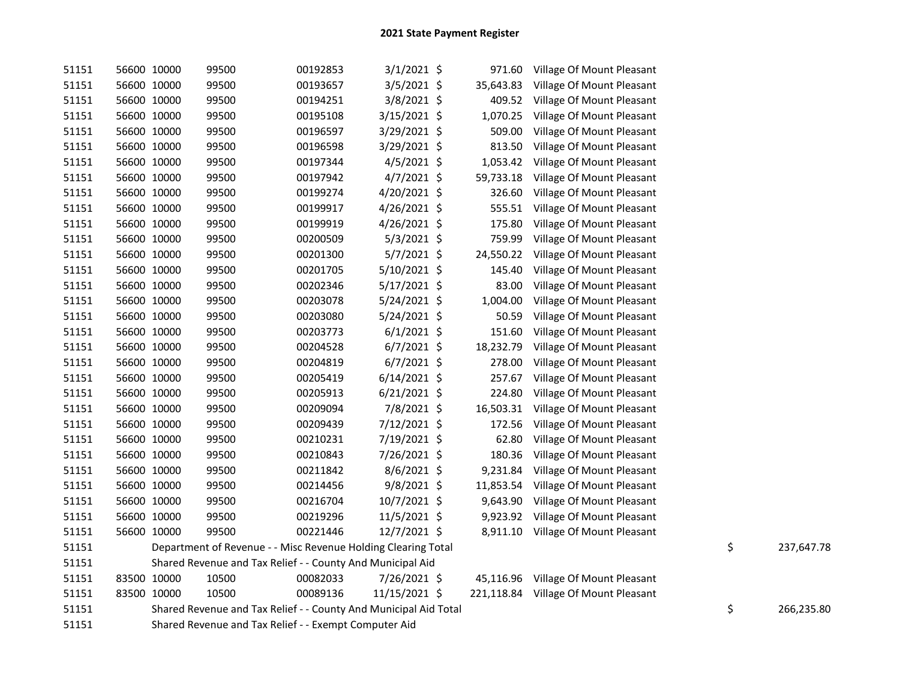| 51151 | 56600 10000 | 99500                                                            | 00192853 | $3/1/2021$ \$  |           | 971.60 Village Of Mount Pleasant     |                  |
|-------|-------------|------------------------------------------------------------------|----------|----------------|-----------|--------------------------------------|------------------|
| 51151 | 56600 10000 | 99500                                                            | 00193657 | $3/5/2021$ \$  | 35,643.83 | Village Of Mount Pleasant            |                  |
| 51151 | 56600 10000 | 99500                                                            | 00194251 | $3/8/2021$ \$  | 409.52    | Village Of Mount Pleasant            |                  |
| 51151 | 56600 10000 | 99500                                                            | 00195108 | 3/15/2021 \$   | 1,070.25  | Village Of Mount Pleasant            |                  |
| 51151 | 56600 10000 | 99500                                                            | 00196597 | $3/29/2021$ \$ | 509.00    | Village Of Mount Pleasant            |                  |
| 51151 | 56600 10000 | 99500                                                            | 00196598 | 3/29/2021 \$   | 813.50    | Village Of Mount Pleasant            |                  |
| 51151 | 56600 10000 | 99500                                                            | 00197344 | $4/5/2021$ \$  | 1,053.42  | Village Of Mount Pleasant            |                  |
| 51151 | 56600 10000 | 99500                                                            | 00197942 | $4/7/2021$ \$  | 59,733.18 | Village Of Mount Pleasant            |                  |
| 51151 | 56600 10000 | 99500                                                            | 00199274 | $4/20/2021$ \$ | 326.60    | Village Of Mount Pleasant            |                  |
| 51151 | 56600 10000 | 99500                                                            | 00199917 | 4/26/2021 \$   | 555.51    | Village Of Mount Pleasant            |                  |
| 51151 | 56600 10000 | 99500                                                            | 00199919 | 4/26/2021 \$   | 175.80    | Village Of Mount Pleasant            |                  |
| 51151 | 56600 10000 | 99500                                                            | 00200509 | $5/3/2021$ \$  | 759.99    | Village Of Mount Pleasant            |                  |
| 51151 | 56600 10000 | 99500                                                            | 00201300 | $5/7/2021$ \$  | 24,550.22 | Village Of Mount Pleasant            |                  |
| 51151 | 56600 10000 | 99500                                                            | 00201705 | 5/10/2021 \$   | 145.40    | Village Of Mount Pleasant            |                  |
| 51151 | 56600 10000 | 99500                                                            | 00202346 | $5/17/2021$ \$ | 83.00     | Village Of Mount Pleasant            |                  |
| 51151 | 56600 10000 | 99500                                                            | 00203078 | 5/24/2021 \$   | 1,004.00  | Village Of Mount Pleasant            |                  |
| 51151 | 56600 10000 | 99500                                                            | 00203080 | 5/24/2021 \$   | 50.59     | Village Of Mount Pleasant            |                  |
| 51151 | 56600 10000 | 99500                                                            | 00203773 | $6/1/2021$ \$  | 151.60    | Village Of Mount Pleasant            |                  |
| 51151 | 56600 10000 | 99500                                                            | 00204528 | $6/7/2021$ \$  | 18,232.79 | Village Of Mount Pleasant            |                  |
| 51151 | 56600 10000 | 99500                                                            | 00204819 | $6/7/2021$ \$  | 278.00    | Village Of Mount Pleasant            |                  |
| 51151 | 56600 10000 | 99500                                                            | 00205419 | $6/14/2021$ \$ | 257.67    | Village Of Mount Pleasant            |                  |
| 51151 | 56600 10000 | 99500                                                            | 00205913 | $6/21/2021$ \$ | 224.80    | Village Of Mount Pleasant            |                  |
| 51151 | 56600 10000 | 99500                                                            | 00209094 | 7/8/2021 \$    | 16,503.31 | Village Of Mount Pleasant            |                  |
| 51151 | 56600 10000 | 99500                                                            | 00209439 | 7/12/2021 \$   | 172.56    | Village Of Mount Pleasant            |                  |
| 51151 | 56600 10000 | 99500                                                            | 00210231 | 7/19/2021 \$   | 62.80     | Village Of Mount Pleasant            |                  |
| 51151 | 56600 10000 | 99500                                                            | 00210843 | 7/26/2021 \$   | 180.36    | Village Of Mount Pleasant            |                  |
| 51151 | 56600 10000 | 99500                                                            | 00211842 | $8/6/2021$ \$  | 9,231.84  | Village Of Mount Pleasant            |                  |
| 51151 | 56600 10000 | 99500                                                            | 00214456 | $9/8/2021$ \$  | 11,853.54 | Village Of Mount Pleasant            |                  |
| 51151 | 56600 10000 | 99500                                                            | 00216704 | $10/7/2021$ \$ | 9,643.90  | Village Of Mount Pleasant            |                  |
| 51151 | 56600 10000 | 99500                                                            | 00219296 | 11/5/2021 \$   |           | 9,923.92 Village Of Mount Pleasant   |                  |
| 51151 | 56600 10000 | 99500                                                            | 00221446 | 12/7/2021 \$   |           | 8,911.10 Village Of Mount Pleasant   |                  |
| 51151 |             | Department of Revenue - - Misc Revenue Holding Clearing Total    |          |                |           |                                      | \$<br>237,647.78 |
| 51151 |             | Shared Revenue and Tax Relief - - County And Municipal Aid       |          |                |           |                                      |                  |
| 51151 | 83500 10000 | 10500                                                            | 00082033 | 7/26/2021 \$   |           | 45,116.96 Village Of Mount Pleasant  |                  |
| 51151 | 83500 10000 | 10500                                                            | 00089136 | 11/15/2021 \$  |           | 221,118.84 Village Of Mount Pleasant |                  |
| 51151 |             | Shared Revenue and Tax Relief - - County And Municipal Aid Total |          |                |           |                                      | \$<br>266,235.80 |
| 51151 |             | Shared Revenue and Tax Relief - - Exempt Computer Aid            |          |                |           |                                      |                  |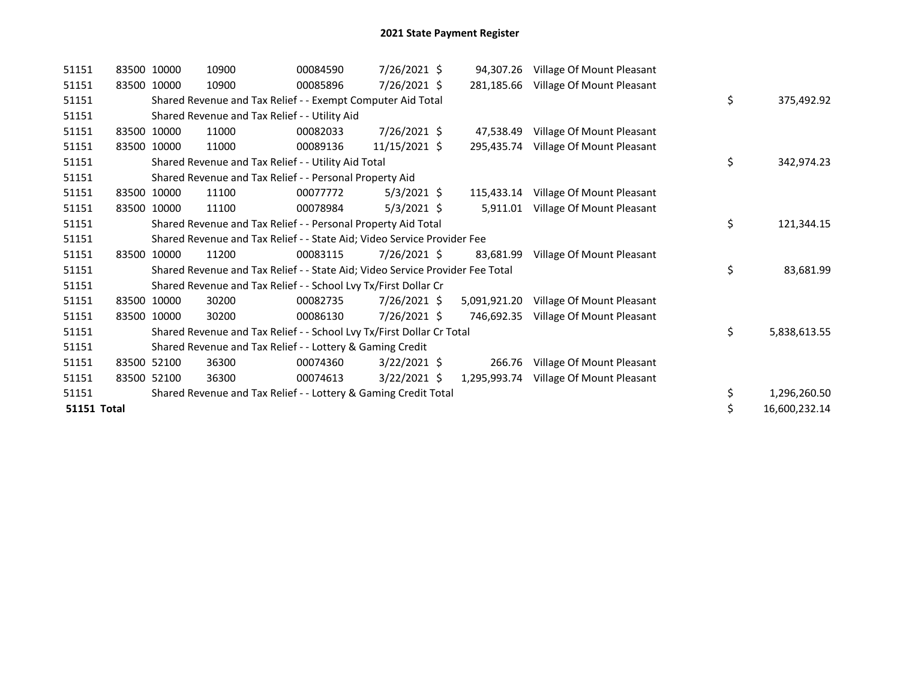| 51151              | 83500 10000 | 10900                                                                         | 00084590 | 7/26/2021 \$   |              | 94,307.26 Village Of Mount Pleasant |                     |
|--------------------|-------------|-------------------------------------------------------------------------------|----------|----------------|--------------|-------------------------------------|---------------------|
| 51151              | 83500 10000 | 10900                                                                         | 00085896 | 7/26/2021 \$   | 281,185.66   | Village Of Mount Pleasant           |                     |
| 51151              |             | Shared Revenue and Tax Relief - - Exempt Computer Aid Total                   |          |                |              |                                     | \$<br>375,492.92    |
| 51151              |             | Shared Revenue and Tax Relief - - Utility Aid                                 |          |                |              |                                     |                     |
| 51151              | 83500 10000 | 11000                                                                         | 00082033 | 7/26/2021 \$   | 47.538.49    | Village Of Mount Pleasant           |                     |
| 51151              | 83500 10000 | 11000                                                                         | 00089136 | 11/15/2021 \$  | 295,435.74   | Village Of Mount Pleasant           |                     |
| 51151              |             | Shared Revenue and Tax Relief - - Utility Aid Total                           |          |                |              |                                     | \$<br>342,974.23    |
| 51151              |             | Shared Revenue and Tax Relief - - Personal Property Aid                       |          |                |              |                                     |                     |
| 51151              | 83500 10000 | 11100                                                                         | 00077772 | $5/3/2021$ \$  | 115.433.14   | Village Of Mount Pleasant           |                     |
| 51151              | 83500 10000 | 11100                                                                         | 00078984 | $5/3/2021$ \$  | 5,911.01     | Village Of Mount Pleasant           |                     |
| 51151              |             | Shared Revenue and Tax Relief - - Personal Property Aid Total                 |          |                |              |                                     | \$<br>121,344.15    |
| 51151              |             | Shared Revenue and Tax Relief - - State Aid; Video Service Provider Fee       |          |                |              |                                     |                     |
| 51151              | 83500 10000 | 11200                                                                         | 00083115 | $7/26/2021$ \$ | 83.681.99    | Village Of Mount Pleasant           |                     |
| 51151              |             | Shared Revenue and Tax Relief - - State Aid; Video Service Provider Fee Total |          |                |              |                                     | \$<br>83,681.99     |
| 51151              |             | Shared Revenue and Tax Relief - - School Lvy Tx/First Dollar Cr               |          |                |              |                                     |                     |
| 51151              | 83500 10000 | 30200                                                                         | 00082735 | 7/26/2021 \$   | 5,091,921.20 | Village Of Mount Pleasant           |                     |
| 51151              | 83500 10000 | 30200                                                                         | 00086130 | 7/26/2021 \$   | 746,692.35   | Village Of Mount Pleasant           |                     |
| 51151              |             | Shared Revenue and Tax Relief - - School Lvy Tx/First Dollar Cr Total         |          |                |              |                                     | \$<br>5,838,613.55  |
| 51151              |             | Shared Revenue and Tax Relief - - Lottery & Gaming Credit                     |          |                |              |                                     |                     |
| 51151              | 83500 52100 | 36300                                                                         | 00074360 | $3/22/2021$ \$ | 266.76       | Village Of Mount Pleasant           |                     |
| 51151              | 83500 52100 | 36300                                                                         | 00074613 | $3/22/2021$ \$ | 1,295,993.74 | Village Of Mount Pleasant           |                     |
| 51151              |             | Shared Revenue and Tax Relief - - Lottery & Gaming Credit Total               |          |                |              |                                     | \$<br>1,296,260.50  |
| <b>51151 Total</b> |             |                                                                               |          |                |              |                                     | \$<br>16,600,232.14 |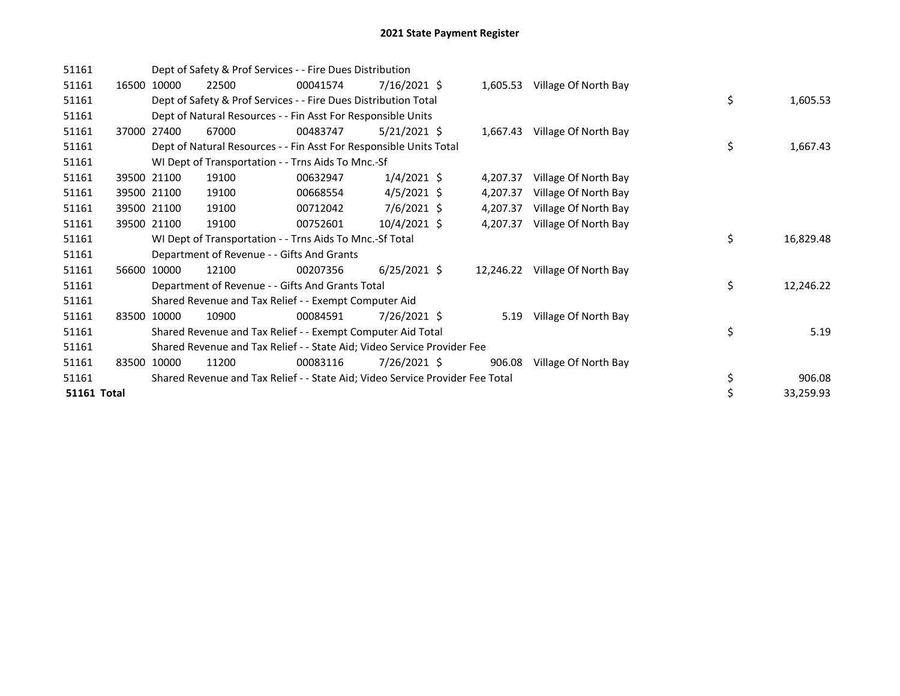| 51161              |       |             | Dept of Safety & Prof Services - - Fire Dues Distribution                     |          |                |          |                                |    |           |
|--------------------|-------|-------------|-------------------------------------------------------------------------------|----------|----------------|----------|--------------------------------|----|-----------|
| 51161              | 16500 | 10000       | 22500                                                                         | 00041574 | $7/16/2021$ \$ |          | 1,605.53 Village Of North Bay  |    |           |
| 51161              |       |             | Dept of Safety & Prof Services - - Fire Dues Distribution Total               |          |                |          |                                | \$ | 1,605.53  |
| 51161              |       |             | Dept of Natural Resources - - Fin Asst For Responsible Units                  |          |                |          |                                |    |           |
| 51161              |       | 37000 27400 | 67000                                                                         | 00483747 | $5/21/2021$ \$ |          | 1,667.43 Village Of North Bay  |    |           |
| 51161              |       |             | Dept of Natural Resources - - Fin Asst For Responsible Units Total            |          |                |          |                                | \$ | 1,667.43  |
| 51161              |       |             | WI Dept of Transportation - - Trns Aids To Mnc.-Sf                            |          |                |          |                                |    |           |
| 51161              |       | 39500 21100 | 19100                                                                         | 00632947 | $1/4/2021$ \$  | 4,207.37 | Village Of North Bay           |    |           |
| 51161              |       | 39500 21100 | 19100                                                                         | 00668554 | $4/5/2021$ \$  | 4,207.37 | Village Of North Bay           |    |           |
| 51161              |       | 39500 21100 | 19100                                                                         | 00712042 | $7/6/2021$ \$  | 4,207.37 | Village Of North Bay           |    |           |
| 51161              |       | 39500 21100 | 19100                                                                         | 00752601 | $10/4/2021$ \$ | 4,207.37 | Village Of North Bay           |    |           |
| 51161              |       |             | WI Dept of Transportation - - Trns Aids To Mnc.-Sf Total                      |          |                |          |                                | \$ | 16,829.48 |
| 51161              |       |             | Department of Revenue - - Gifts And Grants                                    |          |                |          |                                |    |           |
| 51161              | 56600 | 10000       | 12100                                                                         | 00207356 | $6/25/2021$ \$ |          | 12,246.22 Village Of North Bay |    |           |
| 51161              |       |             | Department of Revenue - - Gifts And Grants Total                              |          |                |          |                                | \$ | 12,246.22 |
| 51161              |       |             | Shared Revenue and Tax Relief - - Exempt Computer Aid                         |          |                |          |                                |    |           |
| 51161              | 83500 | 10000       | 10900                                                                         | 00084591 | 7/26/2021 \$   |          | 5.19 Village Of North Bay      |    |           |
| 51161              |       |             | Shared Revenue and Tax Relief - - Exempt Computer Aid Total                   |          |                |          |                                | \$ | 5.19      |
| 51161              |       |             | Shared Revenue and Tax Relief - - State Aid; Video Service Provider Fee       |          |                |          |                                |    |           |
| 51161              | 83500 | 10000       | 11200                                                                         | 00083116 | 7/26/2021 \$   | 906.08   | Village Of North Bay           |    |           |
| 51161              |       |             | Shared Revenue and Tax Relief - - State Aid; Video Service Provider Fee Total |          |                |          |                                | \$ | 906.08    |
| <b>51161 Total</b> |       |             |                                                                               |          |                |          |                                | \$ | 33,259.93 |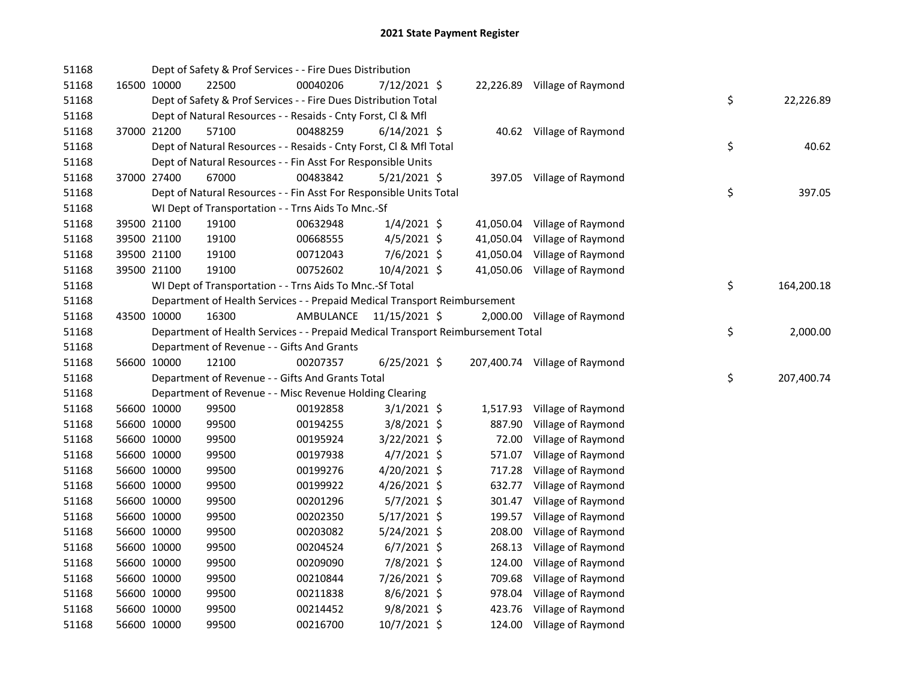| 51168 |             | Dept of Safety & Prof Services - - Fire Dues Distribution                       |           |                |           |                               |    |            |
|-------|-------------|---------------------------------------------------------------------------------|-----------|----------------|-----------|-------------------------------|----|------------|
| 51168 | 16500 10000 | 22500                                                                           | 00040206  | 7/12/2021 \$   |           | 22,226.89 Village of Raymond  |    |            |
| 51168 |             | Dept of Safety & Prof Services - - Fire Dues Distribution Total                 |           |                |           |                               | \$ | 22,226.89  |
| 51168 |             | Dept of Natural Resources - - Resaids - Cnty Forst, Cl & Mfl                    |           |                |           |                               |    |            |
| 51168 | 37000 21200 | 57100                                                                           | 00488259  | $6/14/2021$ \$ |           | 40.62 Village of Raymond      |    |            |
| 51168 |             | Dept of Natural Resources - - Resaids - Cnty Forst, Cl & Mfl Total              |           |                |           |                               | \$ | 40.62      |
| 51168 |             | Dept of Natural Resources - - Fin Asst For Responsible Units                    |           |                |           |                               |    |            |
| 51168 | 37000 27400 | 67000                                                                           | 00483842  | $5/21/2021$ \$ |           | 397.05 Village of Raymond     |    |            |
| 51168 |             | Dept of Natural Resources - - Fin Asst For Responsible Units Total              |           |                |           |                               | \$ | 397.05     |
| 51168 |             | WI Dept of Transportation - - Trns Aids To Mnc.-Sf                              |           |                |           |                               |    |            |
| 51168 | 39500 21100 | 19100                                                                           | 00632948  | $1/4/2021$ \$  | 41,050.04 | Village of Raymond            |    |            |
| 51168 | 39500 21100 | 19100                                                                           | 00668555  | $4/5/2021$ \$  | 41,050.04 | Village of Raymond            |    |            |
| 51168 | 39500 21100 | 19100                                                                           | 00712043  | 7/6/2021 \$    | 41,050.04 | Village of Raymond            |    |            |
| 51168 | 39500 21100 | 19100                                                                           | 00752602  | 10/4/2021 \$   |           | 41,050.06 Village of Raymond  |    |            |
| 51168 |             | WI Dept of Transportation - - Trns Aids To Mnc.-Sf Total                        |           |                |           |                               | \$ | 164,200.18 |
| 51168 |             | Department of Health Services - - Prepaid Medical Transport Reimbursement       |           |                |           |                               |    |            |
| 51168 | 43500 10000 | 16300                                                                           | AMBULANCE | 11/15/2021 \$  |           | 2,000.00 Village of Raymond   |    |            |
| 51168 |             | Department of Health Services - - Prepaid Medical Transport Reimbursement Total |           |                |           |                               | \$ | 2,000.00   |
| 51168 |             | Department of Revenue - - Gifts And Grants                                      |           |                |           |                               |    |            |
| 51168 | 56600 10000 | 12100                                                                           | 00207357  | $6/25/2021$ \$ |           | 207,400.74 Village of Raymond |    |            |
| 51168 |             | Department of Revenue - - Gifts And Grants Total                                |           |                |           |                               | \$ | 207,400.74 |
| 51168 |             | Department of Revenue - - Misc Revenue Holding Clearing                         |           |                |           |                               |    |            |
| 51168 | 56600 10000 | 99500                                                                           | 00192858  | $3/1/2021$ \$  | 1,517.93  | Village of Raymond            |    |            |
| 51168 | 56600 10000 | 99500                                                                           | 00194255  | 3/8/2021 \$    | 887.90    | Village of Raymond            |    |            |
| 51168 | 56600 10000 | 99500                                                                           | 00195924  | $3/22/2021$ \$ | 72.00     | Village of Raymond            |    |            |
| 51168 | 56600 10000 | 99500                                                                           | 00197938  | $4/7/2021$ \$  | 571.07    | Village of Raymond            |    |            |
| 51168 | 56600 10000 | 99500                                                                           | 00199276  | 4/20/2021 \$   | 717.28    | Village of Raymond            |    |            |
| 51168 | 56600 10000 | 99500                                                                           | 00199922  | 4/26/2021 \$   | 632.77    | Village of Raymond            |    |            |
| 51168 | 56600 10000 | 99500                                                                           | 00201296  | $5/7/2021$ \$  | 301.47    | Village of Raymond            |    |            |
| 51168 | 56600 10000 | 99500                                                                           | 00202350  | $5/17/2021$ \$ | 199.57    | Village of Raymond            |    |            |
| 51168 | 56600 10000 | 99500                                                                           | 00203082  | 5/24/2021 \$   | 208.00    | Village of Raymond            |    |            |
| 51168 | 56600 10000 | 99500                                                                           | 00204524  | $6/7/2021$ \$  | 268.13    | Village of Raymond            |    |            |
| 51168 | 56600 10000 | 99500                                                                           | 00209090  | 7/8/2021 \$    | 124.00    | Village of Raymond            |    |            |
| 51168 | 56600 10000 | 99500                                                                           | 00210844  | 7/26/2021 \$   | 709.68    | Village of Raymond            |    |            |
| 51168 | 56600 10000 | 99500                                                                           | 00211838  | 8/6/2021 \$    | 978.04    | Village of Raymond            |    |            |
| 51168 | 56600 10000 | 99500                                                                           | 00214452  | $9/8/2021$ \$  | 423.76    | Village of Raymond            |    |            |
| 51168 | 56600 10000 | 99500                                                                           | 00216700  | 10/7/2021 \$   | 124.00    | Village of Raymond            |    |            |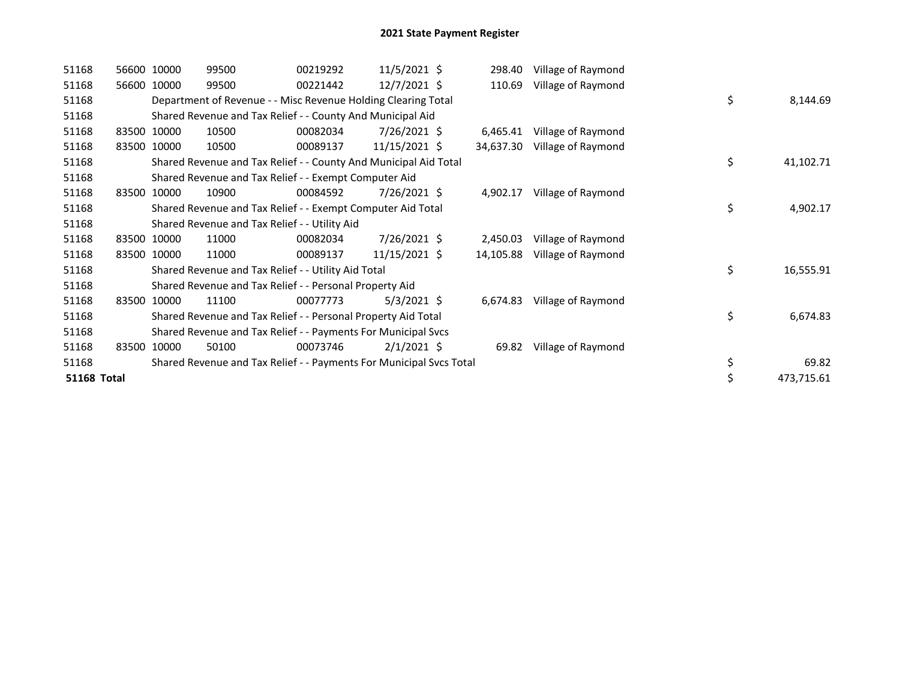| 51168              | 56600 10000 | 99500                                                               | 00219292 | 11/5/2021 \$   | 298.40    | Village of Raymond |    |            |
|--------------------|-------------|---------------------------------------------------------------------|----------|----------------|-----------|--------------------|----|------------|
| 51168              | 56600 10000 | 99500                                                               | 00221442 | $12/7/2021$ \$ | 110.69    | Village of Raymond |    |            |
| 51168              |             | Department of Revenue - - Misc Revenue Holding Clearing Total       |          |                |           |                    | \$ | 8,144.69   |
| 51168              |             | Shared Revenue and Tax Relief - - County And Municipal Aid          |          |                |           |                    |    |            |
| 51168              | 83500 10000 | 10500                                                               | 00082034 | 7/26/2021 \$   | 6,465.41  | Village of Raymond |    |            |
| 51168              | 83500 10000 | 10500                                                               | 00089137 | 11/15/2021 \$  | 34,637.30 | Village of Raymond |    |            |
| 51168              |             | Shared Revenue and Tax Relief - - County And Municipal Aid Total    |          |                |           |                    | \$ | 41,102.71  |
| 51168              |             | Shared Revenue and Tax Relief - - Exempt Computer Aid               |          |                |           |                    |    |            |
| 51168              | 83500 10000 | 10900                                                               | 00084592 | 7/26/2021 \$   | 4,902.17  | Village of Raymond |    |            |
| 51168              |             | Shared Revenue and Tax Relief - - Exempt Computer Aid Total         |          |                |           |                    | \$ | 4,902.17   |
| 51168              |             | Shared Revenue and Tax Relief - - Utility Aid                       |          |                |           |                    |    |            |
| 51168              | 83500 10000 | 11000                                                               | 00082034 | 7/26/2021 \$   | 2,450.03  | Village of Raymond |    |            |
| 51168              | 83500 10000 | 11000                                                               | 00089137 | 11/15/2021 \$  | 14,105.88 | Village of Raymond |    |            |
| 51168              |             | Shared Revenue and Tax Relief - - Utility Aid Total                 |          |                |           |                    | \$ | 16,555.91  |
| 51168              |             | Shared Revenue and Tax Relief - - Personal Property Aid             |          |                |           |                    |    |            |
| 51168              | 83500 10000 | 11100                                                               | 00077773 | $5/3/2021$ \$  | 6,674.83  | Village of Raymond |    |            |
| 51168              |             | Shared Revenue and Tax Relief - - Personal Property Aid Total       |          |                |           |                    | \$ | 6,674.83   |
| 51168              |             | Shared Revenue and Tax Relief - - Payments For Municipal Svcs       |          |                |           |                    |    |            |
| 51168              | 83500 10000 | 50100                                                               | 00073746 | $2/1/2021$ \$  | 69.82     | Village of Raymond |    |            |
| 51168              |             | Shared Revenue and Tax Relief - - Payments For Municipal Svcs Total |          |                |           |                    | \$ | 69.82      |
| <b>51168 Total</b> |             |                                                                     |          |                |           |                    | \$ | 473,715.61 |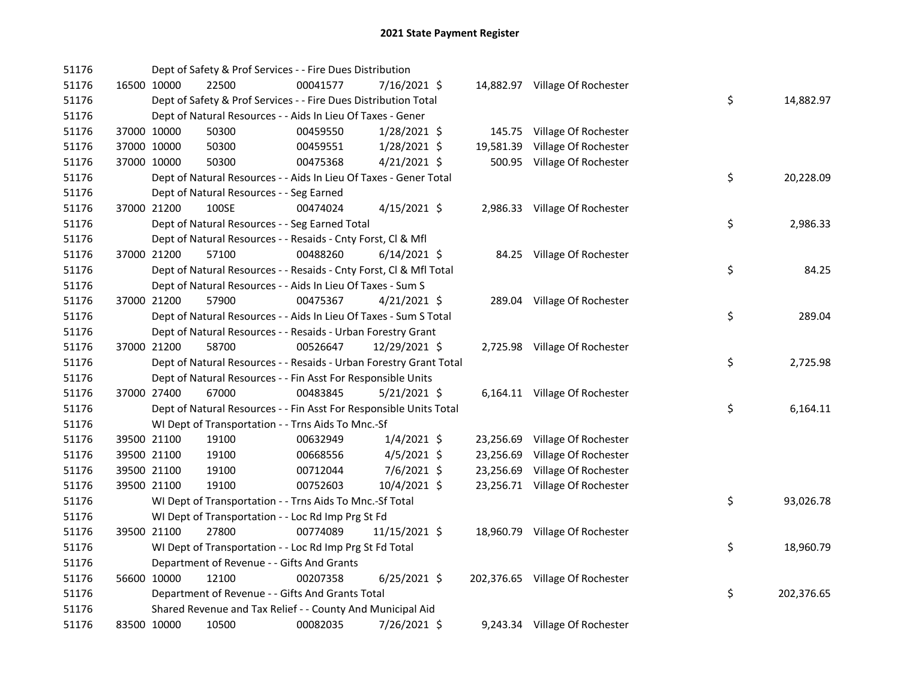| 51176 |             |             | Dept of Safety & Prof Services - - Fire Dues Distribution          |          |                |  |                                 |    |            |
|-------|-------------|-------------|--------------------------------------------------------------------|----------|----------------|--|---------------------------------|----|------------|
| 51176 |             | 16500 10000 | 22500                                                              | 00041577 | 7/16/2021 \$   |  | 14,882.97 Village Of Rochester  |    |            |
| 51176 |             |             | Dept of Safety & Prof Services - - Fire Dues Distribution Total    |          |                |  |                                 | \$ | 14,882.97  |
| 51176 |             |             | Dept of Natural Resources - - Aids In Lieu Of Taxes - Gener        |          |                |  |                                 |    |            |
| 51176 | 37000 10000 |             | 50300                                                              | 00459550 | 1/28/2021 \$   |  | 145.75 Village Of Rochester     |    |            |
| 51176 | 37000 10000 |             | 50300                                                              | 00459551 | $1/28/2021$ \$ |  | 19,581.39 Village Of Rochester  |    |            |
| 51176 | 37000 10000 |             | 50300                                                              | 00475368 | $4/21/2021$ \$ |  | 500.95 Village Of Rochester     |    |            |
| 51176 |             |             | Dept of Natural Resources - - Aids In Lieu Of Taxes - Gener Total  |          |                |  |                                 | \$ | 20,228.09  |
| 51176 |             |             | Dept of Natural Resources - - Seg Earned                           |          |                |  |                                 |    |            |
| 51176 | 37000 21200 |             | 100SE                                                              | 00474024 | $4/15/2021$ \$ |  | 2,986.33 Village Of Rochester   |    |            |
| 51176 |             |             | Dept of Natural Resources - - Seg Earned Total                     |          |                |  |                                 | \$ | 2,986.33   |
| 51176 |             |             | Dept of Natural Resources - - Resaids - Cnty Forst, Cl & Mfl       |          |                |  |                                 |    |            |
| 51176 | 37000 21200 |             | 57100                                                              | 00488260 | $6/14/2021$ \$ |  | 84.25 Village Of Rochester      |    |            |
| 51176 |             |             | Dept of Natural Resources - - Resaids - Cnty Forst, Cl & Mfl Total |          |                |  |                                 | \$ | 84.25      |
| 51176 |             |             | Dept of Natural Resources - - Aids In Lieu Of Taxes - Sum S        |          |                |  |                                 |    |            |
| 51176 | 37000 21200 |             | 57900                                                              | 00475367 | $4/21/2021$ \$ |  | 289.04 Village Of Rochester     |    |            |
| 51176 |             |             | Dept of Natural Resources - - Aids In Lieu Of Taxes - Sum S Total  |          |                |  |                                 | \$ | 289.04     |
| 51176 |             |             | Dept of Natural Resources - - Resaids - Urban Forestry Grant       |          |                |  |                                 |    |            |
| 51176 |             | 37000 21200 | 58700                                                              | 00526647 | 12/29/2021 \$  |  | 2,725.98 Village Of Rochester   |    |            |
| 51176 |             |             | Dept of Natural Resources - - Resaids - Urban Forestry Grant Total |          |                |  |                                 | \$ | 2,725.98   |
| 51176 |             |             | Dept of Natural Resources - - Fin Asst For Responsible Units       |          |                |  |                                 |    |            |
| 51176 | 37000 27400 |             | 67000                                                              | 00483845 | $5/21/2021$ \$ |  | 6,164.11 Village Of Rochester   |    |            |
| 51176 |             |             | Dept of Natural Resources - - Fin Asst For Responsible Units Total |          |                |  |                                 | \$ | 6,164.11   |
| 51176 |             |             | WI Dept of Transportation - - Trns Aids To Mnc.-Sf                 |          |                |  |                                 |    |            |
| 51176 | 39500 21100 |             | 19100                                                              | 00632949 | $1/4/2021$ \$  |  | 23,256.69 Village Of Rochester  |    |            |
| 51176 |             | 39500 21100 | 19100                                                              | 00668556 | $4/5/2021$ \$  |  | 23,256.69 Village Of Rochester  |    |            |
| 51176 | 39500 21100 |             | 19100                                                              | 00712044 | 7/6/2021 \$    |  | 23,256.69 Village Of Rochester  |    |            |
| 51176 | 39500 21100 |             | 19100                                                              | 00752603 | 10/4/2021 \$   |  | 23,256.71 Village Of Rochester  |    |            |
| 51176 |             |             | WI Dept of Transportation - - Trns Aids To Mnc.-Sf Total           |          |                |  |                                 | \$ | 93,026.78  |
| 51176 |             |             | WI Dept of Transportation - - Loc Rd Imp Prg St Fd                 |          |                |  |                                 |    |            |
| 51176 |             | 39500 21100 | 27800                                                              | 00774089 | 11/15/2021 \$  |  | 18,960.79 Village Of Rochester  |    |            |
| 51176 |             |             | WI Dept of Transportation - - Loc Rd Imp Prg St Fd Total           |          |                |  |                                 | \$ | 18,960.79  |
| 51176 |             |             | Department of Revenue - - Gifts And Grants                         |          |                |  |                                 |    |            |
| 51176 | 56600 10000 |             | 12100                                                              | 00207358 | $6/25/2021$ \$ |  | 202,376.65 Village Of Rochester |    |            |
| 51176 |             |             | Department of Revenue - - Gifts And Grants Total                   |          |                |  |                                 | \$ | 202,376.65 |
| 51176 |             |             | Shared Revenue and Tax Relief - - County And Municipal Aid         |          |                |  |                                 |    |            |
| 51176 | 83500 10000 |             | 10500                                                              | 00082035 | 7/26/2021 \$   |  | 9,243.34 Village Of Rochester   |    |            |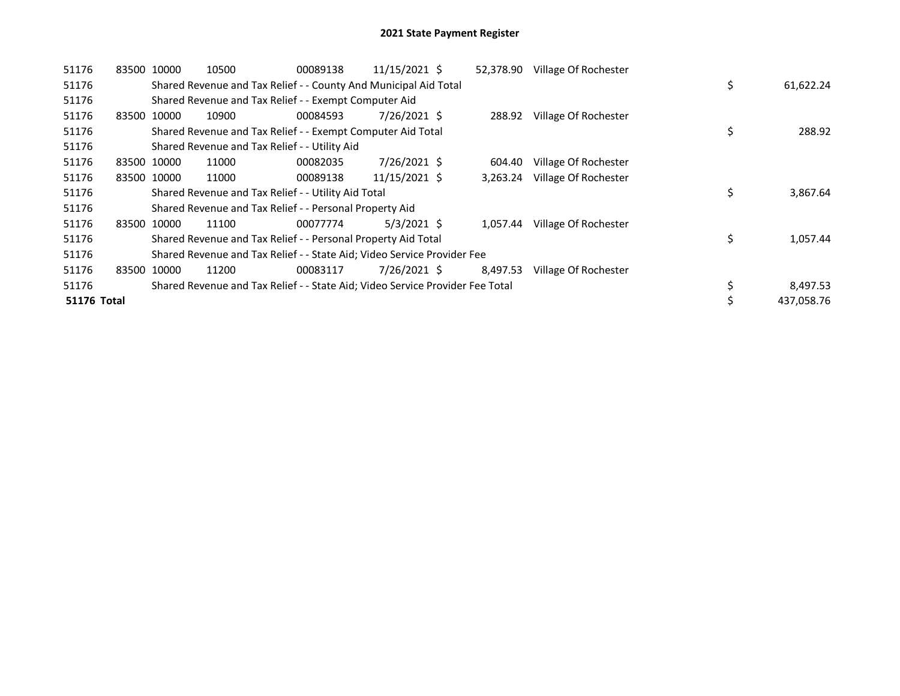| 51176              | 83500 10000 |             | 10500                                                                         | 00089138 | 11/15/2021 \$ | 52,378.90 | Village Of Rochester |    |            |
|--------------------|-------------|-------------|-------------------------------------------------------------------------------|----------|---------------|-----------|----------------------|----|------------|
| 51176              |             |             | Shared Revenue and Tax Relief - - County And Municipal Aid Total              |          |               |           |                      | \$ | 61,622.24  |
| 51176              |             |             | Shared Revenue and Tax Relief - - Exempt Computer Aid                         |          |               |           |                      |    |            |
| 51176              | 83500       | 10000       | 10900                                                                         | 00084593 | 7/26/2021 \$  | 288.92    | Village Of Rochester |    |            |
| 51176              |             |             | Shared Revenue and Tax Relief - - Exempt Computer Aid Total                   |          |               |           |                      | \$ | 288.92     |
| 51176              |             |             | Shared Revenue and Tax Relief - - Utility Aid                                 |          |               |           |                      |    |            |
| 51176              |             | 83500 10000 | 11000                                                                         | 00082035 | 7/26/2021 \$  | 604.40    | Village Of Rochester |    |            |
| 51176              |             | 83500 10000 | 11000                                                                         | 00089138 | 11/15/2021 \$ | 3,263.24  | Village Of Rochester |    |            |
| 51176              |             |             | Shared Revenue and Tax Relief - - Utility Aid Total                           |          |               |           |                      | \$ | 3,867.64   |
| 51176              |             |             | Shared Revenue and Tax Relief - - Personal Property Aid                       |          |               |           |                      |    |            |
| 51176              |             | 83500 10000 | 11100                                                                         | 00077774 | $5/3/2021$ \$ | 1,057.44  | Village Of Rochester |    |            |
| 51176              |             |             | Shared Revenue and Tax Relief - - Personal Property Aid Total                 |          |               |           |                      | \$ | 1,057.44   |
| 51176              |             |             | Shared Revenue and Tax Relief - - State Aid; Video Service Provider Fee       |          |               |           |                      |    |            |
| 51176              |             | 83500 10000 | 11200                                                                         | 00083117 | 7/26/2021 \$  | 8,497.53  | Village Of Rochester |    |            |
| 51176              |             |             | Shared Revenue and Tax Relief - - State Aid; Video Service Provider Fee Total |          |               |           |                      | \$ | 8,497.53   |
| <b>51176 Total</b> |             |             |                                                                               |          |               |           |                      | \$ | 437,058.76 |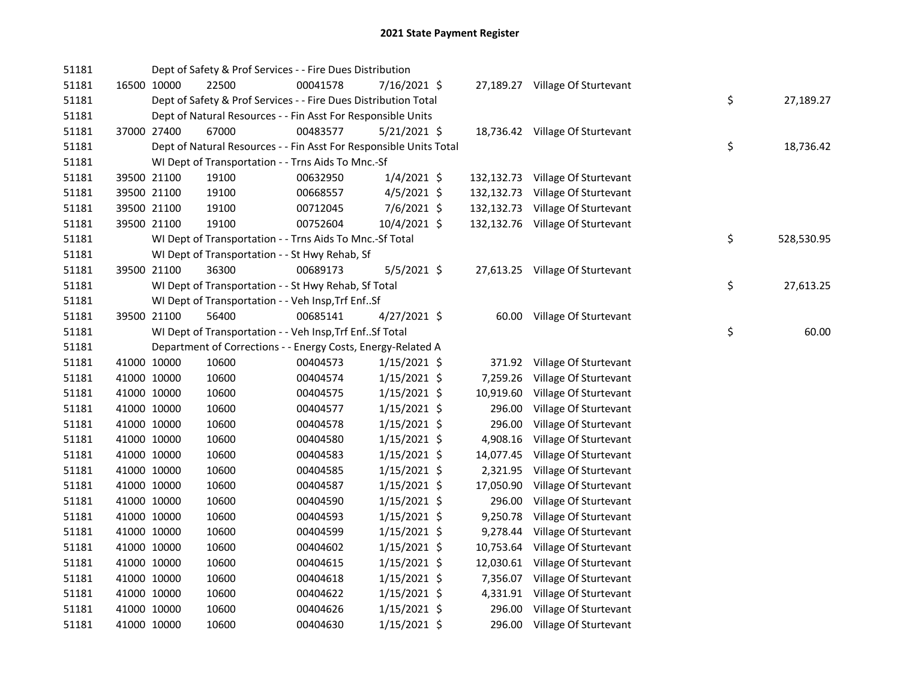| 51181 |             |             | Dept of Safety & Prof Services - - Fire Dues Distribution          |          |                |            |                                  |    |            |
|-------|-------------|-------------|--------------------------------------------------------------------|----------|----------------|------------|----------------------------------|----|------------|
| 51181 | 16500 10000 |             | 22500                                                              | 00041578 | 7/16/2021 \$   |            | 27,189.27 Village Of Sturtevant  |    |            |
| 51181 |             |             | Dept of Safety & Prof Services - - Fire Dues Distribution Total    |          |                |            |                                  | \$ | 27,189.27  |
| 51181 |             |             | Dept of Natural Resources - - Fin Asst For Responsible Units       |          |                |            |                                  |    |            |
| 51181 | 37000 27400 |             | 67000                                                              | 00483577 | $5/21/2021$ \$ |            | 18,736.42 Village Of Sturtevant  |    |            |
| 51181 |             |             | Dept of Natural Resources - - Fin Asst For Responsible Units Total |          |                |            |                                  | \$ | 18,736.42  |
| 51181 |             |             | WI Dept of Transportation - - Trns Aids To Mnc.-Sf                 |          |                |            |                                  |    |            |
| 51181 |             | 39500 21100 | 19100                                                              | 00632950 | $1/4/2021$ \$  | 132,132.73 | Village Of Sturtevant            |    |            |
| 51181 |             | 39500 21100 | 19100                                                              | 00668557 | 4/5/2021 \$    | 132,132.73 | Village Of Sturtevant            |    |            |
| 51181 | 39500 21100 |             | 19100                                                              | 00712045 | 7/6/2021 \$    | 132,132.73 | Village Of Sturtevant            |    |            |
| 51181 | 39500 21100 |             | 19100                                                              | 00752604 | 10/4/2021 \$   |            | 132,132.76 Village Of Sturtevant |    |            |
| 51181 |             |             | WI Dept of Transportation - - Trns Aids To Mnc.-Sf Total           |          |                |            |                                  | \$ | 528,530.95 |
| 51181 |             |             | WI Dept of Transportation - - St Hwy Rehab, Sf                     |          |                |            |                                  |    |            |
| 51181 | 39500 21100 |             | 36300                                                              | 00689173 | $5/5/2021$ \$  |            | 27,613.25 Village Of Sturtevant  |    |            |
| 51181 |             |             | WI Dept of Transportation - - St Hwy Rehab, Sf Total               |          |                |            |                                  | \$ | 27,613.25  |
| 51181 |             |             | WI Dept of Transportation - - Veh Insp, Trf EnfSf                  |          |                |            |                                  |    |            |
| 51181 | 39500 21100 |             | 56400                                                              | 00685141 | 4/27/2021 \$   |            | 60.00 Village Of Sturtevant      |    |            |
| 51181 |             |             | WI Dept of Transportation - - Veh Insp, Trf EnfSf Total            |          |                |            |                                  | \$ | 60.00      |
| 51181 |             |             | Department of Corrections - - Energy Costs, Energy-Related A       |          |                |            |                                  |    |            |
| 51181 |             | 41000 10000 | 10600                                                              | 00404573 | $1/15/2021$ \$ | 371.92     | Village Of Sturtevant            |    |            |
| 51181 |             | 41000 10000 | 10600                                                              | 00404574 | $1/15/2021$ \$ | 7,259.26   | Village Of Sturtevant            |    |            |
| 51181 | 41000 10000 |             | 10600                                                              | 00404575 | $1/15/2021$ \$ | 10,919.60  | Village Of Sturtevant            |    |            |
| 51181 | 41000 10000 |             | 10600                                                              | 00404577 | $1/15/2021$ \$ | 296.00     | Village Of Sturtevant            |    |            |
| 51181 | 41000 10000 |             | 10600                                                              | 00404578 | $1/15/2021$ \$ | 296.00     | Village Of Sturtevant            |    |            |
| 51181 | 41000 10000 |             | 10600                                                              | 00404580 | $1/15/2021$ \$ | 4,908.16   | Village Of Sturtevant            |    |            |
| 51181 | 41000 10000 |             | 10600                                                              | 00404583 | $1/15/2021$ \$ | 14,077.45  | Village Of Sturtevant            |    |            |
| 51181 | 41000 10000 |             | 10600                                                              | 00404585 | $1/15/2021$ \$ | 2,321.95   | Village Of Sturtevant            |    |            |
| 51181 | 41000 10000 |             | 10600                                                              | 00404587 | $1/15/2021$ \$ | 17,050.90  | Village Of Sturtevant            |    |            |
| 51181 | 41000 10000 |             | 10600                                                              | 00404590 | $1/15/2021$ \$ | 296.00     | Village Of Sturtevant            |    |            |
| 51181 | 41000 10000 |             | 10600                                                              | 00404593 | $1/15/2021$ \$ | 9,250.78   | Village Of Sturtevant            |    |            |
| 51181 | 41000 10000 |             | 10600                                                              | 00404599 | $1/15/2021$ \$ | 9,278.44   | Village Of Sturtevant            |    |            |
| 51181 | 41000 10000 |             | 10600                                                              | 00404602 | $1/15/2021$ \$ | 10,753.64  | Village Of Sturtevant            |    |            |
| 51181 | 41000 10000 |             | 10600                                                              | 00404615 | $1/15/2021$ \$ | 12,030.61  | Village Of Sturtevant            |    |            |
| 51181 | 41000 10000 |             | 10600                                                              | 00404618 | $1/15/2021$ \$ | 7,356.07   | Village Of Sturtevant            |    |            |
| 51181 | 41000 10000 |             | 10600                                                              | 00404622 | $1/15/2021$ \$ | 4,331.91   | Village Of Sturtevant            |    |            |
| 51181 | 41000 10000 |             | 10600                                                              | 00404626 | $1/15/2021$ \$ | 296.00     | Village Of Sturtevant            |    |            |
| 51181 | 41000 10000 |             | 10600                                                              | 00404630 | $1/15/2021$ \$ | 296.00     | Village Of Sturtevant            |    |            |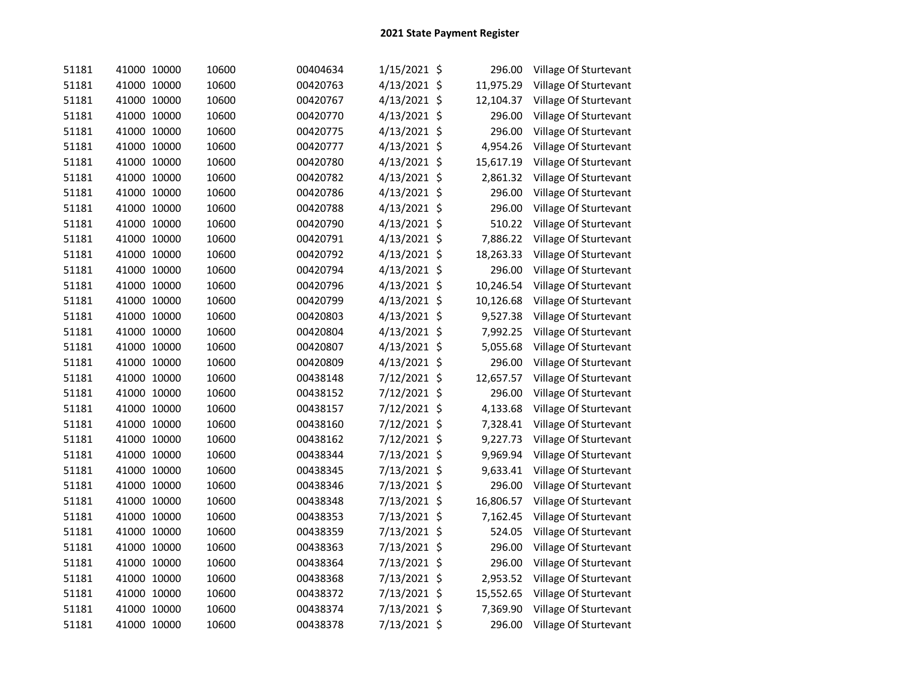| 51181 | 41000 10000    | 10600 | 00404634 | 1/15/2021 \$ |                    | 296.00    | Village Of Sturtevant |
|-------|----------------|-------|----------|--------------|--------------------|-----------|-----------------------|
| 51181 | 41000 10000    | 10600 | 00420763 | 4/13/2021 \$ |                    | 11,975.29 | Village Of Sturtevant |
| 51181 | 41000 10000    | 10600 | 00420767 | 4/13/2021    | \$                 | 12,104.37 | Village Of Sturtevant |
| 51181 | 41000 10000    | 10600 | 00420770 | 4/13/2021 \$ |                    | 296.00    | Village Of Sturtevant |
| 51181 | 41000 10000    | 10600 | 00420775 | 4/13/2021    | $\zeta$            | 296.00    | Village Of Sturtevant |
| 51181 | 41000 10000    | 10600 | 00420777 | 4/13/2021    | \$                 | 4,954.26  | Village Of Sturtevant |
| 51181 | 41000 10000    | 10600 | 00420780 | 4/13/2021    | \$                 | 15,617.19 | Village Of Sturtevant |
| 51181 | 41000 10000    | 10600 | 00420782 | 4/13/2021    | $\ddot{\varsigma}$ | 2,861.32  | Village Of Sturtevant |
| 51181 | 41000 10000    | 10600 | 00420786 | 4/13/2021    | \$                 | 296.00    | Village Of Sturtevant |
| 51181 | 41000 10000    | 10600 | 00420788 | 4/13/2021    | \$                 | 296.00    | Village Of Sturtevant |
| 51181 | 41000 10000    | 10600 | 00420790 | 4/13/2021    | \$                 | 510.22    | Village Of Sturtevant |
| 51181 | 41000 10000    | 10600 | 00420791 | 4/13/2021    | \$                 | 7,886.22  | Village Of Sturtevant |
| 51181 | 41000 10000    | 10600 | 00420792 | 4/13/2021 \$ |                    | 18,263.33 | Village Of Sturtevant |
| 51181 | 41000 10000    | 10600 | 00420794 | 4/13/2021 \$ |                    | 296.00    | Village Of Sturtevant |
| 51181 | 41000 10000    | 10600 | 00420796 | 4/13/2021 \$ |                    | 10,246.54 | Village Of Sturtevant |
| 51181 | 41000 10000    | 10600 | 00420799 | 4/13/2021 \$ |                    | 10,126.68 | Village Of Sturtevant |
| 51181 | 41000 10000    | 10600 | 00420803 | 4/13/2021 \$ |                    | 9,527.38  | Village Of Sturtevant |
| 51181 | 41000 10000    | 10600 | 00420804 | 4/13/2021 \$ |                    | 7,992.25  | Village Of Sturtevant |
| 51181 | 41000 10000    | 10600 | 00420807 | 4/13/2021 \$ |                    | 5,055.68  | Village Of Sturtevant |
| 51181 | 41000 10000    | 10600 | 00420809 | 4/13/2021 \$ |                    | 296.00    | Village Of Sturtevant |
| 51181 | 41000 10000    | 10600 | 00438148 | 7/12/2021 \$ |                    | 12,657.57 | Village Of Sturtevant |
| 51181 | 41000 10000    | 10600 | 00438152 | 7/12/2021 \$ |                    | 296.00    | Village Of Sturtevant |
| 51181 | 41000 10000    | 10600 | 00438157 | 7/12/2021 \$ |                    | 4,133.68  | Village Of Sturtevant |
| 51181 | 41000 10000    | 10600 | 00438160 | 7/12/2021 \$ |                    | 7,328.41  | Village Of Sturtevant |
| 51181 | 41000 10000    | 10600 | 00438162 | 7/12/2021 \$ |                    | 9,227.73  | Village Of Sturtevant |
| 51181 | 41000 10000    | 10600 | 00438344 | 7/13/2021 \$ |                    | 9,969.94  | Village Of Sturtevant |
| 51181 | 41000<br>10000 | 10600 | 00438345 | 7/13/2021    | \$                 | 9,633.41  | Village Of Sturtevant |
| 51181 | 41000 10000    | 10600 | 00438346 | 7/13/2021    | \$                 | 296.00    | Village Of Sturtevant |
| 51181 | 41000 10000    | 10600 | 00438348 | 7/13/2021    | \$                 | 16,806.57 | Village Of Sturtevant |
| 51181 | 41000 10000    | 10600 | 00438353 | 7/13/2021    | \$                 | 7,162.45  | Village Of Sturtevant |
| 51181 | 41000<br>10000 | 10600 | 00438359 | 7/13/2021 \$ |                    | 524.05    | Village Of Sturtevant |
| 51181 | 41000 10000    | 10600 | 00438363 | 7/13/2021 \$ |                    | 296.00    | Village Of Sturtevant |
| 51181 | 41000 10000    | 10600 | 00438364 | 7/13/2021 \$ |                    | 296.00    | Village Of Sturtevant |
| 51181 | 41000 10000    | 10600 | 00438368 | 7/13/2021 \$ |                    | 2,953.52  | Village Of Sturtevant |
| 51181 | 41000 10000    | 10600 | 00438372 | 7/13/2021 \$ |                    | 15,552.65 | Village Of Sturtevant |
| 51181 | 41000 10000    | 10600 | 00438374 | 7/13/2021    | \$                 | 7,369.90  | Village Of Sturtevant |
| 51181 | 41000 10000    | 10600 | 00438378 | 7/13/2021 \$ |                    | 296.00    | Village Of Sturtevant |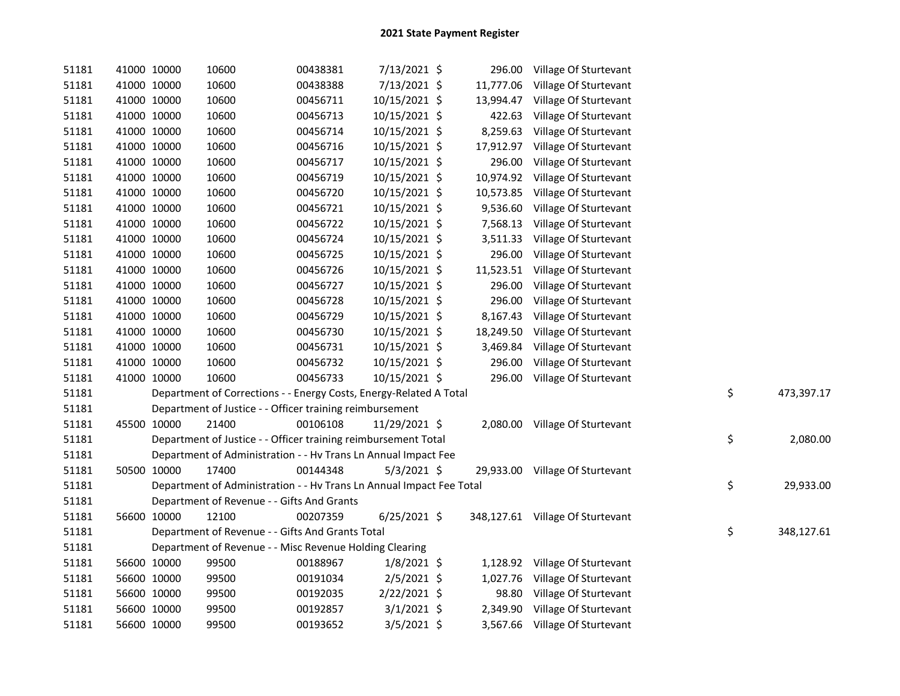| 51181 | 41000 10000 |             | 10600                                                                | 00438381 | 7/13/2021 \$   |           | 296.00 Village Of Sturtevant     |    |            |
|-------|-------------|-------------|----------------------------------------------------------------------|----------|----------------|-----------|----------------------------------|----|------------|
| 51181 | 41000 10000 |             | 10600                                                                | 00438388 | 7/13/2021 \$   |           | 11,777.06 Village Of Sturtevant  |    |            |
| 51181 | 41000 10000 |             | 10600                                                                | 00456711 | 10/15/2021 \$  |           | 13,994.47 Village Of Sturtevant  |    |            |
| 51181 | 41000 10000 |             | 10600                                                                | 00456713 | 10/15/2021 \$  |           | 422.63 Village Of Sturtevant     |    |            |
| 51181 | 41000 10000 |             | 10600                                                                | 00456714 | 10/15/2021 \$  |           | 8,259.63 Village Of Sturtevant   |    |            |
| 51181 | 41000 10000 |             | 10600                                                                | 00456716 | 10/15/2021 \$  |           | 17,912.97 Village Of Sturtevant  |    |            |
| 51181 | 41000 10000 |             | 10600                                                                | 00456717 | 10/15/2021 \$  | 296.00    | Village Of Sturtevant            |    |            |
| 51181 | 41000 10000 |             | 10600                                                                | 00456719 | 10/15/2021 \$  |           | 10,974.92 Village Of Sturtevant  |    |            |
| 51181 | 41000 10000 |             | 10600                                                                | 00456720 | 10/15/2021 \$  |           | 10,573.85 Village Of Sturtevant  |    |            |
| 51181 | 41000 10000 |             | 10600                                                                | 00456721 | 10/15/2021 \$  | 9,536.60  | Village Of Sturtevant            |    |            |
| 51181 | 41000 10000 |             | 10600                                                                | 00456722 | 10/15/2021 \$  | 7,568.13  | Village Of Sturtevant            |    |            |
| 51181 | 41000 10000 |             | 10600                                                                | 00456724 | 10/15/2021 \$  |           | 3,511.33 Village Of Sturtevant   |    |            |
| 51181 | 41000 10000 |             | 10600                                                                | 00456725 | 10/15/2021 \$  |           | 296.00 Village Of Sturtevant     |    |            |
| 51181 |             | 41000 10000 | 10600                                                                | 00456726 | 10/15/2021 \$  | 11,523.51 | Village Of Sturtevant            |    |            |
| 51181 |             | 41000 10000 | 10600                                                                | 00456727 | 10/15/2021 \$  |           | 296.00 Village Of Sturtevant     |    |            |
| 51181 |             | 41000 10000 | 10600                                                                | 00456728 | 10/15/2021 \$  |           | 296.00 Village Of Sturtevant     |    |            |
| 51181 |             | 41000 10000 | 10600                                                                | 00456729 | 10/15/2021 \$  |           | 8,167.43 Village Of Sturtevant   |    |            |
| 51181 |             | 41000 10000 | 10600                                                                | 00456730 | 10/15/2021 \$  |           | 18,249.50 Village Of Sturtevant  |    |            |
| 51181 | 41000 10000 |             | 10600                                                                | 00456731 | 10/15/2021 \$  |           | 3,469.84 Village Of Sturtevant   |    |            |
| 51181 |             | 41000 10000 | 10600                                                                | 00456732 | 10/15/2021 \$  | 296.00    | Village Of Sturtevant            |    |            |
| 51181 |             | 41000 10000 | 10600                                                                | 00456733 | 10/15/2021 \$  |           | 296.00 Village Of Sturtevant     |    |            |
| 51181 |             |             | Department of Corrections - - Energy Costs, Energy-Related A Total   |          |                |           |                                  | \$ | 473,397.17 |
| 51181 |             |             | Department of Justice - - Officer training reimbursement             |          |                |           |                                  |    |            |
| 51181 |             | 45500 10000 | 21400                                                                | 00106108 | 11/29/2021 \$  |           | 2,080.00 Village Of Sturtevant   |    |            |
| 51181 |             |             | Department of Justice - - Officer training reimbursement Total       |          |                |           |                                  | \$ | 2,080.00   |
| 51181 |             |             | Department of Administration - - Hv Trans Ln Annual Impact Fee       |          |                |           |                                  |    |            |
| 51181 |             | 50500 10000 | 17400                                                                | 00144348 | $5/3/2021$ \$  |           | 29,933.00 Village Of Sturtevant  |    |            |
| 51181 |             |             | Department of Administration - - Hv Trans Ln Annual Impact Fee Total |          |                |           |                                  | \$ | 29,933.00  |
| 51181 |             |             | Department of Revenue - - Gifts And Grants                           |          |                |           |                                  |    |            |
| 51181 |             | 56600 10000 | 12100                                                                | 00207359 | $6/25/2021$ \$ |           | 348,127.61 Village Of Sturtevant |    |            |
| 51181 |             |             | Department of Revenue - - Gifts And Grants Total                     |          |                |           |                                  | \$ | 348,127.61 |
| 51181 |             |             | Department of Revenue - - Misc Revenue Holding Clearing              |          |                |           |                                  |    |            |
| 51181 |             | 56600 10000 | 99500                                                                | 00188967 | $1/8/2021$ \$  |           | 1,128.92 Village Of Sturtevant   |    |            |
| 51181 | 56600 10000 |             | 99500                                                                | 00191034 | $2/5/2021$ \$  |           | 1,027.76 Village Of Sturtevant   |    |            |
| 51181 | 56600 10000 |             | 99500                                                                | 00192035 | 2/22/2021 \$   |           | 98.80 Village Of Sturtevant      |    |            |
| 51181 | 56600 10000 |             | 99500                                                                | 00192857 | $3/1/2021$ \$  |           | 2,349.90 Village Of Sturtevant   |    |            |
| 51181 | 56600 10000 |             | 99500                                                                | 00193652 | $3/5/2021$ \$  |           | 3,567.66 Village Of Sturtevant   |    |            |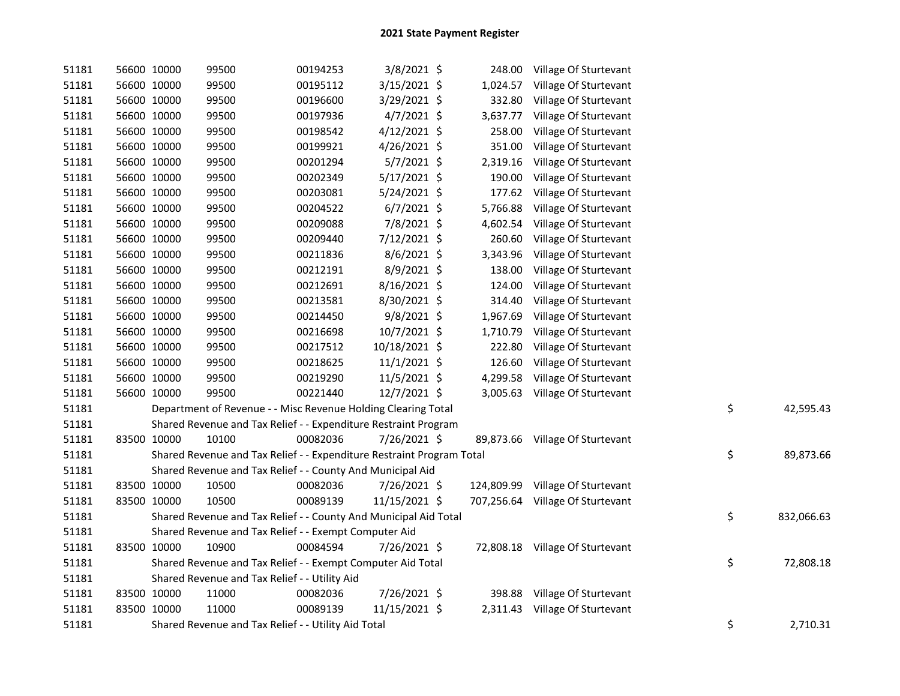| 51181 | 56600 10000 | 99500                                                                 | 00194253 | 3/8/2021 \$    |          | 248.00 Village Of Sturtevant     |    |            |
|-------|-------------|-----------------------------------------------------------------------|----------|----------------|----------|----------------------------------|----|------------|
| 51181 | 56600 10000 | 99500                                                                 | 00195112 | 3/15/2021 \$   | 1,024.57 | Village Of Sturtevant            |    |            |
| 51181 | 56600 10000 | 99500                                                                 | 00196600 | 3/29/2021 \$   | 332.80   | Village Of Sturtevant            |    |            |
| 51181 | 56600 10000 | 99500                                                                 | 00197936 | $4/7/2021$ \$  | 3,637.77 | Village Of Sturtevant            |    |            |
| 51181 | 56600 10000 | 99500                                                                 | 00198542 | 4/12/2021 \$   | 258.00   | Village Of Sturtevant            |    |            |
| 51181 | 56600 10000 | 99500                                                                 | 00199921 | $4/26/2021$ \$ | 351.00   | Village Of Sturtevant            |    |            |
| 51181 | 56600 10000 | 99500                                                                 | 00201294 | $5/7/2021$ \$  | 2,319.16 | Village Of Sturtevant            |    |            |
| 51181 | 56600 10000 | 99500                                                                 | 00202349 | $5/17/2021$ \$ | 190.00   | Village Of Sturtevant            |    |            |
| 51181 | 56600 10000 | 99500                                                                 | 00203081 | 5/24/2021 \$   | 177.62   | Village Of Sturtevant            |    |            |
| 51181 | 56600 10000 | 99500                                                                 | 00204522 | $6/7/2021$ \$  | 5,766.88 | Village Of Sturtevant            |    |            |
| 51181 | 56600 10000 | 99500                                                                 | 00209088 | 7/8/2021 \$    | 4,602.54 | Village Of Sturtevant            |    |            |
| 51181 | 56600 10000 | 99500                                                                 | 00209440 | 7/12/2021 \$   | 260.60   | Village Of Sturtevant            |    |            |
| 51181 | 56600 10000 | 99500                                                                 | 00211836 | $8/6/2021$ \$  | 3,343.96 | Village Of Sturtevant            |    |            |
| 51181 | 56600 10000 | 99500                                                                 | 00212191 | 8/9/2021 \$    | 138.00   | Village Of Sturtevant            |    |            |
| 51181 | 56600 10000 | 99500                                                                 | 00212691 | 8/16/2021 \$   | 124.00   | Village Of Sturtevant            |    |            |
| 51181 | 56600 10000 | 99500                                                                 | 00213581 | 8/30/2021 \$   | 314.40   | Village Of Sturtevant            |    |            |
| 51181 | 56600 10000 | 99500                                                                 | 00214450 | $9/8/2021$ \$  | 1,967.69 | Village Of Sturtevant            |    |            |
| 51181 | 56600 10000 | 99500                                                                 | 00216698 | 10/7/2021 \$   | 1,710.79 | Village Of Sturtevant            |    |            |
| 51181 | 56600 10000 | 99500                                                                 | 00217512 | 10/18/2021 \$  | 222.80   | Village Of Sturtevant            |    |            |
| 51181 | 56600 10000 | 99500                                                                 | 00218625 | 11/1/2021 \$   | 126.60   | Village Of Sturtevant            |    |            |
| 51181 | 56600 10000 | 99500                                                                 | 00219290 | 11/5/2021 \$   | 4,299.58 | Village Of Sturtevant            |    |            |
| 51181 | 56600 10000 | 99500                                                                 | 00221440 | 12/7/2021 \$   |          | 3,005.63 Village Of Sturtevant   |    |            |
| 51181 |             | Department of Revenue - - Misc Revenue Holding Clearing Total         |          |                |          |                                  | \$ | 42,595.43  |
| 51181 |             | Shared Revenue and Tax Relief - - Expenditure Restraint Program       |          |                |          |                                  |    |            |
| 51181 | 83500 10000 | 10100                                                                 | 00082036 | 7/26/2021 \$   |          | 89,873.66 Village Of Sturtevant  |    |            |
| 51181 |             | Shared Revenue and Tax Relief - - Expenditure Restraint Program Total |          |                |          |                                  | \$ | 89,873.66  |
| 51181 |             | Shared Revenue and Tax Relief - - County And Municipal Aid            |          |                |          |                                  |    |            |
| 51181 | 83500 10000 | 10500                                                                 | 00082036 | 7/26/2021 \$   |          | 124,809.99 Village Of Sturtevant |    |            |
| 51181 | 83500 10000 | 10500                                                                 | 00089139 | 11/15/2021 \$  |          | 707,256.64 Village Of Sturtevant |    |            |
| 51181 |             | Shared Revenue and Tax Relief - - County And Municipal Aid Total      |          |                |          |                                  | \$ | 832,066.63 |
| 51181 |             | Shared Revenue and Tax Relief - - Exempt Computer Aid                 |          |                |          |                                  |    |            |
| 51181 | 83500 10000 | 10900                                                                 | 00084594 | 7/26/2021 \$   |          | 72,808.18 Village Of Sturtevant  |    |            |
| 51181 |             | Shared Revenue and Tax Relief - - Exempt Computer Aid Total           |          |                |          |                                  | \$ | 72,808.18  |
| 51181 |             | Shared Revenue and Tax Relief - - Utility Aid                         |          |                |          |                                  |    |            |
| 51181 | 83500 10000 | 11000                                                                 | 00082036 | 7/26/2021 \$   |          | 398.88 Village Of Sturtevant     |    |            |
| 51181 | 83500 10000 | 11000                                                                 | 00089139 | 11/15/2021 \$  |          | 2,311.43 Village Of Sturtevant   |    |            |
| 51181 |             | Shared Revenue and Tax Relief - - Utility Aid Total                   |          |                |          |                                  | \$ | 2,710.31   |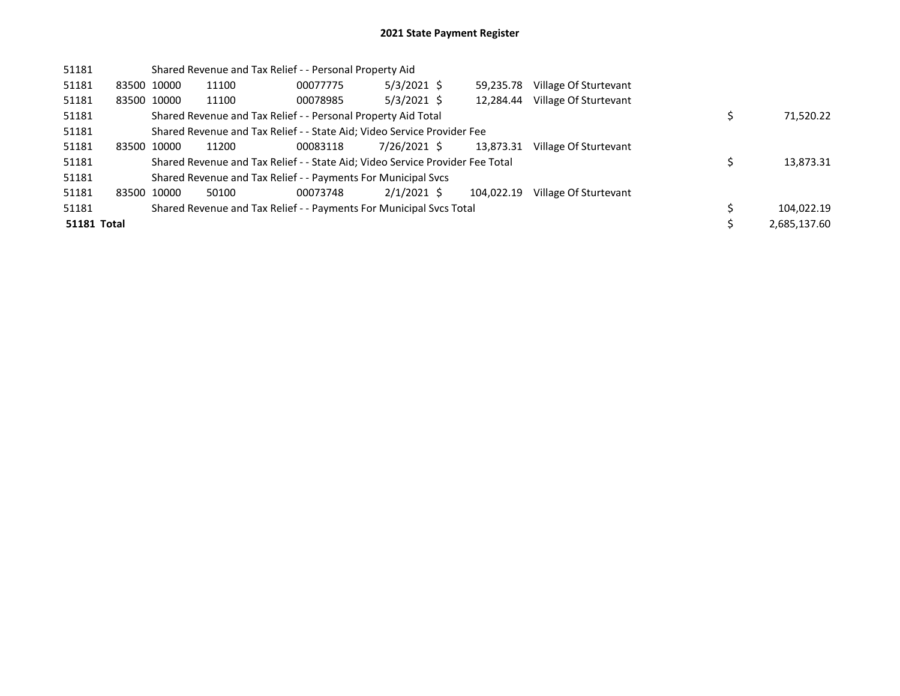| 51181              |             |             | Shared Revenue and Tax Relief - - Personal Property Aid                       |          |               |            |                       |              |
|--------------------|-------------|-------------|-------------------------------------------------------------------------------|----------|---------------|------------|-----------------------|--------------|
| 51181              |             | 83500 10000 | 11100                                                                         | 00077775 | $5/3/2021$ \$ | 59.235.78  | Village Of Sturtevant |              |
| 51181              |             | 83500 10000 | 11100                                                                         | 00078985 | $5/3/2021$ \$ | 12.284.44  | Village Of Sturtevant |              |
| 51181              |             |             | Shared Revenue and Tax Relief - - Personal Property Aid Total                 |          |               |            |                       | 71,520.22    |
| 51181              |             |             | Shared Revenue and Tax Relief - - State Aid; Video Service Provider Fee       |          |               |            |                       |              |
| 51181              | 83500 10000 |             | 11200                                                                         | 00083118 | 7/26/2021 \$  | 13,873.31  | Village Of Sturtevant |              |
| 51181              |             |             | Shared Revenue and Tax Relief - - State Aid; Video Service Provider Fee Total |          |               |            |                       | 13,873.31    |
| 51181              |             |             | Shared Revenue and Tax Relief - - Payments For Municipal Svcs                 |          |               |            |                       |              |
| 51181              | 83500 10000 |             | 50100                                                                         | 00073748 | $2/1/2021$ \$ | 104.022.19 | Village Of Sturtevant |              |
| 51181              |             |             | Shared Revenue and Tax Relief - - Payments For Municipal Svcs Total           |          |               |            |                       | 104.022.19   |
| <b>51181 Total</b> |             |             |                                                                               |          |               |            |                       | 2,685,137.60 |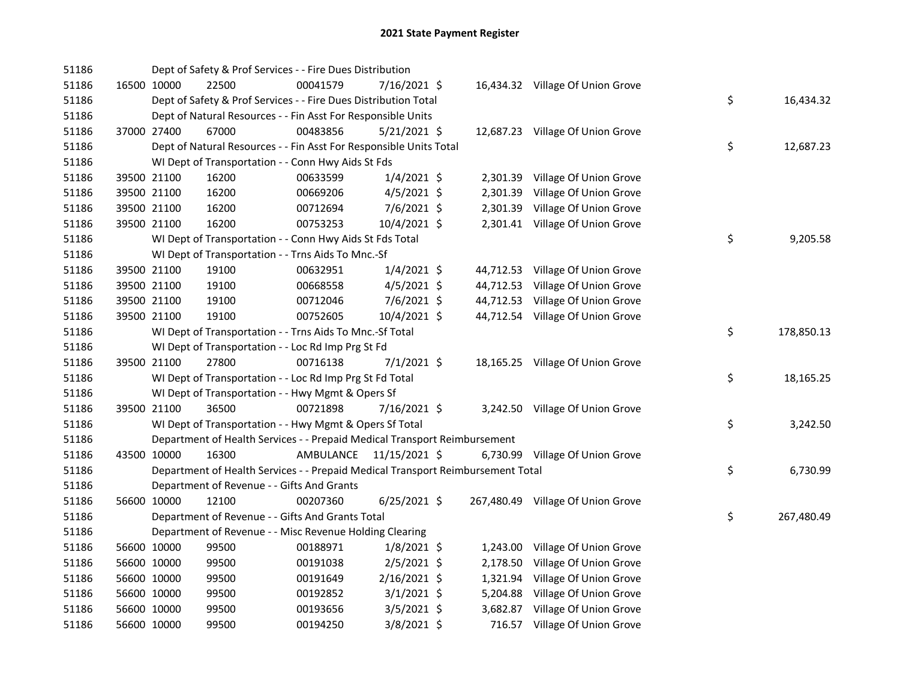| 51186 |             | Dept of Safety & Prof Services - - Fire Dues Distribution                       |           |                |          |                                   |    |            |
|-------|-------------|---------------------------------------------------------------------------------|-----------|----------------|----------|-----------------------------------|----|------------|
| 51186 | 16500 10000 | 22500                                                                           | 00041579  | $7/16/2021$ \$ |          | 16,434.32 Village Of Union Grove  |    |            |
| 51186 |             | Dept of Safety & Prof Services - - Fire Dues Distribution Total                 |           |                |          |                                   | \$ | 16,434.32  |
| 51186 |             | Dept of Natural Resources - - Fin Asst For Responsible Units                    |           |                |          |                                   |    |            |
| 51186 | 37000 27400 | 67000                                                                           | 00483856  | $5/21/2021$ \$ |          | 12,687.23 Village Of Union Grove  |    |            |
| 51186 |             | Dept of Natural Resources - - Fin Asst For Responsible Units Total              |           |                |          |                                   | \$ | 12,687.23  |
| 51186 |             | WI Dept of Transportation - - Conn Hwy Aids St Fds                              |           |                |          |                                   |    |            |
| 51186 | 39500 21100 | 16200                                                                           | 00633599  | $1/4/2021$ \$  |          | 2,301.39 Village Of Union Grove   |    |            |
| 51186 | 39500 21100 | 16200                                                                           | 00669206  | $4/5/2021$ \$  | 2,301.39 | Village Of Union Grove            |    |            |
| 51186 | 39500 21100 | 16200                                                                           | 00712694  | 7/6/2021 \$    |          | 2,301.39 Village Of Union Grove   |    |            |
| 51186 | 39500 21100 | 16200                                                                           | 00753253  | 10/4/2021 \$   |          | 2,301.41 Village Of Union Grove   |    |            |
| 51186 |             | WI Dept of Transportation - - Conn Hwy Aids St Fds Total                        |           |                |          |                                   | \$ | 9,205.58   |
| 51186 |             | WI Dept of Transportation - - Trns Aids To Mnc.-Sf                              |           |                |          |                                   |    |            |
| 51186 | 39500 21100 | 19100                                                                           | 00632951  | $1/4/2021$ \$  |          | 44,712.53 Village Of Union Grove  |    |            |
| 51186 | 39500 21100 | 19100                                                                           | 00668558  | $4/5/2021$ \$  |          | 44,712.53 Village Of Union Grove  |    |            |
| 51186 | 39500 21100 | 19100                                                                           | 00712046  | 7/6/2021 \$    |          | 44,712.53 Village Of Union Grove  |    |            |
| 51186 | 39500 21100 | 19100                                                                           | 00752605  | 10/4/2021 \$   |          | 44,712.54 Village Of Union Grove  |    |            |
| 51186 |             | WI Dept of Transportation - - Trns Aids To Mnc.-Sf Total                        |           |                |          |                                   | \$ | 178,850.13 |
| 51186 |             | WI Dept of Transportation - - Loc Rd Imp Prg St Fd                              |           |                |          |                                   |    |            |
| 51186 | 39500 21100 | 27800                                                                           | 00716138  | $7/1/2021$ \$  |          | 18,165.25 Village Of Union Grove  |    |            |
| 51186 |             | WI Dept of Transportation - - Loc Rd Imp Prg St Fd Total                        |           |                |          |                                   | \$ | 18,165.25  |
| 51186 |             | WI Dept of Transportation - - Hwy Mgmt & Opers Sf                               |           |                |          |                                   |    |            |
| 51186 | 39500 21100 | 36500                                                                           | 00721898  | 7/16/2021 \$   |          | 3,242.50 Village Of Union Grove   |    |            |
| 51186 |             | WI Dept of Transportation - - Hwy Mgmt & Opers Sf Total                         |           |                |          |                                   | \$ | 3,242.50   |
| 51186 |             | Department of Health Services - - Prepaid Medical Transport Reimbursement       |           |                |          |                                   |    |            |
| 51186 | 43500 10000 | 16300                                                                           | AMBULANCE | 11/15/2021 \$  |          | 6,730.99 Village Of Union Grove   |    |            |
| 51186 |             | Department of Health Services - - Prepaid Medical Transport Reimbursement Total |           |                |          |                                   | \$ | 6,730.99   |
| 51186 |             | Department of Revenue - - Gifts And Grants                                      |           |                |          |                                   |    |            |
| 51186 | 56600 10000 | 12100                                                                           | 00207360  | $6/25/2021$ \$ |          | 267,480.49 Village Of Union Grove |    |            |
| 51186 |             | Department of Revenue - - Gifts And Grants Total                                |           |                |          |                                   | \$ | 267,480.49 |
| 51186 |             | Department of Revenue - - Misc Revenue Holding Clearing                         |           |                |          |                                   |    |            |
| 51186 | 56600 10000 | 99500                                                                           | 00188971  | $1/8/2021$ \$  |          | 1,243.00 Village Of Union Grove   |    |            |
| 51186 | 56600 10000 | 99500                                                                           | 00191038  | $2/5/2021$ \$  |          | 2,178.50 Village Of Union Grove   |    |            |
| 51186 | 56600 10000 | 99500                                                                           | 00191649  | 2/16/2021 \$   |          | 1,321.94 Village Of Union Grove   |    |            |
| 51186 | 56600 10000 | 99500                                                                           | 00192852  | $3/1/2021$ \$  |          | 5,204.88 Village Of Union Grove   |    |            |
| 51186 | 56600 10000 | 99500                                                                           | 00193656  | $3/5/2021$ \$  |          | 3,682.87 Village Of Union Grove   |    |            |
| 51186 | 56600 10000 | 99500                                                                           | 00194250  | 3/8/2021 \$    |          | 716.57 Village Of Union Grove     |    |            |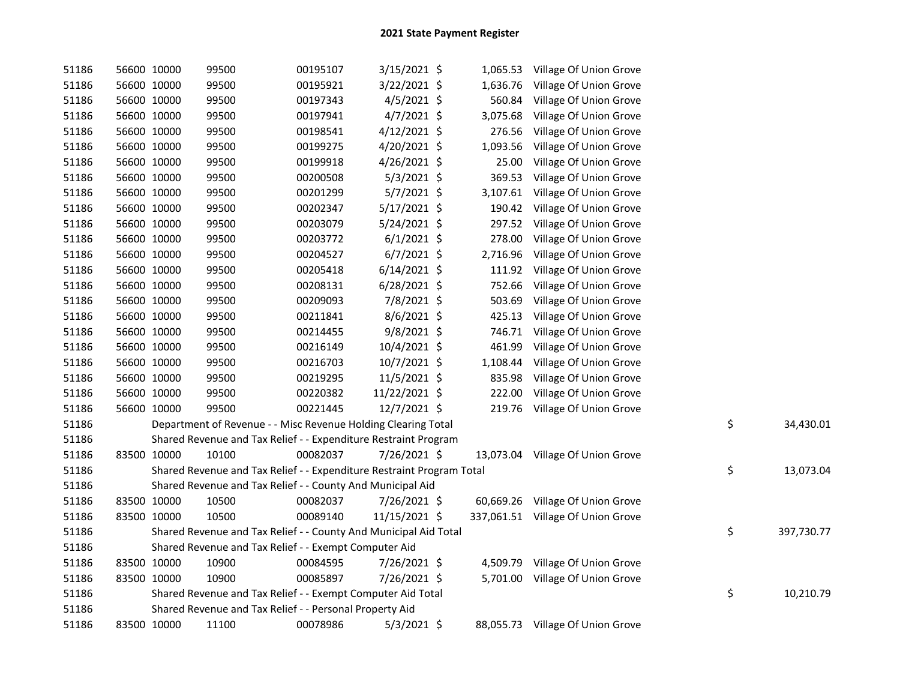| 51186 | 56600 10000 | 99500                                                                 | 00195107 | 3/15/2021 \$   |          | 1,065.53 Village Of Union Grove   |                  |
|-------|-------------|-----------------------------------------------------------------------|----------|----------------|----------|-----------------------------------|------------------|
| 51186 | 56600 10000 | 99500                                                                 | 00195921 | 3/22/2021 \$   | 1,636.76 | Village Of Union Grove            |                  |
| 51186 | 56600 10000 | 99500                                                                 | 00197343 | $4/5/2021$ \$  | 560.84   | Village Of Union Grove            |                  |
| 51186 | 56600 10000 | 99500                                                                 | 00197941 | $4/7/2021$ \$  | 3,075.68 | Village Of Union Grove            |                  |
| 51186 | 56600 10000 | 99500                                                                 | 00198541 | 4/12/2021 \$   | 276.56   | Village Of Union Grove            |                  |
| 51186 | 56600 10000 | 99500                                                                 | 00199275 | 4/20/2021 \$   | 1,093.56 | Village Of Union Grove            |                  |
| 51186 | 56600 10000 | 99500                                                                 | 00199918 | $4/26/2021$ \$ | 25.00    | Village Of Union Grove            |                  |
| 51186 | 56600 10000 | 99500                                                                 | 00200508 | $5/3/2021$ \$  | 369.53   | Village Of Union Grove            |                  |
| 51186 | 56600 10000 | 99500                                                                 | 00201299 | $5/7/2021$ \$  | 3,107.61 | Village Of Union Grove            |                  |
| 51186 | 56600 10000 | 99500                                                                 | 00202347 | 5/17/2021 \$   | 190.42   | Village Of Union Grove            |                  |
| 51186 | 56600 10000 | 99500                                                                 | 00203079 | $5/24/2021$ \$ | 297.52   | Village Of Union Grove            |                  |
| 51186 | 56600 10000 | 99500                                                                 | 00203772 | $6/1/2021$ \$  | 278.00   | Village Of Union Grove            |                  |
| 51186 | 56600 10000 | 99500                                                                 | 00204527 | $6/7/2021$ \$  | 2,716.96 | Village Of Union Grove            |                  |
| 51186 | 56600 10000 | 99500                                                                 | 00205418 | $6/14/2021$ \$ | 111.92   | Village Of Union Grove            |                  |
| 51186 | 56600 10000 | 99500                                                                 | 00208131 | $6/28/2021$ \$ | 752.66   | Village Of Union Grove            |                  |
| 51186 | 56600 10000 | 99500                                                                 | 00209093 | 7/8/2021 \$    | 503.69   | Village Of Union Grove            |                  |
| 51186 | 56600 10000 | 99500                                                                 | 00211841 | $8/6/2021$ \$  | 425.13   | Village Of Union Grove            |                  |
| 51186 | 56600 10000 | 99500                                                                 | 00214455 | $9/8/2021$ \$  | 746.71   | Village Of Union Grove            |                  |
| 51186 | 56600 10000 | 99500                                                                 | 00216149 | 10/4/2021 \$   | 461.99   | Village Of Union Grove            |                  |
| 51186 | 56600 10000 | 99500                                                                 | 00216703 | 10/7/2021 \$   | 1,108.44 | Village Of Union Grove            |                  |
| 51186 | 56600 10000 | 99500                                                                 | 00219295 | 11/5/2021 \$   | 835.98   | Village Of Union Grove            |                  |
| 51186 | 56600 10000 | 99500                                                                 | 00220382 | 11/22/2021 \$  | 222.00   | Village Of Union Grove            |                  |
| 51186 | 56600 10000 | 99500                                                                 | 00221445 | 12/7/2021 \$   |          | 219.76 Village Of Union Grove     |                  |
| 51186 |             | Department of Revenue - - Misc Revenue Holding Clearing Total         |          |                |          |                                   | \$<br>34,430.01  |
| 51186 |             | Shared Revenue and Tax Relief - - Expenditure Restraint Program       |          |                |          |                                   |                  |
| 51186 | 83500 10000 | 10100                                                                 | 00082037 | 7/26/2021 \$   |          | 13,073.04 Village Of Union Grove  |                  |
| 51186 |             | Shared Revenue and Tax Relief - - Expenditure Restraint Program Total |          |                |          |                                   | \$<br>13,073.04  |
| 51186 |             | Shared Revenue and Tax Relief - - County And Municipal Aid            |          |                |          |                                   |                  |
| 51186 | 83500 10000 | 10500                                                                 | 00082037 | 7/26/2021 \$   |          | 60,669.26 Village Of Union Grove  |                  |
| 51186 | 83500 10000 | 10500                                                                 | 00089140 | 11/15/2021 \$  |          | 337,061.51 Village Of Union Grove |                  |
| 51186 |             | Shared Revenue and Tax Relief - - County And Municipal Aid Total      |          |                |          |                                   | \$<br>397,730.77 |
| 51186 |             | Shared Revenue and Tax Relief - - Exempt Computer Aid                 |          |                |          |                                   |                  |
| 51186 | 83500 10000 | 10900                                                                 | 00084595 | 7/26/2021 \$   |          | 4,509.79 Village Of Union Grove   |                  |
| 51186 | 83500 10000 | 10900                                                                 | 00085897 | 7/26/2021 \$   |          | 5,701.00 Village Of Union Grove   |                  |
| 51186 |             | Shared Revenue and Tax Relief - - Exempt Computer Aid Total           |          |                |          |                                   | \$<br>10,210.79  |
| 51186 |             | Shared Revenue and Tax Relief - - Personal Property Aid               |          |                |          |                                   |                  |
| 51186 | 83500 10000 | 11100                                                                 | 00078986 | $5/3/2021$ \$  |          | 88,055.73 Village Of Union Grove  |                  |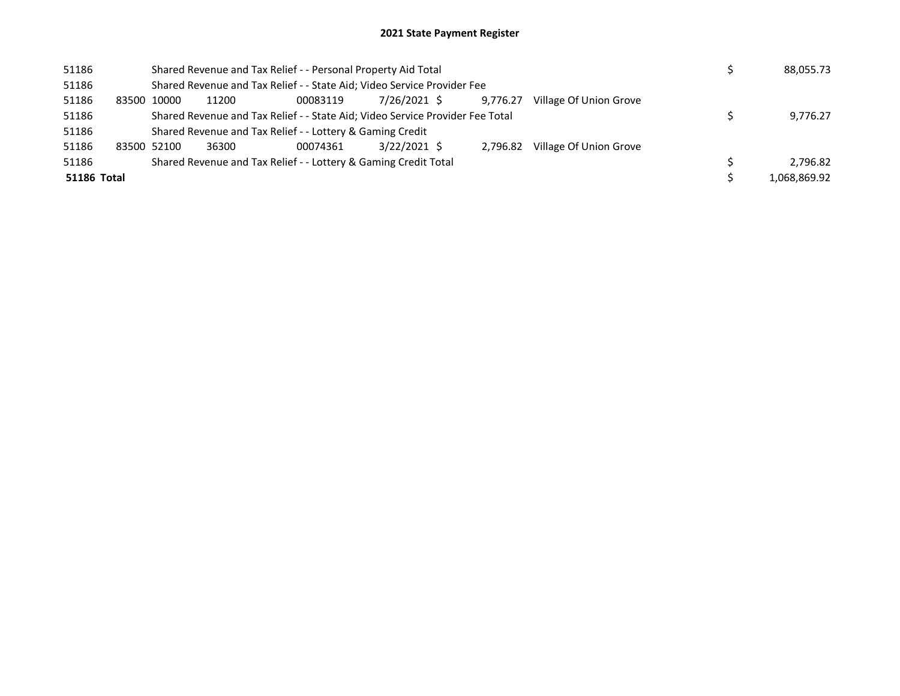## 2021 State Payment Register

| 51186       |       |             |       | Shared Revenue and Tax Relief - - Personal Property Aid Total                 |                | 88,055.73 |                        |              |
|-------------|-------|-------------|-------|-------------------------------------------------------------------------------|----------------|-----------|------------------------|--------------|
| 51186       |       |             |       | Shared Revenue and Tax Relief - - State Aid; Video Service Provider Fee       |                |           |                        |              |
| 51186       | 83500 | 10000       | 11200 | 00083119                                                                      | 7/26/2021 \$   | 9.776.27  | Village Of Union Grove |              |
| 51186       |       |             |       | Shared Revenue and Tax Relief - - State Aid; Video Service Provider Fee Total |                |           |                        | 9,776.27     |
| 51186       |       |             |       | Shared Revenue and Tax Relief - - Lottery & Gaming Credit                     |                |           |                        |              |
| 51186       |       | 83500 52100 | 36300 | 00074361                                                                      | $3/22/2021$ \$ | 2.796.82  | Village Of Union Grove |              |
| 51186       |       |             |       | Shared Revenue and Tax Relief - - Lottery & Gaming Credit Total               |                |           |                        | 2.796.82     |
| 51186 Total |       |             |       |                                                                               |                |           |                        | 1.068.869.92 |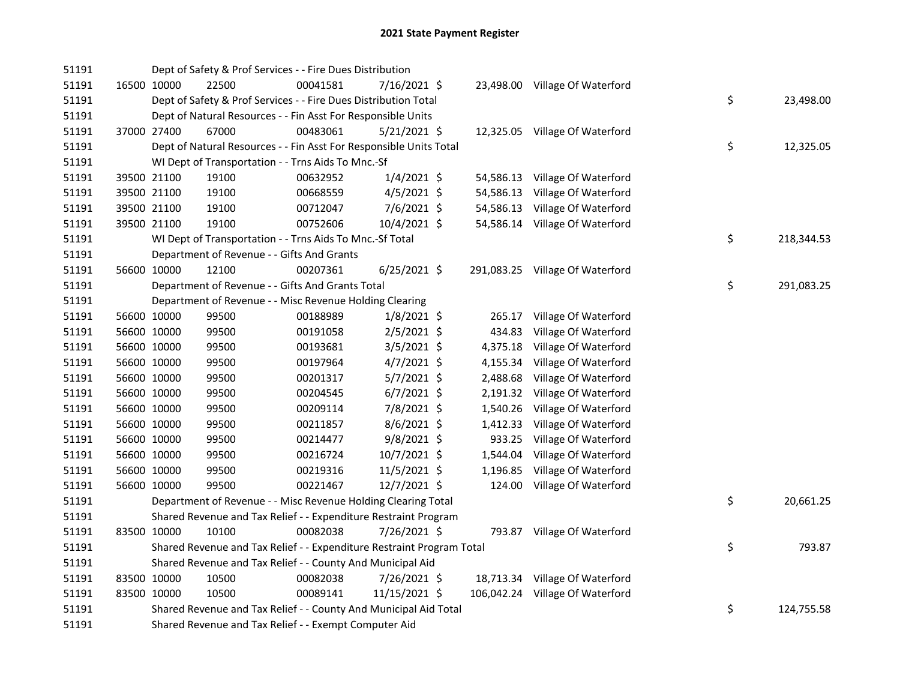| 51191 |             | Dept of Safety & Prof Services - - Fire Dues Distribution             |          |                |          |                                 |    |            |
|-------|-------------|-----------------------------------------------------------------------|----------|----------------|----------|---------------------------------|----|------------|
| 51191 | 16500 10000 | 22500                                                                 | 00041581 | 7/16/2021 \$   |          | 23,498.00 Village Of Waterford  |    |            |
| 51191 |             | Dept of Safety & Prof Services - - Fire Dues Distribution Total       |          |                |          |                                 | \$ | 23,498.00  |
| 51191 |             | Dept of Natural Resources - - Fin Asst For Responsible Units          |          |                |          |                                 |    |            |
| 51191 | 37000 27400 | 67000                                                                 | 00483061 | $5/21/2021$ \$ |          | 12,325.05 Village Of Waterford  |    |            |
| 51191 |             | Dept of Natural Resources - - Fin Asst For Responsible Units Total    |          |                |          |                                 | \$ | 12,325.05  |
| 51191 |             | WI Dept of Transportation - - Trns Aids To Mnc.-Sf                    |          |                |          |                                 |    |            |
| 51191 | 39500 21100 | 19100                                                                 | 00632952 | $1/4/2021$ \$  |          | 54,586.13 Village Of Waterford  |    |            |
| 51191 | 39500 21100 | 19100                                                                 | 00668559 | $4/5/2021$ \$  |          | 54,586.13 Village Of Waterford  |    |            |
| 51191 | 39500 21100 | 19100                                                                 | 00712047 | 7/6/2021 \$    |          | 54,586.13 Village Of Waterford  |    |            |
| 51191 | 39500 21100 | 19100                                                                 | 00752606 | 10/4/2021 \$   |          | 54,586.14 Village Of Waterford  |    |            |
| 51191 |             | WI Dept of Transportation - - Trns Aids To Mnc.-Sf Total              |          |                |          |                                 | \$ | 218,344.53 |
| 51191 |             | Department of Revenue - - Gifts And Grants                            |          |                |          |                                 |    |            |
| 51191 | 56600 10000 | 12100                                                                 | 00207361 | $6/25/2021$ \$ |          | 291,083.25 Village Of Waterford |    |            |
| 51191 |             | Department of Revenue - - Gifts And Grants Total                      |          |                |          |                                 | \$ | 291,083.25 |
| 51191 |             | Department of Revenue - - Misc Revenue Holding Clearing               |          |                |          |                                 |    |            |
| 51191 | 56600 10000 | 99500                                                                 | 00188989 | $1/8/2021$ \$  |          | 265.17 Village Of Waterford     |    |            |
| 51191 | 56600 10000 | 99500                                                                 | 00191058 | $2/5/2021$ \$  | 434.83   | Village Of Waterford            |    |            |
| 51191 | 56600 10000 | 99500                                                                 | 00193681 | 3/5/2021 \$    |          | 4,375.18 Village Of Waterford   |    |            |
| 51191 | 56600 10000 | 99500                                                                 | 00197964 | 4/7/2021 \$    |          | 4,155.34 Village Of Waterford   |    |            |
| 51191 | 56600 10000 | 99500                                                                 | 00201317 | 5/7/2021 \$    |          | 2,488.68 Village Of Waterford   |    |            |
| 51191 | 56600 10000 | 99500                                                                 | 00204545 | $6/7/2021$ \$  |          | 2,191.32 Village Of Waterford   |    |            |
| 51191 | 56600 10000 | 99500                                                                 | 00209114 | 7/8/2021 \$    | 1,540.26 | Village Of Waterford            |    |            |
| 51191 | 56600 10000 | 99500                                                                 | 00211857 | 8/6/2021 \$    |          | 1,412.33 Village Of Waterford   |    |            |
| 51191 | 56600 10000 | 99500                                                                 | 00214477 | $9/8/2021$ \$  |          | 933.25 Village Of Waterford     |    |            |
| 51191 | 56600 10000 | 99500                                                                 | 00216724 | 10/7/2021 \$   |          | 1,544.04 Village Of Waterford   |    |            |
| 51191 | 56600 10000 | 99500                                                                 | 00219316 | 11/5/2021 \$   |          | 1,196.85 Village Of Waterford   |    |            |
| 51191 | 56600 10000 | 99500                                                                 | 00221467 | 12/7/2021 \$   |          | 124.00 Village Of Waterford     |    |            |
| 51191 |             | Department of Revenue - - Misc Revenue Holding Clearing Total         |          |                |          |                                 | \$ | 20,661.25  |
| 51191 |             | Shared Revenue and Tax Relief - - Expenditure Restraint Program       |          |                |          |                                 |    |            |
| 51191 | 83500 10000 | 10100                                                                 | 00082038 | 7/26/2021 \$   |          | 793.87 Village Of Waterford     |    |            |
| 51191 |             | Shared Revenue and Tax Relief - - Expenditure Restraint Program Total |          |                |          |                                 | \$ | 793.87     |
| 51191 |             | Shared Revenue and Tax Relief - - County And Municipal Aid            |          |                |          |                                 |    |            |
| 51191 | 83500 10000 | 10500                                                                 | 00082038 | 7/26/2021 \$   |          | 18,713.34 Village Of Waterford  |    |            |
| 51191 | 83500 10000 | 10500                                                                 | 00089141 | 11/15/2021 \$  |          | 106,042.24 Village Of Waterford |    |            |
| 51191 |             | Shared Revenue and Tax Relief - - County And Municipal Aid Total      |          |                |          |                                 | \$ | 124,755.58 |
| 51191 |             | Shared Revenue and Tax Relief - - Exempt Computer Aid                 |          |                |          |                                 |    |            |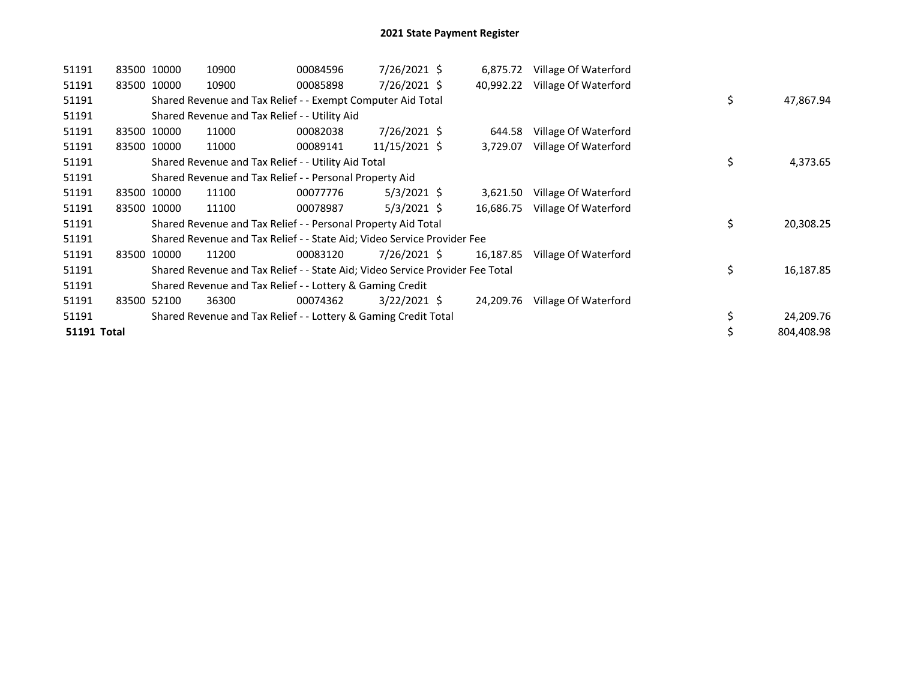| 51191       |       | 83500 10000 | 10900 | 00084596                                                                      | $7/26/2021$ \$ | 6,875.72  | Village Of Waterford |    |            |
|-------------|-------|-------------|-------|-------------------------------------------------------------------------------|----------------|-----------|----------------------|----|------------|
| 51191       |       | 83500 10000 | 10900 | 00085898                                                                      | $7/26/2021$ \$ | 40,992.22 | Village Of Waterford |    |            |
| 51191       |       |             |       | Shared Revenue and Tax Relief - - Exempt Computer Aid Total                   |                |           |                      | \$ | 47,867.94  |
| 51191       |       |             |       | Shared Revenue and Tax Relief - - Utility Aid                                 |                |           |                      |    |            |
| 51191       |       | 83500 10000 | 11000 | 00082038                                                                      | $7/26/2021$ \$ | 644.58    | Village Of Waterford |    |            |
| 51191       |       | 83500 10000 | 11000 | 00089141                                                                      | 11/15/2021 \$  | 3,729.07  | Village Of Waterford |    |            |
| 51191       |       |             |       | Shared Revenue and Tax Relief - - Utility Aid Total                           |                |           |                      | \$ | 4,373.65   |
| 51191       |       |             |       | Shared Revenue and Tax Relief - - Personal Property Aid                       |                |           |                      |    |            |
| 51191       |       | 83500 10000 | 11100 | 00077776                                                                      | $5/3/2021$ \$  | 3,621.50  | Village Of Waterford |    |            |
| 51191       |       | 83500 10000 | 11100 | 00078987                                                                      | $5/3/2021$ \$  | 16,686.75 | Village Of Waterford |    |            |
| 51191       |       |             |       | Shared Revenue and Tax Relief - - Personal Property Aid Total                 |                |           |                      | \$ | 20,308.25  |
| 51191       |       |             |       | Shared Revenue and Tax Relief - - State Aid; Video Service Provider Fee       |                |           |                      |    |            |
| 51191       | 83500 | 10000       | 11200 | 00083120                                                                      | 7/26/2021 \$   | 16,187.85 | Village Of Waterford |    |            |
| 51191       |       |             |       | Shared Revenue and Tax Relief - - State Aid; Video Service Provider Fee Total |                |           |                      | \$ | 16,187.85  |
| 51191       |       |             |       | Shared Revenue and Tax Relief - - Lottery & Gaming Credit                     |                |           |                      |    |            |
| 51191       |       | 83500 52100 | 36300 | 00074362                                                                      | $3/22/2021$ \$ | 24,209.76 | Village Of Waterford |    |            |
| 51191       |       |             |       | Shared Revenue and Tax Relief - - Lottery & Gaming Credit Total               |                |           |                      | \$ | 24,209.76  |
| 51191 Total |       |             |       |                                                                               |                |           |                      | \$ | 804.408.98 |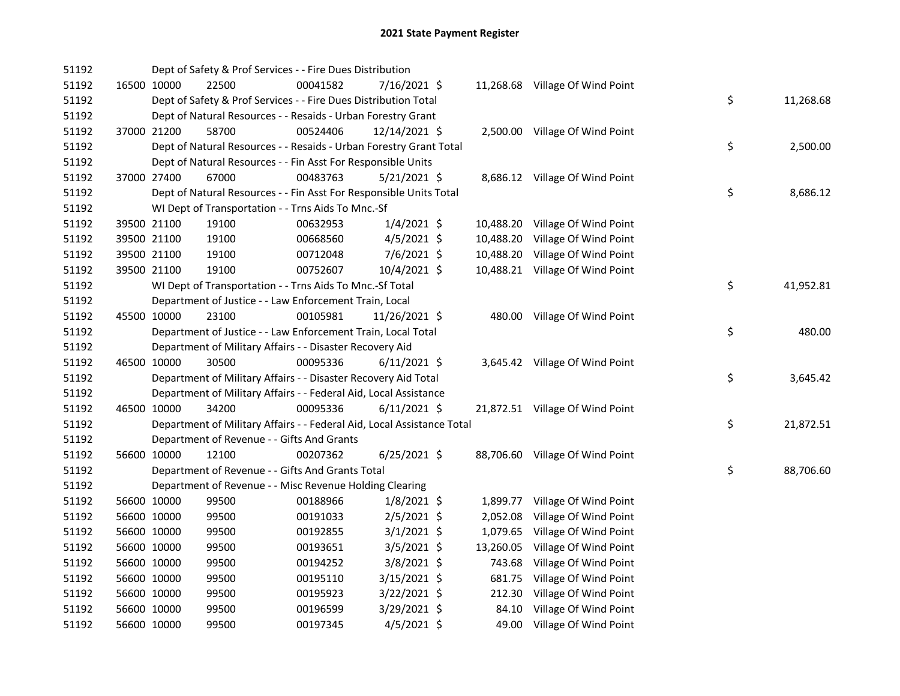| 51192 |             | Dept of Safety & Prof Services - - Fire Dues Distribution              |          |                |           |                                 |    |           |
|-------|-------------|------------------------------------------------------------------------|----------|----------------|-----------|---------------------------------|----|-----------|
| 51192 | 16500 10000 | 22500                                                                  | 00041582 | 7/16/2021 \$   |           | 11,268.68 Village Of Wind Point |    |           |
| 51192 |             | Dept of Safety & Prof Services - - Fire Dues Distribution Total        |          |                |           |                                 | \$ | 11,268.68 |
| 51192 |             | Dept of Natural Resources - - Resaids - Urban Forestry Grant           |          |                |           |                                 |    |           |
| 51192 | 37000 21200 | 58700                                                                  | 00524406 | 12/14/2021 \$  |           | 2,500.00 Village Of Wind Point  |    |           |
| 51192 |             | Dept of Natural Resources - - Resaids - Urban Forestry Grant Total     |          |                |           |                                 | \$ | 2,500.00  |
| 51192 |             | Dept of Natural Resources - - Fin Asst For Responsible Units           |          |                |           |                                 |    |           |
| 51192 | 37000 27400 | 67000                                                                  | 00483763 | $5/21/2021$ \$ |           | 8,686.12 Village Of Wind Point  |    |           |
| 51192 |             | Dept of Natural Resources - - Fin Asst For Responsible Units Total     |          |                |           |                                 | \$ | 8,686.12  |
| 51192 |             | WI Dept of Transportation - - Trns Aids To Mnc.-Sf                     |          |                |           |                                 |    |           |
| 51192 | 39500 21100 | 19100                                                                  | 00632953 | $1/4/2021$ \$  |           | 10,488.20 Village Of Wind Point |    |           |
| 51192 | 39500 21100 | 19100                                                                  | 00668560 | $4/5/2021$ \$  | 10,488.20 | Village Of Wind Point           |    |           |
| 51192 | 39500 21100 | 19100                                                                  | 00712048 | $7/6/2021$ \$  |           | 10,488.20 Village Of Wind Point |    |           |
| 51192 | 39500 21100 | 19100                                                                  | 00752607 | 10/4/2021 \$   |           | 10,488.21 Village Of Wind Point |    |           |
| 51192 |             | WI Dept of Transportation - - Trns Aids To Mnc.-Sf Total               |          |                |           |                                 | \$ | 41,952.81 |
| 51192 |             | Department of Justice - - Law Enforcement Train, Local                 |          |                |           |                                 |    |           |
| 51192 | 45500 10000 | 23100                                                                  | 00105981 | 11/26/2021 \$  |           | 480.00 Village Of Wind Point    |    |           |
| 51192 |             | Department of Justice - - Law Enforcement Train, Local Total           |          |                |           |                                 | \$ | 480.00    |
| 51192 |             | Department of Military Affairs - - Disaster Recovery Aid               |          |                |           |                                 |    |           |
| 51192 | 46500 10000 | 30500                                                                  | 00095336 | $6/11/2021$ \$ |           | 3,645.42 Village Of Wind Point  |    |           |
| 51192 |             | Department of Military Affairs - - Disaster Recovery Aid Total         |          |                |           |                                 | \$ | 3,645.42  |
| 51192 |             | Department of Military Affairs - - Federal Aid, Local Assistance       |          |                |           |                                 |    |           |
| 51192 | 46500 10000 | 34200                                                                  | 00095336 | $6/11/2021$ \$ |           | 21,872.51 Village Of Wind Point |    |           |
| 51192 |             | Department of Military Affairs - - Federal Aid, Local Assistance Total |          |                |           |                                 | \$ | 21,872.51 |
| 51192 |             | Department of Revenue - - Gifts And Grants                             |          |                |           |                                 |    |           |
| 51192 | 56600 10000 | 12100                                                                  | 00207362 | $6/25/2021$ \$ |           | 88,706.60 Village Of Wind Point |    |           |
| 51192 |             | Department of Revenue - - Gifts And Grants Total                       |          |                |           |                                 | \$ | 88,706.60 |
| 51192 |             | Department of Revenue - - Misc Revenue Holding Clearing                |          |                |           |                                 |    |           |
| 51192 | 56600 10000 | 99500                                                                  | 00188966 | $1/8/2021$ \$  |           | 1,899.77 Village Of Wind Point  |    |           |
| 51192 | 56600 10000 | 99500                                                                  | 00191033 | $2/5/2021$ \$  | 2,052.08  | Village Of Wind Point           |    |           |
| 51192 | 56600 10000 | 99500                                                                  | 00192855 | $3/1/2021$ \$  |           | 1,079.65 Village Of Wind Point  |    |           |
| 51192 | 56600 10000 | 99500                                                                  | 00193651 | $3/5/2021$ \$  |           | 13,260.05 Village Of Wind Point |    |           |
| 51192 | 56600 10000 | 99500                                                                  | 00194252 | $3/8/2021$ \$  |           | 743.68 Village Of Wind Point    |    |           |
| 51192 | 56600 10000 | 99500                                                                  | 00195110 | $3/15/2021$ \$ | 681.75    | Village Of Wind Point           |    |           |
| 51192 | 56600 10000 | 99500                                                                  | 00195923 | 3/22/2021 \$   | 212.30    | Village Of Wind Point           |    |           |
| 51192 | 56600 10000 | 99500                                                                  | 00196599 | 3/29/2021 \$   | 84.10     | Village Of Wind Point           |    |           |
| 51192 | 56600 10000 | 99500                                                                  | 00197345 | $4/5/2021$ \$  |           | 49.00 Village Of Wind Point     |    |           |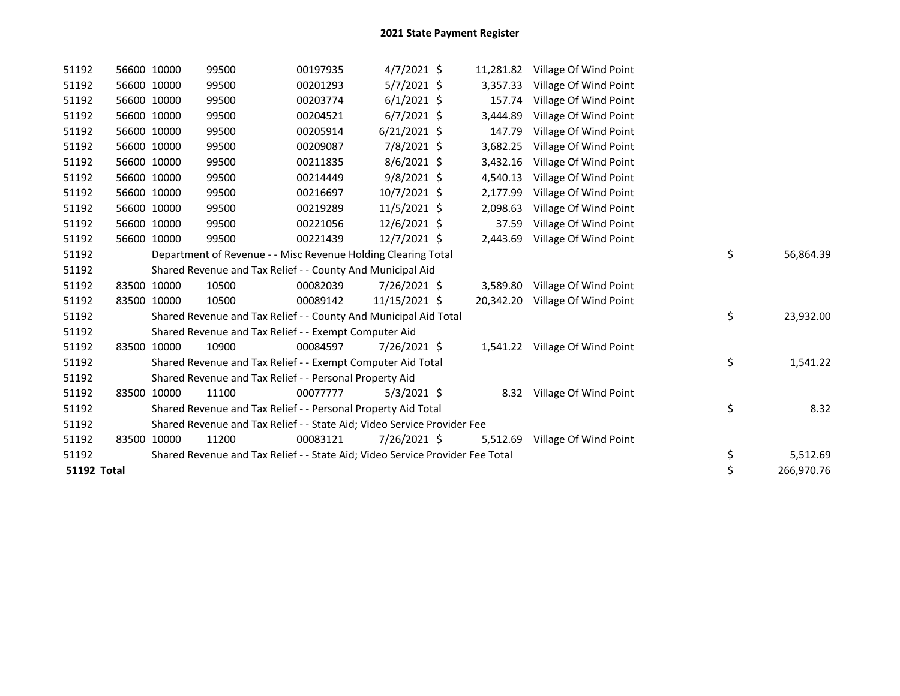| 51192              | 56600 10000 | 99500                                                                         | 00197935 | $4/7/2021$ \$  | 11,281.82 | Village Of Wind Point          |    |            |
|--------------------|-------------|-------------------------------------------------------------------------------|----------|----------------|-----------|--------------------------------|----|------------|
| 51192              | 56600 10000 | 99500                                                                         | 00201293 | $5/7/2021$ \$  | 3,357.33  | Village Of Wind Point          |    |            |
| 51192              | 56600 10000 | 99500                                                                         | 00203774 | $6/1/2021$ \$  | 157.74    | Village Of Wind Point          |    |            |
| 51192              | 56600 10000 | 99500                                                                         | 00204521 | $6/7/2021$ \$  | 3,444.89  | Village Of Wind Point          |    |            |
| 51192              | 56600 10000 | 99500                                                                         | 00205914 | $6/21/2021$ \$ | 147.79    | Village Of Wind Point          |    |            |
| 51192              | 56600 10000 | 99500                                                                         | 00209087 | 7/8/2021 \$    | 3,682.25  | Village Of Wind Point          |    |            |
| 51192              | 56600 10000 | 99500                                                                         | 00211835 | $8/6/2021$ \$  | 3,432.16  | Village Of Wind Point          |    |            |
| 51192              | 56600 10000 | 99500                                                                         | 00214449 | $9/8/2021$ \$  | 4,540.13  | Village Of Wind Point          |    |            |
| 51192              | 56600 10000 | 99500                                                                         | 00216697 | 10/7/2021 \$   | 2,177.99  | Village Of Wind Point          |    |            |
| 51192              | 56600 10000 | 99500                                                                         | 00219289 | 11/5/2021 \$   | 2,098.63  | Village Of Wind Point          |    |            |
| 51192              | 56600 10000 | 99500                                                                         | 00221056 | $12/6/2021$ \$ | 37.59     | Village Of Wind Point          |    |            |
| 51192              | 56600 10000 | 99500                                                                         | 00221439 | $12/7/2021$ \$ | 2,443.69  | Village Of Wind Point          |    |            |
| 51192              |             | Department of Revenue - - Misc Revenue Holding Clearing Total                 |          |                |           |                                | \$ | 56,864.39  |
| 51192              |             | Shared Revenue and Tax Relief - - County And Municipal Aid                    |          |                |           |                                |    |            |
| 51192              | 83500 10000 | 10500                                                                         | 00082039 | 7/26/2021 \$   | 3,589.80  | Village Of Wind Point          |    |            |
| 51192              | 83500 10000 | 10500                                                                         | 00089142 | 11/15/2021 \$  | 20,342.20 | Village Of Wind Point          |    |            |
| 51192              |             | Shared Revenue and Tax Relief - - County And Municipal Aid Total              |          |                |           |                                | \$ | 23,932.00  |
| 51192              |             | Shared Revenue and Tax Relief - - Exempt Computer Aid                         |          |                |           |                                |    |            |
| 51192              | 83500 10000 | 10900                                                                         | 00084597 | 7/26/2021 \$   |           | 1,541.22 Village Of Wind Point |    |            |
| 51192              |             | Shared Revenue and Tax Relief - - Exempt Computer Aid Total                   |          |                |           |                                | \$ | 1,541.22   |
| 51192              |             | Shared Revenue and Tax Relief - - Personal Property Aid                       |          |                |           |                                |    |            |
| 51192              | 83500 10000 | 11100                                                                         | 00077777 | $5/3/2021$ \$  |           | 8.32 Village Of Wind Point     |    |            |
| 51192              |             | Shared Revenue and Tax Relief - - Personal Property Aid Total                 |          |                |           |                                | \$ | 8.32       |
| 51192              |             | Shared Revenue and Tax Relief - - State Aid; Video Service Provider Fee       |          |                |           |                                |    |            |
| 51192              | 83500 10000 | 11200                                                                         | 00083121 | 7/26/2021 \$   | 5,512.69  | Village Of Wind Point          |    |            |
| 51192              |             | Shared Revenue and Tax Relief - - State Aid; Video Service Provider Fee Total |          |                |           |                                | \$ | 5,512.69   |
| <b>51192 Total</b> |             |                                                                               |          |                |           |                                | \$ | 266,970.76 |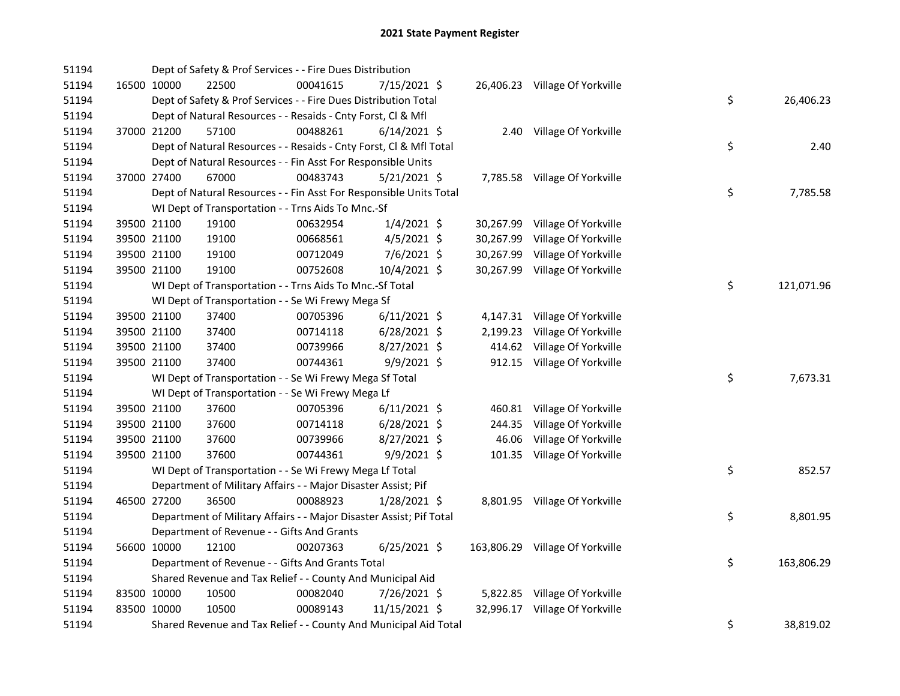| 51194 |             | Dept of Safety & Prof Services - - Fire Dues Distribution           |          |                |           |                                 |    |            |
|-------|-------------|---------------------------------------------------------------------|----------|----------------|-----------|---------------------------------|----|------------|
| 51194 | 16500 10000 | 22500                                                               | 00041615 | 7/15/2021 \$   |           | 26,406.23 Village Of Yorkville  |    |            |
| 51194 |             | Dept of Safety & Prof Services - - Fire Dues Distribution Total     |          |                |           |                                 | \$ | 26,406.23  |
| 51194 |             | Dept of Natural Resources - - Resaids - Cnty Forst, Cl & Mfl        |          |                |           |                                 |    |            |
| 51194 | 37000 21200 | 57100                                                               | 00488261 | $6/14/2021$ \$ |           | 2.40 Village Of Yorkville       |    |            |
| 51194 |             | Dept of Natural Resources - - Resaids - Cnty Forst, CI & Mfl Total  |          |                |           |                                 | \$ | 2.40       |
| 51194 |             | Dept of Natural Resources - - Fin Asst For Responsible Units        |          |                |           |                                 |    |            |
| 51194 | 37000 27400 | 67000                                                               | 00483743 | $5/21/2021$ \$ |           | 7,785.58 Village Of Yorkville   |    |            |
| 51194 |             | Dept of Natural Resources - - Fin Asst For Responsible Units Total  |          |                |           |                                 | \$ | 7,785.58   |
| 51194 |             | WI Dept of Transportation - - Trns Aids To Mnc.-Sf                  |          |                |           |                                 |    |            |
| 51194 | 39500 21100 | 19100                                                               | 00632954 | $1/4/2021$ \$  |           | 30,267.99 Village Of Yorkville  |    |            |
| 51194 | 39500 21100 | 19100                                                               | 00668561 | 4/5/2021 \$    | 30,267.99 | Village Of Yorkville            |    |            |
| 51194 | 39500 21100 | 19100                                                               | 00712049 | $7/6/2021$ \$  | 30,267.99 | Village Of Yorkville            |    |            |
| 51194 | 39500 21100 | 19100                                                               | 00752608 | 10/4/2021 \$   |           | 30,267.99 Village Of Yorkville  |    |            |
| 51194 |             | WI Dept of Transportation - - Trns Aids To Mnc.-Sf Total            |          |                |           |                                 | \$ | 121,071.96 |
| 51194 |             | WI Dept of Transportation - - Se Wi Frewy Mega Sf                   |          |                |           |                                 |    |            |
| 51194 | 39500 21100 | 37400                                                               | 00705396 | $6/11/2021$ \$ |           | 4,147.31 Village Of Yorkville   |    |            |
| 51194 | 39500 21100 | 37400                                                               | 00714118 | $6/28/2021$ \$ | 2,199.23  | Village Of Yorkville            |    |            |
| 51194 | 39500 21100 | 37400                                                               | 00739966 | 8/27/2021 \$   | 414.62    | Village Of Yorkville            |    |            |
| 51194 | 39500 21100 | 37400                                                               | 00744361 | $9/9/2021$ \$  |           | 912.15 Village Of Yorkville     |    |            |
| 51194 |             | WI Dept of Transportation - - Se Wi Frewy Mega Sf Total             |          |                |           |                                 | \$ | 7,673.31   |
| 51194 |             | WI Dept of Transportation - - Se Wi Frewy Mega Lf                   |          |                |           |                                 |    |            |
| 51194 | 39500 21100 | 37600                                                               | 00705396 | $6/11/2021$ \$ | 460.81    | Village Of Yorkville            |    |            |
| 51194 | 39500 21100 | 37600                                                               | 00714118 | $6/28/2021$ \$ | 244.35    | Village Of Yorkville            |    |            |
| 51194 | 39500 21100 | 37600                                                               | 00739966 | $8/27/2021$ \$ | 46.06     | Village Of Yorkville            |    |            |
| 51194 | 39500 21100 | 37600                                                               | 00744361 | $9/9/2021$ \$  |           | 101.35 Village Of Yorkville     |    |            |
| 51194 |             | WI Dept of Transportation - - Se Wi Frewy Mega Lf Total             |          |                |           |                                 | \$ | 852.57     |
| 51194 |             | Department of Military Affairs - - Major Disaster Assist; Pif       |          |                |           |                                 |    |            |
| 51194 | 46500 27200 | 36500                                                               | 00088923 | $1/28/2021$ \$ |           | 8,801.95 Village Of Yorkville   |    |            |
| 51194 |             | Department of Military Affairs - - Major Disaster Assist; Pif Total |          |                |           |                                 | \$ | 8,801.95   |
| 51194 |             | Department of Revenue - - Gifts And Grants                          |          |                |           |                                 |    |            |
| 51194 | 56600 10000 | 12100                                                               | 00207363 | $6/25/2021$ \$ |           | 163,806.29 Village Of Yorkville |    |            |
| 51194 |             | Department of Revenue - - Gifts And Grants Total                    |          |                |           |                                 | \$ | 163,806.29 |
| 51194 |             | Shared Revenue and Tax Relief - - County And Municipal Aid          |          |                |           |                                 |    |            |
| 51194 | 83500 10000 | 10500                                                               | 00082040 | 7/26/2021 \$   |           | 5,822.85 Village Of Yorkville   |    |            |
| 51194 | 83500 10000 | 10500                                                               | 00089143 | 11/15/2021 \$  |           | 32,996.17 Village Of Yorkville  |    |            |
| 51194 |             | Shared Revenue and Tax Relief - - County And Municipal Aid Total    |          |                |           |                                 | \$ | 38,819.02  |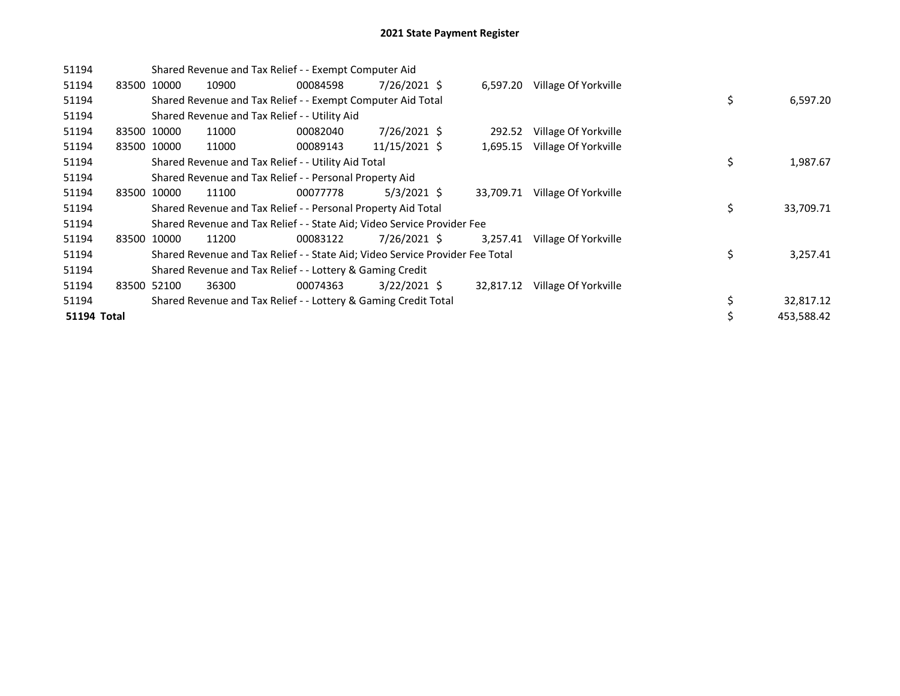| 51194       |             |             | Shared Revenue and Tax Relief - - Exempt Computer Aid                         |          |                |           |                      |    |            |
|-------------|-------------|-------------|-------------------------------------------------------------------------------|----------|----------------|-----------|----------------------|----|------------|
| 51194       | 83500 10000 |             | 10900                                                                         | 00084598 | 7/26/2021 \$   | 6,597.20  | Village Of Yorkville |    |            |
| 51194       |             |             | Shared Revenue and Tax Relief - - Exempt Computer Aid Total                   |          |                |           |                      | \$ | 6,597.20   |
| 51194       |             |             | Shared Revenue and Tax Relief - - Utility Aid                                 |          |                |           |                      |    |            |
| 51194       | 83500 10000 |             | 11000                                                                         | 00082040 | 7/26/2021 \$   | 292.52    | Village Of Yorkville |    |            |
| 51194       |             | 83500 10000 | 11000                                                                         | 00089143 | 11/15/2021 \$  | 1,695.15  | Village Of Yorkville |    |            |
| 51194       |             |             | Shared Revenue and Tax Relief - - Utility Aid Total                           |          |                |           |                      | \$ | 1,987.67   |
| 51194       |             |             | Shared Revenue and Tax Relief - - Personal Property Aid                       |          |                |           |                      |    |            |
| 51194       | 83500       | 10000       | 11100                                                                         | 00077778 | $5/3/2021$ \$  | 33,709.71 | Village Of Yorkville |    |            |
| 51194       |             |             | Shared Revenue and Tax Relief - - Personal Property Aid Total                 |          |                |           |                      | \$ | 33,709.71  |
| 51194       |             |             | Shared Revenue and Tax Relief - - State Aid; Video Service Provider Fee       |          |                |           |                      |    |            |
| 51194       | 83500       | 10000       | 11200                                                                         | 00083122 | 7/26/2021 \$   | 3.257.41  | Village Of Yorkville |    |            |
| 51194       |             |             | Shared Revenue and Tax Relief - - State Aid; Video Service Provider Fee Total |          |                |           |                      | \$ | 3,257.41   |
| 51194       |             |             | Shared Revenue and Tax Relief - - Lottery & Gaming Credit                     |          |                |           |                      |    |            |
| 51194       |             | 83500 52100 | 36300                                                                         | 00074363 | $3/22/2021$ \$ | 32,817.12 | Village Of Yorkville |    |            |
| 51194       |             |             | Shared Revenue and Tax Relief - - Lottery & Gaming Credit Total               |          |                |           |                      | \$ | 32,817.12  |
| 51194 Total |             |             |                                                                               |          |                |           |                      | \$ | 453,588.42 |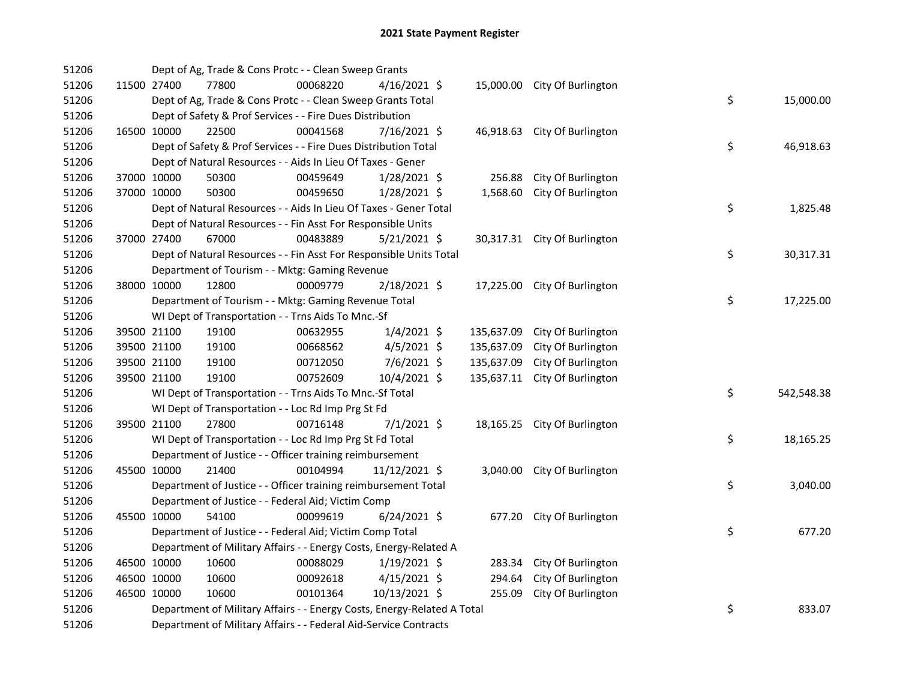| 51206 |             |             | Dept of Ag, Trade & Cons Protc - - Clean Sweep Grants                   |          |                |            |                              |    |            |
|-------|-------------|-------------|-------------------------------------------------------------------------|----------|----------------|------------|------------------------------|----|------------|
| 51206 |             | 11500 27400 | 77800                                                                   | 00068220 | $4/16/2021$ \$ |            | 15,000.00 City Of Burlington |    |            |
| 51206 |             |             | Dept of Ag, Trade & Cons Protc - - Clean Sweep Grants Total             |          |                |            |                              | \$ | 15,000.00  |
| 51206 |             |             | Dept of Safety & Prof Services - - Fire Dues Distribution               |          |                |            |                              |    |            |
| 51206 | 16500 10000 |             | 22500                                                                   | 00041568 | 7/16/2021 \$   |            | 46,918.63 City Of Burlington |    |            |
| 51206 |             |             | Dept of Safety & Prof Services - - Fire Dues Distribution Total         |          |                |            |                              | \$ | 46,918.63  |
| 51206 |             |             | Dept of Natural Resources - - Aids In Lieu Of Taxes - Gener             |          |                |            |                              |    |            |
| 51206 | 37000 10000 |             | 50300                                                                   | 00459649 | $1/28/2021$ \$ | 256.88     | City Of Burlington           |    |            |
| 51206 | 37000 10000 |             | 50300                                                                   | 00459650 | $1/28/2021$ \$ | 1,568.60   | City Of Burlington           |    |            |
| 51206 |             |             | Dept of Natural Resources - - Aids In Lieu Of Taxes - Gener Total       |          |                |            |                              | \$ | 1,825.48   |
| 51206 |             |             | Dept of Natural Resources - - Fin Asst For Responsible Units            |          |                |            |                              |    |            |
| 51206 | 37000 27400 |             | 67000                                                                   | 00483889 | $5/21/2021$ \$ |            | 30,317.31 City Of Burlington |    |            |
| 51206 |             |             | Dept of Natural Resources - - Fin Asst For Responsible Units Total      |          |                |            |                              | \$ | 30,317.31  |
| 51206 |             |             | Department of Tourism - - Mktg: Gaming Revenue                          |          |                |            |                              |    |            |
| 51206 | 38000 10000 |             | 12800                                                                   | 00009779 | 2/18/2021 \$   |            | 17,225.00 City Of Burlington |    |            |
| 51206 |             |             | Department of Tourism - - Mktg: Gaming Revenue Total                    |          |                |            |                              | \$ | 17,225.00  |
| 51206 |             |             | WI Dept of Transportation - - Trns Aids To Mnc.-Sf                      |          |                |            |                              |    |            |
| 51206 | 39500 21100 |             | 19100                                                                   | 00632955 | $1/4/2021$ \$  | 135,637.09 | City Of Burlington           |    |            |
| 51206 |             | 39500 21100 | 19100                                                                   | 00668562 | 4/5/2021 \$    | 135,637.09 | City Of Burlington           |    |            |
| 51206 | 39500 21100 |             | 19100                                                                   | 00712050 | 7/6/2021 \$    | 135,637.09 | City Of Burlington           |    |            |
| 51206 | 39500 21100 |             | 19100                                                                   | 00752609 | 10/4/2021 \$   | 135,637.11 | City Of Burlington           |    |            |
| 51206 |             |             | WI Dept of Transportation - - Trns Aids To Mnc.-Sf Total                |          |                |            |                              | \$ | 542,548.38 |
| 51206 |             |             | WI Dept of Transportation - - Loc Rd Imp Prg St Fd                      |          |                |            |                              |    |            |
| 51206 | 39500 21100 |             | 27800                                                                   | 00716148 | $7/1/2021$ \$  |            | 18,165.25 City Of Burlington |    |            |
| 51206 |             |             | WI Dept of Transportation - - Loc Rd Imp Prg St Fd Total                |          |                |            |                              | \$ | 18,165.25  |
| 51206 |             |             | Department of Justice - - Officer training reimbursement                |          |                |            |                              |    |            |
| 51206 | 45500 10000 |             | 21400                                                                   | 00104994 | 11/12/2021 \$  |            | 3,040.00 City Of Burlington  |    |            |
| 51206 |             |             | Department of Justice - - Officer training reimbursement Total          |          |                |            |                              | \$ | 3,040.00   |
| 51206 |             |             | Department of Justice - - Federal Aid; Victim Comp                      |          |                |            |                              |    |            |
| 51206 |             | 45500 10000 | 54100                                                                   | 00099619 | $6/24/2021$ \$ | 677.20     | City Of Burlington           |    |            |
| 51206 |             |             | Department of Justice - - Federal Aid; Victim Comp Total                |          |                |            |                              | \$ | 677.20     |
| 51206 |             |             | Department of Military Affairs - - Energy Costs, Energy-Related A       |          |                |            |                              |    |            |
| 51206 |             | 46500 10000 | 10600                                                                   | 00088029 | $1/19/2021$ \$ | 283.34     | City Of Burlington           |    |            |
| 51206 | 46500 10000 |             | 10600                                                                   | 00092618 | $4/15/2021$ \$ | 294.64     | City Of Burlington           |    |            |
| 51206 | 46500 10000 |             | 10600                                                                   | 00101364 | 10/13/2021 \$  | 255.09     | City Of Burlington           |    |            |
| 51206 |             |             | Department of Military Affairs - - Energy Costs, Energy-Related A Total |          |                |            |                              | \$ | 833.07     |
| 51206 |             |             | Department of Military Affairs - - Federal Aid-Service Contracts        |          |                |            |                              |    |            |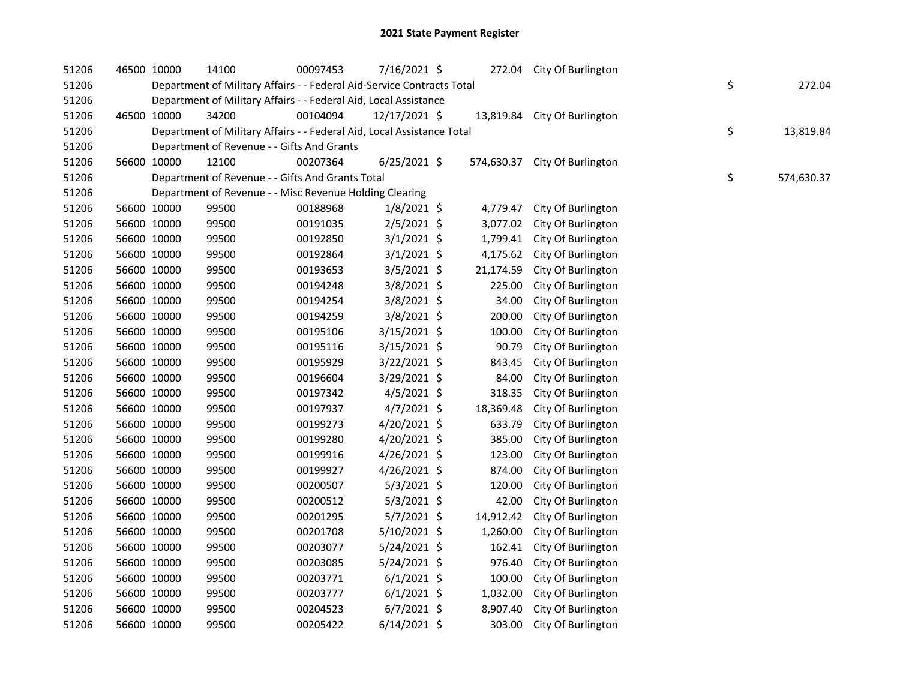| 51206 | 46500 10000 |             | 14100                                                                  | 00097453 | 7/16/2021 \$   |           | 272.04 City Of Burlington     |    |            |
|-------|-------------|-------------|------------------------------------------------------------------------|----------|----------------|-----------|-------------------------------|----|------------|
| 51206 |             |             | Department of Military Affairs - - Federal Aid-Service Contracts Total |          |                |           |                               | \$ | 272.04     |
| 51206 |             |             | Department of Military Affairs - - Federal Aid, Local Assistance       |          |                |           |                               |    |            |
| 51206 | 46500 10000 |             | 34200                                                                  | 00104094 | 12/17/2021 \$  |           | 13,819.84 City Of Burlington  |    |            |
| 51206 |             |             | Department of Military Affairs - - Federal Aid, Local Assistance Total |          |                |           |                               | \$ | 13,819.84  |
| 51206 |             |             | Department of Revenue - - Gifts And Grants                             |          |                |           |                               |    |            |
| 51206 | 56600 10000 |             | 12100                                                                  | 00207364 | $6/25/2021$ \$ |           | 574,630.37 City Of Burlington |    |            |
| 51206 |             |             | Department of Revenue - - Gifts And Grants Total                       |          |                |           |                               | \$ | 574,630.37 |
| 51206 |             |             | Department of Revenue - - Misc Revenue Holding Clearing                |          |                |           |                               |    |            |
| 51206 | 56600 10000 |             | 99500                                                                  | 00188968 | $1/8/2021$ \$  | 4,779.47  | City Of Burlington            |    |            |
| 51206 | 56600 10000 |             | 99500                                                                  | 00191035 | $2/5/2021$ \$  | 3,077.02  | City Of Burlington            |    |            |
| 51206 | 56600 10000 |             | 99500                                                                  | 00192850 | $3/1/2021$ \$  | 1,799.41  | City Of Burlington            |    |            |
| 51206 | 56600 10000 |             | 99500                                                                  | 00192864 | 3/1/2021 \$    | 4,175.62  | City Of Burlington            |    |            |
| 51206 | 56600 10000 |             | 99500                                                                  | 00193653 | 3/5/2021 \$    | 21,174.59 | City Of Burlington            |    |            |
| 51206 |             | 56600 10000 | 99500                                                                  | 00194248 | 3/8/2021 \$    | 225.00    | City Of Burlington            |    |            |
| 51206 | 56600 10000 |             | 99500                                                                  | 00194254 | 3/8/2021 \$    | 34.00     | City Of Burlington            |    |            |
| 51206 | 56600 10000 |             | 99500                                                                  | 00194259 | $3/8/2021$ \$  | 200.00    | City Of Burlington            |    |            |
| 51206 | 56600 10000 |             | 99500                                                                  | 00195106 | 3/15/2021 \$   | 100.00    | City Of Burlington            |    |            |
| 51206 | 56600 10000 |             | 99500                                                                  | 00195116 | 3/15/2021 \$   | 90.79     | City Of Burlington            |    |            |
| 51206 | 56600 10000 |             | 99500                                                                  | 00195929 | $3/22/2021$ \$ | 843.45    | City Of Burlington            |    |            |
| 51206 | 56600 10000 |             | 99500                                                                  | 00196604 | 3/29/2021 \$   | 84.00     | City Of Burlington            |    |            |
| 51206 | 56600 10000 |             | 99500                                                                  | 00197342 | $4/5/2021$ \$  | 318.35    | City Of Burlington            |    |            |
| 51206 | 56600 10000 |             | 99500                                                                  | 00197937 | $4/7/2021$ \$  | 18,369.48 | City Of Burlington            |    |            |
| 51206 | 56600 10000 |             | 99500                                                                  | 00199273 | 4/20/2021 \$   | 633.79    | City Of Burlington            |    |            |
| 51206 | 56600 10000 |             | 99500                                                                  | 00199280 | 4/20/2021 \$   | 385.00    | City Of Burlington            |    |            |
| 51206 | 56600 10000 |             | 99500                                                                  | 00199916 | 4/26/2021 \$   | 123.00    | City Of Burlington            |    |            |
| 51206 | 56600 10000 |             | 99500                                                                  | 00199927 | 4/26/2021 \$   | 874.00    | City Of Burlington            |    |            |
| 51206 | 56600 10000 |             | 99500                                                                  | 00200507 | $5/3/2021$ \$  | 120.00    | City Of Burlington            |    |            |
| 51206 | 56600 10000 |             | 99500                                                                  | 00200512 | $5/3/2021$ \$  | 42.00     | City Of Burlington            |    |            |
| 51206 | 56600 10000 |             | 99500                                                                  | 00201295 | 5/7/2021 \$    | 14,912.42 | City Of Burlington            |    |            |
| 51206 | 56600 10000 |             | 99500                                                                  | 00201708 | $5/10/2021$ \$ | 1,260.00  | City Of Burlington            |    |            |
| 51206 | 56600 10000 |             | 99500                                                                  | 00203077 | $5/24/2021$ \$ | 162.41    | City Of Burlington            |    |            |
| 51206 | 56600 10000 |             | 99500                                                                  | 00203085 | $5/24/2021$ \$ | 976.40    | City Of Burlington            |    |            |
| 51206 | 56600 10000 |             | 99500                                                                  | 00203771 | $6/1/2021$ \$  | 100.00    | City Of Burlington            |    |            |
| 51206 | 56600 10000 |             | 99500                                                                  | 00203777 | $6/1/2021$ \$  | 1,032.00  | City Of Burlington            |    |            |
| 51206 | 56600 10000 |             | 99500                                                                  | 00204523 | $6/7/2021$ \$  | 8,907.40  | City Of Burlington            |    |            |
| 51206 | 56600 10000 |             | 99500                                                                  | 00205422 | $6/14/2021$ \$ | 303.00    | City Of Burlington            |    |            |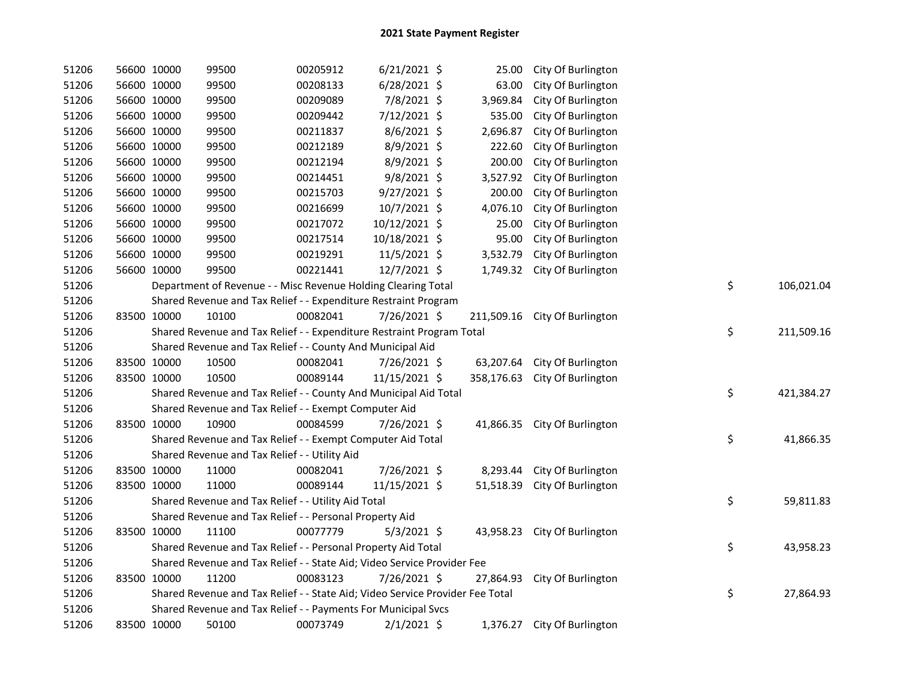| 51206 |             | 56600 10000 | 99500                                                                         | 00205912 | $6/21/2021$ \$ | 25.00     | City Of Burlington            |    |            |
|-------|-------------|-------------|-------------------------------------------------------------------------------|----------|----------------|-----------|-------------------------------|----|------------|
| 51206 |             | 56600 10000 | 99500                                                                         | 00208133 | $6/28/2021$ \$ | 63.00     | City Of Burlington            |    |            |
| 51206 |             | 56600 10000 | 99500                                                                         | 00209089 | 7/8/2021 \$    | 3,969.84  | City Of Burlington            |    |            |
| 51206 |             | 56600 10000 | 99500                                                                         | 00209442 | 7/12/2021 \$   | 535.00    | City Of Burlington            |    |            |
| 51206 |             | 56600 10000 | 99500                                                                         | 00211837 | 8/6/2021 \$    | 2,696.87  | City Of Burlington            |    |            |
| 51206 |             | 56600 10000 | 99500                                                                         | 00212189 | 8/9/2021 \$    | 222.60    | City Of Burlington            |    |            |
| 51206 |             | 56600 10000 | 99500                                                                         | 00212194 | 8/9/2021 \$    | 200.00    | City Of Burlington            |    |            |
| 51206 |             | 56600 10000 | 99500                                                                         | 00214451 | $9/8/2021$ \$  | 3,527.92  | City Of Burlington            |    |            |
| 51206 |             | 56600 10000 | 99500                                                                         | 00215703 | 9/27/2021 \$   | 200.00    | City Of Burlington            |    |            |
| 51206 |             | 56600 10000 | 99500                                                                         | 00216699 | 10/7/2021 \$   | 4,076.10  | City Of Burlington            |    |            |
| 51206 |             | 56600 10000 | 99500                                                                         | 00217072 | 10/12/2021 \$  | 25.00     | City Of Burlington            |    |            |
| 51206 |             | 56600 10000 | 99500                                                                         | 00217514 | 10/18/2021 \$  | 95.00     | City Of Burlington            |    |            |
| 51206 |             | 56600 10000 | 99500                                                                         | 00219291 | 11/5/2021 \$   | 3,532.79  | City Of Burlington            |    |            |
| 51206 |             | 56600 10000 | 99500                                                                         | 00221441 | 12/7/2021 \$   |           | 1,749.32 City Of Burlington   |    |            |
| 51206 |             |             | Department of Revenue - - Misc Revenue Holding Clearing Total                 |          |                |           |                               | \$ | 106,021.04 |
| 51206 |             |             | Shared Revenue and Tax Relief - - Expenditure Restraint Program               |          |                |           |                               |    |            |
| 51206 |             | 83500 10000 | 10100                                                                         | 00082041 | 7/26/2021 \$   |           | 211,509.16 City Of Burlington |    |            |
| 51206 |             |             | Shared Revenue and Tax Relief - - Expenditure Restraint Program Total         |          |                |           |                               | \$ | 211,509.16 |
| 51206 |             |             | Shared Revenue and Tax Relief - - County And Municipal Aid                    |          |                |           |                               |    |            |
| 51206 |             | 83500 10000 | 10500                                                                         | 00082041 | 7/26/2021 \$   |           | 63,207.64 City Of Burlington  |    |            |
| 51206 |             | 83500 10000 | 10500                                                                         | 00089144 | 11/15/2021 \$  |           | 358,176.63 City Of Burlington |    |            |
| 51206 |             |             | Shared Revenue and Tax Relief - - County And Municipal Aid Total              |          |                |           |                               | \$ | 421,384.27 |
| 51206 |             |             | Shared Revenue and Tax Relief - - Exempt Computer Aid                         |          |                |           |                               |    |            |
| 51206 |             | 83500 10000 | 10900                                                                         | 00084599 | 7/26/2021 \$   |           | 41,866.35 City Of Burlington  |    |            |
| 51206 |             |             | Shared Revenue and Tax Relief - - Exempt Computer Aid Total                   |          |                |           |                               | \$ | 41,866.35  |
| 51206 |             |             | Shared Revenue and Tax Relief - - Utility Aid                                 |          |                |           |                               |    |            |
| 51206 | 83500 10000 |             | 11000                                                                         | 00082041 | 7/26/2021 \$   | 8,293.44  | City Of Burlington            |    |            |
| 51206 | 83500 10000 |             | 11000                                                                         | 00089144 | 11/15/2021 \$  | 51,518.39 | City Of Burlington            |    |            |
| 51206 |             |             | Shared Revenue and Tax Relief - - Utility Aid Total                           |          |                |           |                               | \$ | 59,811.83  |
| 51206 |             |             | Shared Revenue and Tax Relief - - Personal Property Aid                       |          |                |           |                               |    |            |
| 51206 |             | 83500 10000 | 11100                                                                         | 00077779 | $5/3/2021$ \$  |           | 43,958.23 City Of Burlington  |    |            |
| 51206 |             |             | Shared Revenue and Tax Relief - - Personal Property Aid Total                 |          |                |           |                               | \$ | 43,958.23  |
| 51206 |             |             | Shared Revenue and Tax Relief - - State Aid; Video Service Provider Fee       |          |                |           |                               |    |            |
| 51206 |             | 83500 10000 | 11200                                                                         | 00083123 | 7/26/2021 \$   | 27,864.93 | City Of Burlington            |    |            |
| 51206 |             |             | Shared Revenue and Tax Relief - - State Aid; Video Service Provider Fee Total |          |                |           |                               | \$ | 27,864.93  |
| 51206 |             |             | Shared Revenue and Tax Relief - - Payments For Municipal Svcs                 |          |                |           |                               |    |            |
| 51206 |             | 83500 10000 | 50100                                                                         | 00073749 | $2/1/2021$ \$  |           | 1,376.27 City Of Burlington   |    |            |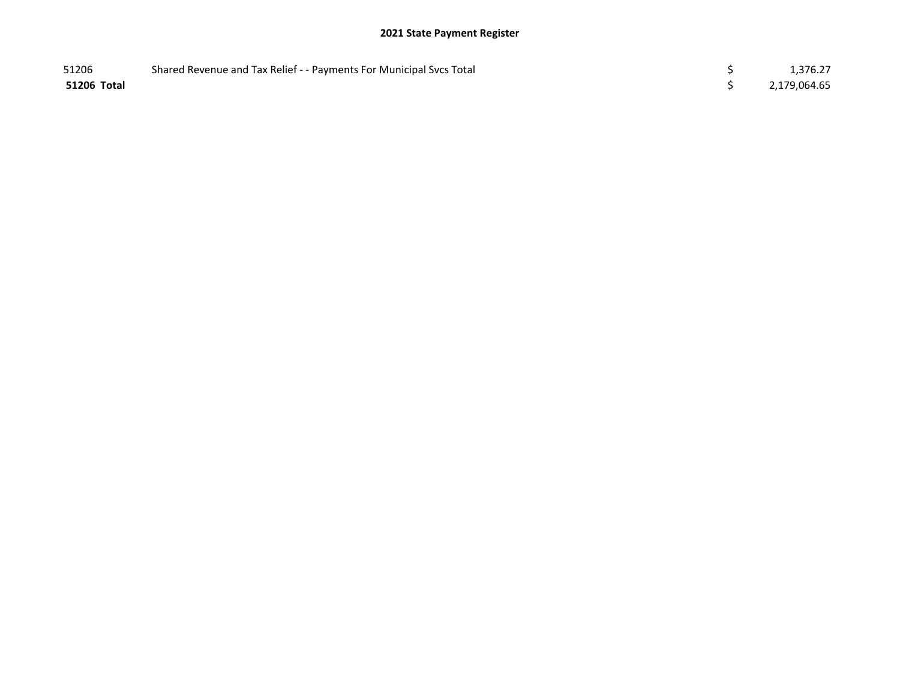## 2021 State Payment Register

| 51206       | Shared Revenue and Tax Relief - - Payments For Municipal Svcs Total | 1,376.27     |
|-------------|---------------------------------------------------------------------|--------------|
| 51206 Total |                                                                     | 2,179,064.65 |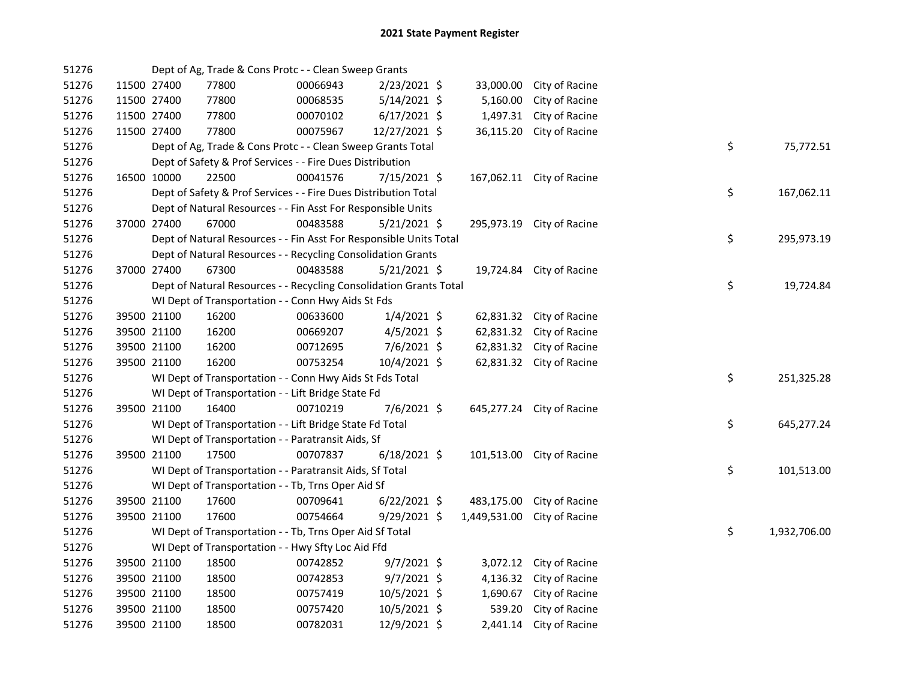| 51276 |             | Dept of Ag, Trade & Cons Protc - - Clean Sweep Grants              |          |                |           |                             |    |              |
|-------|-------------|--------------------------------------------------------------------|----------|----------------|-----------|-----------------------------|----|--------------|
| 51276 | 11500 27400 | 77800                                                              | 00066943 | 2/23/2021 \$   | 33,000.00 | City of Racine              |    |              |
| 51276 | 11500 27400 | 77800                                                              | 00068535 | $5/14/2021$ \$ | 5,160.00  | City of Racine              |    |              |
| 51276 | 11500 27400 | 77800                                                              | 00070102 | $6/17/2021$ \$ | 1,497.31  | City of Racine              |    |              |
| 51276 | 11500 27400 | 77800                                                              | 00075967 | 12/27/2021 \$  | 36,115.20 | City of Racine              |    |              |
| 51276 |             | Dept of Ag, Trade & Cons Protc - - Clean Sweep Grants Total        |          |                |           |                             | \$ | 75,772.51    |
| 51276 |             | Dept of Safety & Prof Services - - Fire Dues Distribution          |          |                |           |                             |    |              |
| 51276 | 16500 10000 | 22500                                                              | 00041576 | 7/15/2021 \$   |           | 167,062.11 City of Racine   |    |              |
| 51276 |             | Dept of Safety & Prof Services - - Fire Dues Distribution Total    |          |                |           |                             | \$ | 167,062.11   |
| 51276 |             | Dept of Natural Resources - - Fin Asst For Responsible Units       |          |                |           |                             |    |              |
| 51276 | 37000 27400 | 67000                                                              | 00483588 | $5/21/2021$ \$ |           | 295,973.19 City of Racine   |    |              |
| 51276 |             | Dept of Natural Resources - - Fin Asst For Responsible Units Total |          |                |           |                             | \$ | 295,973.19   |
| 51276 |             | Dept of Natural Resources - - Recycling Consolidation Grants       |          |                |           |                             |    |              |
| 51276 | 37000 27400 | 67300                                                              | 00483588 | $5/21/2021$ \$ |           | 19,724.84 City of Racine    |    |              |
| 51276 |             | Dept of Natural Resources - - Recycling Consolidation Grants Total |          |                |           |                             | \$ | 19,724.84    |
| 51276 |             | WI Dept of Transportation - - Conn Hwy Aids St Fds                 |          |                |           |                             |    |              |
| 51276 | 39500 21100 | 16200                                                              | 00633600 | $1/4/2021$ \$  |           | 62,831.32 City of Racine    |    |              |
| 51276 | 39500 21100 | 16200                                                              | 00669207 | $4/5/2021$ \$  |           | 62,831.32 City of Racine    |    |              |
| 51276 | 39500 21100 | 16200                                                              | 00712695 | 7/6/2021 \$    |           | 62,831.32 City of Racine    |    |              |
| 51276 | 39500 21100 | 16200                                                              | 00753254 | 10/4/2021 \$   |           | 62,831.32 City of Racine    |    |              |
| 51276 |             | WI Dept of Transportation - - Conn Hwy Aids St Fds Total           |          |                |           |                             | \$ | 251,325.28   |
| 51276 |             | WI Dept of Transportation - - Lift Bridge State Fd                 |          |                |           |                             |    |              |
| 51276 | 39500 21100 | 16400                                                              | 00710219 | 7/6/2021 \$    |           | 645,277.24 City of Racine   |    |              |
| 51276 |             | WI Dept of Transportation - - Lift Bridge State Fd Total           |          |                |           |                             | \$ | 645,277.24   |
| 51276 |             | WI Dept of Transportation - - Paratransit Aids, Sf                 |          |                |           |                             |    |              |
| 51276 | 39500 21100 | 17500                                                              | 00707837 | $6/18/2021$ \$ |           | 101,513.00 City of Racine   |    |              |
| 51276 |             | WI Dept of Transportation - - Paratransit Aids, Sf Total           |          |                |           |                             | \$ | 101,513.00   |
| 51276 |             | WI Dept of Transportation - - Tb, Trns Oper Aid Sf                 |          |                |           |                             |    |              |
| 51276 | 39500 21100 | 17600                                                              | 00709641 | $6/22/2021$ \$ |           | 483,175.00 City of Racine   |    |              |
| 51276 | 39500 21100 | 17600                                                              | 00754664 | $9/29/2021$ \$ |           | 1,449,531.00 City of Racine |    |              |
| 51276 |             | WI Dept of Transportation - - Tb, Trns Oper Aid Sf Total           |          |                |           |                             | \$ | 1,932,706.00 |
| 51276 |             | WI Dept of Transportation - - Hwy Sfty Loc Aid Ffd                 |          |                |           |                             |    |              |
| 51276 | 39500 21100 | 18500                                                              | 00742852 | $9/7/2021$ \$  |           | 3,072.12 City of Racine     |    |              |
| 51276 | 39500 21100 | 18500                                                              | 00742853 | 9/7/2021 \$    |           | 4,136.32 City of Racine     |    |              |
| 51276 | 39500 21100 | 18500                                                              | 00757419 | 10/5/2021 \$   |           | 1,690.67 City of Racine     |    |              |
| 51276 | 39500 21100 | 18500                                                              | 00757420 | $10/5/2021$ \$ | 539.20    | City of Racine              |    |              |
| 51276 | 39500 21100 | 18500                                                              | 00782031 | 12/9/2021 \$   |           | 2,441.14 City of Racine     |    |              |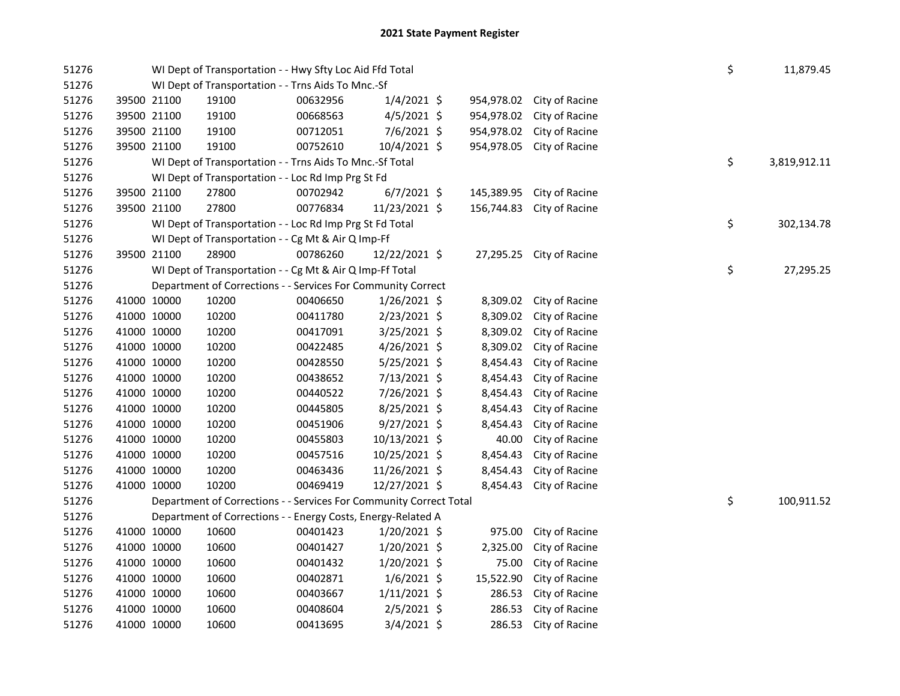| 51276 |             | WI Dept of Transportation - - Hwy Sfty Loc Aid Ffd Total           |          |                |            |                          | \$ | 11,879.45    |
|-------|-------------|--------------------------------------------------------------------|----------|----------------|------------|--------------------------|----|--------------|
| 51276 |             | WI Dept of Transportation - - Trns Aids To Mnc.-Sf                 |          |                |            |                          |    |              |
| 51276 | 39500 21100 | 19100                                                              | 00632956 | $1/4/2021$ \$  | 954,978.02 | City of Racine           |    |              |
| 51276 | 39500 21100 | 19100                                                              | 00668563 | 4/5/2021 \$    | 954,978.02 | City of Racine           |    |              |
| 51276 | 39500 21100 | 19100                                                              | 00712051 | 7/6/2021 \$    | 954,978.02 | City of Racine           |    |              |
| 51276 | 39500 21100 | 19100                                                              | 00752610 | 10/4/2021 \$   | 954,978.05 | City of Racine           |    |              |
| 51276 |             | WI Dept of Transportation - - Trns Aids To Mnc.-Sf Total           |          |                |            |                          | \$ | 3,819,912.11 |
| 51276 |             | WI Dept of Transportation - - Loc Rd Imp Prg St Fd                 |          |                |            |                          |    |              |
| 51276 | 39500 21100 | 27800                                                              | 00702942 | $6/7/2021$ \$  | 145,389.95 | City of Racine           |    |              |
| 51276 | 39500 21100 | 27800                                                              | 00776834 | 11/23/2021 \$  | 156,744.83 | City of Racine           |    |              |
| 51276 |             | WI Dept of Transportation - - Loc Rd Imp Prg St Fd Total           |          |                |            |                          | \$ | 302,134.78   |
| 51276 |             | WI Dept of Transportation - - Cg Mt & Air Q Imp-Ff                 |          |                |            |                          |    |              |
| 51276 | 39500 21100 | 28900                                                              | 00786260 | 12/22/2021 \$  |            | 27,295.25 City of Racine |    |              |
| 51276 |             | WI Dept of Transportation - - Cg Mt & Air Q Imp-Ff Total           |          |                |            |                          | \$ | 27,295.25    |
| 51276 |             | Department of Corrections - - Services For Community Correct       |          |                |            |                          |    |              |
| 51276 | 41000 10000 | 10200                                                              | 00406650 | $1/26/2021$ \$ | 8,309.02   | City of Racine           |    |              |
| 51276 | 41000 10000 | 10200                                                              | 00411780 | 2/23/2021 \$   | 8,309.02   | City of Racine           |    |              |
| 51276 | 41000 10000 | 10200                                                              | 00417091 | 3/25/2021 \$   | 8,309.02   | City of Racine           |    |              |
| 51276 | 41000 10000 | 10200                                                              | 00422485 | 4/26/2021 \$   | 8,309.02   | City of Racine           |    |              |
| 51276 | 41000 10000 | 10200                                                              | 00428550 | 5/25/2021 \$   | 8,454.43   | City of Racine           |    |              |
| 51276 | 41000 10000 | 10200                                                              | 00438652 | 7/13/2021 \$   | 8,454.43   | City of Racine           |    |              |
| 51276 | 41000 10000 | 10200                                                              | 00440522 | 7/26/2021 \$   | 8,454.43   | City of Racine           |    |              |
| 51276 | 41000 10000 | 10200                                                              | 00445805 | 8/25/2021 \$   | 8,454.43   | City of Racine           |    |              |
| 51276 | 41000 10000 | 10200                                                              | 00451906 | $9/27/2021$ \$ | 8,454.43   | City of Racine           |    |              |
| 51276 | 41000 10000 | 10200                                                              | 00455803 | 10/13/2021 \$  | 40.00      | City of Racine           |    |              |
| 51276 | 41000 10000 | 10200                                                              | 00457516 | 10/25/2021 \$  | 8,454.43   | City of Racine           |    |              |
| 51276 | 41000 10000 | 10200                                                              | 00463436 | 11/26/2021 \$  | 8,454.43   | City of Racine           |    |              |
| 51276 | 41000 10000 | 10200                                                              | 00469419 | 12/27/2021 \$  | 8,454.43   | City of Racine           |    |              |
| 51276 |             | Department of Corrections - - Services For Community Correct Total |          |                |            |                          | \$ | 100,911.52   |
| 51276 |             | Department of Corrections - - Energy Costs, Energy-Related A       |          |                |            |                          |    |              |
| 51276 | 41000 10000 | 10600                                                              | 00401423 | $1/20/2021$ \$ | 975.00     | City of Racine           |    |              |
| 51276 | 41000 10000 | 10600                                                              | 00401427 | 1/20/2021 \$   | 2,325.00   | City of Racine           |    |              |
| 51276 | 41000 10000 | 10600                                                              | 00401432 | 1/20/2021 \$   | 75.00      | City of Racine           |    |              |
| 51276 | 41000 10000 | 10600                                                              | 00402871 | $1/6/2021$ \$  | 15,522.90  | City of Racine           |    |              |
| 51276 | 41000 10000 | 10600                                                              | 00403667 | $1/11/2021$ \$ | 286.53     | City of Racine           |    |              |
| 51276 | 41000 10000 | 10600                                                              | 00408604 | 2/5/2021 \$    | 286.53     | City of Racine           |    |              |
| 51276 | 41000 10000 | 10600                                                              | 00413695 | $3/4/2021$ \$  | 286.53     | City of Racine           |    |              |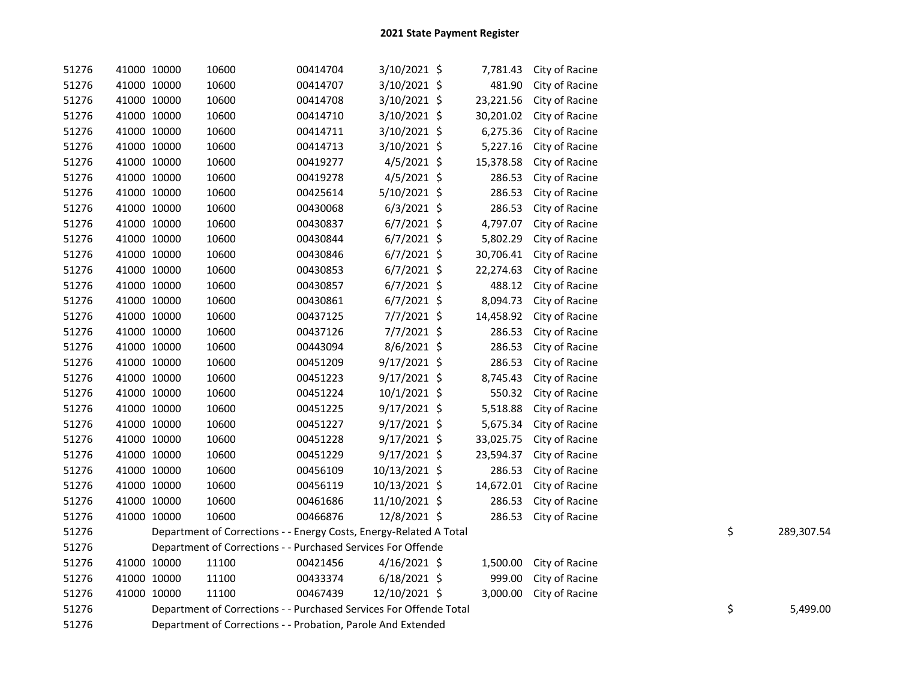| 51276 | 41000 10000 | 10600                                                              | 00414704 | 3/10/2021 \$   | 7,781.43  | City of Racine |    |            |
|-------|-------------|--------------------------------------------------------------------|----------|----------------|-----------|----------------|----|------------|
| 51276 | 41000 10000 | 10600                                                              | 00414707 | 3/10/2021 \$   | 481.90    | City of Racine |    |            |
| 51276 | 41000 10000 | 10600                                                              | 00414708 | 3/10/2021 \$   | 23,221.56 | City of Racine |    |            |
| 51276 | 41000 10000 | 10600                                                              | 00414710 | 3/10/2021 \$   | 30,201.02 | City of Racine |    |            |
| 51276 | 41000 10000 | 10600                                                              | 00414711 | 3/10/2021 \$   | 6,275.36  | City of Racine |    |            |
| 51276 | 41000 10000 | 10600                                                              | 00414713 | 3/10/2021 \$   | 5,227.16  | City of Racine |    |            |
| 51276 | 41000 10000 | 10600                                                              | 00419277 | $4/5/2021$ \$  | 15,378.58 | City of Racine |    |            |
| 51276 | 41000 10000 | 10600                                                              | 00419278 | $4/5/2021$ \$  | 286.53    | City of Racine |    |            |
| 51276 | 41000 10000 | 10600                                                              | 00425614 | 5/10/2021 \$   | 286.53    | City of Racine |    |            |
| 51276 | 41000 10000 | 10600                                                              | 00430068 | $6/3/2021$ \$  | 286.53    | City of Racine |    |            |
| 51276 | 41000 10000 | 10600                                                              | 00430837 | $6/7/2021$ \$  | 4,797.07  | City of Racine |    |            |
| 51276 | 41000 10000 | 10600                                                              | 00430844 | $6/7/2021$ \$  | 5,802.29  | City of Racine |    |            |
| 51276 | 41000 10000 | 10600                                                              | 00430846 | $6/7/2021$ \$  | 30,706.41 | City of Racine |    |            |
| 51276 | 41000 10000 | 10600                                                              | 00430853 | $6/7/2021$ \$  | 22,274.63 | City of Racine |    |            |
| 51276 | 41000 10000 | 10600                                                              | 00430857 | $6/7/2021$ \$  | 488.12    | City of Racine |    |            |
| 51276 | 41000 10000 | 10600                                                              | 00430861 | $6/7/2021$ \$  | 8,094.73  | City of Racine |    |            |
| 51276 | 41000 10000 | 10600                                                              | 00437125 | $7/7/2021$ \$  | 14,458.92 | City of Racine |    |            |
| 51276 | 41000 10000 | 10600                                                              | 00437126 | 7/7/2021 \$    | 286.53    | City of Racine |    |            |
| 51276 | 41000 10000 | 10600                                                              | 00443094 | 8/6/2021 \$    | 286.53    | City of Racine |    |            |
| 51276 | 41000 10000 | 10600                                                              | 00451209 | 9/17/2021 \$   | 286.53    | City of Racine |    |            |
| 51276 | 41000 10000 | 10600                                                              | 00451223 | $9/17/2021$ \$ | 8,745.43  | City of Racine |    |            |
| 51276 | 41000 10000 | 10600                                                              | 00451224 | $10/1/2021$ \$ | 550.32    | City of Racine |    |            |
| 51276 | 41000 10000 | 10600                                                              | 00451225 | 9/17/2021 \$   | 5,518.88  | City of Racine |    |            |
| 51276 | 41000 10000 | 10600                                                              | 00451227 | $9/17/2021$ \$ | 5,675.34  | City of Racine |    |            |
| 51276 | 41000 10000 | 10600                                                              | 00451228 | $9/17/2021$ \$ | 33,025.75 | City of Racine |    |            |
| 51276 | 41000 10000 | 10600                                                              | 00451229 | $9/17/2021$ \$ | 23,594.37 | City of Racine |    |            |
| 51276 | 41000 10000 | 10600                                                              | 00456109 | 10/13/2021 \$  | 286.53    | City of Racine |    |            |
| 51276 | 41000 10000 | 10600                                                              | 00456119 | 10/13/2021 \$  | 14,672.01 | City of Racine |    |            |
| 51276 | 41000 10000 | 10600                                                              | 00461686 | 11/10/2021 \$  | 286.53    | City of Racine |    |            |
| 51276 | 41000 10000 | 10600                                                              | 00466876 | 12/8/2021 \$   | 286.53    | City of Racine |    |            |
| 51276 |             | Department of Corrections - - Energy Costs, Energy-Related A Total |          |                |           |                | \$ | 289,307.54 |
| 51276 |             | Department of Corrections - - Purchased Services For Offende       |          |                |           |                |    |            |
| 51276 | 41000 10000 | 11100                                                              | 00421456 | $4/16/2021$ \$ | 1,500.00  | City of Racine |    |            |
| 51276 | 41000 10000 | 11100                                                              | 00433374 | $6/18/2021$ \$ | 999.00    | City of Racine |    |            |
| 51276 | 41000 10000 | 11100                                                              | 00467439 | 12/10/2021 \$  | 3,000.00  | City of Racine |    |            |
| 51276 |             | Department of Corrections - - Purchased Services For Offende Total |          |                |           |                | \$ | 5,499.00   |
| 51276 |             | Department of Corrections - - Probation, Parole And Extended       |          |                |           |                |    |            |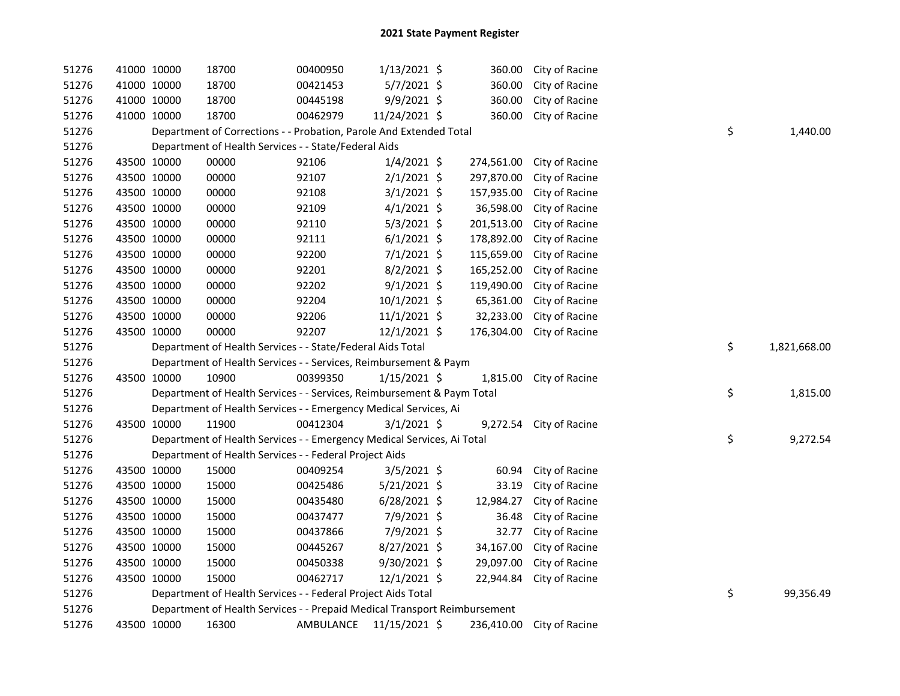| 51276 | 41000 10000 | 18700                                                                     | 00400950 | $1/13/2021$ \$ | 360.00     | City of Racine          |    |              |
|-------|-------------|---------------------------------------------------------------------------|----------|----------------|------------|-------------------------|----|--------------|
| 51276 | 41000 10000 | 18700                                                                     | 00421453 | 5/7/2021 \$    | 360.00     | City of Racine          |    |              |
| 51276 | 41000 10000 | 18700                                                                     | 00445198 | 9/9/2021 \$    | 360.00     | City of Racine          |    |              |
| 51276 | 41000 10000 | 18700                                                                     | 00462979 | 11/24/2021 \$  | 360.00     | City of Racine          |    |              |
| 51276 |             | Department of Corrections - - Probation, Parole And Extended Total        |          |                |            |                         | \$ | 1,440.00     |
| 51276 |             | Department of Health Services - - State/Federal Aids                      |          |                |            |                         |    |              |
| 51276 | 43500 10000 | 00000                                                                     | 92106    | $1/4/2021$ \$  | 274,561.00 | City of Racine          |    |              |
| 51276 | 43500 10000 | 00000                                                                     | 92107    | $2/1/2021$ \$  | 297,870.00 | City of Racine          |    |              |
| 51276 | 43500 10000 | 00000                                                                     | 92108    | $3/1/2021$ \$  | 157,935.00 | City of Racine          |    |              |
| 51276 | 43500 10000 | 00000                                                                     | 92109    | $4/1/2021$ \$  | 36,598.00  | City of Racine          |    |              |
| 51276 | 43500 10000 | 00000                                                                     | 92110    | $5/3/2021$ \$  | 201,513.00 | City of Racine          |    |              |
| 51276 | 43500 10000 | 00000                                                                     | 92111    | $6/1/2021$ \$  | 178,892.00 | City of Racine          |    |              |
| 51276 | 43500 10000 | 00000                                                                     | 92200    | 7/1/2021 \$    | 115,659.00 | City of Racine          |    |              |
| 51276 | 43500 10000 | 00000                                                                     | 92201    | $8/2/2021$ \$  | 165,252.00 | City of Racine          |    |              |
| 51276 | 43500 10000 | 00000                                                                     | 92202    | $9/1/2021$ \$  | 119,490.00 | City of Racine          |    |              |
| 51276 | 43500 10000 | 00000                                                                     | 92204    | 10/1/2021 \$   | 65,361.00  | City of Racine          |    |              |
| 51276 | 43500 10000 | 00000                                                                     | 92206    | $11/1/2021$ \$ | 32,233.00  | City of Racine          |    |              |
| 51276 | 43500 10000 | 00000                                                                     | 92207    | 12/1/2021 \$   | 176,304.00 | City of Racine          |    |              |
| 51276 |             | Department of Health Services - - State/Federal Aids Total                |          |                |            |                         | \$ | 1,821,668.00 |
| 51276 |             | Department of Health Services - - Services, Reimbursement & Paym          |          |                |            |                         |    |              |
| 51276 | 43500 10000 | 10900                                                                     | 00399350 | $1/15/2021$ \$ | 1,815.00   | City of Racine          |    |              |
| 51276 |             | Department of Health Services - - Services, Reimbursement & Paym Total    |          |                |            |                         | \$ | 1,815.00     |
| 51276 |             | Department of Health Services - - Emergency Medical Services, Ai          |          |                |            |                         |    |              |
| 51276 | 43500 10000 | 11900                                                                     | 00412304 | $3/1/2021$ \$  |            | 9,272.54 City of Racine |    |              |
| 51276 |             | Department of Health Services - - Emergency Medical Services, Ai Total    |          |                |            |                         | \$ | 9,272.54     |
| 51276 |             | Department of Health Services - - Federal Project Aids                    |          |                |            |                         |    |              |
| 51276 | 43500 10000 | 15000                                                                     | 00409254 | 3/5/2021 \$    | 60.94      | City of Racine          |    |              |
| 51276 | 43500 10000 | 15000                                                                     | 00425486 | $5/21/2021$ \$ | 33.19      |                         |    |              |
| 51276 |             |                                                                           |          |                |            | City of Racine          |    |              |
|       | 43500 10000 | 15000                                                                     | 00435480 | $6/28/2021$ \$ | 12,984.27  | City of Racine          |    |              |
| 51276 | 43500 10000 | 15000                                                                     | 00437477 | 7/9/2021 \$    | 36.48      | City of Racine          |    |              |
| 51276 | 43500 10000 | 15000                                                                     | 00437866 | 7/9/2021 \$    | 32.77      | City of Racine          |    |              |
| 51276 | 43500 10000 | 15000                                                                     | 00445267 | 8/27/2021 \$   | 34,167.00  | City of Racine          |    |              |
| 51276 | 43500 10000 | 15000                                                                     | 00450338 | $9/30/2021$ \$ | 29,097.00  | City of Racine          |    |              |
| 51276 | 43500 10000 | 15000                                                                     | 00462717 | $12/1/2021$ \$ | 22,944.84  | City of Racine          |    |              |
| 51276 |             | Department of Health Services - - Federal Project Aids Total              |          |                |            |                         | \$ | 99,356.49    |
| 51276 |             | Department of Health Services - - Prepaid Medical Transport Reimbursement |          |                |            |                         |    |              |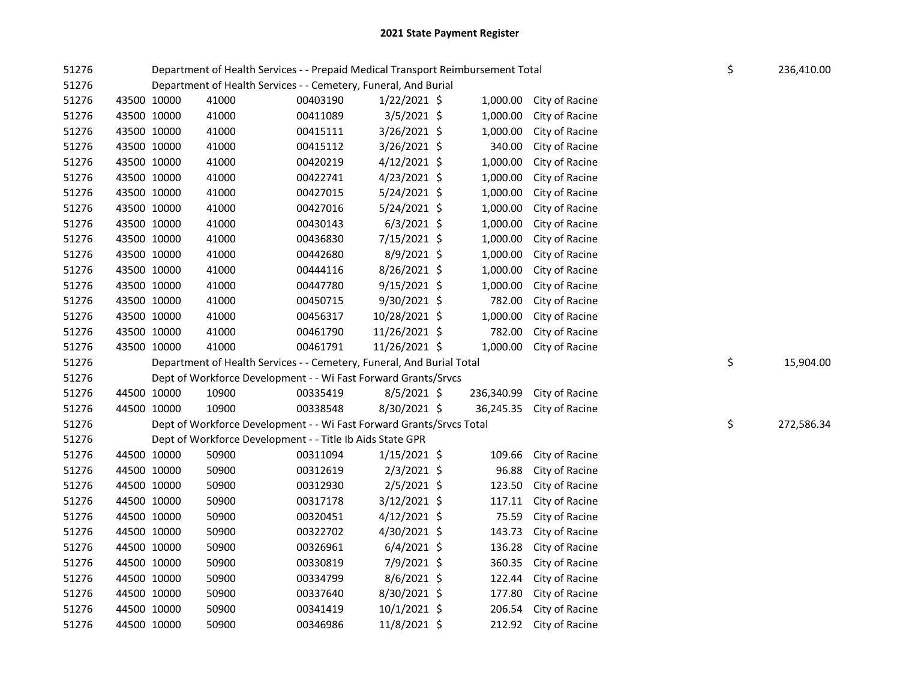| 51276 |             |       | Department of Health Services - - Prepaid Medical Transport Reimbursement Total |                |            |                | \$ | 236,410.00 |
|-------|-------------|-------|---------------------------------------------------------------------------------|----------------|------------|----------------|----|------------|
| 51276 |             |       | Department of Health Services - - Cemetery, Funeral, And Burial                 |                |            |                |    |            |
| 51276 | 43500 10000 | 41000 | 00403190                                                                        | $1/22/2021$ \$ | 1,000.00   | City of Racine |    |            |
| 51276 | 43500 10000 | 41000 | 00411089                                                                        | 3/5/2021 \$    | 1,000.00   | City of Racine |    |            |
| 51276 | 43500 10000 | 41000 | 00415111                                                                        | 3/26/2021 \$   | 1,000.00   | City of Racine |    |            |
| 51276 | 43500 10000 | 41000 | 00415112                                                                        | 3/26/2021 \$   | 340.00     | City of Racine |    |            |
| 51276 | 43500 10000 | 41000 | 00420219                                                                        | $4/12/2021$ \$ | 1,000.00   | City of Racine |    |            |
| 51276 | 43500 10000 | 41000 | 00422741                                                                        | $4/23/2021$ \$ | 1,000.00   | City of Racine |    |            |
| 51276 | 43500 10000 | 41000 | 00427015                                                                        | 5/24/2021 \$   | 1,000.00   | City of Racine |    |            |
| 51276 | 43500 10000 | 41000 | 00427016                                                                        | 5/24/2021 \$   | 1,000.00   | City of Racine |    |            |
| 51276 | 43500 10000 | 41000 | 00430143                                                                        | $6/3/2021$ \$  | 1,000.00   | City of Racine |    |            |
| 51276 | 43500 10000 | 41000 | 00436830                                                                        | 7/15/2021 \$   | 1,000.00   | City of Racine |    |            |
| 51276 | 43500 10000 | 41000 | 00442680                                                                        | 8/9/2021 \$    | 1,000.00   | City of Racine |    |            |
| 51276 | 43500 10000 | 41000 | 00444116                                                                        | 8/26/2021 \$   | 1,000.00   | City of Racine |    |            |
| 51276 | 43500 10000 | 41000 | 00447780                                                                        | 9/15/2021 \$   | 1,000.00   | City of Racine |    |            |
| 51276 | 43500 10000 | 41000 | 00450715                                                                        | 9/30/2021 \$   | 782.00     | City of Racine |    |            |
| 51276 | 43500 10000 | 41000 | 00456317                                                                        | 10/28/2021 \$  | 1,000.00   | City of Racine |    |            |
| 51276 | 43500 10000 | 41000 | 00461790                                                                        | 11/26/2021 \$  | 782.00     | City of Racine |    |            |
| 51276 | 43500 10000 | 41000 | 00461791                                                                        | 11/26/2021 \$  | 1,000.00   | City of Racine |    |            |
| 51276 |             |       | Department of Health Services - - Cemetery, Funeral, And Burial Total           |                |            |                | \$ | 15,904.00  |
| 51276 |             |       | Dept of Workforce Development - - Wi Fast Forward Grants/Srvcs                  |                |            |                |    |            |
| 51276 | 44500 10000 | 10900 | 00335419                                                                        | $8/5/2021$ \$  | 236,340.99 | City of Racine |    |            |
| 51276 | 44500 10000 | 10900 | 00338548                                                                        | 8/30/2021 \$   | 36,245.35  | City of Racine |    |            |
| 51276 |             |       | Dept of Workforce Development - - Wi Fast Forward Grants/Srvcs Total            |                |            |                | \$ | 272,586.34 |
| 51276 |             |       | Dept of Workforce Development - - Title Ib Aids State GPR                       |                |            |                |    |            |
| 51276 | 44500 10000 | 50900 | 00311094                                                                        | $1/15/2021$ \$ | 109.66     | City of Racine |    |            |
| 51276 | 44500 10000 | 50900 | 00312619                                                                        | 2/3/2021 \$    | 96.88      | City of Racine |    |            |
| 51276 | 44500 10000 | 50900 | 00312930                                                                        | $2/5/2021$ \$  | 123.50     | City of Racine |    |            |
| 51276 | 44500 10000 | 50900 | 00317178                                                                        | $3/12/2021$ \$ | 117.11     | City of Racine |    |            |
| 51276 | 44500 10000 | 50900 | 00320451                                                                        | $4/12/2021$ \$ | 75.59      | City of Racine |    |            |
| 51276 | 44500 10000 | 50900 | 00322702                                                                        | 4/30/2021 \$   | 143.73     | City of Racine |    |            |
| 51276 | 44500 10000 | 50900 | 00326961                                                                        | $6/4/2021$ \$  | 136.28     | City of Racine |    |            |
| 51276 | 44500 10000 | 50900 | 00330819                                                                        | 7/9/2021 \$    | 360.35     | City of Racine |    |            |
| 51276 | 44500 10000 | 50900 | 00334799                                                                        | 8/6/2021 \$    | 122.44     | City of Racine |    |            |
| 51276 | 44500 10000 | 50900 | 00337640                                                                        | 8/30/2021 \$   | 177.80     | City of Racine |    |            |
| 51276 | 44500 10000 | 50900 | 00341419                                                                        | $10/1/2021$ \$ | 206.54     | City of Racine |    |            |
| 51276 | 44500 10000 | 50900 | 00346986                                                                        | 11/8/2021 \$   | 212.92     | City of Racine |    |            |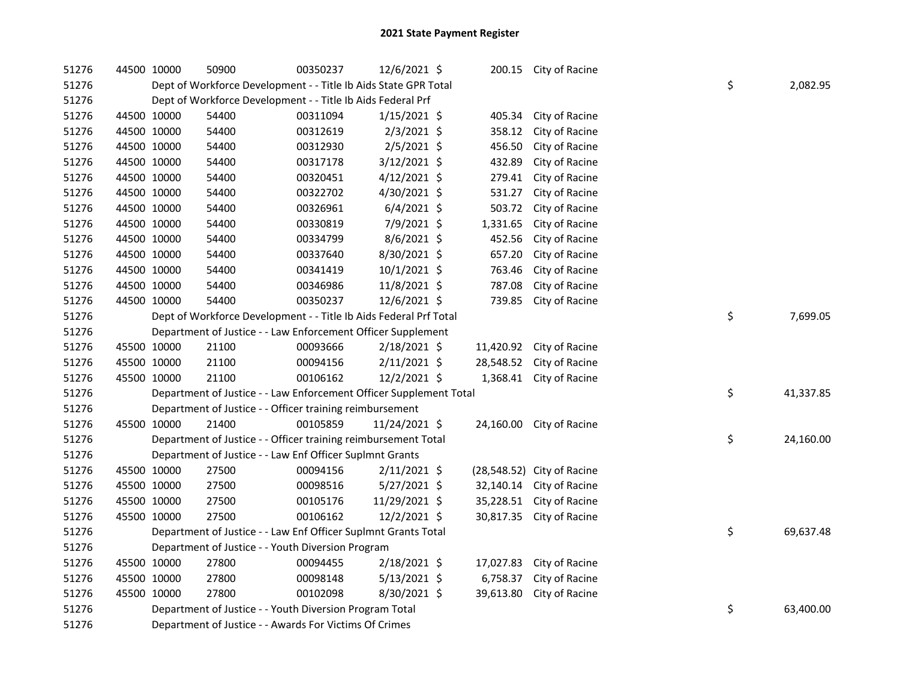| 51276 | 44500 10000 |                                                                   | 50900                                                              | 00350237 | 12/6/2021 \$   |  |           | 200.15 City of Racine      |  |    |           |
|-------|-------------|-------------------------------------------------------------------|--------------------------------------------------------------------|----------|----------------|--|-----------|----------------------------|--|----|-----------|
| 51276 |             | Dept of Workforce Development - - Title Ib Aids State GPR Total   |                                                                    | \$       | 2,082.95       |  |           |                            |  |    |           |
| 51276 |             |                                                                   | Dept of Workforce Development - - Title Ib Aids Federal Prf        |          |                |  |           |                            |  |    |           |
| 51276 |             | 44500 10000                                                       | 54400                                                              | 00311094 | $1/15/2021$ \$ |  | 405.34    | City of Racine             |  |    |           |
| 51276 |             | 44500 10000                                                       | 54400                                                              | 00312619 | $2/3/2021$ \$  |  | 358.12    | City of Racine             |  |    |           |
| 51276 |             | 44500 10000                                                       | 54400                                                              | 00312930 | $2/5/2021$ \$  |  | 456.50    | City of Racine             |  |    |           |
| 51276 |             | 44500 10000                                                       | 54400                                                              | 00317178 | 3/12/2021 \$   |  | 432.89    | City of Racine             |  |    |           |
| 51276 |             | 44500 10000                                                       | 54400                                                              | 00320451 | $4/12/2021$ \$ |  | 279.41    | City of Racine             |  |    |           |
| 51276 |             | 44500 10000                                                       | 54400                                                              | 00322702 | 4/30/2021 \$   |  | 531.27    | City of Racine             |  |    |           |
| 51276 |             | 44500 10000                                                       | 54400                                                              | 00326961 | $6/4/2021$ \$  |  | 503.72    | City of Racine             |  |    |           |
| 51276 |             | 44500 10000                                                       | 54400                                                              | 00330819 | 7/9/2021 \$    |  | 1,331.65  | City of Racine             |  |    |           |
| 51276 |             | 44500 10000                                                       | 54400                                                              | 00334799 | $8/6/2021$ \$  |  | 452.56    | City of Racine             |  |    |           |
| 51276 |             | 44500 10000                                                       | 54400                                                              | 00337640 | 8/30/2021 \$   |  | 657.20    | City of Racine             |  |    |           |
| 51276 |             | 44500 10000                                                       | 54400                                                              | 00341419 | 10/1/2021 \$   |  | 763.46    | City of Racine             |  |    |           |
| 51276 |             | 44500 10000                                                       | 54400                                                              | 00346986 | 11/8/2021 \$   |  | 787.08    | City of Racine             |  |    |           |
| 51276 | 44500 10000 |                                                                   | 54400                                                              | 00350237 | 12/6/2021 \$   |  | 739.85    | City of Racine             |  |    |           |
| 51276 |             | Dept of Workforce Development - - Title Ib Aids Federal Prf Total |                                                                    |          |                |  |           |                            |  |    | 7,699.05  |
| 51276 |             | Department of Justice - - Law Enforcement Officer Supplement      |                                                                    |          |                |  |           |                            |  |    |           |
| 51276 |             | 45500 10000                                                       | 21100                                                              | 00093666 | 2/18/2021 \$   |  | 11,420.92 | City of Racine             |  |    |           |
| 51276 |             | 45500 10000                                                       | 21100                                                              | 00094156 | $2/11/2021$ \$ |  | 28,548.52 | City of Racine             |  |    |           |
| 51276 | 45500 10000 |                                                                   | 21100                                                              | 00106162 | 12/2/2021 \$   |  | 1,368.41  | City of Racine             |  |    |           |
| 51276 |             |                                                                   | Department of Justice - - Law Enforcement Officer Supplement Total |          |                |  |           |                            |  | \$ | 41,337.85 |
| 51276 |             |                                                                   | Department of Justice - - Officer training reimbursement           |          |                |  |           |                            |  |    |           |
| 51276 |             | 45500 10000                                                       | 21400                                                              | 00105859 | 11/24/2021 \$  |  |           | 24,160.00 City of Racine   |  |    |           |
| 51276 |             |                                                                   | Department of Justice - - Officer training reimbursement Total     |          |                |  |           |                            |  | \$ | 24,160.00 |
| 51276 |             |                                                                   | Department of Justice - - Law Enf Officer Suplmnt Grants           |          |                |  |           |                            |  |    |           |
| 51276 |             | 45500 10000                                                       | 27500                                                              | 00094156 | $2/11/2021$ \$ |  |           | (28,548.52) City of Racine |  |    |           |
| 51276 |             | 45500 10000                                                       | 27500                                                              | 00098516 | $5/27/2021$ \$ |  |           | 32,140.14 City of Racine   |  |    |           |
| 51276 | 45500 10000 |                                                                   | 27500                                                              | 00105176 | 11/29/2021 \$  |  |           | 35,228.51 City of Racine   |  |    |           |
| 51276 |             | 45500 10000                                                       | 27500                                                              | 00106162 | $12/2/2021$ \$ |  | 30,817.35 | City of Racine             |  |    |           |
| 51276 |             |                                                                   | Department of Justice - - Law Enf Officer Suplmnt Grants Total     |          |                |  |           |                            |  | \$ | 69,637.48 |
| 51276 |             | Department of Justice - - Youth Diversion Program                 |                                                                    |          |                |  |           |                            |  |    |           |
| 51276 |             | 45500 10000                                                       | 27800                                                              | 00094455 | 2/18/2021 \$   |  | 17,027.83 | City of Racine             |  |    |           |
| 51276 | 45500 10000 |                                                                   | 27800                                                              | 00098148 | $5/13/2021$ \$ |  | 6,758.37  | City of Racine             |  |    |           |
| 51276 |             | 45500 10000                                                       | 27800                                                              | 00102098 | $8/30/2021$ \$ |  | 39,613.80 | City of Racine             |  |    |           |
| 51276 |             |                                                                   | Department of Justice - - Youth Diversion Program Total            |          |                |  |           |                            |  | \$ | 63,400.00 |
| 51276 |             | Department of Justice - - Awards For Victims Of Crimes            |                                                                    |          |                |  |           |                            |  |    |           |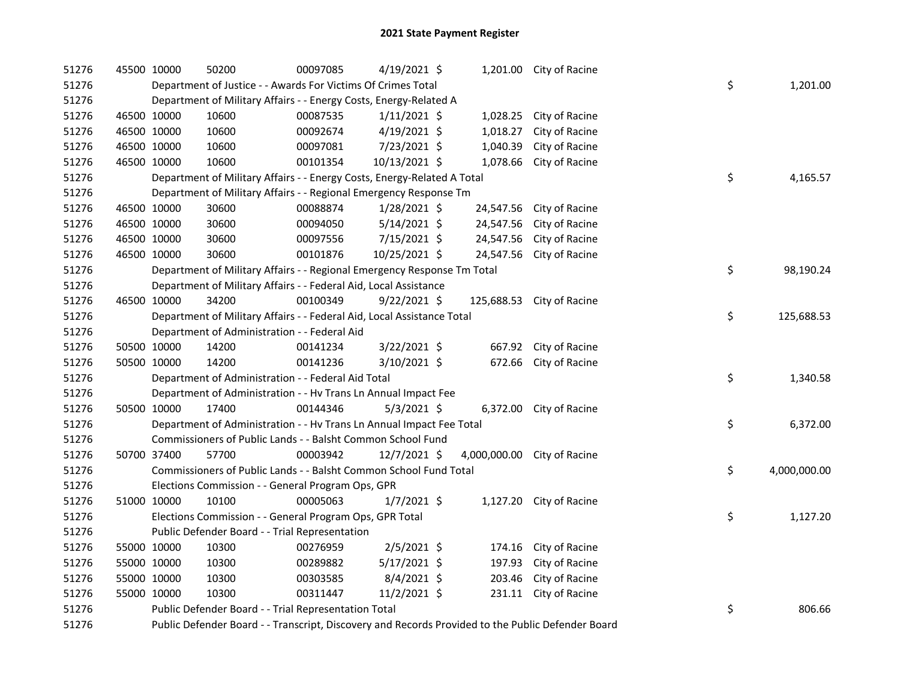| 51276 | 45500 10000 |                                                                                                   | 50200                                                                   | 00097085 | 4/19/2021 \$   |  |            | 1,201.00 City of Racine     |  |    |              |
|-------|-------------|---------------------------------------------------------------------------------------------------|-------------------------------------------------------------------------|----------|----------------|--|------------|-----------------------------|--|----|--------------|
| 51276 |             |                                                                                                   | Department of Justice - - Awards For Victims Of Crimes Total            |          |                |  |            |                             |  | \$ | 1,201.00     |
| 51276 |             |                                                                                                   | Department of Military Affairs - - Energy Costs, Energy-Related A       |          |                |  |            |                             |  |    |              |
| 51276 |             | 46500 10000                                                                                       | 10600                                                                   | 00087535 | $1/11/2021$ \$ |  | 1,028.25   | City of Racine              |  |    |              |
| 51276 |             | 46500 10000                                                                                       | 10600                                                                   | 00092674 | 4/19/2021 \$   |  | 1,018.27   | City of Racine              |  |    |              |
| 51276 |             | 46500 10000                                                                                       | 10600                                                                   | 00097081 | 7/23/2021 \$   |  | 1,040.39   | City of Racine              |  |    |              |
| 51276 | 46500 10000 |                                                                                                   | 10600                                                                   | 00101354 | 10/13/2021 \$  |  | 1,078.66   | City of Racine              |  |    |              |
| 51276 |             |                                                                                                   | Department of Military Affairs - - Energy Costs, Energy-Related A Total |          |                |  |            |                             |  | \$ | 4,165.57     |
| 51276 |             | Department of Military Affairs - - Regional Emergency Response Tm                                 |                                                                         |          |                |  |            |                             |  |    |              |
| 51276 |             | 46500 10000                                                                                       | 30600                                                                   | 00088874 | $1/28/2021$ \$ |  | 24,547.56  | City of Racine              |  |    |              |
| 51276 |             | 46500 10000                                                                                       | 30600                                                                   | 00094050 | $5/14/2021$ \$ |  | 24,547.56  | City of Racine              |  |    |              |
| 51276 |             | 46500 10000                                                                                       | 30600                                                                   | 00097556 | 7/15/2021 \$   |  | 24,547.56  | City of Racine              |  |    |              |
| 51276 |             | 46500 10000                                                                                       | 30600                                                                   | 00101876 | 10/25/2021 \$  |  | 24,547.56  | City of Racine              |  |    |              |
| 51276 |             |                                                                                                   | Department of Military Affairs - - Regional Emergency Response Tm Total |          |                |  |            |                             |  | \$ | 98,190.24    |
| 51276 |             |                                                                                                   | Department of Military Affairs - - Federal Aid, Local Assistance        |          |                |  |            |                             |  |    |              |
| 51276 |             | 46500 10000                                                                                       | 34200                                                                   | 00100349 | $9/22/2021$ \$ |  | 125,688.53 | City of Racine              |  |    |              |
| 51276 |             |                                                                                                   | Department of Military Affairs - - Federal Aid, Local Assistance Total  |          |                |  |            |                             |  | \$ | 125,688.53   |
| 51276 |             |                                                                                                   | Department of Administration - - Federal Aid                            |          |                |  |            |                             |  |    |              |
| 51276 |             | 50500 10000                                                                                       | 14200                                                                   | 00141234 | $3/22/2021$ \$ |  | 667.92     | City of Racine              |  |    |              |
| 51276 |             | 50500 10000                                                                                       | 14200                                                                   | 00141236 | 3/10/2021 \$   |  | 672.66     | City of Racine              |  |    |              |
| 51276 |             |                                                                                                   | Department of Administration - - Federal Aid Total                      |          |                |  |            |                             |  | \$ | 1,340.58     |
| 51276 |             |                                                                                                   | Department of Administration - - Hv Trans Ln Annual Impact Fee          |          |                |  |            |                             |  |    |              |
| 51276 |             | 50500 10000                                                                                       | 17400                                                                   | 00144346 | $5/3/2021$ \$  |  |            | 6,372.00 City of Racine     |  |    |              |
| 51276 |             |                                                                                                   | Department of Administration - - Hv Trans Ln Annual Impact Fee Total    |          |                |  |            |                             |  | \$ | 6,372.00     |
| 51276 |             |                                                                                                   | Commissioners of Public Lands - - Balsht Common School Fund             |          |                |  |            |                             |  |    |              |
| 51276 |             | 50700 37400                                                                                       | 57700                                                                   | 00003942 | $12/7/2021$ \$ |  |            | 4,000,000.00 City of Racine |  |    |              |
| 51276 |             |                                                                                                   | Commissioners of Public Lands - - Balsht Common School Fund Total       |          |                |  |            |                             |  | \$ | 4,000,000.00 |
| 51276 |             |                                                                                                   | Elections Commission - - General Program Ops, GPR                       |          |                |  |            |                             |  |    |              |
| 51276 |             | 51000 10000                                                                                       | 10100                                                                   | 00005063 | $1/7/2021$ \$  |  |            | 1,127.20 City of Racine     |  |    |              |
| 51276 |             |                                                                                                   | Elections Commission - - General Program Ops, GPR Total                 |          |                |  |            |                             |  | \$ | 1,127.20     |
| 51276 |             |                                                                                                   | Public Defender Board - - Trial Representation                          |          |                |  |            |                             |  |    |              |
| 51276 |             | 55000 10000                                                                                       | 10300                                                                   | 00276959 | $2/5/2021$ \$  |  | 174.16     | City of Racine              |  |    |              |
| 51276 |             | 55000 10000                                                                                       | 10300                                                                   | 00289882 | $5/17/2021$ \$ |  | 197.93     | City of Racine              |  |    |              |
| 51276 |             | 55000 10000                                                                                       | 10300                                                                   | 00303585 | 8/4/2021 \$    |  | 203.46     | City of Racine              |  |    |              |
| 51276 | 55000 10000 |                                                                                                   | 10300                                                                   | 00311447 | 11/2/2021 \$   |  |            | 231.11 City of Racine       |  |    |              |
| 51276 |             |                                                                                                   | Public Defender Board - - Trial Representation Total                    |          |                |  |            |                             |  | \$ | 806.66       |
| 51276 |             | Public Defender Board - - Transcript, Discovery and Records Provided to the Public Defender Board |                                                                         |          |                |  |            |                             |  |    |              |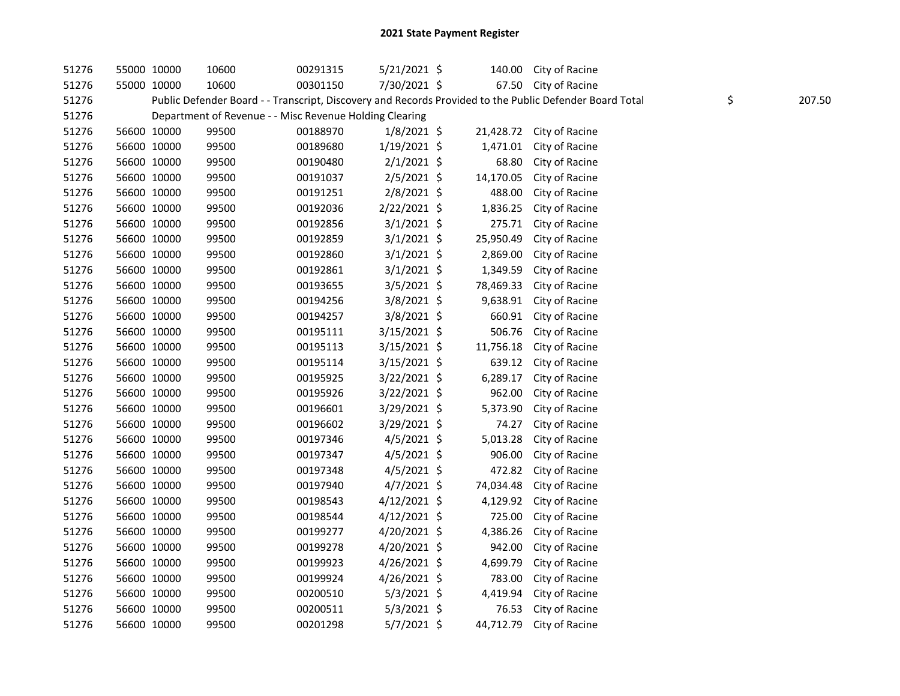| 51276 | 55000 10000 | 10600                                                   | 00291315 | $5/21/2021$ \$ | 140.00    | City of Racine                                                                                          |              |
|-------|-------------|---------------------------------------------------------|----------|----------------|-----------|---------------------------------------------------------------------------------------------------------|--------------|
| 51276 | 55000 10000 | 10600                                                   | 00301150 | 7/30/2021 \$   | 67.50     | City of Racine                                                                                          |              |
| 51276 |             |                                                         |          |                |           | Public Defender Board - - Transcript, Discovery and Records Provided to the Public Defender Board Total | \$<br>207.50 |
| 51276 |             | Department of Revenue - - Misc Revenue Holding Clearing |          |                |           |                                                                                                         |              |
| 51276 | 56600 10000 | 99500                                                   | 00188970 | $1/8/2021$ \$  | 21,428.72 | City of Racine                                                                                          |              |
| 51276 | 56600 10000 | 99500                                                   | 00189680 | $1/19/2021$ \$ | 1,471.01  | City of Racine                                                                                          |              |
| 51276 | 56600 10000 | 99500                                                   | 00190480 | $2/1/2021$ \$  | 68.80     | City of Racine                                                                                          |              |
| 51276 | 56600 10000 | 99500                                                   | 00191037 | $2/5/2021$ \$  | 14,170.05 | City of Racine                                                                                          |              |
| 51276 | 56600 10000 | 99500                                                   | 00191251 | $2/8/2021$ \$  | 488.00    | City of Racine                                                                                          |              |
| 51276 | 56600 10000 | 99500                                                   | 00192036 | 2/22/2021 \$   | 1,836.25  | City of Racine                                                                                          |              |
| 51276 | 56600 10000 | 99500                                                   | 00192856 | $3/1/2021$ \$  | 275.71    | City of Racine                                                                                          |              |
| 51276 | 56600 10000 | 99500                                                   | 00192859 | $3/1/2021$ \$  | 25,950.49 | City of Racine                                                                                          |              |
| 51276 | 56600 10000 | 99500                                                   | 00192860 | $3/1/2021$ \$  | 2,869.00  | City of Racine                                                                                          |              |
| 51276 | 56600 10000 | 99500                                                   | 00192861 | $3/1/2021$ \$  | 1,349.59  | City of Racine                                                                                          |              |
| 51276 | 56600 10000 | 99500                                                   | 00193655 | 3/5/2021 \$    | 78,469.33 | City of Racine                                                                                          |              |
| 51276 | 56600 10000 | 99500                                                   | 00194256 | 3/8/2021 \$    | 9,638.91  | City of Racine                                                                                          |              |
| 51276 | 56600 10000 | 99500                                                   | 00194257 | 3/8/2021 \$    | 660.91    | City of Racine                                                                                          |              |
| 51276 | 56600 10000 | 99500                                                   | 00195111 | $3/15/2021$ \$ | 506.76    | City of Racine                                                                                          |              |
| 51276 | 56600 10000 | 99500                                                   | 00195113 | $3/15/2021$ \$ | 11,756.18 | City of Racine                                                                                          |              |
| 51276 | 56600 10000 | 99500                                                   | 00195114 | 3/15/2021 \$   | 639.12    | City of Racine                                                                                          |              |
| 51276 | 56600 10000 | 99500                                                   | 00195925 | 3/22/2021 \$   | 6,289.17  | City of Racine                                                                                          |              |
| 51276 | 56600 10000 | 99500                                                   | 00195926 | 3/22/2021 \$   | 962.00    | City of Racine                                                                                          |              |
| 51276 | 56600 10000 | 99500                                                   | 00196601 | 3/29/2021 \$   | 5,373.90  | City of Racine                                                                                          |              |
| 51276 | 56600 10000 | 99500                                                   | 00196602 | 3/29/2021 \$   | 74.27     | City of Racine                                                                                          |              |
| 51276 | 56600 10000 | 99500                                                   | 00197346 | $4/5/2021$ \$  | 5,013.28  | City of Racine                                                                                          |              |
| 51276 | 56600 10000 | 99500                                                   | 00197347 | $4/5/2021$ \$  | 906.00    | City of Racine                                                                                          |              |
| 51276 | 56600 10000 | 99500                                                   | 00197348 | $4/5/2021$ \$  | 472.82    | City of Racine                                                                                          |              |
| 51276 | 56600 10000 | 99500                                                   | 00197940 | $4/7/2021$ \$  | 74,034.48 | City of Racine                                                                                          |              |
| 51276 | 56600 10000 | 99500                                                   | 00198543 | $4/12/2021$ \$ | 4,129.92  | City of Racine                                                                                          |              |
| 51276 | 56600 10000 | 99500                                                   | 00198544 | $4/12/2021$ \$ | 725.00    | City of Racine                                                                                          |              |
| 51276 | 56600 10000 | 99500                                                   | 00199277 | 4/20/2021 \$   | 4,386.26  | City of Racine                                                                                          |              |
| 51276 | 56600 10000 | 99500                                                   | 00199278 | 4/20/2021 \$   | 942.00    | City of Racine                                                                                          |              |
| 51276 | 56600 10000 | 99500                                                   | 00199923 | 4/26/2021 \$   | 4,699.79  | City of Racine                                                                                          |              |
| 51276 | 56600 10000 | 99500                                                   | 00199924 | 4/26/2021 \$   | 783.00    | City of Racine                                                                                          |              |
| 51276 | 56600 10000 | 99500                                                   | 00200510 | $5/3/2021$ \$  | 4,419.94  | City of Racine                                                                                          |              |
| 51276 | 56600 10000 | 99500                                                   | 00200511 | 5/3/2021 \$    | 76.53     | City of Racine                                                                                          |              |
| 51276 | 56600 10000 | 99500                                                   | 00201298 | 5/7/2021 \$    | 44,712.79 | City of Racine                                                                                          |              |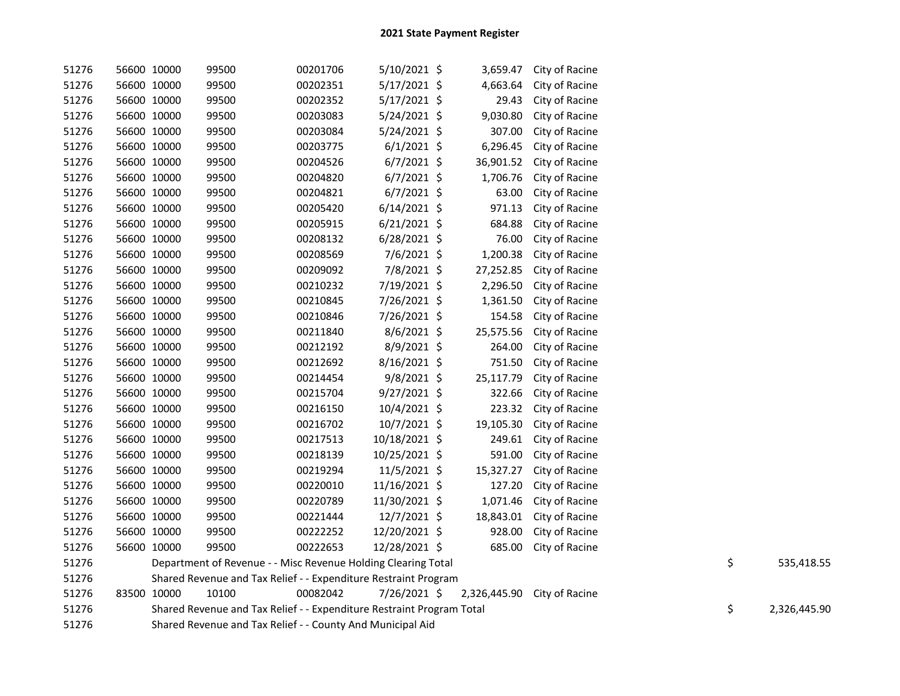| 51276 | 56600 10000 | 99500                                                                 | 00201706 | 5/10/2021 \$   | 3,659.47     | City of Racine |    |              |
|-------|-------------|-----------------------------------------------------------------------|----------|----------------|--------------|----------------|----|--------------|
| 51276 | 56600 10000 | 99500                                                                 | 00202351 | 5/17/2021 \$   | 4,663.64     | City of Racine |    |              |
| 51276 | 56600 10000 | 99500                                                                 | 00202352 | 5/17/2021 \$   | 29.43        | City of Racine |    |              |
| 51276 | 56600 10000 | 99500                                                                 | 00203083 | 5/24/2021 \$   | 9,030.80     | City of Racine |    |              |
| 51276 | 56600 10000 | 99500                                                                 | 00203084 | 5/24/2021 \$   | 307.00       | City of Racine |    |              |
| 51276 | 56600 10000 | 99500                                                                 | 00203775 | $6/1/2021$ \$  | 6,296.45     | City of Racine |    |              |
| 51276 | 56600 10000 | 99500                                                                 | 00204526 | $6/7/2021$ \$  | 36,901.52    | City of Racine |    |              |
| 51276 | 56600 10000 | 99500                                                                 | 00204820 | $6/7/2021$ \$  | 1,706.76     | City of Racine |    |              |
| 51276 | 56600 10000 | 99500                                                                 | 00204821 | $6/7/2021$ \$  | 63.00        | City of Racine |    |              |
| 51276 | 56600 10000 | 99500                                                                 | 00205420 | $6/14/2021$ \$ | 971.13       | City of Racine |    |              |
| 51276 | 56600 10000 | 99500                                                                 | 00205915 | 6/21/2021 \$   | 684.88       | City of Racine |    |              |
| 51276 | 56600 10000 | 99500                                                                 | 00208132 | 6/28/2021 \$   | 76.00        | City of Racine |    |              |
| 51276 | 56600 10000 | 99500                                                                 | 00208569 | 7/6/2021 \$    | 1,200.38     | City of Racine |    |              |
| 51276 | 56600 10000 | 99500                                                                 | 00209092 | 7/8/2021 \$    | 27,252.85    | City of Racine |    |              |
| 51276 | 56600 10000 | 99500                                                                 | 00210232 | 7/19/2021 \$   | 2,296.50     | City of Racine |    |              |
| 51276 | 56600 10000 | 99500                                                                 | 00210845 | 7/26/2021 \$   | 1,361.50     | City of Racine |    |              |
| 51276 | 56600 10000 | 99500                                                                 | 00210846 | 7/26/2021 \$   | 154.58       | City of Racine |    |              |
| 51276 | 56600 10000 | 99500                                                                 | 00211840 | 8/6/2021 \$    | 25,575.56    | City of Racine |    |              |
| 51276 | 56600 10000 | 99500                                                                 | 00212192 | 8/9/2021 \$    | 264.00       | City of Racine |    |              |
| 51276 | 56600 10000 | 99500                                                                 | 00212692 | 8/16/2021 \$   | 751.50       | City of Racine |    |              |
| 51276 | 56600 10000 | 99500                                                                 | 00214454 | 9/8/2021 \$    | 25,117.79    | City of Racine |    |              |
| 51276 | 56600 10000 | 99500                                                                 | 00215704 | 9/27/2021 \$   | 322.66       | City of Racine |    |              |
| 51276 | 56600 10000 | 99500                                                                 | 00216150 | 10/4/2021 \$   | 223.32       | City of Racine |    |              |
| 51276 | 56600 10000 | 99500                                                                 | 00216702 | 10/7/2021 \$   | 19,105.30    | City of Racine |    |              |
| 51276 | 56600 10000 | 99500                                                                 | 00217513 | 10/18/2021 \$  | 249.61       | City of Racine |    |              |
| 51276 | 56600 10000 | 99500                                                                 | 00218139 | 10/25/2021 \$  | 591.00       | City of Racine |    |              |
| 51276 | 56600 10000 | 99500                                                                 | 00219294 | 11/5/2021 \$   | 15,327.27    | City of Racine |    |              |
| 51276 | 56600 10000 | 99500                                                                 | 00220010 | 11/16/2021 \$  | 127.20       | City of Racine |    |              |
| 51276 | 56600 10000 | 99500                                                                 | 00220789 | 11/30/2021 \$  | 1,071.46     | City of Racine |    |              |
| 51276 | 56600 10000 | 99500                                                                 | 00221444 | 12/7/2021 \$   | 18,843.01    | City of Racine |    |              |
| 51276 | 56600 10000 | 99500                                                                 | 00222252 | 12/20/2021 \$  | 928.00       | City of Racine |    |              |
| 51276 | 56600 10000 | 99500                                                                 | 00222653 | 12/28/2021 \$  | 685.00       | City of Racine |    |              |
| 51276 |             | Department of Revenue - - Misc Revenue Holding Clearing Total         |          |                |              |                | \$ | 535,418.55   |
| 51276 |             | Shared Revenue and Tax Relief - - Expenditure Restraint Program       |          |                |              |                |    |              |
| 51276 | 83500 10000 | 10100                                                                 | 00082042 | 7/26/2021 \$   | 2,326,445.90 | City of Racine |    |              |
| 51276 |             | Shared Revenue and Tax Relief - - Expenditure Restraint Program Total |          |                |              |                | \$ | 2,326,445.90 |
| 51276 |             | Shared Revenue and Tax Relief - - County And Municipal Aid            |          |                |              |                |    |              |